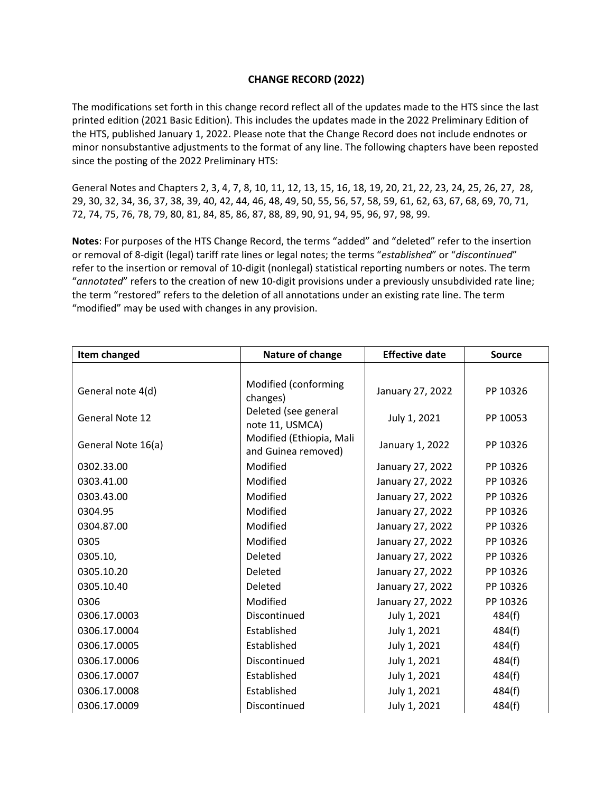## **CHANGE RECORD (2022)**

The modifications set forth in this change record reflect all of the updates made to the HTS since the last printed edition (2021 Basic Edition). This includes the updates made in the 2022 Preliminary Edition of the HTS, published January 1, 2022. Please note that the Change Record does not include endnotes or minor nonsubstantive adjustments to the format of any line. The following chapters have been reposted since the posting of the 2022 Preliminary HTS:

General Notes and Chapters 2, 3, 4, 7, 8, 10, 11, 12, 13, 15, 16, 18, 19, 20, 21, 22, 23, 24, 25, 26, 27, 28, 29, 30, 32, 34, 36, 37, 38, 39, 40, 42, 44, 46, 48, 49, 50, 55, 56, 57, 58, 59, 61, 62, 63, 67, 68, 69, 70, 71, 72, 74, 75, 76, 78, 79, 80, 81, 84, 85, 86, 87, 88, 89, 90, 91, 94, 95, 96, 97, 98, 99.

**Notes**: For purposes of the HTS Change Record, the terms "added" and "deleted" refer to the insertion or removal of 8‐digit (legal) tariff rate lines or legal notes; the terms "*established*" or "*discontinued*" refer to the insertion or removal of 10‐digit (nonlegal) statistical reporting numbers or notes. The term "*annotated*" refers to the creation of new 10‐digit provisions under a previously unsubdivided rate line; the term "restored" refers to the deletion of all annotations under an existing rate line. The term "modified" may be used with changes in any provision.

| Item changed           | Nature of change                                | <b>Effective date</b> | <b>Source</b> |
|------------------------|-------------------------------------------------|-----------------------|---------------|
|                        |                                                 |                       |               |
| General note 4(d)      | Modified (conforming<br>changes)                | January 27, 2022      | PP 10326      |
| <b>General Note 12</b> | Deleted (see general<br>note 11, USMCA)         | July 1, 2021          | PP 10053      |
| General Note 16(a)     | Modified (Ethiopia, Mali<br>and Guinea removed) | January 1, 2022       | PP 10326      |
| 0302.33.00             | Modified                                        | January 27, 2022      | PP 10326      |
| 0303.41.00             | Modified                                        | January 27, 2022      | PP 10326      |
| 0303.43.00             | Modified                                        | January 27, 2022      | PP 10326      |
| 0304.95                | Modified                                        | January 27, 2022      | PP 10326      |
| 0304.87.00             | Modified                                        | January 27, 2022      | PP 10326      |
| 0305                   | Modified                                        | January 27, 2022      | PP 10326      |
| 0305.10,               | Deleted                                         | January 27, 2022      | PP 10326      |
| 0305.10.20             | Deleted                                         | January 27, 2022      | PP 10326      |
| 0305.10.40             | Deleted                                         | January 27, 2022      | PP 10326      |
| 0306                   | Modified                                        | January 27, 2022      | PP 10326      |
| 0306.17.0003           | Discontinued                                    | July 1, 2021          | 484(f)        |
| 0306.17.0004           | Established                                     | July 1, 2021          | 484(f)        |
| 0306.17.0005           | Established                                     | July 1, 2021          | 484(f)        |
| 0306.17.0006           | Discontinued                                    | July 1, 2021          | 484(f)        |
| 0306.17.0007           | Established                                     | July 1, 2021          | 484(f)        |
| 0306.17.0008           | Established                                     | July 1, 2021          | 484(f)        |
| 0306.17.0009           | Discontinued                                    | July 1, 2021          | 484(f)        |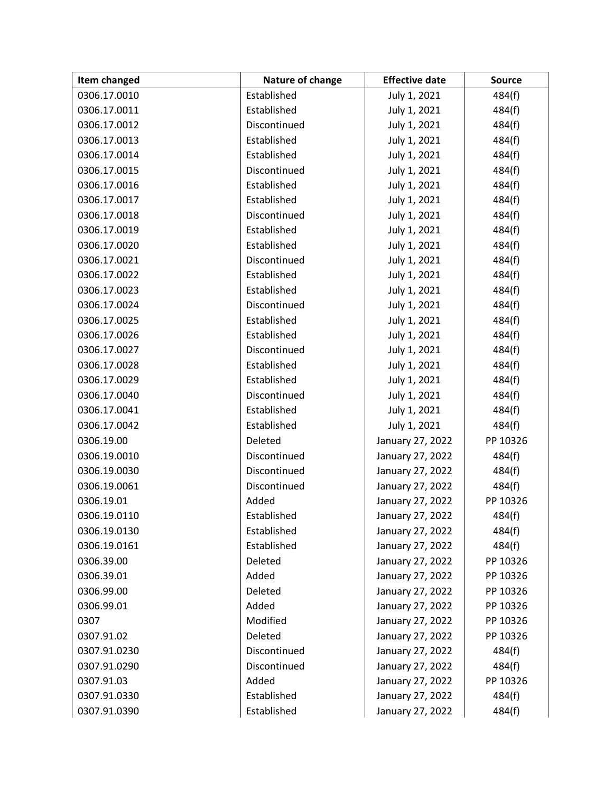| Item changed | Nature of change | <b>Effective date</b> | <b>Source</b> |
|--------------|------------------|-----------------------|---------------|
| 0306.17.0010 | Established      | July 1, 2021          | 484(f)        |
| 0306.17.0011 | Established      | July 1, 2021          | 484(f)        |
| 0306.17.0012 | Discontinued     | July 1, 2021          | 484(f)        |
| 0306.17.0013 | Established      | July 1, 2021          | 484(f)        |
| 0306.17.0014 | Established      | July 1, 2021          | 484(f)        |
| 0306.17.0015 | Discontinued     | July 1, 2021          | 484(f)        |
| 0306.17.0016 | Established      | July 1, 2021          | 484(f)        |
| 0306.17.0017 | Established      | July 1, 2021          | 484(f)        |
| 0306.17.0018 | Discontinued     | July 1, 2021          | 484(f)        |
| 0306.17.0019 | Established      | July 1, 2021          | 484(f)        |
| 0306.17.0020 | Established      | July 1, 2021          | 484(f)        |
| 0306.17.0021 | Discontinued     | July 1, 2021          | 484(f)        |
| 0306.17.0022 | Established      | July 1, 2021          | 484(f)        |
| 0306.17.0023 | Established      | July 1, 2021          | 484(f)        |
| 0306.17.0024 | Discontinued     | July 1, 2021          | 484(f)        |
| 0306.17.0025 | Established      | July 1, 2021          | 484(f)        |
| 0306.17.0026 | Established      | July 1, 2021          | 484(f)        |
| 0306.17.0027 | Discontinued     | July 1, 2021          | 484(f)        |
| 0306.17.0028 | Established      | July 1, 2021          | 484(f)        |
| 0306.17.0029 | Established      | July 1, 2021          | 484(f)        |
| 0306.17.0040 | Discontinued     | July 1, 2021          | 484(f)        |
| 0306.17.0041 | Established      | July 1, 2021          | 484(f)        |
| 0306.17.0042 | Established      | July 1, 2021          | 484(f)        |
| 0306.19.00   | Deleted          | January 27, 2022      | PP 10326      |
| 0306.19.0010 | Discontinued     | January 27, 2022      | 484(f)        |
| 0306.19.0030 | Discontinued     | January 27, 2022      | 484(f)        |
| 0306.19.0061 | Discontinued     | January 27, 2022      | 484(f)        |
| 0306.19.01   | Added            | January 27, 2022      | PP 10326      |
| 0306.19.0110 | Established      | January 27, 2022      | 484(f)        |
| 0306.19.0130 | Established      | January 27, 2022      | 484(f)        |
| 0306.19.0161 | Established      | January 27, 2022      | 484(f)        |
| 0306.39.00   | Deleted          | January 27, 2022      | PP 10326      |
| 0306.39.01   | Added            | January 27, 2022      | PP 10326      |
| 0306.99.00   | Deleted          | January 27, 2022      | PP 10326      |
| 0306.99.01   | Added            | January 27, 2022      | PP 10326      |
| 0307         | Modified         | January 27, 2022      | PP 10326      |
| 0307.91.02   | Deleted          | January 27, 2022      | PP 10326      |
| 0307.91.0230 | Discontinued     | January 27, 2022      | 484(f)        |
| 0307.91.0290 | Discontinued     | January 27, 2022      | 484(f)        |
| 0307.91.03   | Added            | January 27, 2022      | PP 10326      |
| 0307.91.0330 | Established      | January 27, 2022      | 484(f)        |
| 0307.91.0390 | Established      | January 27, 2022      | 484(f)        |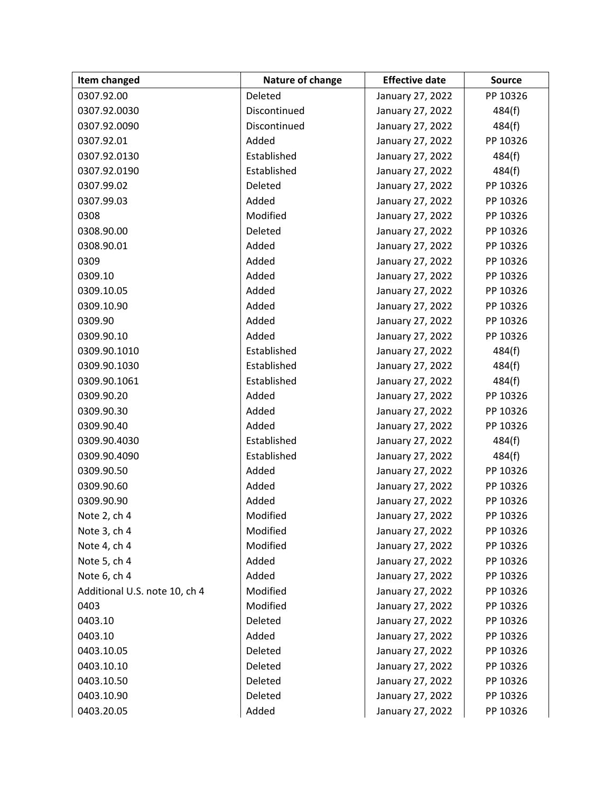| Item changed                  | Nature of change | <b>Effective date</b> | <b>Source</b> |
|-------------------------------|------------------|-----------------------|---------------|
| 0307.92.00                    | Deleted          | January 27, 2022      | PP 10326      |
| 0307.92.0030                  | Discontinued     | January 27, 2022      | 484(f)        |
| 0307.92.0090                  | Discontinued     | January 27, 2022      | 484(f)        |
| 0307.92.01                    | Added            | January 27, 2022      | PP 10326      |
| 0307.92.0130                  | Established      | January 27, 2022      | 484(f)        |
| 0307.92.0190                  | Established      | January 27, 2022      | 484(f)        |
| 0307.99.02                    | Deleted          | January 27, 2022      | PP 10326      |
| 0307.99.03                    | Added            | January 27, 2022      | PP 10326      |
| 0308                          | Modified         | January 27, 2022      | PP 10326      |
| 0308.90.00                    | Deleted          | January 27, 2022      | PP 10326      |
| 0308.90.01                    | Added            | January 27, 2022      | PP 10326      |
| 0309                          | Added            | January 27, 2022      | PP 10326      |
| 0309.10                       | Added            | January 27, 2022      | PP 10326      |
| 0309.10.05                    | Added            | January 27, 2022      | PP 10326      |
| 0309.10.90                    | Added            | January 27, 2022      | PP 10326      |
| 0309.90                       | Added            | January 27, 2022      | PP 10326      |
| 0309.90.10                    | Added            | January 27, 2022      | PP 10326      |
| 0309.90.1010                  | Established      | January 27, 2022      | 484(f)        |
| 0309.90.1030                  | Established      | January 27, 2022      | 484(f)        |
| 0309.90.1061                  | Established      | January 27, 2022      | 484(f)        |
| 0309.90.20                    | Added            | January 27, 2022      | PP 10326      |
| 0309.90.30                    | Added            | January 27, 2022      | PP 10326      |
| 0309.90.40                    | Added            | January 27, 2022      | PP 10326      |
| 0309.90.4030                  | Established      | January 27, 2022      | 484(f)        |
| 0309.90.4090                  | Established      | January 27, 2022      | 484(f)        |
| 0309.90.50                    | Added            | January 27, 2022      | PP 10326      |
| 0309.90.60                    | Added            | January 27, 2022      | PP 10326      |
| 0309.90.90                    | Added            | January 27, 2022      | PP 10326      |
| Note 2, ch 4                  | Modified         | January 27, 2022      | PP 10326      |
| Note 3, ch 4                  | Modified         | January 27, 2022      | PP 10326      |
| Note 4, ch 4                  | Modified         | January 27, 2022      | PP 10326      |
| Note 5, ch 4                  | Added            | January 27, 2022      | PP 10326      |
| Note 6, ch 4                  | Added            | January 27, 2022      | PP 10326      |
| Additional U.S. note 10, ch 4 | Modified         | January 27, 2022      | PP 10326      |
| 0403                          | Modified         | January 27, 2022      | PP 10326      |
| 0403.10                       | Deleted          | January 27, 2022      | PP 10326      |
| 0403.10                       | Added            | January 27, 2022      | PP 10326      |
| 0403.10.05                    | Deleted          | January 27, 2022      | PP 10326      |
| 0403.10.10                    | Deleted          | January 27, 2022      | PP 10326      |
| 0403.10.50                    | Deleted          | January 27, 2022      | PP 10326      |
| 0403.10.90                    | Deleted          | January 27, 2022      | PP 10326      |
| 0403.20.05                    | Added            | January 27, 2022      | PP 10326      |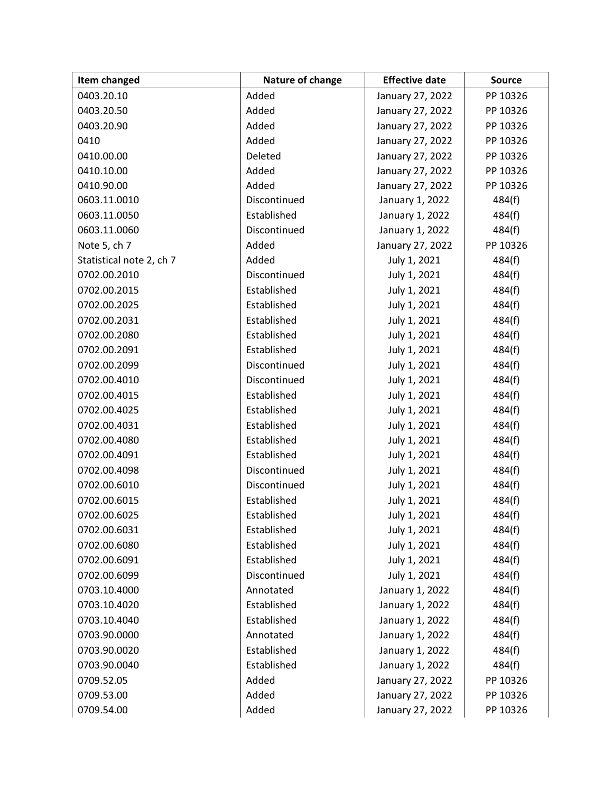| Item changed             | Nature of change | <b>Effective date</b> | <b>Source</b> |
|--------------------------|------------------|-----------------------|---------------|
| 0403.20.10               | Added            | January 27, 2022      | PP 10326      |
| 0403.20.50               | Added            | January 27, 2022      | PP 10326      |
| 0403.20.90               | Added            | January 27, 2022      | PP 10326      |
| 0410                     | Added            | January 27, 2022      | PP 10326      |
| 0410.00.00               | Deleted          | January 27, 2022      | PP 10326      |
| 0410.10.00               | Added            | January 27, 2022      | PP 10326      |
| 0410.90.00               | Added            | January 27, 2022      | PP 10326      |
| 0603.11.0010             | Discontinued     | January 1, 2022       | 484(f)        |
| 0603.11.0050             | Established      | January 1, 2022       | 484(f)        |
| 0603.11.0060             | Discontinued     | January 1, 2022       | 484(f)        |
| Note 5, ch 7             | Added            | January 27, 2022      | PP 10326      |
| Statistical note 2, ch 7 | Added            | July 1, 2021          | 484(f)        |
| 0702.00.2010             | Discontinued     | July 1, 2021          | 484(f)        |
| 0702.00.2015             | Established      | July 1, 2021          | 484(f)        |
| 0702.00.2025             | Established      | July 1, 2021          | 484(f)        |
| 0702.00.2031             | Established      | July 1, 2021          | 484(f)        |
| 0702.00.2080             | Established      | July 1, 2021          | 484(f)        |
| 0702.00.2091             | Established      | July 1, 2021          | 484(f)        |
| 0702.00.2099             | Discontinued     | July 1, 2021          | 484(f)        |
| 0702.00.4010             | Discontinued     | July 1, 2021          | 484(f)        |
| 0702.00.4015             | Established      | July 1, 2021          | 484(f)        |
| 0702.00.4025             | Established      | July 1, 2021          | 484(f)        |
| 0702.00.4031             | Established      | July 1, 2021          | 484(f)        |
| 0702.00.4080             | Established      | July 1, 2021          | 484(f)        |
| 0702.00.4091             | Established      | July 1, 2021          | 484(f)        |
| 0702.00.4098             | Discontinued     | July 1, 2021          | 484(f)        |
| 0702.00.6010             | Discontinued     | July 1, 2021          | 484(f)        |
| 0702.00.6015             | Established      | July 1, 2021          | 484(f)        |
| 0702.00.6025             | Established      | July 1, 2021          | 484(f)        |
| 0702.00.6031             | Established      | July 1, 2021          | 484(f)        |
| 0702.00.6080             | Established      | July 1, 2021          | 484(f)        |
| 0702.00.6091             | Established      | July 1, 2021          | 484(f)        |
| 0702.00.6099             | Discontinued     | July 1, 2021          | 484(f)        |
| 0703.10.4000             | Annotated        | January 1, 2022       | 484(f)        |
| 0703.10.4020             | Established      | January 1, 2022       | 484(f)        |
| 0703.10.4040             | Established      | January 1, 2022       | 484(f)        |
| 0703.90.0000             | Annotated        | January 1, 2022       | 484(f)        |
| 0703.90.0020             | Established      | January 1, 2022       | 484(f)        |
| 0703.90.0040             | Established      | January 1, 2022       | 484(f)        |
| 0709.52.05               | Added            | January 27, 2022      | PP 10326      |
| 0709.53.00               | Added            | January 27, 2022      | PP 10326      |
| 0709.54.00               | Added            | January 27, 2022      | PP 10326      |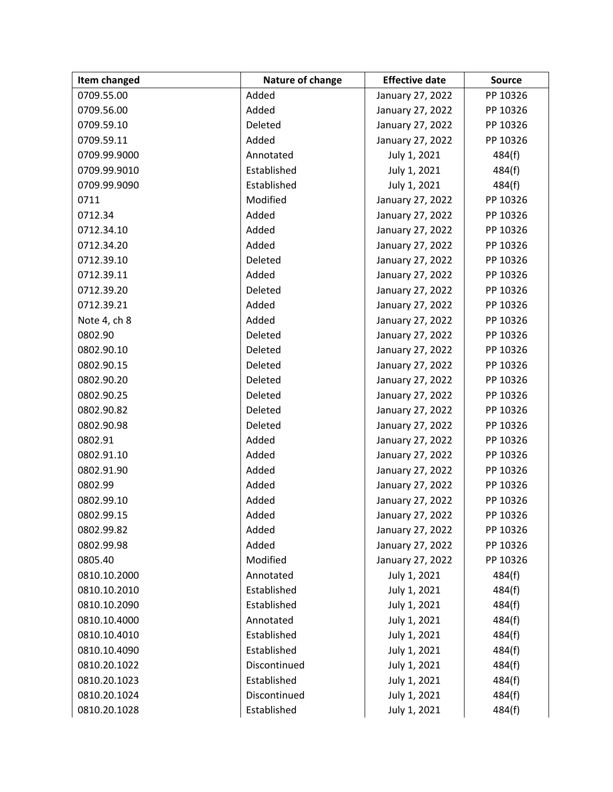| Item changed | Nature of change | <b>Effective date</b> | <b>Source</b> |
|--------------|------------------|-----------------------|---------------|
| 0709.55.00   | Added            | January 27, 2022      | PP 10326      |
| 0709.56.00   | Added            | January 27, 2022      | PP 10326      |
| 0709.59.10   | Deleted          | January 27, 2022      | PP 10326      |
| 0709.59.11   | Added            | January 27, 2022      | PP 10326      |
| 0709.99.9000 | Annotated        | July 1, 2021          | 484(f)        |
| 0709.99.9010 | Established      | July 1, 2021          | 484(f)        |
| 0709.99.9090 | Established      | July 1, 2021          | 484(f)        |
| 0711         | Modified         | January 27, 2022      | PP 10326      |
| 0712.34      | Added            | January 27, 2022      | PP 10326      |
| 0712.34.10   | Added            | January 27, 2022      | PP 10326      |
| 0712.34.20   | Added            | January 27, 2022      | PP 10326      |
| 0712.39.10   | Deleted          | January 27, 2022      | PP 10326      |
| 0712.39.11   | Added            | January 27, 2022      | PP 10326      |
| 0712.39.20   | Deleted          | January 27, 2022      | PP 10326      |
| 0712.39.21   | Added            | January 27, 2022      | PP 10326      |
| Note 4, ch 8 | Added            | January 27, 2022      | PP 10326      |
| 0802.90      | Deleted          | January 27, 2022      | PP 10326      |
| 0802.90.10   | Deleted          | January 27, 2022      | PP 10326      |
| 0802.90.15   | Deleted          | January 27, 2022      | PP 10326      |
| 0802.90.20   | Deleted          | January 27, 2022      | PP 10326      |
| 0802.90.25   | Deleted          | January 27, 2022      | PP 10326      |
| 0802.90.82   | Deleted          | January 27, 2022      | PP 10326      |
| 0802.90.98   | Deleted          | January 27, 2022      | PP 10326      |
| 0802.91      | Added            | January 27, 2022      | PP 10326      |
| 0802.91.10   | Added            | January 27, 2022      | PP 10326      |
| 0802.91.90   | Added            | January 27, 2022      | PP 10326      |
| 0802.99      | Added            | January 27, 2022      | PP 10326      |
| 0802.99.10   | Added            | January 27, 2022      | PP 10326      |
| 0802.99.15   | Added            | January 27, 2022      | PP 10326      |
| 0802.99.82   | Added            | January 27, 2022      | PP 10326      |
| 0802.99.98   | Added            | January 27, 2022      | PP 10326      |
| 0805.40      | Modified         | January 27, 2022      | PP 10326      |
| 0810.10.2000 | Annotated        | July 1, 2021          | 484(f)        |
| 0810.10.2010 | Established      | July 1, 2021          | 484(f)        |
| 0810.10.2090 | Established      | July 1, 2021          | 484(f)        |
| 0810.10.4000 | Annotated        | July 1, 2021          | 484(f)        |
| 0810.10.4010 | Established      | July 1, 2021          | 484(f)        |
| 0810.10.4090 | Established      | July 1, 2021          | 484(f)        |
| 0810.20.1022 | Discontinued     | July 1, 2021          | 484(f)        |
| 0810.20.1023 | Established      | July 1, 2021          | 484(f)        |
| 0810.20.1024 | Discontinued     | July 1, 2021          | 484(f)        |
| 0810.20.1028 | Established      | July 1, 2021          | 484(f)        |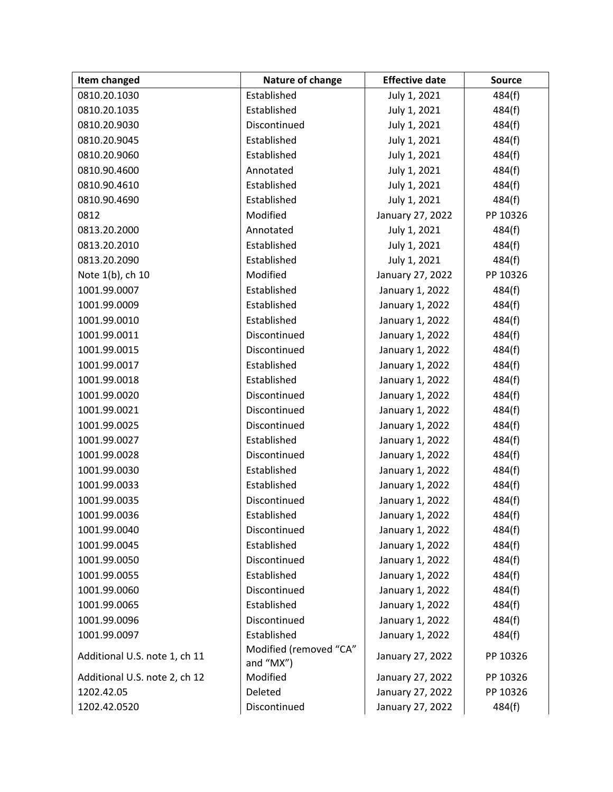| Item changed                  | Nature of change                    | <b>Effective date</b> | <b>Source</b> |
|-------------------------------|-------------------------------------|-----------------------|---------------|
| 0810.20.1030                  | Established                         | July 1, 2021          | 484(f)        |
| 0810.20.1035                  | Established                         | July 1, 2021          | 484(f)        |
| 0810.20.9030                  | Discontinued                        | July 1, 2021          | 484(f)        |
| 0810.20.9045                  | Established                         | July 1, 2021          | 484(f)        |
| 0810.20.9060                  | Established                         | July 1, 2021          | 484(f)        |
| 0810.90.4600                  | Annotated                           | July 1, 2021          | 484(f)        |
| 0810.90.4610                  | Established                         | July 1, 2021          | 484(f)        |
| 0810.90.4690                  | Established                         | July 1, 2021          | 484(f)        |
| 0812                          | Modified                            | January 27, 2022      | PP 10326      |
| 0813.20.2000                  | Annotated                           | July 1, 2021          | 484(f)        |
| 0813.20.2010                  | Established                         | July 1, 2021          | 484(f)        |
| 0813.20.2090                  | Established                         | July 1, 2021          | 484(f)        |
| Note 1(b), ch 10              | Modified                            | January 27, 2022      | PP 10326      |
| 1001.99.0007                  | Established                         | January 1, 2022       | 484(f)        |
| 1001.99.0009                  | Established                         | January 1, 2022       | 484(f)        |
| 1001.99.0010                  | Established                         | January 1, 2022       | 484(f)        |
| 1001.99.0011                  | Discontinued                        | January 1, 2022       | 484(f)        |
| 1001.99.0015                  | Discontinued                        | January 1, 2022       | 484(f)        |
| 1001.99.0017                  | Established                         | January 1, 2022       | 484(f)        |
| 1001.99.0018                  | Established                         | January 1, 2022       | 484(f)        |
| 1001.99.0020                  | Discontinued                        | January 1, 2022       | 484(f)        |
| 1001.99.0021                  | Discontinued                        | January 1, 2022       | 484(f)        |
| 1001.99.0025                  | Discontinued                        | January 1, 2022       | 484(f)        |
| 1001.99.0027                  | Established                         | January 1, 2022       | 484(f)        |
| 1001.99.0028                  | Discontinued                        | January 1, 2022       | 484(f)        |
| 1001.99.0030                  | Established                         | January 1, 2022       | 484(f)        |
| 1001.99.0033                  | Established                         | January 1, 2022       | 484(f)        |
| 1001.99.0035                  | Discontinued                        | January 1, 2022       | 484(f)        |
| 1001.99.0036                  | Established                         | January 1, 2022       | 484(f)        |
| 1001.99.0040                  | Discontinued                        | January 1, 2022       | 484(f)        |
| 1001.99.0045                  | Established                         | January 1, 2022       | 484(f)        |
| 1001.99.0050                  | Discontinued                        | January 1, 2022       | 484(f)        |
| 1001.99.0055                  | Established                         | January 1, 2022       | 484(f)        |
| 1001.99.0060                  | Discontinued                        | January 1, 2022       | 484(f)        |
| 1001.99.0065                  | Established                         | January 1, 2022       | 484(f)        |
| 1001.99.0096                  | Discontinued                        | January 1, 2022       | 484(f)        |
| 1001.99.0097                  | Established                         | January 1, 2022       | 484(f)        |
| Additional U.S. note 1, ch 11 | Modified (removed "CA"<br>and "MX") | January 27, 2022      | PP 10326      |
| Additional U.S. note 2, ch 12 | Modified                            | January 27, 2022      | PP 10326      |
| 1202.42.05                    | Deleted                             | January 27, 2022      | PP 10326      |
| 1202.42.0520                  | Discontinued                        | January 27, 2022      | 484(f)        |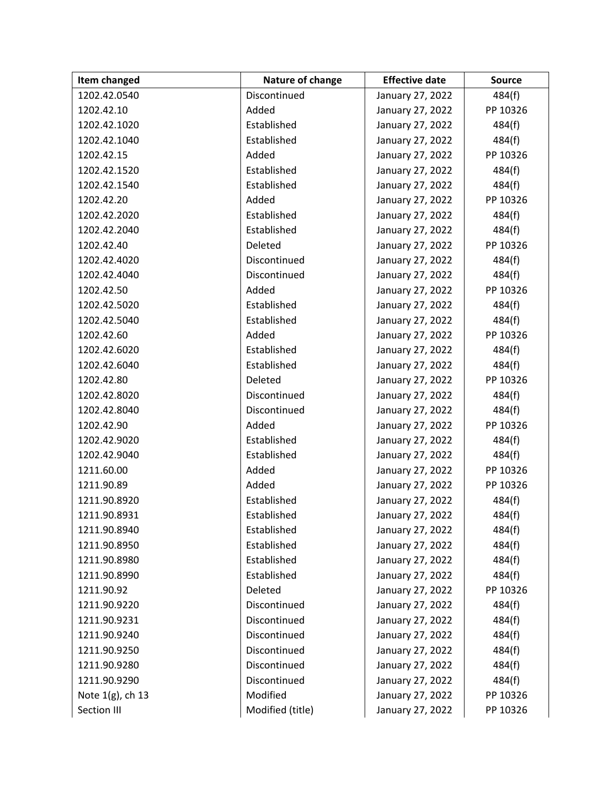| Item changed        | Nature of change | <b>Effective date</b> | <b>Source</b> |
|---------------------|------------------|-----------------------|---------------|
| 1202.42.0540        | Discontinued     | January 27, 2022      | 484(f)        |
| 1202.42.10          | Added            | January 27, 2022      | PP 10326      |
| 1202.42.1020        | Established      | January 27, 2022      | 484(f)        |
| 1202.42.1040        | Established      | January 27, 2022      | 484(f)        |
| 1202.42.15          | Added            | January 27, 2022      | PP 10326      |
| 1202.42.1520        | Established      | January 27, 2022      | 484(f)        |
| 1202.42.1540        | Established      | January 27, 2022      | 484(f)        |
| 1202.42.20          | Added            | January 27, 2022      | PP 10326      |
| 1202.42.2020        | Established      | January 27, 2022      | 484(f)        |
| 1202.42.2040        | Established      | January 27, 2022      | 484(f)        |
| 1202.42.40          | Deleted          | January 27, 2022      | PP 10326      |
| 1202.42.4020        | Discontinued     | January 27, 2022      | 484(f)        |
| 1202.42.4040        | Discontinued     | January 27, 2022      | 484(f)        |
| 1202.42.50          | Added            | January 27, 2022      | PP 10326      |
| 1202.42.5020        | Established      | January 27, 2022      | 484(f)        |
| 1202.42.5040        | Established      | January 27, 2022      | 484(f)        |
| 1202.42.60          | Added            | January 27, 2022      | PP 10326      |
| 1202.42.6020        | Established      | January 27, 2022      | 484(f)        |
| 1202.42.6040        | Established      | January 27, 2022      | 484(f)        |
| 1202.42.80          | Deleted          | January 27, 2022      | PP 10326      |
| 1202.42.8020        | Discontinued     | January 27, 2022      | 484(f)        |
| 1202.42.8040        | Discontinued     | January 27, 2022      | 484(f)        |
| 1202.42.90          | Added            | January 27, 2022      | PP 10326      |
| 1202.42.9020        | Established      | January 27, 2022      | 484(f)        |
| 1202.42.9040        | Established      | January 27, 2022      | 484(f)        |
| 1211.60.00          | Added            | January 27, 2022      | PP 10326      |
| 1211.90.89          | Added            | January 27, 2022      | PP 10326      |
| 1211.90.8920        | Established      | January 27, 2022      | 484(f)        |
| 1211.90.8931        | Established      | January 27, 2022      | 484(f)        |
| 1211.90.8940        | Established      | January 27, 2022      | 484(f)        |
| 1211.90.8950        | Established      | January 27, 2022      | 484(f)        |
| 1211.90.8980        | Established      | January 27, 2022      | 484(f)        |
| 1211.90.8990        | Established      | January 27, 2022      | 484(f)        |
| 1211.90.92          | Deleted          | January 27, 2022      | PP 10326      |
| 1211.90.9220        | Discontinued     | January 27, 2022      | 484(f)        |
| 1211.90.9231        | Discontinued     | January 27, 2022      | 484(f)        |
| 1211.90.9240        | Discontinued     | January 27, 2022      | 484(f)        |
| 1211.90.9250        | Discontinued     | January 27, 2022      | 484(f)        |
| 1211.90.9280        | Discontinued     | January 27, 2022      | 484(f)        |
| 1211.90.9290        | Discontinued     | January 27, 2022      | 484(f)        |
| Note $1(g)$ , ch 13 | Modified         | January 27, 2022      | PP 10326      |
| Section III         | Modified (title) | January 27, 2022      | PP 10326      |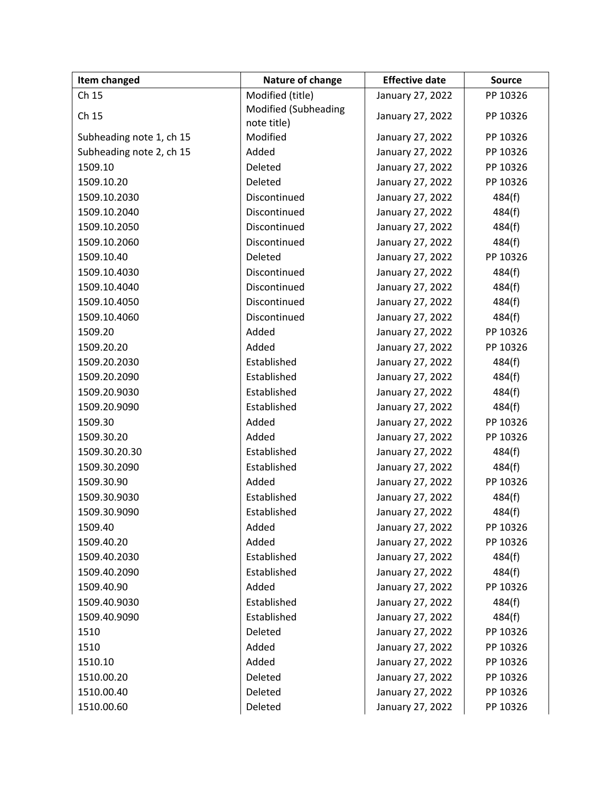| Item changed             | Nature of change            | <b>Effective date</b> | <b>Source</b> |
|--------------------------|-----------------------------|-----------------------|---------------|
| Ch 15                    | Modified (title)            | January 27, 2022      | PP 10326      |
| Ch 15                    | <b>Modified (Subheading</b> | January 27, 2022      | PP 10326      |
|                          | note title)                 |                       |               |
| Subheading note 1, ch 15 | Modified                    | January 27, 2022      | PP 10326      |
| Subheading note 2, ch 15 | Added                       | January 27, 2022      | PP 10326      |
| 1509.10                  | Deleted                     | January 27, 2022      | PP 10326      |
| 1509.10.20               | Deleted                     | January 27, 2022      | PP 10326      |
| 1509.10.2030             | Discontinued                | January 27, 2022      | 484(f)        |
| 1509.10.2040             | Discontinued                | January 27, 2022      | 484(f)        |
| 1509.10.2050             | Discontinued                | January 27, 2022      | 484(f)        |
| 1509.10.2060             | Discontinued                | January 27, 2022      | 484(f)        |
| 1509.10.40               | Deleted                     | January 27, 2022      | PP 10326      |
| 1509.10.4030             | Discontinued                | January 27, 2022      | 484(f)        |
| 1509.10.4040             | Discontinued                | January 27, 2022      | 484(f)        |
| 1509.10.4050             | Discontinued                | January 27, 2022      | 484(f)        |
| 1509.10.4060             | Discontinued                | January 27, 2022      | 484(f)        |
| 1509.20                  | Added                       | January 27, 2022      | PP 10326      |
| 1509.20.20               | Added                       | January 27, 2022      | PP 10326      |
| 1509.20.2030             | Established                 | January 27, 2022      | 484(f)        |
| 1509.20.2090             | Established                 | January 27, 2022      | 484(f)        |
| 1509.20.9030             | Established                 | January 27, 2022      | 484(f)        |
| 1509.20.9090             | Established                 | January 27, 2022      | 484(f)        |
| 1509.30                  | Added                       | January 27, 2022      | PP 10326      |
| 1509.30.20               | Added                       | January 27, 2022      | PP 10326      |
| 1509.30.20.30            | Established                 | January 27, 2022      | 484(f)        |
| 1509.30.2090             | Established                 | January 27, 2022      | 484(f)        |
| 1509.30.90               | Added                       | January 27, 2022      | PP 10326      |
| 1509.30.9030             | Established                 | January 27, 2022      | 484(f)        |
| 1509.30.9090             | Established                 | January 27, 2022      | 484(f)        |
| 1509.40                  | Added                       | January 27, 2022      | PP 10326      |
| 1509.40.20               | Added                       | January 27, 2022      | PP 10326      |
| 1509.40.2030             | Established                 | January 27, 2022      | 484(f)        |
| 1509.40.2090             | Established                 | January 27, 2022      | 484(f)        |
| 1509.40.90               | Added                       | January 27, 2022      | PP 10326      |
| 1509.40.9030             | Established                 | January 27, 2022      | 484(f)        |
| 1509.40.9090             | Established                 | January 27, 2022      | 484(f)        |
| 1510                     | Deleted                     | January 27, 2022      | PP 10326      |
| 1510                     | Added                       | January 27, 2022      | PP 10326      |
| 1510.10                  | Added                       | January 27, 2022      | PP 10326      |
| 1510.00.20               | Deleted                     | January 27, 2022      | PP 10326      |
| 1510.00.40               | Deleted                     | January 27, 2022      | PP 10326      |
| 1510.00.60               | Deleted                     | January 27, 2022      | PP 10326      |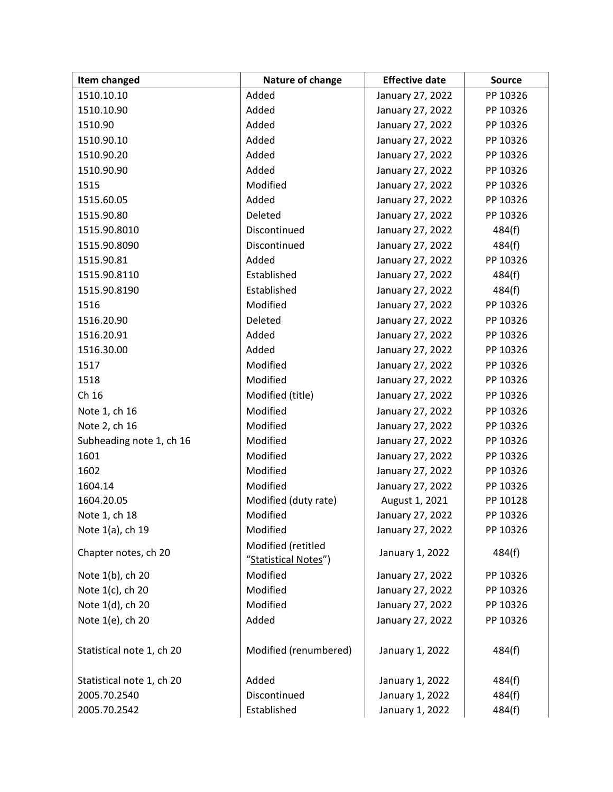| Item changed              | Nature of change                           | <b>Effective date</b> | <b>Source</b> |
|---------------------------|--------------------------------------------|-----------------------|---------------|
| 1510.10.10                | Added                                      | January 27, 2022      | PP 10326      |
| 1510.10.90                | Added                                      | January 27, 2022      | PP 10326      |
| 1510.90                   | Added                                      | January 27, 2022      | PP 10326      |
| 1510.90.10                | Added                                      | January 27, 2022      | PP 10326      |
| 1510.90.20                | Added                                      | January 27, 2022      | PP 10326      |
| 1510.90.90                | Added                                      | January 27, 2022      | PP 10326      |
| 1515                      | Modified                                   | January 27, 2022      | PP 10326      |
| 1515.60.05                | Added                                      | January 27, 2022      | PP 10326      |
| 1515.90.80                | Deleted                                    | January 27, 2022      | PP 10326      |
| 1515.90.8010              | Discontinued                               | January 27, 2022      | 484(f)        |
| 1515.90.8090              | Discontinued                               | January 27, 2022      | 484(f)        |
| 1515.90.81                | Added                                      | January 27, 2022      | PP 10326      |
| 1515.90.8110              | Established                                | January 27, 2022      | 484(f)        |
| 1515.90.8190              | Established                                | January 27, 2022      | 484(f)        |
| 1516                      | Modified                                   | January 27, 2022      | PP 10326      |
| 1516.20.90                | Deleted                                    | January 27, 2022      | PP 10326      |
| 1516.20.91                | Added                                      | January 27, 2022      | PP 10326      |
| 1516.30.00                | Added                                      | January 27, 2022      | PP 10326      |
| 1517                      | Modified                                   | January 27, 2022      | PP 10326      |
| 1518                      | Modified                                   | January 27, 2022      | PP 10326      |
| Ch 16                     | Modified (title)                           | January 27, 2022      | PP 10326      |
| Note 1, ch 16             | Modified                                   | January 27, 2022      | PP 10326      |
| Note 2, ch 16             | Modified                                   | January 27, 2022      | PP 10326      |
| Subheading note 1, ch 16  | Modified                                   | January 27, 2022      | PP 10326      |
| 1601                      | Modified                                   | January 27, 2022      | PP 10326      |
| 1602                      | Modified                                   | January 27, 2022      | PP 10326      |
| 1604.14                   | Modified                                   | January 27, 2022      | PP 10326      |
| 1604.20.05                | Modified (duty rate)                       | August 1, 2021        | PP 10128      |
| Note 1, ch 18             | Modified                                   | January 27, 2022      | PP 10326      |
| Note 1(a), ch 19          | Modified                                   | January 27, 2022      | PP 10326      |
| Chapter notes, ch 20      | Modified (retitled<br>"Statistical Notes") | January 1, 2022       | 484(f)        |
| Note 1(b), ch 20          | Modified                                   | January 27, 2022      | PP 10326      |
| Note 1(c), ch 20          | Modified                                   | January 27, 2022      | PP 10326      |
| Note 1(d), ch 20          | Modified                                   | January 27, 2022      | PP 10326      |
| Note 1(e), ch 20          | Added                                      | January 27, 2022      | PP 10326      |
| Statistical note 1, ch 20 | Modified (renumbered)                      | January 1, 2022       | 484(f)        |
| Statistical note 1, ch 20 | Added                                      | January 1, 2022       | 484(f)        |
| 2005.70.2540              | Discontinued                               | January 1, 2022       | 484(f)        |
| 2005.70.2542              | Established                                | January 1, 2022       | 484(f)        |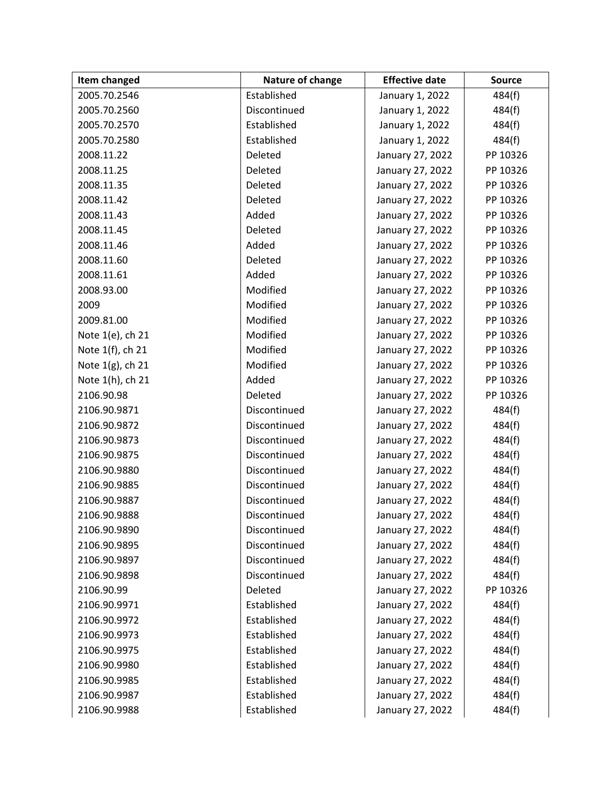| Item changed     | Nature of change | <b>Effective date</b> | <b>Source</b> |
|------------------|------------------|-----------------------|---------------|
| 2005.70.2546     | Established      | January 1, 2022       | 484(f)        |
| 2005.70.2560     | Discontinued     | January 1, 2022       | 484(f)        |
| 2005.70.2570     | Established      | January 1, 2022       | 484(f)        |
| 2005.70.2580     | Established      | January 1, 2022       | 484(f)        |
| 2008.11.22       | Deleted          | January 27, 2022      | PP 10326      |
| 2008.11.25       | Deleted          | January 27, 2022      | PP 10326      |
| 2008.11.35       | Deleted          | January 27, 2022      | PP 10326      |
| 2008.11.42       | Deleted          | January 27, 2022      | PP 10326      |
| 2008.11.43       | Added            | January 27, 2022      | PP 10326      |
| 2008.11.45       | Deleted          | January 27, 2022      | PP 10326      |
| 2008.11.46       | Added            | January 27, 2022      | PP 10326      |
| 2008.11.60       | Deleted          | January 27, 2022      | PP 10326      |
| 2008.11.61       | Added            | January 27, 2022      | PP 10326      |
| 2008.93.00       | Modified         | January 27, 2022      | PP 10326      |
| 2009             | Modified         | January 27, 2022      | PP 10326      |
| 2009.81.00       | Modified         | January 27, 2022      | PP 10326      |
| Note 1(e), ch 21 | Modified         | January 27, 2022      | PP 10326      |
| Note 1(f), ch 21 | Modified         | January 27, 2022      | PP 10326      |
| Note 1(g), ch 21 | Modified         | January 27, 2022      | PP 10326      |
| Note 1(h), ch 21 | Added            | January 27, 2022      | PP 10326      |
| 2106.90.98       | Deleted          | January 27, 2022      | PP 10326      |
| 2106.90.9871     | Discontinued     | January 27, 2022      | 484(f)        |
| 2106.90.9872     | Discontinued     | January 27, 2022      | 484(f)        |
| 2106.90.9873     | Discontinued     | January 27, 2022      | 484(f)        |
| 2106.90.9875     | Discontinued     | January 27, 2022      | 484(f)        |
| 2106.90.9880     | Discontinued     | January 27, 2022      | 484(f)        |
| 2106.90.9885     | Discontinued     | January 27, 2022      | 484(f)        |
| 2106.90.9887     | Discontinued     | January 27, 2022      | 484(f)        |
| 2106.90.9888     | Discontinued     | January 27, 2022      | 484(f)        |
| 2106.90.9890     | Discontinued     | January 27, 2022      | 484(f)        |
| 2106.90.9895     | Discontinued     | January 27, 2022      | 484(f)        |
| 2106.90.9897     | Discontinued     | January 27, 2022      | 484(f)        |
| 2106.90.9898     | Discontinued     | January 27, 2022      | 484(f)        |
| 2106.90.99       | Deleted          | January 27, 2022      | PP 10326      |
| 2106.90.9971     | Established      | January 27, 2022      | 484(f)        |
| 2106.90.9972     | Established      | January 27, 2022      | 484(f)        |
| 2106.90.9973     | Established      | January 27, 2022      | 484(f)        |
| 2106.90.9975     | Established      | January 27, 2022      | 484(f)        |
| 2106.90.9980     | Established      | January 27, 2022      | 484(f)        |
| 2106.90.9985     | Established      | January 27, 2022      | 484(f)        |
| 2106.90.9987     | Established      | January 27, 2022      | 484(f)        |
| 2106.90.9988     | Established      | January 27, 2022      | 484(f)        |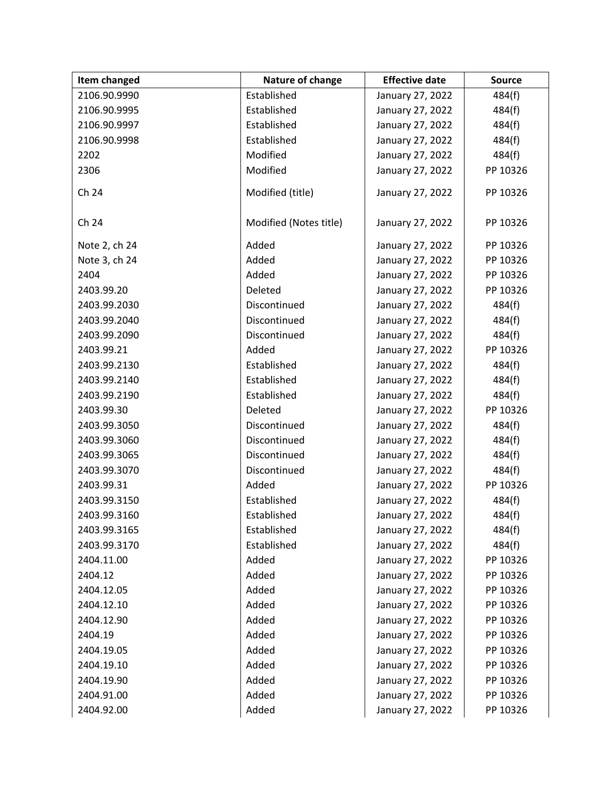| Item changed  | Nature of change       | <b>Effective date</b> | <b>Source</b> |
|---------------|------------------------|-----------------------|---------------|
| 2106.90.9990  | Established            | January 27, 2022      | 484(f)        |
| 2106.90.9995  | Established            | January 27, 2022      | 484(f)        |
| 2106.90.9997  | Established            | January 27, 2022      | 484(f)        |
| 2106.90.9998  | Established            | January 27, 2022      | 484(f)        |
| 2202          | Modified               | January 27, 2022      | 484(f)        |
| 2306          | Modified               | January 27, 2022      | PP 10326      |
| Ch 24         | Modified (title)       | January 27, 2022      | PP 10326      |
| Ch 24         | Modified (Notes title) | January 27, 2022      | PP 10326      |
| Note 2, ch 24 | Added                  | January 27, 2022      | PP 10326      |
| Note 3, ch 24 | Added                  | January 27, 2022      | PP 10326      |
| 2404          | Added                  | January 27, 2022      | PP 10326      |
| 2403.99.20    | Deleted                | January 27, 2022      | PP 10326      |
| 2403.99.2030  | Discontinued           | January 27, 2022      | 484(f)        |
| 2403.99.2040  | Discontinued           | January 27, 2022      | 484(f)        |
| 2403.99.2090  | Discontinued           | January 27, 2022      | 484(f)        |
| 2403.99.21    | Added                  | January 27, 2022      | PP 10326      |
| 2403.99.2130  | Established            | January 27, 2022      | 484(f)        |
| 2403.99.2140  | Established            | January 27, 2022      | 484(f)        |
| 2403.99.2190  | Established            | January 27, 2022      | 484(f)        |
| 2403.99.30    | Deleted                | January 27, 2022      | PP 10326      |
| 2403.99.3050  | Discontinued           | January 27, 2022      | 484(f)        |
| 2403.99.3060  | Discontinued           | January 27, 2022      | 484(f)        |
| 2403.99.3065  | Discontinued           | January 27, 2022      | 484(f)        |
| 2403.99.3070  | Discontinued           | January 27, 2022      | 484(f)        |
| 2403.99.31    | Added                  | January 27, 2022      | PP 10326      |
| 2403.99.3150  | Established            | January 27, 2022      | 484(f)        |
| 2403.99.3160  | Established            | January 27, 2022      | 484(f)        |
| 2403.99.3165  | Established            | January 27, 2022      | 484(f)        |
| 2403.99.3170  | Established            | January 27, 2022      | 484(f)        |
| 2404.11.00    | Added                  | January 27, 2022      | PP 10326      |
| 2404.12       | Added                  | January 27, 2022      | PP 10326      |
| 2404.12.05    | Added                  | January 27, 2022      | PP 10326      |
| 2404.12.10    | Added                  | January 27, 2022      | PP 10326      |
| 2404.12.90    | Added                  | January 27, 2022      | PP 10326      |
| 2404.19       | Added                  | January 27, 2022      | PP 10326      |
| 2404.19.05    | Added                  | January 27, 2022      | PP 10326      |
| 2404.19.10    | Added                  | January 27, 2022      | PP 10326      |
| 2404.19.90    | Added                  | January 27, 2022      | PP 10326      |
| 2404.91.00    | Added                  | January 27, 2022      | PP 10326      |
| 2404.92.00    | Added                  | January 27, 2022      | PP 10326      |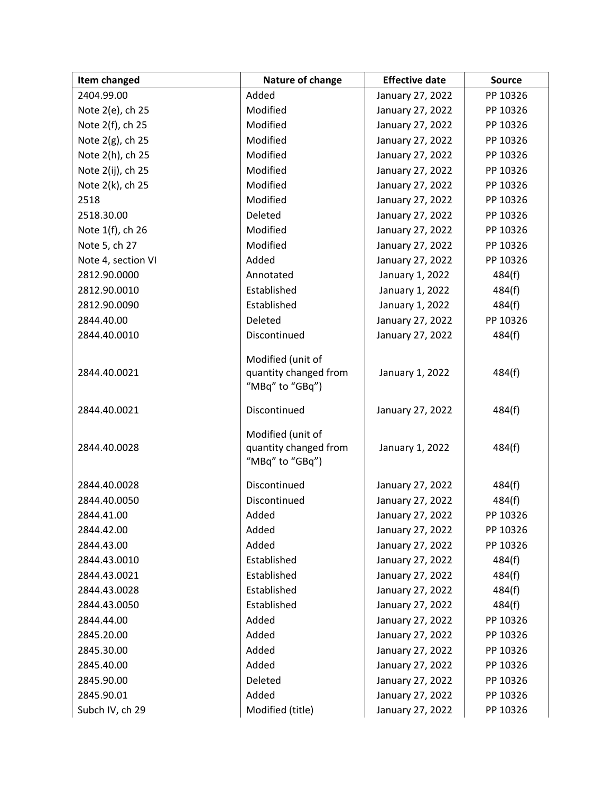| Item changed       | Nature of change                                              | <b>Effective date</b> | <b>Source</b> |
|--------------------|---------------------------------------------------------------|-----------------------|---------------|
| 2404.99.00         | Added                                                         | January 27, 2022      | PP 10326      |
| Note 2(e), ch 25   | Modified                                                      | January 27, 2022      | PP 10326      |
| Note 2(f), ch 25   | Modified                                                      | January 27, 2022      | PP 10326      |
| Note 2(g), ch 25   | Modified                                                      | January 27, 2022      | PP 10326      |
| Note 2(h), ch 25   | Modified                                                      | January 27, 2022      | PP 10326      |
| Note 2(ij), ch 25  | Modified                                                      | January 27, 2022      | PP 10326      |
| Note 2(k), ch 25   | Modified                                                      | January 27, 2022      | PP 10326      |
| 2518               | Modified                                                      | January 27, 2022      | PP 10326      |
| 2518.30.00         | Deleted                                                       | January 27, 2022      | PP 10326      |
| Note 1(f), ch 26   | Modified                                                      | January 27, 2022      | PP 10326      |
| Note 5, ch 27      | Modified                                                      | January 27, 2022      | PP 10326      |
| Note 4, section VI | Added                                                         | January 27, 2022      | PP 10326      |
| 2812.90.0000       | Annotated                                                     | January 1, 2022       | 484(f)        |
| 2812.90.0010       | Established                                                   | January 1, 2022       | 484(f)        |
| 2812.90.0090       | Established                                                   | January 1, 2022       | 484(f)        |
| 2844.40.00         | Deleted                                                       | January 27, 2022      | PP 10326      |
| 2844.40.0010       | Discontinued                                                  | January 27, 2022      | 484(f)        |
| 2844.40.0021       | Modified (unit of<br>quantity changed from<br>"MBq" to "GBq") | January 1, 2022       | 484(f)        |
| 2844.40.0021       | Discontinued                                                  | January 27, 2022      | 484(f)        |
| 2844.40.0028       | Modified (unit of<br>quantity changed from<br>"MBq" to "GBq") | January 1, 2022       | 484(f)        |
| 2844.40.0028       | Discontinued                                                  | January 27, 2022      | 484(f)        |
| 2844.40.0050       | Discontinued                                                  | January 27, 2022      | 484(f)        |
| 2844.41.00         | Added                                                         | January 27, 2022      | PP 10326      |
| 2844.42.00         | Added                                                         | January 27, 2022      | PP 10326      |
| 2844.43.00         | Added                                                         | January 27, 2022      | PP 10326      |
| 2844.43.0010       | Established                                                   | January 27, 2022      | 484(f)        |
| 2844.43.0021       | Established                                                   | January 27, 2022      | 484(f)        |
| 2844.43.0028       | Established                                                   | January 27, 2022      | 484(f)        |
| 2844.43.0050       | Established                                                   | January 27, 2022      | 484(f)        |
| 2844.44.00         | Added                                                         | January 27, 2022      | PP 10326      |
| 2845.20.00         | Added                                                         | January 27, 2022      | PP 10326      |
| 2845.30.00         | Added                                                         | January 27, 2022      | PP 10326      |
| 2845.40.00         | Added                                                         | January 27, 2022      | PP 10326      |
| 2845.90.00         | Deleted                                                       | January 27, 2022      | PP 10326      |
| 2845.90.01         | Added                                                         | January 27, 2022      | PP 10326      |
| Subch IV, ch 29    | Modified (title)                                              | January 27, 2022      | PP 10326      |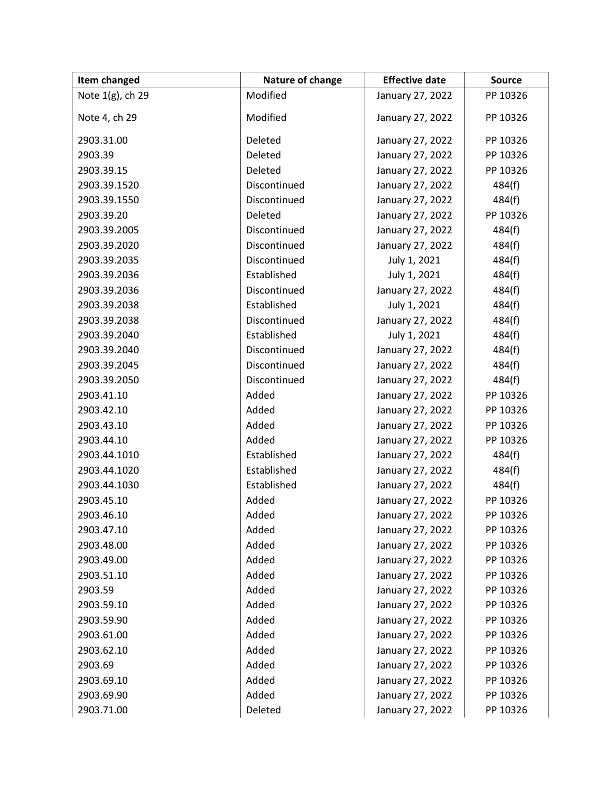| Item changed     | Nature of change | <b>Effective date</b> | <b>Source</b> |
|------------------|------------------|-----------------------|---------------|
| Note 1(g), ch 29 | Modified         | January 27, 2022      | PP 10326      |
| Note 4, ch 29    | Modified         | January 27, 2022      | PP 10326      |
| 2903.31.00       | Deleted          | January 27, 2022      | PP 10326      |
| 2903.39          | Deleted          | January 27, 2022      | PP 10326      |
| 2903.39.15       | Deleted          | January 27, 2022      | PP 10326      |
| 2903.39.1520     | Discontinued     | January 27, 2022      | 484(f)        |
| 2903.39.1550     | Discontinued     | January 27, 2022      | 484(f)        |
| 2903.39.20       | Deleted          | January 27, 2022      | PP 10326      |
| 2903.39.2005     | Discontinued     | January 27, 2022      | 484(f)        |
| 2903.39.2020     | Discontinued     | January 27, 2022      | 484(f)        |
| 2903.39.2035     | Discontinued     | July 1, 2021          | 484(f)        |
| 2903.39.2036     | Established      | July 1, 2021          | 484(f)        |
| 2903.39.2036     | Discontinued     | January 27, 2022      | 484(f)        |
| 2903.39.2038     | Established      | July 1, 2021          | 484(f)        |
| 2903.39.2038     | Discontinued     | January 27, 2022      | 484(f)        |
| 2903.39.2040     | Established      | July 1, 2021          | 484(f)        |
| 2903.39.2040     | Discontinued     | January 27, 2022      | 484(f)        |
| 2903.39.2045     | Discontinued     | January 27, 2022      | 484(f)        |
| 2903.39.2050     | Discontinued     | January 27, 2022      | 484(f)        |
| 2903.41.10       | Added            | January 27, 2022      | PP 10326      |
| 2903.42.10       | Added            | January 27, 2022      | PP 10326      |
| 2903.43.10       | Added            | January 27, 2022      | PP 10326      |
| 2903.44.10       | Added            | January 27, 2022      | PP 10326      |
| 2903.44.1010     | Established      | January 27, 2022      | 484(f)        |
| 2903.44.1020     | Established      | January 27, 2022      | 484(f)        |
| 2903.44.1030     | Established      | January 27, 2022      | 484(f)        |
| 2903.45.10       | Added            | January 27, 2022      | PP 10326      |
| 2903.46.10       | Added            | January 27, 2022      | PP 10326      |
| 2903.47.10       | Added            | January 27, 2022      | PP 10326      |
| 2903.48.00       | Added            | January 27, 2022      | PP 10326      |
| 2903.49.00       | Added            | January 27, 2022      | PP 10326      |
| 2903.51.10       | Added            | January 27, 2022      | PP 10326      |
| 2903.59          | Added            | January 27, 2022      | PP 10326      |
| 2903.59.10       | Added            | January 27, 2022      | PP 10326      |
| 2903.59.90       | Added            | January 27, 2022      | PP 10326      |
| 2903.61.00       | Added            | January 27, 2022      | PP 10326      |
| 2903.62.10       | Added            | January 27, 2022      | PP 10326      |
| 2903.69          | Added            | January 27, 2022      | PP 10326      |
| 2903.69.10       | Added            | January 27, 2022      | PP 10326      |
| 2903.69.90       | Added            | January 27, 2022      | PP 10326      |
| 2903.71.00       | Deleted          | January 27, 2022      | PP 10326      |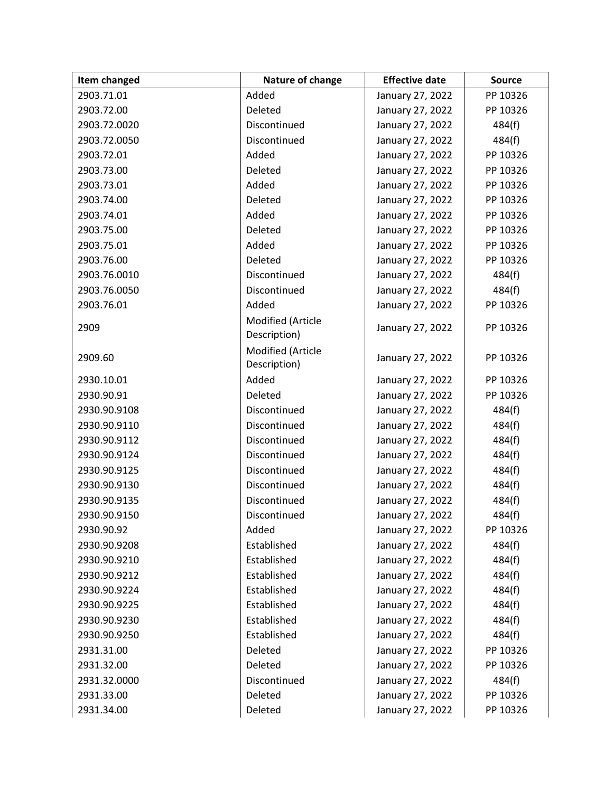| Item changed | Nature of change                  | <b>Effective date</b> | Source   |
|--------------|-----------------------------------|-----------------------|----------|
| 2903.71.01   | Added                             | January 27, 2022      | PP 10326 |
| 2903.72.00   | Deleted                           | January 27, 2022      | PP 10326 |
| 2903.72.0020 | Discontinued                      | January 27, 2022      | 484(f)   |
| 2903.72.0050 | Discontinued                      | January 27, 2022      | 484(f)   |
| 2903.72.01   | Added                             | January 27, 2022      | PP 10326 |
| 2903.73.00   | Deleted                           | January 27, 2022      | PP 10326 |
| 2903.73.01   | Added                             | January 27, 2022      | PP 10326 |
| 2903.74.00   | Deleted                           | January 27, 2022      | PP 10326 |
| 2903.74.01   | Added                             | January 27, 2022      | PP 10326 |
| 2903.75.00   | Deleted                           | January 27, 2022      | PP 10326 |
| 2903.75.01   | Added                             | January 27, 2022      | PP 10326 |
| 2903.76.00   | Deleted                           | January 27, 2022      | PP 10326 |
| 2903.76.0010 | Discontinued                      | January 27, 2022      | 484(f)   |
| 2903.76.0050 | Discontinued                      | January 27, 2022      | 484(f)   |
| 2903.76.01   | Added                             | January 27, 2022      | PP 10326 |
| 2909         | Modified (Article<br>Description) | January 27, 2022      | PP 10326 |
| 2909.60      | Modified (Article<br>Description) | January 27, 2022      | PP 10326 |
| 2930.10.01   | Added                             | January 27, 2022      | PP 10326 |
| 2930.90.91   | Deleted                           | January 27, 2022      | PP 10326 |
| 2930.90.9108 | Discontinued                      | January 27, 2022      | 484(f)   |
| 2930.90.9110 | Discontinued                      | January 27, 2022      | 484(f)   |
| 2930.90.9112 | Discontinued                      | January 27, 2022      | 484(f)   |
| 2930.90.9124 | Discontinued                      | January 27, 2022      | 484(f)   |
| 2930.90.9125 | Discontinued                      | January 27, 2022      | 484(f)   |
| 2930.90.9130 | Discontinued                      | January 27, 2022      | 484(f)   |
| 2930.90.9135 | Discontinued                      | January 27, 2022      | 484(f)   |
| 2930.90.9150 | Discontinued                      | January 27, 2022      | 484(f)   |
| 2930.90.92   | Added                             | January 27, 2022      | PP 10326 |
| 2930.90.9208 | Established                       | January 27, 2022      | 484(f)   |
| 2930.90.9210 | Established                       | January 27, 2022      | 484(f)   |
| 2930.90.9212 | Established                       | January 27, 2022      | 484(f)   |
| 2930.90.9224 | Established                       | January 27, 2022      | 484(f)   |
| 2930.90.9225 | Established                       | January 27, 2022      | 484(f)   |
| 2930.90.9230 | Established                       | January 27, 2022      | 484(f)   |
| 2930.90.9250 | Established                       | January 27, 2022      | 484(f)   |
| 2931.31.00   | Deleted                           | January 27, 2022      | PP 10326 |
| 2931.32.00   | Deleted                           | January 27, 2022      | PP 10326 |
| 2931.32.0000 | Discontinued                      | January 27, 2022      | 484(f)   |
| 2931.33.00   | Deleted                           | January 27, 2022      | PP 10326 |
| 2931.34.00   | Deleted                           | January 27, 2022      | PP 10326 |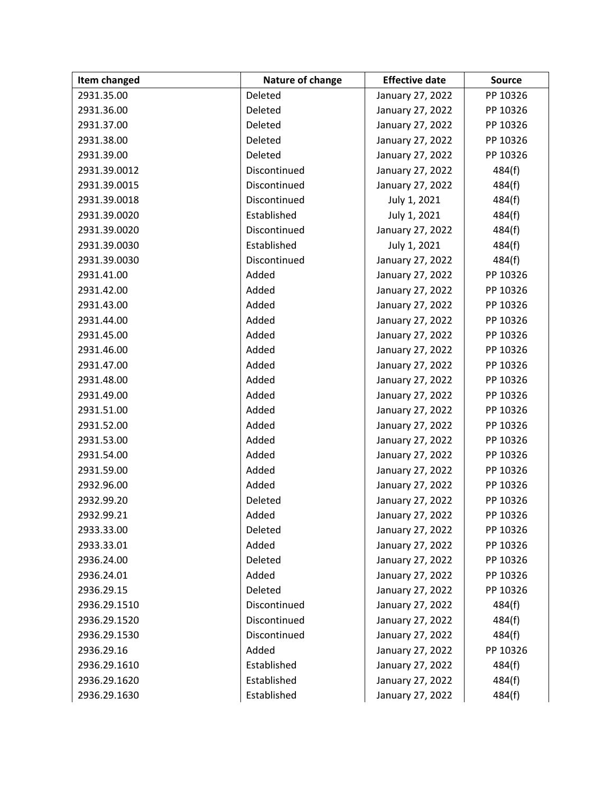| Item changed | Nature of change | <b>Effective date</b> | <b>Source</b> |
|--------------|------------------|-----------------------|---------------|
| 2931.35.00   | Deleted          | January 27, 2022      | PP 10326      |
| 2931.36.00   | Deleted          | January 27, 2022      | PP 10326      |
| 2931.37.00   | Deleted          | January 27, 2022      | PP 10326      |
| 2931.38.00   | Deleted          | January 27, 2022      | PP 10326      |
| 2931.39.00   | Deleted          | January 27, 2022      | PP 10326      |
| 2931.39.0012 | Discontinued     | January 27, 2022      | 484(f)        |
| 2931.39.0015 | Discontinued     | January 27, 2022      | 484(f)        |
| 2931.39.0018 | Discontinued     | July 1, 2021          | 484(f)        |
| 2931.39.0020 | Established      | July 1, 2021          | 484(f)        |
| 2931.39.0020 | Discontinued     | January 27, 2022      | 484(f)        |
| 2931.39.0030 | Established      | July 1, 2021          | 484(f)        |
| 2931.39.0030 | Discontinued     | January 27, 2022      | 484(f)        |
| 2931.41.00   | Added            | January 27, 2022      | PP 10326      |
| 2931.42.00   | Added            | January 27, 2022      | PP 10326      |
| 2931.43.00   | Added            | January 27, 2022      | PP 10326      |
| 2931.44.00   | Added            | January 27, 2022      | PP 10326      |
| 2931.45.00   | Added            | January 27, 2022      | PP 10326      |
| 2931.46.00   | Added            | January 27, 2022      | PP 10326      |
| 2931.47.00   | Added            | January 27, 2022      | PP 10326      |
| 2931.48.00   | Added            | January 27, 2022      | PP 10326      |
| 2931.49.00   | Added            | January 27, 2022      | PP 10326      |
| 2931.51.00   | Added            | January 27, 2022      | PP 10326      |
| 2931.52.00   | Added            | January 27, 2022      | PP 10326      |
| 2931.53.00   | Added            | January 27, 2022      | PP 10326      |
| 2931.54.00   | Added            | January 27, 2022      | PP 10326      |
| 2931.59.00   | Added            | January 27, 2022      | PP 10326      |
| 2932.96.00   | Added            | January 27, 2022      | PP 10326      |
| 2932.99.20   | Deleted          | January 27, 2022      | PP 10326      |
| 2932.99.21   | Added            | January 27, 2022      | PP 10326      |
| 2933.33.00   | Deleted          | January 27, 2022      | PP 10326      |
| 2933.33.01   | Added            | January 27, 2022      | PP 10326      |
| 2936.24.00   | Deleted          | January 27, 2022      | PP 10326      |
| 2936.24.01   | Added            | January 27, 2022      | PP 10326      |
| 2936.29.15   | Deleted          | January 27, 2022      | PP 10326      |
| 2936.29.1510 | Discontinued     | January 27, 2022      | 484(f)        |
| 2936.29.1520 | Discontinued     | January 27, 2022      | 484(f)        |
| 2936.29.1530 | Discontinued     | January 27, 2022      | 484(f)        |
| 2936.29.16   | Added            | January 27, 2022      | PP 10326      |
| 2936.29.1610 | Established      | January 27, 2022      | 484(f)        |
| 2936.29.1620 | Established      | January 27, 2022      | 484(f)        |
| 2936.29.1630 | Established      | January 27, 2022      | 484(f)        |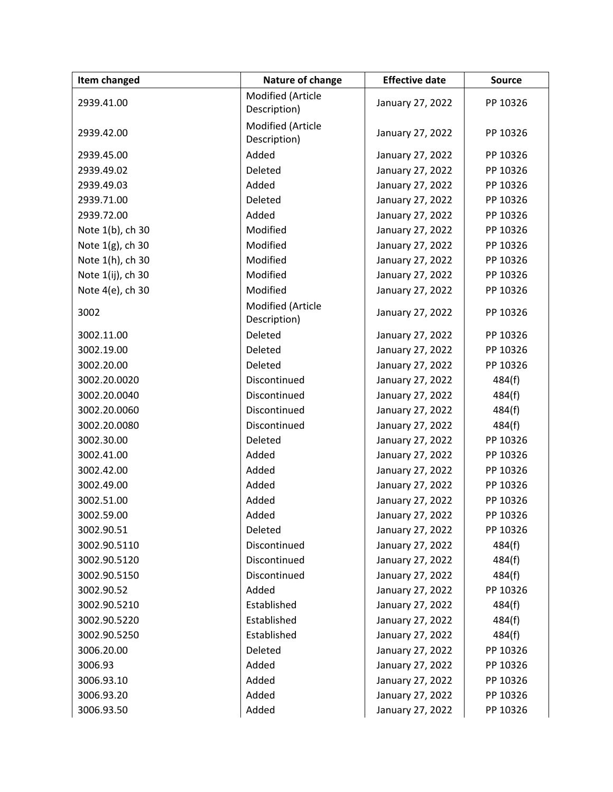| <b>Item changed</b> | Nature of change                  | <b>Effective date</b> | <b>Source</b> |
|---------------------|-----------------------------------|-----------------------|---------------|
| 2939.41.00          | Modified (Article<br>Description) | January 27, 2022      | PP 10326      |
| 2939.42.00          | Modified (Article<br>Description) | January 27, 2022      | PP 10326      |
| 2939.45.00          | Added                             | January 27, 2022      | PP 10326      |
| 2939.49.02          | Deleted                           | January 27, 2022      | PP 10326      |
| 2939.49.03          | Added                             | January 27, 2022      | PP 10326      |
| 2939.71.00          | Deleted                           | January 27, 2022      | PP 10326      |
| 2939.72.00          | Added                             | January 27, 2022      | PP 10326      |
| Note 1(b), ch 30    | Modified                          | January 27, 2022      | PP 10326      |
| Note 1(g), ch 30    | Modified                          | January 27, 2022      | PP 10326      |
| Note 1(h), ch 30    | Modified                          | January 27, 2022      | PP 10326      |
| Note 1(ij), ch 30   | Modified                          | January 27, 2022      | PP 10326      |
| Note 4(e), ch 30    | Modified                          | January 27, 2022      | PP 10326      |
| 3002                | Modified (Article<br>Description) | January 27, 2022      | PP 10326      |
| 3002.11.00          | Deleted                           | January 27, 2022      | PP 10326      |
| 3002.19.00          | Deleted                           | January 27, 2022      | PP 10326      |
| 3002.20.00          | Deleted                           | January 27, 2022      | PP 10326      |
| 3002.20.0020        | Discontinued                      | January 27, 2022      | 484(f)        |
| 3002.20.0040        | Discontinued                      | January 27, 2022      | 484(f)        |
| 3002.20.0060        | Discontinued                      | January 27, 2022      | 484(f)        |
| 3002.20.0080        | Discontinued                      | January 27, 2022      | 484(f)        |
| 3002.30.00          | Deleted                           | January 27, 2022      | PP 10326      |
| 3002.41.00          | Added                             | January 27, 2022      | PP 10326      |
| 3002.42.00          | Added                             | January 27, 2022      | PP 10326      |
| 3002.49.00          | Added                             | January 27, 2022      | PP 10326      |
| 3002.51.00          | Added                             | January 27, 2022      | PP 10326      |
| 3002.59.00          | Added                             | January 27, 2022      | PP 10326      |
| 3002.90.51          | Deleted                           | January 27, 2022      | PP 10326      |
| 3002.90.5110        | Discontinued                      | January 27, 2022      | 484(f)        |
| 3002.90.5120        | Discontinued                      | January 27, 2022      | 484(f)        |
| 3002.90.5150        | Discontinued                      | January 27, 2022      | 484(f)        |
| 3002.90.52          | Added                             | January 27, 2022      | PP 10326      |
| 3002.90.5210        | Established                       | January 27, 2022      | 484(f)        |
| 3002.90.5220        | Established                       | January 27, 2022      | 484(f)        |
| 3002.90.5250        | Established                       | January 27, 2022      | 484(f)        |
| 3006.20.00          | Deleted                           | January 27, 2022      | PP 10326      |
| 3006.93             | Added                             | January 27, 2022      | PP 10326      |
| 3006.93.10          | Added                             | January 27, 2022      | PP 10326      |
| 3006.93.20          | Added                             | January 27, 2022      | PP 10326      |
| 3006.93.50          | Added                             | January 27, 2022      | PP 10326      |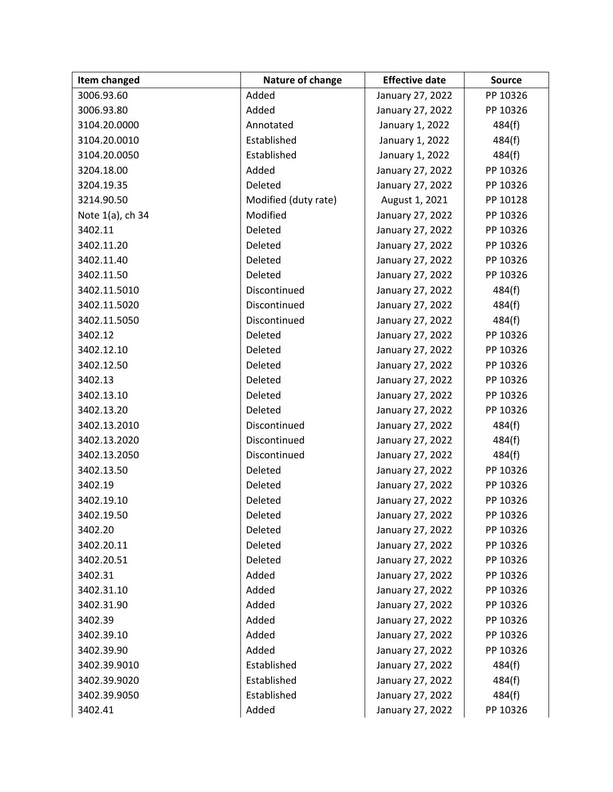| Item changed     | Nature of change     | <b>Effective date</b> | <b>Source</b> |
|------------------|----------------------|-----------------------|---------------|
| 3006.93.60       | Added                | January 27, 2022      | PP 10326      |
| 3006.93.80       | Added                | January 27, 2022      | PP 10326      |
| 3104.20.0000     | Annotated            | January 1, 2022       | 484(f)        |
| 3104.20.0010     | Established          | January 1, 2022       | 484(f)        |
| 3104.20.0050     | Established          | January 1, 2022       | 484(f)        |
| 3204.18.00       | Added                | January 27, 2022      | PP 10326      |
| 3204.19.35       | Deleted              | January 27, 2022      | PP 10326      |
| 3214.90.50       | Modified (duty rate) | August 1, 2021        | PP 10128      |
| Note 1(a), ch 34 | Modified             | January 27, 2022      | PP 10326      |
| 3402.11          | Deleted              | January 27, 2022      | PP 10326      |
| 3402.11.20       | Deleted              | January 27, 2022      | PP 10326      |
| 3402.11.40       | Deleted              | January 27, 2022      | PP 10326      |
| 3402.11.50       | Deleted              | January 27, 2022      | PP 10326      |
| 3402.11.5010     | Discontinued         | January 27, 2022      | 484(f)        |
| 3402.11.5020     | Discontinued         | January 27, 2022      | 484(f)        |
| 3402.11.5050     | Discontinued         | January 27, 2022      | 484(f)        |
| 3402.12          | Deleted              | January 27, 2022      | PP 10326      |
| 3402.12.10       | Deleted              | January 27, 2022      | PP 10326      |
| 3402.12.50       | Deleted              | January 27, 2022      | PP 10326      |
| 3402.13          | Deleted              | January 27, 2022      | PP 10326      |
| 3402.13.10       | Deleted              | January 27, 2022      | PP 10326      |
| 3402.13.20       | Deleted              | January 27, 2022      | PP 10326      |
| 3402.13.2010     | Discontinued         | January 27, 2022      | 484(f)        |
| 3402.13.2020     | Discontinued         | January 27, 2022      | 484(f)        |
| 3402.13.2050     | Discontinued         | January 27, 2022      | 484(f)        |
| 3402.13.50       | Deleted              | January 27, 2022      | PP 10326      |
| 3402.19          | Deleted              | January 27, 2022      | PP 10326      |
| 3402.19.10       | Deleted              | January 27, 2022      | PP 10326      |
| 3402.19.50       | Deleted              | January 27, 2022      | PP 10326      |
| 3402.20          | Deleted              | January 27, 2022      | PP 10326      |
| 3402.20.11       | Deleted              | January 27, 2022      | PP 10326      |
| 3402.20.51       | Deleted              | January 27, 2022      | PP 10326      |
| 3402.31          | Added                | January 27, 2022      | PP 10326      |
| 3402.31.10       | Added                | January 27, 2022      | PP 10326      |
| 3402.31.90       | Added                | January 27, 2022      | PP 10326      |
| 3402.39          | Added                | January 27, 2022      | PP 10326      |
| 3402.39.10       | Added                | January 27, 2022      | PP 10326      |
| 3402.39.90       | Added                | January 27, 2022      | PP 10326      |
| 3402.39.9010     | Established          | January 27, 2022      | 484(f)        |
| 3402.39.9020     | Established          | January 27, 2022      | 484(f)        |
| 3402.39.9050     | Established          | January 27, 2022      | 484(f)        |
| 3402.41          | Added                | January 27, 2022      | PP 10326      |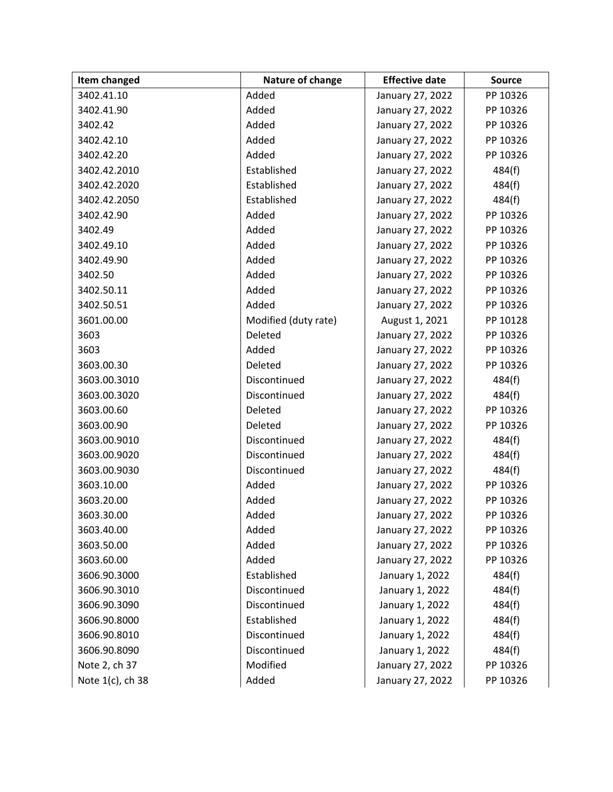| Item changed     | Nature of change     | <b>Effective date</b> | <b>Source</b> |
|------------------|----------------------|-----------------------|---------------|
| 3402.41.10       | Added                | January 27, 2022      | PP 10326      |
| 3402.41.90       | Added                | January 27, 2022      | PP 10326      |
| 3402.42          | Added                | January 27, 2022      | PP 10326      |
| 3402.42.10       | Added                | January 27, 2022      | PP 10326      |
| 3402.42.20       | Added                | January 27, 2022      | PP 10326      |
| 3402.42.2010     | Established          | January 27, 2022      | 484(f)        |
| 3402.42.2020     | Established          | January 27, 2022      | 484(f)        |
| 3402.42.2050     | Established          | January 27, 2022      | 484(f)        |
| 3402.42.90       | Added                | January 27, 2022      | PP 10326      |
| 3402.49          | Added                | January 27, 2022      | PP 10326      |
| 3402.49.10       | Added                | January 27, 2022      | PP 10326      |
| 3402.49.90       | Added                | January 27, 2022      | PP 10326      |
| 3402.50          | Added                | January 27, 2022      | PP 10326      |
| 3402.50.11       | Added                | January 27, 2022      | PP 10326      |
| 3402.50.51       | Added                | January 27, 2022      | PP 10326      |
| 3601.00.00       | Modified (duty rate) | August 1, 2021        | PP 10128      |
| 3603             | Deleted              | January 27, 2022      | PP 10326      |
| 3603             | Added                | January 27, 2022      | PP 10326      |
| 3603.00.30       | Deleted              | January 27, 2022      | PP 10326      |
| 3603.00.3010     | Discontinued         | January 27, 2022      | 484(f)        |
| 3603.00.3020     | Discontinued         | January 27, 2022      | 484(f)        |
| 3603.00.60       | Deleted              | January 27, 2022      | PP 10326      |
| 3603.00.90       | Deleted              | January 27, 2022      | PP 10326      |
| 3603.00.9010     | Discontinued         | January 27, 2022      | 484(f)        |
| 3603.00.9020     | Discontinued         | January 27, 2022      | 484(f)        |
| 3603.00.9030     | Discontinued         | January 27, 2022      | 484(f)        |
| 3603.10.00       | Added                | January 27, 2022      | PP 10326      |
| 3603.20.00       | Added                | January 27, 2022      | PP 10326      |
| 3603.30.00       | Added                | January 27, 2022      | PP 10326      |
| 3603.40.00       | Added                | January 27, 2022      | PP 10326      |
| 3603.50.00       | Added                | January 27, 2022      | PP 10326      |
| 3603.60.00       | Added                | January 27, 2022      | PP 10326      |
| 3606.90.3000     | Established          | January 1, 2022       | 484(f)        |
| 3606.90.3010     | Discontinued         | January 1, 2022       | 484(f)        |
| 3606.90.3090     | Discontinued         | January 1, 2022       | 484(f)        |
| 3606.90.8000     | Established          | January 1, 2022       | 484(f)        |
| 3606.90.8010     | Discontinued         | January 1, 2022       | 484(f)        |
| 3606.90.8090     | Discontinued         | January 1, 2022       | 484(f)        |
| Note 2, ch 37    | Modified             | January 27, 2022      | PP 10326      |
| Note 1(c), ch 38 | Added                | January 27, 2022      | PP 10326      |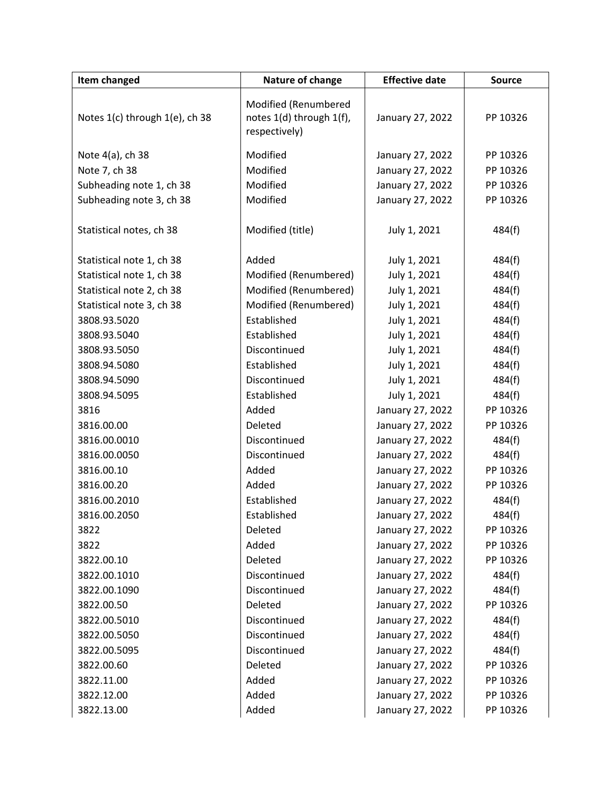| Item changed                   | Nature of change                                                  | <b>Effective date</b> | <b>Source</b> |
|--------------------------------|-------------------------------------------------------------------|-----------------------|---------------|
| Notes 1(c) through 1(e), ch 38 | Modified (Renumbered<br>notes 1(d) through 1(f),<br>respectively) | January 27, 2022      | PP 10326      |
| Note 4(a), ch 38               | Modified                                                          | January 27, 2022      | PP 10326      |
| Note 7, ch 38                  | Modified                                                          | January 27, 2022      | PP 10326      |
| Subheading note 1, ch 38       | Modified                                                          | January 27, 2022      | PP 10326      |
| Subheading note 3, ch 38       | Modified                                                          | January 27, 2022      | PP 10326      |
| Statistical notes, ch 38       | Modified (title)                                                  | July 1, 2021          | 484(f)        |
| Statistical note 1, ch 38      | Added                                                             | July 1, 2021          | 484(f)        |
| Statistical note 1, ch 38      | Modified (Renumbered)                                             | July 1, 2021          | 484(f)        |
| Statistical note 2, ch 38      | Modified (Renumbered)                                             | July 1, 2021          | 484(f)        |
| Statistical note 3, ch 38      | Modified (Renumbered)                                             | July 1, 2021          | 484(f)        |
| 3808.93.5020                   | Established                                                       | July 1, 2021          | 484(f)        |
| 3808.93.5040                   | Established                                                       | July 1, 2021          | 484(f)        |
| 3808.93.5050                   | Discontinued                                                      | July 1, 2021          | 484(f)        |
| 3808.94.5080                   | Established                                                       | July 1, 2021          | 484(f)        |
| 3808.94.5090                   | Discontinued                                                      | July 1, 2021          | 484(f)        |
| 3808.94.5095                   | Established                                                       | July 1, 2021          | 484(f)        |
| 3816                           | Added                                                             | January 27, 2022      | PP 10326      |
| 3816.00.00                     | Deleted                                                           | January 27, 2022      | PP 10326      |
| 3816.00.0010                   | Discontinued                                                      | January 27, 2022      | 484(f)        |
| 3816.00.0050                   | Discontinued                                                      | January 27, 2022      | 484(f)        |
| 3816.00.10                     | Added                                                             | January 27, 2022      | PP 10326      |
| 3816.00.20                     | Added                                                             | January 27, 2022      | PP 10326      |
| 3816.00.2010                   | Established                                                       | January 27, 2022      | 484(f)        |
| 3816.00.2050                   | Established                                                       | January 27, 2022      | 484(f)        |
| 3822                           | Deleted                                                           | January 27, 2022      | PP 10326      |
| 3822                           | Added                                                             | January 27, 2022      | PP 10326      |
| 3822.00.10                     | Deleted                                                           | January 27, 2022      | PP 10326      |
| 3822.00.1010                   | Discontinued                                                      | January 27, 2022      | 484(f)        |
| 3822.00.1090                   | Discontinued                                                      | January 27, 2022      | 484(f)        |
| 3822.00.50                     | Deleted                                                           | January 27, 2022      | PP 10326      |
| 3822.00.5010                   | Discontinued                                                      | January 27, 2022      | 484(f)        |
| 3822.00.5050                   | Discontinued                                                      | January 27, 2022      | 484(f)        |
| 3822.00.5095                   | Discontinued                                                      | January 27, 2022      | 484(f)        |
| 3822.00.60                     | Deleted                                                           | January 27, 2022      | PP 10326      |
| 3822.11.00                     | Added                                                             | January 27, 2022      | PP 10326      |
| 3822.12.00                     | Added                                                             | January 27, 2022      | PP 10326      |
| 3822.13.00                     | Added                                                             | January 27, 2022      | PP 10326      |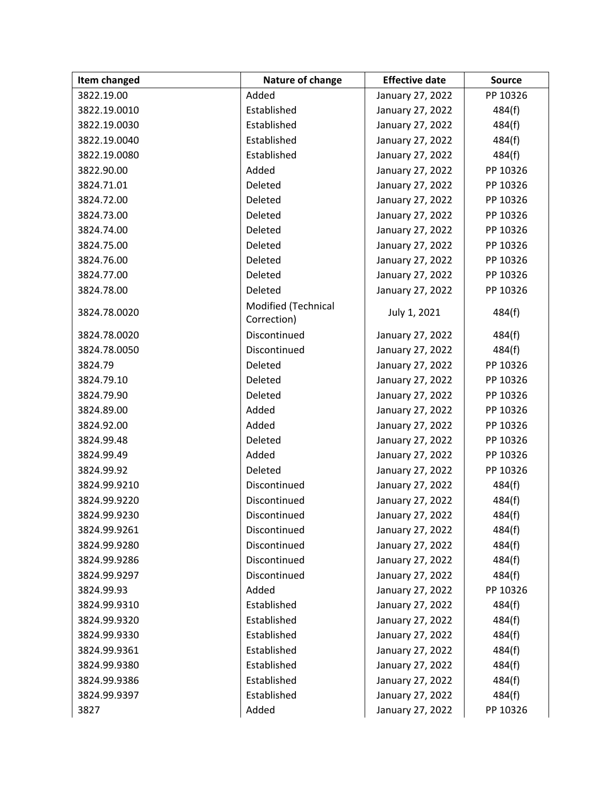| Item changed | Nature of change                   | <b>Effective date</b> | <b>Source</b> |
|--------------|------------------------------------|-----------------------|---------------|
| 3822.19.00   | Added                              | January 27, 2022      | PP 10326      |
| 3822.19.0010 | Established                        | January 27, 2022      | 484(f)        |
| 3822.19.0030 | Established                        | January 27, 2022      | 484(f)        |
| 3822.19.0040 | Established                        | January 27, 2022      | 484(f)        |
| 3822.19.0080 | Established                        | January 27, 2022      | 484(f)        |
| 3822.90.00   | Added                              | January 27, 2022      | PP 10326      |
| 3824.71.01   | Deleted                            | January 27, 2022      | PP 10326      |
| 3824.72.00   | Deleted                            | January 27, 2022      | PP 10326      |
| 3824.73.00   | Deleted                            | January 27, 2022      | PP 10326      |
| 3824.74.00   | Deleted                            | January 27, 2022      | PP 10326      |
| 3824.75.00   | Deleted                            | January 27, 2022      | PP 10326      |
| 3824.76.00   | Deleted                            | January 27, 2022      | PP 10326      |
| 3824.77.00   | Deleted                            | January 27, 2022      | PP 10326      |
| 3824.78.00   | Deleted                            | January 27, 2022      | PP 10326      |
| 3824.78.0020 | Modified (Technical<br>Correction) | July 1, 2021          | 484(f)        |
| 3824.78.0020 | Discontinued                       | January 27, 2022      | 484(f)        |
| 3824.78.0050 | Discontinued                       | January 27, 2022      | 484(f)        |
| 3824.79      | Deleted                            | January 27, 2022      | PP 10326      |
| 3824.79.10   | Deleted                            | January 27, 2022      | PP 10326      |
| 3824.79.90   | Deleted                            | January 27, 2022      | PP 10326      |
| 3824.89.00   | Added                              | January 27, 2022      | PP 10326      |
| 3824.92.00   | Added                              | January 27, 2022      | PP 10326      |
| 3824.99.48   | Deleted                            | January 27, 2022      | PP 10326      |
| 3824.99.49   | Added                              | January 27, 2022      | PP 10326      |
| 3824.99.92   | Deleted                            | January 27, 2022      | PP 10326      |
| 3824.99.9210 | Discontinued                       | January 27, 2022      | 484(f)        |
| 3824.99.9220 | Discontinued                       | January 27, 2022      | 484(f)        |
| 3824.99.9230 | Discontinued                       | January 27, 2022      | 484(f)        |
| 3824.99.9261 | Discontinued                       | January 27, 2022      | 484(f)        |
| 3824.99.9280 | Discontinued                       | January 27, 2022      | 484(f)        |
| 3824.99.9286 | Discontinued                       | January 27, 2022      | 484(f)        |
| 3824.99.9297 | Discontinued                       | January 27, 2022      | 484(f)        |
| 3824.99.93   | Added                              | January 27, 2022      | PP 10326      |
| 3824.99.9310 | Established                        | January 27, 2022      | 484(f)        |
| 3824.99.9320 | Established                        | January 27, 2022      | 484(f)        |
| 3824.99.9330 | Established                        | January 27, 2022      | 484(f)        |
| 3824.99.9361 | Established                        | January 27, 2022      | 484(f)        |
| 3824.99.9380 | Established                        | January 27, 2022      | 484(f)        |
| 3824.99.9386 | Established                        | January 27, 2022      | 484(f)        |
| 3824.99.9397 | Established                        | January 27, 2022      | 484(f)        |
| 3827         | Added                              | January 27, 2022      | PP 10326      |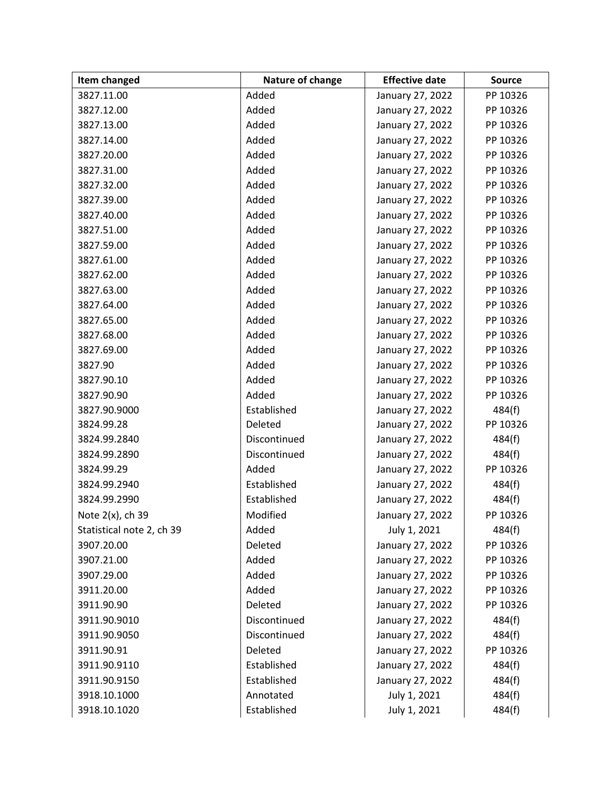| Item changed              | Nature of change | <b>Effective date</b> | <b>Source</b> |
|---------------------------|------------------|-----------------------|---------------|
| 3827.11.00                | Added            | January 27, 2022      | PP 10326      |
| 3827.12.00                | Added            | January 27, 2022      | PP 10326      |
| 3827.13.00                | Added            | January 27, 2022      | PP 10326      |
| 3827.14.00                | Added            | January 27, 2022      | PP 10326      |
| 3827.20.00                | Added            | January 27, 2022      | PP 10326      |
| 3827.31.00                | Added            | January 27, 2022      | PP 10326      |
| 3827.32.00                | Added            | January 27, 2022      | PP 10326      |
| 3827.39.00                | Added            | January 27, 2022      | PP 10326      |
| 3827.40.00                | Added            | January 27, 2022      | PP 10326      |
| 3827.51.00                | Added            | January 27, 2022      | PP 10326      |
| 3827.59.00                | Added            | January 27, 2022      | PP 10326      |
| 3827.61.00                | Added            | January 27, 2022      | PP 10326      |
| 3827.62.00                | Added            | January 27, 2022      | PP 10326      |
| 3827.63.00                | Added            | January 27, 2022      | PP 10326      |
| 3827.64.00                | Added            | January 27, 2022      | PP 10326      |
| 3827.65.00                | Added            | January 27, 2022      | PP 10326      |
| 3827.68.00                | Added            | January 27, 2022      | PP 10326      |
| 3827.69.00                | Added            | January 27, 2022      | PP 10326      |
| 3827.90                   | Added            | January 27, 2022      | PP 10326      |
| 3827.90.10                | Added            | January 27, 2022      | PP 10326      |
| 3827.90.90                | Added            | January 27, 2022      | PP 10326      |
| 3827.90.9000              | Established      | January 27, 2022      | 484(f)        |
| 3824.99.28                | Deleted          | January 27, 2022      | PP 10326      |
| 3824.99.2840              | Discontinued     | January 27, 2022      | 484(f)        |
| 3824.99.2890              | Discontinued     | January 27, 2022      | 484(f)        |
| 3824.99.29                | Added            | January 27, 2022      | PP 10326      |
| 3824.99.2940              | Established      | January 27, 2022      | 484(f)        |
| 3824.99.2990              | Established      | January 27, 2022      | 484(f)        |
| Note 2(x), ch 39          | Modified         | January 27, 2022      | PP 10326      |
| Statistical note 2, ch 39 | Added            | July 1, 2021          | 484(f)        |
| 3907.20.00                | Deleted          | January 27, 2022      | PP 10326      |
| 3907.21.00                | Added            | January 27, 2022      | PP 10326      |
| 3907.29.00                | Added            | January 27, 2022      | PP 10326      |
| 3911.20.00                | Added            | January 27, 2022      | PP 10326      |
| 3911.90.90                | Deleted          | January 27, 2022      | PP 10326      |
| 3911.90.9010              | Discontinued     | January 27, 2022      | 484(f)        |
| 3911.90.9050              | Discontinued     | January 27, 2022      | 484(f)        |
| 3911.90.91                | Deleted          | January 27, 2022      | PP 10326      |
| 3911.90.9110              | Established      | January 27, 2022      | 484(f)        |
| 3911.90.9150              | Established      | January 27, 2022      | 484(f)        |
| 3918.10.1000              | Annotated        | July 1, 2021          | 484(f)        |
| 3918.10.1020              | Established      | July 1, 2021          | 484(f)        |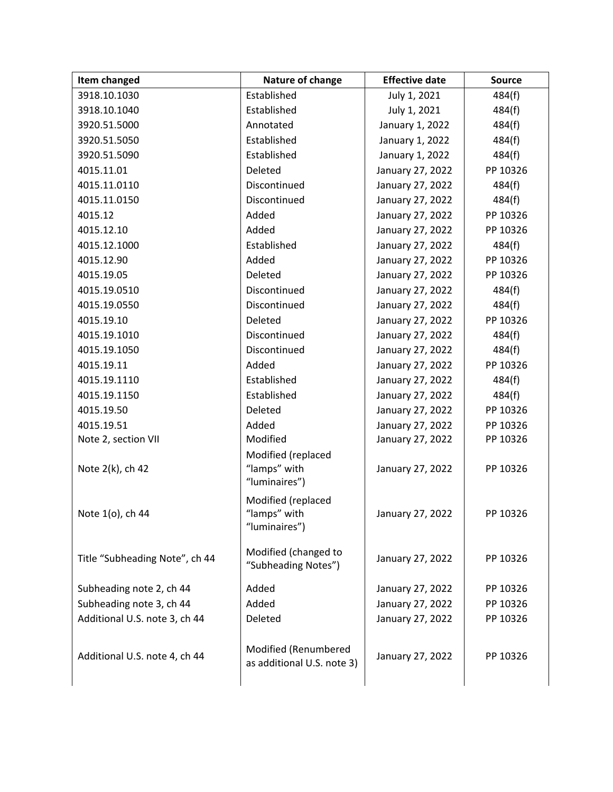| Item changed                   | Nature of change                                    | <b>Effective date</b> | <b>Source</b> |
|--------------------------------|-----------------------------------------------------|-----------------------|---------------|
| 3918.10.1030                   | Established                                         | July 1, 2021          | 484(f)        |
| 3918.10.1040                   | Established                                         | July 1, 2021          | 484(f)        |
| 3920.51.5000                   | Annotated                                           | January 1, 2022       | 484(f)        |
| 3920.51.5050                   | Established                                         | January 1, 2022       | 484(f)        |
| 3920.51.5090                   | Established                                         | January 1, 2022       | 484(f)        |
| 4015.11.01                     | Deleted                                             | January 27, 2022      | PP 10326      |
| 4015.11.0110                   | Discontinued                                        | January 27, 2022      | 484(f)        |
| 4015.11.0150                   | Discontinued                                        | January 27, 2022      | 484(f)        |
| 4015.12                        | Added                                               | January 27, 2022      | PP 10326      |
| 4015.12.10                     | Added                                               | January 27, 2022      | PP 10326      |
| 4015.12.1000                   | Established                                         | January 27, 2022      | 484(f)        |
| 4015.12.90                     | Added                                               | January 27, 2022      | PP 10326      |
| 4015.19.05                     | Deleted                                             | January 27, 2022      | PP 10326      |
| 4015.19.0510                   | Discontinued                                        | January 27, 2022      | 484(f)        |
| 4015.19.0550                   | Discontinued                                        | January 27, 2022      | 484(f)        |
| 4015.19.10                     | Deleted                                             | January 27, 2022      | PP 10326      |
| 4015.19.1010                   | Discontinued                                        | January 27, 2022      | 484(f)        |
| 4015.19.1050                   | Discontinued                                        | January 27, 2022      | 484(f)        |
| 4015.19.11                     | Added                                               | January 27, 2022      | PP 10326      |
| 4015.19.1110                   | Established                                         | January 27, 2022      | 484(f)        |
| 4015.19.1150                   | Established                                         | January 27, 2022      | 484(f)        |
| 4015.19.50                     | Deleted                                             | January 27, 2022      | PP 10326      |
| 4015.19.51                     | Added                                               | January 27, 2022      | PP 10326      |
| Note 2, section VII            | Modified                                            | January 27, 2022      | PP 10326      |
| Note 2(k), ch 42               | Modified (replaced<br>"lamps" with<br>"luminaires") | January 27, 2022      | PP 10326      |
| Note 1(o), ch 44               | Modified (replaced<br>"lamps" with<br>"luminaires") | January 27, 2022      | PP 10326      |
| Title "Subheading Note", ch 44 | Modified (changed to<br>"Subheading Notes")         | January 27, 2022      | PP 10326      |
| Subheading note 2, ch 44       | Added                                               | January 27, 2022      | PP 10326      |
| Subheading note 3, ch 44       | Added                                               | January 27, 2022      | PP 10326      |
| Additional U.S. note 3, ch 44  | Deleted                                             | January 27, 2022      | PP 10326      |
| Additional U.S. note 4, ch 44  | Modified (Renumbered<br>as additional U.S. note 3)  | January 27, 2022      | PP 10326      |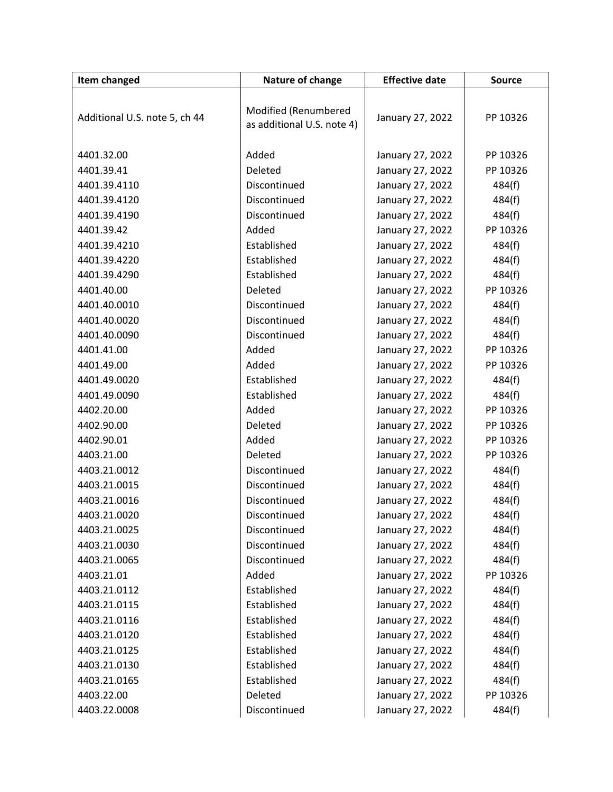| Item changed                  | Nature of change           | <b>Effective date</b> | <b>Source</b>      |
|-------------------------------|----------------------------|-----------------------|--------------------|
|                               |                            |                       |                    |
| Additional U.S. note 5, ch 44 | Modified (Renumbered       | January 27, 2022      | PP 10326           |
|                               | as additional U.S. note 4) |                       |                    |
| 4401.32.00                    | Added                      | January 27, 2022      | PP 10326           |
| 4401.39.41                    | Deleted                    | January 27, 2022      | PP 10326           |
| 4401.39.4110                  | Discontinued               | January 27, 2022      | 484(f)             |
| 4401.39.4120                  | Discontinued               | January 27, 2022      |                    |
| 4401.39.4190                  | Discontinued               | January 27, 2022      | 484(f)             |
| 4401.39.42                    | Added                      |                       | 484(f)<br>PP 10326 |
|                               |                            | January 27, 2022      |                    |
| 4401.39.4210                  | Established                | January 27, 2022      | 484(f)             |
| 4401.39.4220                  | Established                | January 27, 2022      | 484(f)             |
| 4401.39.4290                  | Established                | January 27, 2022      | 484(f)             |
| 4401.40.00                    | Deleted                    | January 27, 2022      | PP 10326           |
| 4401.40.0010                  | Discontinued               | January 27, 2022      | 484(f)             |
| 4401.40.0020                  | Discontinued               | January 27, 2022      | 484(f)             |
| 4401.40.0090                  | Discontinued               | January 27, 2022      | 484(f)             |
| 4401.41.00                    | Added                      | January 27, 2022      | PP 10326           |
| 4401.49.00                    | Added                      | January 27, 2022      | PP 10326           |
| 4401.49.0020                  | Established                | January 27, 2022      | 484(f)             |
| 4401.49.0090                  | Established                | January 27, 2022      | 484(f)             |
| 4402.20.00                    | Added                      | January 27, 2022      | PP 10326           |
| 4402.90.00                    | Deleted                    | January 27, 2022      | PP 10326           |
| 4402.90.01                    | Added                      | January 27, 2022      | PP 10326           |
| 4403.21.00                    | Deleted                    | January 27, 2022      | PP 10326           |
| 4403.21.0012                  | Discontinued               | January 27, 2022      | 484(f)             |
| 4403.21.0015                  | Discontinued               | January 27, 2022      | 484(f)             |
| 4403.21.0016                  | Discontinued               | January 27, 2022      | 484(f)             |
| 4403.21.0020                  | Discontinued               | January 27, 2022      | 484(f)             |
| 4403.21.0025                  | Discontinued               | January 27, 2022      | 484(f)             |
| 4403.21.0030                  | Discontinued               | January 27, 2022      | 484(f)             |
| 4403.21.0065                  | Discontinued               | January 27, 2022      | 484(f)             |
| 4403.21.01                    | Added                      | January 27, 2022      | PP 10326           |
| 4403.21.0112                  | Established                | January 27, 2022      | 484(f)             |
| 4403.21.0115                  | Established                | January 27, 2022      | 484(f)             |
| 4403.21.0116                  | Established                | January 27, 2022      | 484(f)             |
| 4403.21.0120                  | Established                | January 27, 2022      | 484(f)             |
| 4403.21.0125                  | Established                | January 27, 2022      | 484(f)             |
| 4403.21.0130                  | Established                | January 27, 2022      | 484(f)             |
| 4403.21.0165                  | Established                | January 27, 2022      | 484(f)             |
| 4403.22.00                    | Deleted                    | January 27, 2022      | PP 10326           |
| 4403.22.0008                  | Discontinued               | January 27, 2022      | 484(f)             |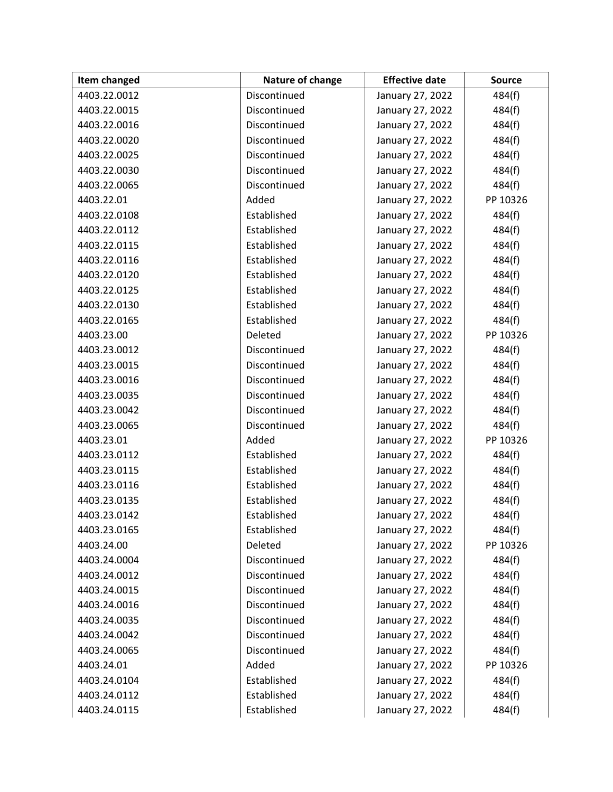| Item changed | Nature of change | <b>Effective date</b> | <b>Source</b> |
|--------------|------------------|-----------------------|---------------|
| 4403.22.0012 | Discontinued     | January 27, 2022      | 484(f)        |
| 4403.22.0015 | Discontinued     | January 27, 2022      | 484(f)        |
| 4403.22.0016 | Discontinued     | January 27, 2022      | 484(f)        |
| 4403.22.0020 | Discontinued     | January 27, 2022      | 484(f)        |
| 4403.22.0025 | Discontinued     | January 27, 2022      | 484(f)        |
| 4403.22.0030 | Discontinued     | January 27, 2022      | 484(f)        |
| 4403.22.0065 | Discontinued     | January 27, 2022      | 484(f)        |
| 4403.22.01   | Added            | January 27, 2022      | PP 10326      |
| 4403.22.0108 | Established      | January 27, 2022      | 484(f)        |
| 4403.22.0112 | Established      | January 27, 2022      | 484(f)        |
| 4403.22.0115 | Established      | January 27, 2022      | 484(f)        |
| 4403.22.0116 | Established      | January 27, 2022      | 484(f)        |
| 4403.22.0120 | Established      | January 27, 2022      | 484(f)        |
| 4403.22.0125 | Established      | January 27, 2022      | 484(f)        |
| 4403.22.0130 | Established      | January 27, 2022      | 484(f)        |
| 4403.22.0165 | Established      | January 27, 2022      | 484(f)        |
| 4403.23.00   | Deleted          | January 27, 2022      | PP 10326      |
| 4403.23.0012 | Discontinued     | January 27, 2022      | 484(f)        |
| 4403.23.0015 | Discontinued     | January 27, 2022      | 484(f)        |
| 4403.23.0016 | Discontinued     | January 27, 2022      | 484(f)        |
| 4403.23.0035 | Discontinued     | January 27, 2022      | 484(f)        |
| 4403.23.0042 | Discontinued     | January 27, 2022      | 484(f)        |
| 4403.23.0065 | Discontinued     | January 27, 2022      | 484(f)        |
| 4403.23.01   | Added            | January 27, 2022      | PP 10326      |
| 4403.23.0112 | Established      | January 27, 2022      | 484(f)        |
| 4403.23.0115 | Established      | January 27, 2022      | 484(f)        |
| 4403.23.0116 | Established      | January 27, 2022      | 484(f)        |
| 4403.23.0135 | Established      | January 27, 2022      | 484(f)        |
| 4403.23.0142 | Established      | January 27, 2022      | 484(f)        |
| 4403.23.0165 | Established      | January 27, 2022      | 484(f)        |
| 4403.24.00   | Deleted          | January 27, 2022      | PP 10326      |
| 4403.24.0004 | Discontinued     | January 27, 2022      | 484(f)        |
| 4403.24.0012 | Discontinued     | January 27, 2022      | 484(f)        |
| 4403.24.0015 | Discontinued     | January 27, 2022      | 484(f)        |
| 4403.24.0016 | Discontinued     | January 27, 2022      | 484(f)        |
| 4403.24.0035 | Discontinued     | January 27, 2022      | 484(f)        |
| 4403.24.0042 | Discontinued     | January 27, 2022      | 484(f)        |
| 4403.24.0065 | Discontinued     | January 27, 2022      | 484(f)        |
| 4403.24.01   | Added            | January 27, 2022      | PP 10326      |
| 4403.24.0104 | Established      | January 27, 2022      | 484(f)        |
| 4403.24.0112 | Established      | January 27, 2022      | 484(f)        |
| 4403.24.0115 | Established      | January 27, 2022      | 484(f)        |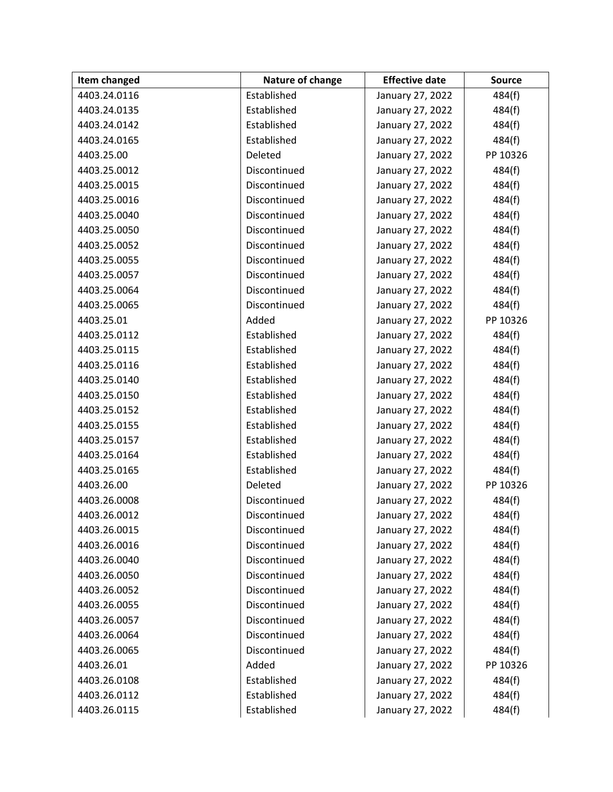| Item changed | Nature of change | <b>Effective date</b> | <b>Source</b> |
|--------------|------------------|-----------------------|---------------|
| 4403.24.0116 | Established      | January 27, 2022      | 484(f)        |
| 4403.24.0135 | Established      | January 27, 2022      | 484(f)        |
| 4403.24.0142 | Established      | January 27, 2022      | 484(f)        |
| 4403.24.0165 | Established      | January 27, 2022      | 484(f)        |
| 4403.25.00   | Deleted          | January 27, 2022      | PP 10326      |
| 4403.25.0012 | Discontinued     | January 27, 2022      | 484(f)        |
| 4403.25.0015 | Discontinued     | January 27, 2022      | 484(f)        |
| 4403.25.0016 | Discontinued     | January 27, 2022      | 484(f)        |
| 4403.25.0040 | Discontinued     | January 27, 2022      | 484(f)        |
| 4403.25.0050 | Discontinued     | January 27, 2022      | 484(f)        |
| 4403.25.0052 | Discontinued     | January 27, 2022      | 484(f)        |
| 4403.25.0055 | Discontinued     | January 27, 2022      | 484(f)        |
| 4403.25.0057 | Discontinued     | January 27, 2022      | 484(f)        |
| 4403.25.0064 | Discontinued     | January 27, 2022      | 484(f)        |
| 4403.25.0065 | Discontinued     | January 27, 2022      | 484(f)        |
| 4403.25.01   | Added            | January 27, 2022      | PP 10326      |
| 4403.25.0112 | Established      | January 27, 2022      | 484(f)        |
| 4403.25.0115 | Established      | January 27, 2022      | 484(f)        |
| 4403.25.0116 | Established      | January 27, 2022      | 484(f)        |
| 4403.25.0140 | Established      | January 27, 2022      | 484(f)        |
| 4403.25.0150 | Established      | January 27, 2022      | 484(f)        |
| 4403.25.0152 | Established      | January 27, 2022      | 484(f)        |
| 4403.25.0155 | Established      | January 27, 2022      | 484(f)        |
| 4403.25.0157 | Established      | January 27, 2022      | 484(f)        |
| 4403.25.0164 | Established      | January 27, 2022      | 484(f)        |
| 4403.25.0165 | Established      | January 27, 2022      | 484(f)        |
| 4403.26.00   | Deleted          | January 27, 2022      | PP 10326      |
| 4403.26.0008 | Discontinued     | January 27, 2022      | 484(f)        |
| 4403.26.0012 | Discontinued     | January 27, 2022      | 484(f)        |
| 4403.26.0015 | Discontinued     | January 27, 2022      | 484(f)        |
| 4403.26.0016 | Discontinued     | January 27, 2022      | 484(f)        |
| 4403.26.0040 | Discontinued     | January 27, 2022      | 484(f)        |
| 4403.26.0050 | Discontinued     | January 27, 2022      | 484(f)        |
| 4403.26.0052 | Discontinued     | January 27, 2022      | 484(f)        |
| 4403.26.0055 | Discontinued     | January 27, 2022      | 484(f)        |
| 4403.26.0057 | Discontinued     | January 27, 2022      | 484(f)        |
| 4403.26.0064 | Discontinued     | January 27, 2022      | 484(f)        |
| 4403.26.0065 | Discontinued     | January 27, 2022      | 484(f)        |
| 4403.26.01   | Added            | January 27, 2022      | PP 10326      |
| 4403.26.0108 | Established      | January 27, 2022      | 484(f)        |
| 4403.26.0112 | Established      | January 27, 2022      | 484(f)        |
| 4403.26.0115 | Established      | January 27, 2022      | 484(f)        |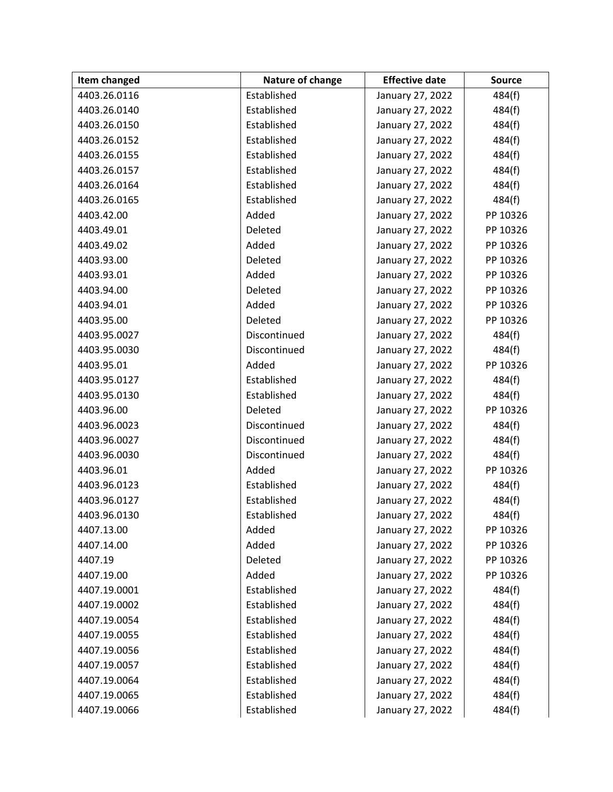| Item changed | Nature of change | <b>Effective date</b> | <b>Source</b> |
|--------------|------------------|-----------------------|---------------|
| 4403.26.0116 | Established      | January 27, 2022      | 484(f)        |
| 4403.26.0140 | Established      | January 27, 2022      | 484(f)        |
| 4403.26.0150 | Established      | January 27, 2022      | 484(f)        |
| 4403.26.0152 | Established      | January 27, 2022      | 484(f)        |
| 4403.26.0155 | Established      | January 27, 2022      | 484(f)        |
| 4403.26.0157 | Established      | January 27, 2022      | 484(f)        |
| 4403.26.0164 | Established      | January 27, 2022      | 484(f)        |
| 4403.26.0165 | Established      | January 27, 2022      | 484(f)        |
| 4403.42.00   | Added            | January 27, 2022      | PP 10326      |
| 4403.49.01   | Deleted          | January 27, 2022      | PP 10326      |
| 4403.49.02   | Added            | January 27, 2022      | PP 10326      |
| 4403.93.00   | Deleted          | January 27, 2022      | PP 10326      |
| 4403.93.01   | Added            | January 27, 2022      | PP 10326      |
| 4403.94.00   | Deleted          | January 27, 2022      | PP 10326      |
| 4403.94.01   | Added            | January 27, 2022      | PP 10326      |
| 4403.95.00   | Deleted          | January 27, 2022      | PP 10326      |
| 4403.95.0027 | Discontinued     | January 27, 2022      | 484(f)        |
| 4403.95.0030 | Discontinued     | January 27, 2022      | 484(f)        |
| 4403.95.01   | Added            | January 27, 2022      | PP 10326      |
| 4403.95.0127 | Established      | January 27, 2022      | 484(f)        |
| 4403.95.0130 | Established      | January 27, 2022      | 484(f)        |
| 4403.96.00   | Deleted          | January 27, 2022      | PP 10326      |
| 4403.96.0023 | Discontinued     | January 27, 2022      | 484(f)        |
| 4403.96.0027 | Discontinued     | January 27, 2022      | 484(f)        |
| 4403.96.0030 | Discontinued     | January 27, 2022      | 484(f)        |
| 4403.96.01   | Added            | January 27, 2022      | PP 10326      |
| 4403.96.0123 | Established      | January 27, 2022      | 484(f)        |
| 4403.96.0127 | Established      | January 27, 2022      | 484(f)        |
| 4403.96.0130 | Established      | January 27, 2022      | 484(f)        |
| 4407.13.00   | Added            | January 27, 2022      | PP 10326      |
| 4407.14.00   | Added            | January 27, 2022      | PP 10326      |
| 4407.19      | Deleted          | January 27, 2022      | PP 10326      |
| 4407.19.00   | Added            | January 27, 2022      | PP 10326      |
| 4407.19.0001 | Established      | January 27, 2022      | 484(f)        |
| 4407.19.0002 | Established      | January 27, 2022      | 484(f)        |
| 4407.19.0054 | Established      | January 27, 2022      | 484(f)        |
| 4407.19.0055 | Established      | January 27, 2022      | 484(f)        |
| 4407.19.0056 | Established      | January 27, 2022      | 484(f)        |
| 4407.19.0057 | Established      | January 27, 2022      | 484(f)        |
| 4407.19.0064 | Established      | January 27, 2022      | 484(f)        |
| 4407.19.0065 | Established      | January 27, 2022      | 484(f)        |
| 4407.19.0066 | Established      | January 27, 2022      | 484(f)        |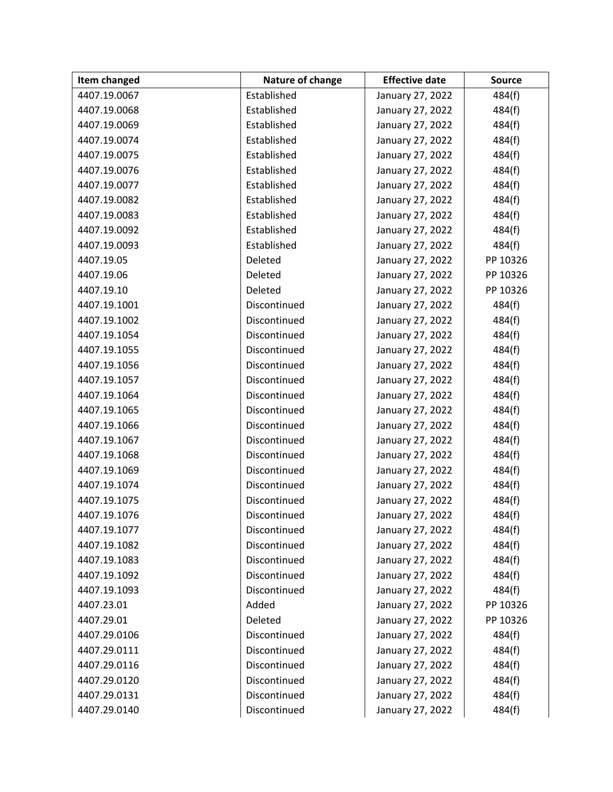| Item changed | Nature of change | <b>Effective date</b> | <b>Source</b> |
|--------------|------------------|-----------------------|---------------|
| 4407.19.0067 | Established      | January 27, 2022      | 484(f)        |
| 4407.19.0068 | Established      | January 27, 2022      | 484(f)        |
| 4407.19.0069 | Established      | January 27, 2022      | 484(f)        |
| 4407.19.0074 | Established      | January 27, 2022      | 484(f)        |
| 4407.19.0075 | Established      | January 27, 2022      | 484(f)        |
| 4407.19.0076 | Established      | January 27, 2022      | 484(f)        |
| 4407.19.0077 | Established      | January 27, 2022      | 484(f)        |
| 4407.19.0082 | Established      | January 27, 2022      | 484(f)        |
| 4407.19.0083 | Established      | January 27, 2022      | 484(f)        |
| 4407.19.0092 | Established      | January 27, 2022      | 484(f)        |
| 4407.19.0093 | Established      | January 27, 2022      | 484(f)        |
| 4407.19.05   | Deleted          | January 27, 2022      | PP 10326      |
| 4407.19.06   | Deleted          | January 27, 2022      | PP 10326      |
| 4407.19.10   | Deleted          | January 27, 2022      | PP 10326      |
| 4407.19.1001 | Discontinued     | January 27, 2022      | 484(f)        |
| 4407.19.1002 | Discontinued     | January 27, 2022      | 484(f)        |
| 4407.19.1054 | Discontinued     | January 27, 2022      | 484(f)        |
| 4407.19.1055 | Discontinued     | January 27, 2022      | 484(f)        |
| 4407.19.1056 | Discontinued     | January 27, 2022      | 484(f)        |
| 4407.19.1057 | Discontinued     | January 27, 2022      | 484(f)        |
| 4407.19.1064 | Discontinued     | January 27, 2022      | 484(f)        |
| 4407.19.1065 | Discontinued     | January 27, 2022      | 484(f)        |
| 4407.19.1066 | Discontinued     | January 27, 2022      | 484(f)        |
| 4407.19.1067 | Discontinued     | January 27, 2022      | 484(f)        |
| 4407.19.1068 | Discontinued     | January 27, 2022      | 484(f)        |
| 4407.19.1069 | Discontinued     | January 27, 2022      | 484(f)        |
| 4407.19.1074 | Discontinued     | January 27, 2022      | 484(f)        |
| 4407.19.1075 | Discontinued     | January 27, 2022      | 484(f)        |
| 4407.19.1076 | Discontinued     | January 27, 2022      | 484(f)        |
| 4407.19.1077 | Discontinued     | January 27, 2022      | 484(f)        |
| 4407.19.1082 | Discontinued     | January 27, 2022      | 484(f)        |
| 4407.19.1083 | Discontinued     | January 27, 2022      | 484(f)        |
| 4407.19.1092 | Discontinued     | January 27, 2022      | 484(f)        |
| 4407.19.1093 | Discontinued     | January 27, 2022      | 484(f)        |
| 4407.23.01   | Added            | January 27, 2022      | PP 10326      |
| 4407.29.01   | Deleted          | January 27, 2022      | PP 10326      |
| 4407.29.0106 | Discontinued     | January 27, 2022      | 484(f)        |
| 4407.29.0111 | Discontinued     | January 27, 2022      | 484(f)        |
| 4407.29.0116 | Discontinued     | January 27, 2022      | 484(f)        |
| 4407.29.0120 | Discontinued     | January 27, 2022      | 484(f)        |
| 4407.29.0131 | Discontinued     | January 27, 2022      | 484(f)        |
| 4407.29.0140 | Discontinued     | January 27, 2022      | 484(f)        |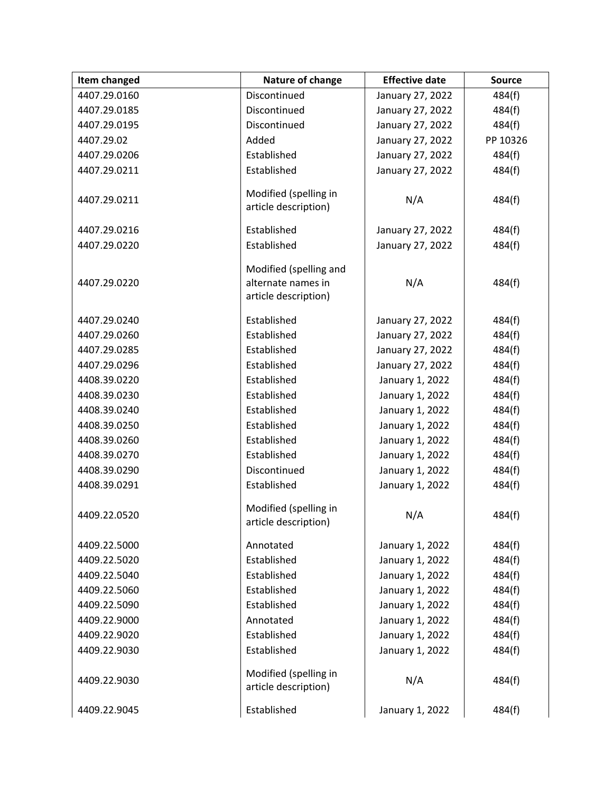| Item changed | Nature of change                                                     | <b>Effective date</b> | <b>Source</b> |
|--------------|----------------------------------------------------------------------|-----------------------|---------------|
| 4407.29.0160 | Discontinued                                                         | January 27, 2022      | 484(f)        |
| 4407.29.0185 | Discontinued                                                         | January 27, 2022      | 484(f)        |
| 4407.29.0195 | Discontinued                                                         | January 27, 2022      | 484(f)        |
| 4407.29.02   | Added                                                                | January 27, 2022      | PP 10326      |
| 4407.29.0206 | Established                                                          | January 27, 2022      | 484(f)        |
| 4407.29.0211 | Established                                                          | January 27, 2022      | 484(f)        |
| 4407.29.0211 | Modified (spelling in<br>article description)                        | N/A                   | 484(f)        |
| 4407.29.0216 | Established                                                          | January 27, 2022      | 484(f)        |
| 4407.29.0220 | Established                                                          | January 27, 2022      | 484(f)        |
| 4407.29.0220 | Modified (spelling and<br>alternate names in<br>article description) | N/A                   | 484(f)        |
| 4407.29.0240 | Established                                                          | January 27, 2022      | 484(f)        |
| 4407.29.0260 | Established                                                          | January 27, 2022      | 484(f)        |
| 4407.29.0285 | Established                                                          | January 27, 2022      | 484(f)        |
| 4407.29.0296 | Established                                                          | January 27, 2022      | 484(f)        |
| 4408.39.0220 | Established                                                          | January 1, 2022       | 484(f)        |
| 4408.39.0230 | Established                                                          | January 1, 2022       | 484(f)        |
| 4408.39.0240 | Established                                                          | January 1, 2022       | 484(f)        |
| 4408.39.0250 | Established                                                          | January 1, 2022       | 484(f)        |
| 4408.39.0260 | Established                                                          | January 1, 2022       | 484(f)        |
| 4408.39.0270 | Established                                                          | January 1, 2022       | 484(f)        |
| 4408.39.0290 | Discontinued                                                         | January 1, 2022       | 484(f)        |
| 4408.39.0291 | Established                                                          | January 1, 2022       | 484(f)        |
| 4409.22.0520 | Modified (spelling in<br>article description)                        | N/A                   | 484(f)        |
| 4409.22.5000 | Annotated                                                            | January 1, 2022       | 484(f)        |
| 4409.22.5020 | Established                                                          | January 1, 2022       | 484(f)        |
| 4409.22.5040 | Established                                                          | January 1, 2022       | 484(f)        |
| 4409.22.5060 | Established                                                          | January 1, 2022       | 484(f)        |
| 4409.22.5090 | Established                                                          | January 1, 2022       | 484(f)        |
| 4409.22.9000 | Annotated                                                            | January 1, 2022       | 484(f)        |
| 4409.22.9020 | Established                                                          | January 1, 2022       | 484(f)        |
| 4409.22.9030 | Established                                                          | January 1, 2022       | 484(f)        |
| 4409.22.9030 | Modified (spelling in<br>article description)                        | N/A                   | 484(f)        |
| 4409.22.9045 | Established                                                          | January 1, 2022       | 484(f)        |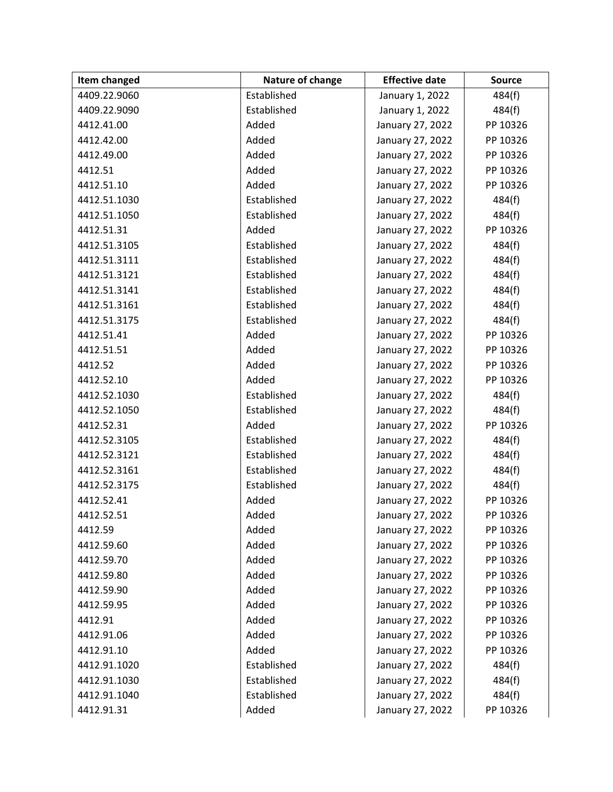| Item changed | Nature of change | <b>Effective date</b> | <b>Source</b> |
|--------------|------------------|-----------------------|---------------|
| 4409.22.9060 | Established      | January 1, 2022       | 484(f)        |
| 4409.22.9090 | Established      | January 1, 2022       | 484(f)        |
| 4412.41.00   | Added            | January 27, 2022      | PP 10326      |
| 4412.42.00   | Added            | January 27, 2022      | PP 10326      |
| 4412.49.00   | Added            | January 27, 2022      | PP 10326      |
| 4412.51      | Added            | January 27, 2022      | PP 10326      |
| 4412.51.10   | Added            | January 27, 2022      | PP 10326      |
| 4412.51.1030 | Established      | January 27, 2022      | 484(f)        |
| 4412.51.1050 | Established      | January 27, 2022      | 484(f)        |
| 4412.51.31   | Added            | January 27, 2022      | PP 10326      |
| 4412.51.3105 | Established      | January 27, 2022      | 484(f)        |
| 4412.51.3111 | Established      | January 27, 2022      | 484(f)        |
| 4412.51.3121 | Established      | January 27, 2022      | 484(f)        |
| 4412.51.3141 | Established      | January 27, 2022      | 484(f)        |
| 4412.51.3161 | Established      | January 27, 2022      | 484(f)        |
| 4412.51.3175 | Established      | January 27, 2022      | 484(f)        |
| 4412.51.41   | Added            | January 27, 2022      | PP 10326      |
| 4412.51.51   | Added            | January 27, 2022      | PP 10326      |
| 4412.52      | Added            | January 27, 2022      | PP 10326      |
| 4412.52.10   | Added            | January 27, 2022      | PP 10326      |
| 4412.52.1030 | Established      | January 27, 2022      | 484(f)        |
| 4412.52.1050 | Established      | January 27, 2022      | 484(f)        |
| 4412.52.31   | Added            | January 27, 2022      | PP 10326      |
| 4412.52.3105 | Established      | January 27, 2022      | 484(f)        |
| 4412.52.3121 | Established      | January 27, 2022      | 484(f)        |
| 4412.52.3161 | Established      | January 27, 2022      | 484(f)        |
| 4412.52.3175 | Established      | January 27, 2022      | 484(f)        |
| 4412.52.41   | Added            | January 27, 2022      | PP 10326      |
| 4412.52.51   | Added            | January 27, 2022      | PP 10326      |
| 4412.59      | Added            | January 27, 2022      | PP 10326      |
| 4412.59.60   | Added            | January 27, 2022      | PP 10326      |
| 4412.59.70   | Added            | January 27, 2022      | PP 10326      |
| 4412.59.80   | Added            | January 27, 2022      | PP 10326      |
| 4412.59.90   | Added            | January 27, 2022      | PP 10326      |
| 4412.59.95   | Added            | January 27, 2022      | PP 10326      |
| 4412.91      | Added            | January 27, 2022      | PP 10326      |
| 4412.91.06   | Added            | January 27, 2022      | PP 10326      |
| 4412.91.10   | Added            | January 27, 2022      | PP 10326      |
| 4412.91.1020 | Established      | January 27, 2022      | 484(f)        |
| 4412.91.1030 | Established      | January 27, 2022      | 484(f)        |
| 4412.91.1040 | Established      | January 27, 2022      | 484(f)        |
| 4412.91.31   | Added            | January 27, 2022      | PP 10326      |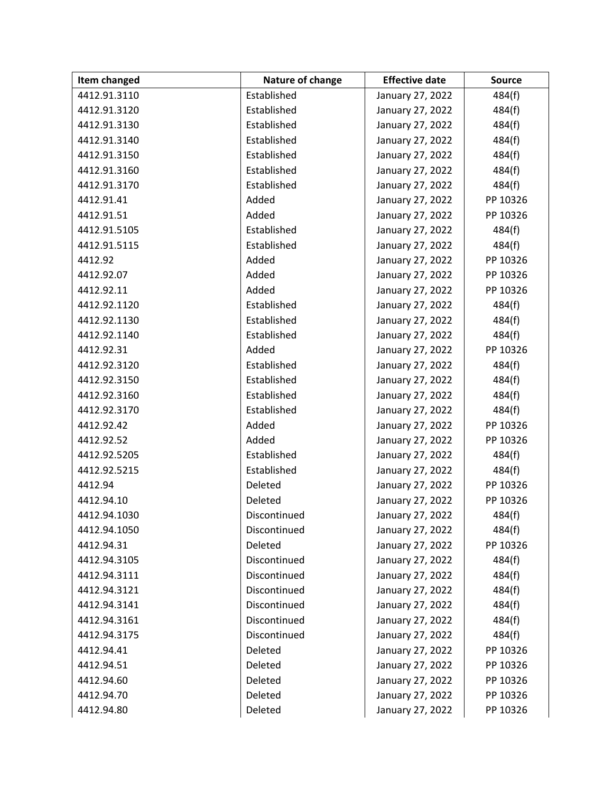| Item changed | Nature of change | <b>Effective date</b> | <b>Source</b> |
|--------------|------------------|-----------------------|---------------|
| 4412.91.3110 | Established      | January 27, 2022      | 484(f)        |
| 4412.91.3120 | Established      | January 27, 2022      | 484(f)        |
| 4412.91.3130 | Established      | January 27, 2022      | 484(f)        |
| 4412.91.3140 | Established      | January 27, 2022      | 484(f)        |
| 4412.91.3150 | Established      | January 27, 2022      | 484(f)        |
| 4412.91.3160 | Established      | January 27, 2022      | 484(f)        |
| 4412.91.3170 | Established      | January 27, 2022      | 484(f)        |
| 4412.91.41   | Added            | January 27, 2022      | PP 10326      |
| 4412.91.51   | Added            | January 27, 2022      | PP 10326      |
| 4412.91.5105 | Established      | January 27, 2022      | 484(f)        |
| 4412.91.5115 | Established      | January 27, 2022      | 484(f)        |
| 4412.92      | Added            | January 27, 2022      | PP 10326      |
| 4412.92.07   | Added            | January 27, 2022      | PP 10326      |
| 4412.92.11   | Added            | January 27, 2022      | PP 10326      |
| 4412.92.1120 | Established      | January 27, 2022      | 484(f)        |
| 4412.92.1130 | Established      | January 27, 2022      | 484(f)        |
| 4412.92.1140 | Established      | January 27, 2022      | 484(f)        |
| 4412.92.31   | Added            | January 27, 2022      | PP 10326      |
| 4412.92.3120 | Established      | January 27, 2022      | 484(f)        |
| 4412.92.3150 | Established      | January 27, 2022      | 484(f)        |
| 4412.92.3160 | Established      | January 27, 2022      | 484(f)        |
| 4412.92.3170 | Established      | January 27, 2022      | 484(f)        |
| 4412.92.42   | Added            | January 27, 2022      | PP 10326      |
| 4412.92.52   | Added            | January 27, 2022      | PP 10326      |
| 4412.92.5205 | Established      | January 27, 2022      | 484(f)        |
| 4412.92.5215 | Established      | January 27, 2022      | 484(f)        |
| 4412.94      | Deleted          | January 27, 2022      | PP 10326      |
| 4412.94.10   | Deleted          | January 27, 2022      | PP 10326      |
| 4412.94.1030 | Discontinued     | January 27, 2022      | 484(f)        |
| 4412.94.1050 | Discontinued     | January 27, 2022      | 484(f)        |
| 4412.94.31   | Deleted          | January 27, 2022      | PP 10326      |
| 4412.94.3105 | Discontinued     | January 27, 2022      | 484(f)        |
| 4412.94.3111 | Discontinued     | January 27, 2022      | 484(f)        |
| 4412.94.3121 | Discontinued     | January 27, 2022      | 484(f)        |
| 4412.94.3141 | Discontinued     | January 27, 2022      | 484(f)        |
| 4412.94.3161 | Discontinued     | January 27, 2022      | 484(f)        |
| 4412.94.3175 | Discontinued     | January 27, 2022      | 484(f)        |
| 4412.94.41   | Deleted          | January 27, 2022      | PP 10326      |
| 4412.94.51   | Deleted          | January 27, 2022      | PP 10326      |
| 4412.94.60   | Deleted          | January 27, 2022      | PP 10326      |
| 4412.94.70   | Deleted          | January 27, 2022      | PP 10326      |
| 4412.94.80   | Deleted          | January 27, 2022      | PP 10326      |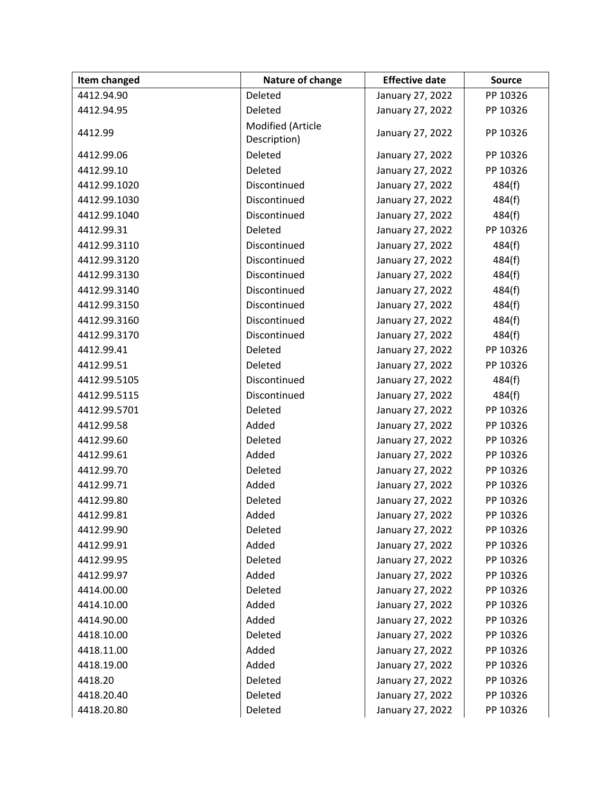| Item changed | Nature of change                  | <b>Effective date</b> | <b>Source</b> |
|--------------|-----------------------------------|-----------------------|---------------|
| 4412.94.90   | Deleted                           | January 27, 2022      | PP 10326      |
| 4412.94.95   | Deleted                           | January 27, 2022      | PP 10326      |
| 4412.99      | Modified (Article<br>Description) | January 27, 2022      | PP 10326      |
| 4412.99.06   | Deleted                           | January 27, 2022      | PP 10326      |
| 4412.99.10   | Deleted                           | January 27, 2022      | PP 10326      |
| 4412.99.1020 | Discontinued                      | January 27, 2022      | 484(f)        |
| 4412.99.1030 | Discontinued                      | January 27, 2022      | 484(f)        |
| 4412.99.1040 | Discontinued                      | January 27, 2022      | 484(f)        |
| 4412.99.31   | Deleted                           | January 27, 2022      | PP 10326      |
| 4412.99.3110 | Discontinued                      | January 27, 2022      | 484(f)        |
| 4412.99.3120 | Discontinued                      | January 27, 2022      | 484(f)        |
| 4412.99.3130 | Discontinued                      | January 27, 2022      | 484(f)        |
| 4412.99.3140 | Discontinued                      | January 27, 2022      | 484(f)        |
| 4412.99.3150 | Discontinued                      | January 27, 2022      | 484(f)        |
| 4412.99.3160 | Discontinued                      | January 27, 2022      | 484(f)        |
| 4412.99.3170 | Discontinued                      | January 27, 2022      | 484(f)        |
| 4412.99.41   | Deleted                           | January 27, 2022      | PP 10326      |
| 4412.99.51   | Deleted                           | January 27, 2022      | PP 10326      |
| 4412.99.5105 | Discontinued                      | January 27, 2022      | 484(f)        |
| 4412.99.5115 | Discontinued                      | January 27, 2022      | 484(f)        |
| 4412.99.5701 | Deleted                           | January 27, 2022      | PP 10326      |
| 4412.99.58   | Added                             | January 27, 2022      | PP 10326      |
| 4412.99.60   | Deleted                           | January 27, 2022      | PP 10326      |
| 4412.99.61   | Added                             | January 27, 2022      | PP 10326      |
| 4412.99.70   | Deleted                           | January 27, 2022      | PP 10326      |
| 4412.99.71   | Added                             | January 27, 2022      | PP 10326      |
| 4412.99.80   | Deleted                           | January 27, 2022      | PP 10326      |
| 4412.99.81   | Added                             | January 27, 2022      | PP 10326      |
| 4412.99.90   | Deleted                           | January 27, 2022      | PP 10326      |
| 4412.99.91   | Added                             | January 27, 2022      | PP 10326      |
| 4412.99.95   | Deleted                           | January 27, 2022      | PP 10326      |
| 4412.99.97   | Added                             | January 27, 2022      | PP 10326      |
| 4414.00.00   | Deleted                           | January 27, 2022      | PP 10326      |
| 4414.10.00   | Added                             | January 27, 2022      | PP 10326      |
| 4414.90.00   | Added                             | January 27, 2022      | PP 10326      |
| 4418.10.00   | Deleted                           | January 27, 2022      | PP 10326      |
| 4418.11.00   | Added                             | January 27, 2022      | PP 10326      |
| 4418.19.00   | Added                             | January 27, 2022      | PP 10326      |
| 4418.20      | Deleted                           | January 27, 2022      | PP 10326      |
| 4418.20.40   | Deleted                           | January 27, 2022      | PP 10326      |
| 4418.20.80   | Deleted                           | January 27, 2022      | PP 10326      |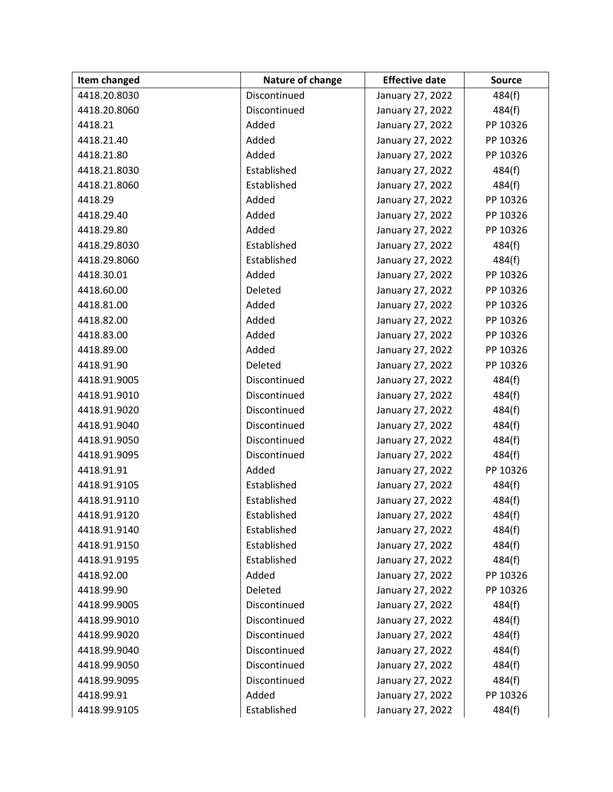| Item changed | Nature of change | <b>Effective date</b> | <b>Source</b> |
|--------------|------------------|-----------------------|---------------|
| 4418.20.8030 | Discontinued     | January 27, 2022      | 484(f)        |
| 4418.20.8060 | Discontinued     | January 27, 2022      | 484(f)        |
| 4418.21      | Added            | January 27, 2022      | PP 10326      |
| 4418.21.40   | Added            | January 27, 2022      | PP 10326      |
| 4418.21.80   | Added            | January 27, 2022      | PP 10326      |
| 4418.21.8030 | Established      | January 27, 2022      | 484(f)        |
| 4418.21.8060 | Established      | January 27, 2022      | 484(f)        |
| 4418.29      | Added            | January 27, 2022      | PP 10326      |
| 4418.29.40   | Added            | January 27, 2022      | PP 10326      |
| 4418.29.80   | Added            | January 27, 2022      | PP 10326      |
| 4418.29.8030 | Established      | January 27, 2022      | 484(f)        |
| 4418.29.8060 | Established      | January 27, 2022      | 484(f)        |
| 4418.30.01   | Added            | January 27, 2022      | PP 10326      |
| 4418.60.00   | Deleted          | January 27, 2022      | PP 10326      |
| 4418.81.00   | Added            | January 27, 2022      | PP 10326      |
| 4418.82.00   | Added            | January 27, 2022      | PP 10326      |
| 4418.83.00   | Added            | January 27, 2022      | PP 10326      |
| 4418.89.00   | Added            | January 27, 2022      | PP 10326      |
| 4418.91.90   | Deleted          | January 27, 2022      | PP 10326      |
| 4418.91.9005 | Discontinued     | January 27, 2022      | 484(f)        |
| 4418.91.9010 | Discontinued     | January 27, 2022      | 484(f)        |
| 4418.91.9020 | Discontinued     | January 27, 2022      | 484(f)        |
| 4418.91.9040 | Discontinued     | January 27, 2022      | 484(f)        |
| 4418.91.9050 | Discontinued     | January 27, 2022      | 484(f)        |
| 4418.91.9095 | Discontinued     | January 27, 2022      | 484(f)        |
| 4418.91.91   | Added            | January 27, 2022      | PP 10326      |
| 4418.91.9105 | Established      | January 27, 2022      | 484(f)        |
| 4418.91.9110 | Established      | January 27, 2022      | 484(f)        |
| 4418.91.9120 | Established      | January 27, 2022      | 484(f)        |
| 4418.91.9140 | Established      | January 27, 2022      | 484(f)        |
| 4418.91.9150 | Established      | January 27, 2022      | 484(f)        |
| 4418.91.9195 | Established      | January 27, 2022      | 484(f)        |
| 4418.92.00   | Added            | January 27, 2022      | PP 10326      |
| 4418.99.90   | Deleted          | January 27, 2022      | PP 10326      |
| 4418.99.9005 | Discontinued     | January 27, 2022      | 484(f)        |
| 4418.99.9010 | Discontinued     | January 27, 2022      | 484(f)        |
| 4418.99.9020 | Discontinued     | January 27, 2022      | 484(f)        |
| 4418.99.9040 | Discontinued     | January 27, 2022      | 484(f)        |
| 4418.99.9050 | Discontinued     | January 27, 2022      | 484(f)        |
| 4418.99.9095 | Discontinued     | January 27, 2022      | 484(f)        |
| 4418.99.91   | Added            | January 27, 2022      | PP 10326      |
| 4418.99.9105 | Established      | January 27, 2022      | 484(f)        |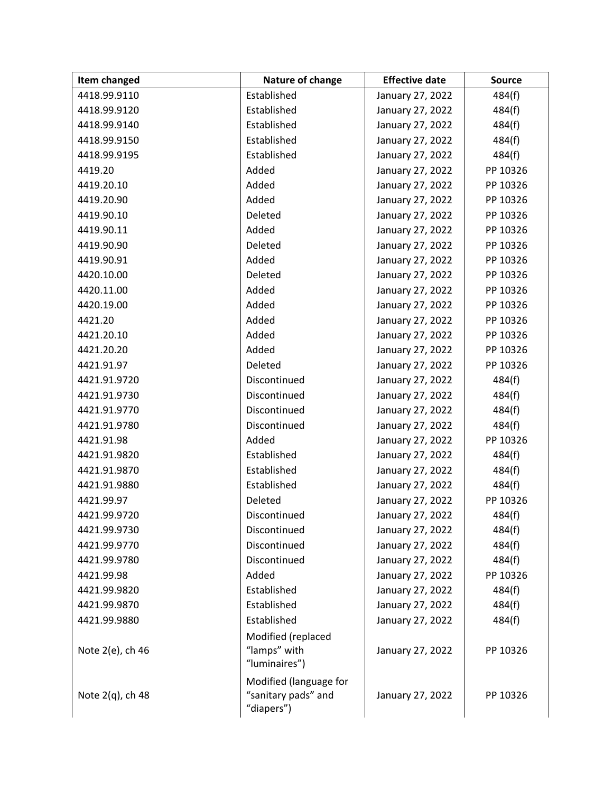| Item changed     | Nature of change                                            | <b>Effective date</b> | <b>Source</b> |
|------------------|-------------------------------------------------------------|-----------------------|---------------|
| 4418.99.9110     | Established                                                 | January 27, 2022      | 484(f)        |
| 4418.99.9120     | Established                                                 | January 27, 2022      | 484(f)        |
| 4418.99.9140     | Established                                                 | January 27, 2022      | 484(f)        |
| 4418.99.9150     | Established                                                 | January 27, 2022      | 484(f)        |
| 4418.99.9195     | Established                                                 | January 27, 2022      | 484(f)        |
| 4419.20          | Added                                                       | January 27, 2022      | PP 10326      |
| 4419.20.10       | Added                                                       | January 27, 2022      | PP 10326      |
| 4419.20.90       | Added                                                       | January 27, 2022      | PP 10326      |
| 4419.90.10       | Deleted                                                     | January 27, 2022      | PP 10326      |
| 4419.90.11       | Added                                                       | January 27, 2022      | PP 10326      |
| 4419.90.90       | Deleted                                                     | January 27, 2022      | PP 10326      |
| 4419.90.91       | Added                                                       | January 27, 2022      | PP 10326      |
| 4420.10.00       | Deleted                                                     | January 27, 2022      | PP 10326      |
| 4420.11.00       | Added                                                       | January 27, 2022      | PP 10326      |
| 4420.19.00       | Added                                                       | January 27, 2022      | PP 10326      |
| 4421.20          | Added                                                       | January 27, 2022      | PP 10326      |
| 4421.20.10       | Added                                                       | January 27, 2022      | PP 10326      |
| 4421.20.20       | Added                                                       | January 27, 2022      | PP 10326      |
| 4421.91.97       | Deleted                                                     | January 27, 2022      | PP 10326      |
| 4421.91.9720     | Discontinued                                                | January 27, 2022      | 484(f)        |
| 4421.91.9730     | Discontinued                                                | January 27, 2022      | 484(f)        |
| 4421.91.9770     | Discontinued                                                | January 27, 2022      | 484(f)        |
| 4421.91.9780     | Discontinued                                                | January 27, 2022      | 484(f)        |
| 4421.91.98       | Added                                                       | January 27, 2022      | PP 10326      |
| 4421.91.9820     | Established                                                 | January 27, 2022      | 484(f)        |
| 4421.91.9870     | Established                                                 | January 27, 2022      | 484(f)        |
| 4421.91.9880     | Established                                                 | January 27, 2022      | 484(f)        |
| 4421.99.97       | Deleted                                                     | January 27, 2022      | PP 10326      |
| 4421.99.9720     | Discontinued                                                | January 27, 2022      | 484(f)        |
| 4421.99.9730     | Discontinued                                                | January 27, 2022      | 484(f)        |
| 4421.99.9770     | Discontinued                                                | January 27, 2022      | 484(f)        |
| 4421.99.9780     | Discontinued                                                | January 27, 2022      | 484(f)        |
| 4421.99.98       | Added                                                       | January 27, 2022      | PP 10326      |
| 4421.99.9820     | Established                                                 | January 27, 2022      | 484(f)        |
| 4421.99.9870     | Established                                                 | January 27, 2022      | 484(f)        |
| 4421.99.9880     | Established                                                 | January 27, 2022      | 484(f)        |
| Note 2(e), ch 46 | Modified (replaced<br>"lamps" with<br>"luminaires")         | January 27, 2022      | PP 10326      |
| Note 2(q), ch 48 | Modified (language for<br>"sanitary pads" and<br>"diapers") | January 27, 2022      | PP 10326      |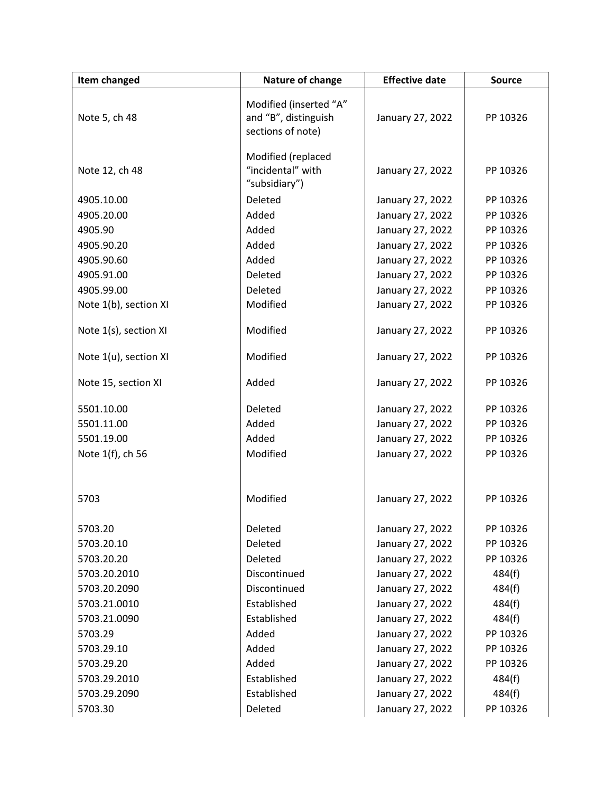| Item changed          | Nature of change                                                    | <b>Effective date</b> | <b>Source</b> |
|-----------------------|---------------------------------------------------------------------|-----------------------|---------------|
| Note 5, ch 48         | Modified (inserted "A"<br>and "B", distinguish<br>sections of note) | January 27, 2022      | PP 10326      |
| Note 12, ch 48        | Modified (replaced<br>"incidental" with<br>"subsidiary")            | January 27, 2022      | PP 10326      |
| 4905.10.00            | Deleted                                                             | January 27, 2022      | PP 10326      |
| 4905.20.00            | Added                                                               | January 27, 2022      | PP 10326      |
| 4905.90               | Added                                                               | January 27, 2022      | PP 10326      |
| 4905.90.20            | Added                                                               | January 27, 2022      | PP 10326      |
| 4905.90.60            | Added                                                               | January 27, 2022      | PP 10326      |
| 4905.91.00            | Deleted                                                             | January 27, 2022      | PP 10326      |
| 4905.99.00            | Deleted                                                             | January 27, 2022      | PP 10326      |
| Note 1(b), section XI | Modified                                                            | January 27, 2022      | PP 10326      |
| Note 1(s), section XI | Modified                                                            | January 27, 2022      | PP 10326      |
| Note 1(u), section XI | Modified                                                            | January 27, 2022      | PP 10326      |
| Note 15, section XI   | Added                                                               | January 27, 2022      | PP 10326      |
| 5501.10.00            | Deleted                                                             | January 27, 2022      | PP 10326      |
| 5501.11.00            | Added                                                               | January 27, 2022      | PP 10326      |
| 5501.19.00            | Added                                                               | January 27, 2022      | PP 10326      |
| Note 1(f), ch 56      | Modified                                                            | January 27, 2022      | PP 10326      |
|                       |                                                                     |                       |               |
| 5703                  | Modified                                                            | January 27, 2022      | PP 10326      |
| 5703.20               | Deleted                                                             | January 27, 2022      | PP 10326      |
| 5703.20.10            | Deleted                                                             | January 27, 2022      | PP 10326      |
| 5703.20.20            | Deleted                                                             | January 27, 2022      | PP 10326      |
| 5703.20.2010          | Discontinued                                                        | January 27, 2022      | 484(f)        |
| 5703.20.2090          | Discontinued                                                        | January 27, 2022      | 484(f)        |
| 5703.21.0010          | Established                                                         | January 27, 2022      | 484(f)        |
| 5703.21.0090          | Established                                                         | January 27, 2022      | 484(f)        |
| 5703.29               | Added                                                               | January 27, 2022      | PP 10326      |
| 5703.29.10            | Added                                                               | January 27, 2022      | PP 10326      |
| 5703.29.20            | Added                                                               | January 27, 2022      | PP 10326      |
| 5703.29.2010          | Established                                                         | January 27, 2022      | 484(f)        |
| 5703.29.2090          | Established                                                         | January 27, 2022      | 484(f)        |
| 5703.30               | Deleted                                                             | January 27, 2022      | PP 10326      |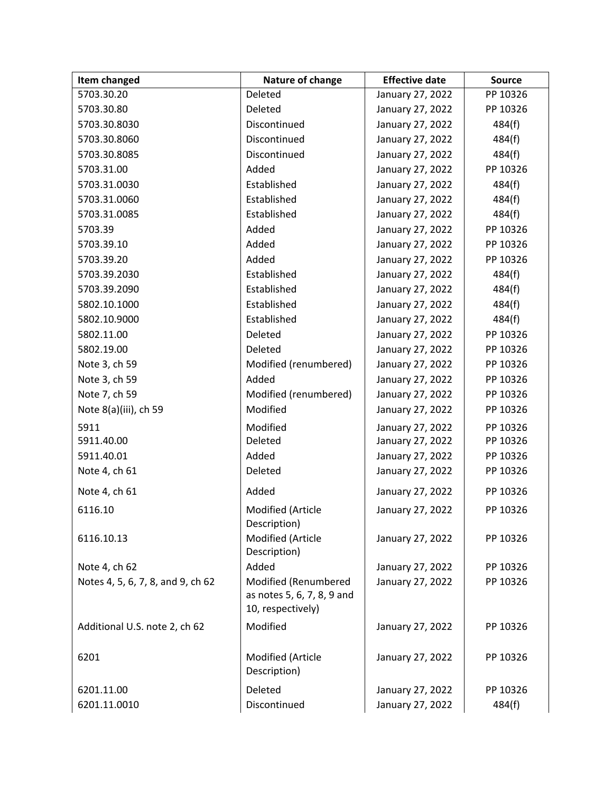| Item changed                      | Nature of change                                                        | <b>Effective date</b> | <b>Source</b> |
|-----------------------------------|-------------------------------------------------------------------------|-----------------------|---------------|
| 5703.30.20                        | Deleted                                                                 | January 27, 2022      | PP 10326      |
| 5703.30.80                        | Deleted                                                                 | January 27, 2022      | PP 10326      |
| 5703.30.8030                      | Discontinued                                                            | January 27, 2022      | 484(f)        |
| 5703.30.8060                      | Discontinued                                                            | January 27, 2022      | 484(f)        |
| 5703.30.8085                      | Discontinued                                                            | January 27, 2022      | 484(f)        |
| 5703.31.00                        | Added                                                                   | January 27, 2022      | PP 10326      |
| 5703.31.0030                      | Established                                                             | January 27, 2022      | 484(f)        |
| 5703.31.0060                      | Established                                                             | January 27, 2022      | 484(f)        |
| 5703.31.0085                      | Established                                                             | January 27, 2022      | 484(f)        |
| 5703.39                           | Added                                                                   | January 27, 2022      | PP 10326      |
| 5703.39.10                        | Added                                                                   | January 27, 2022      | PP 10326      |
| 5703.39.20                        | Added                                                                   | January 27, 2022      | PP 10326      |
| 5703.39.2030                      | Established                                                             | January 27, 2022      | 484(f)        |
| 5703.39.2090                      | Established                                                             | January 27, 2022      | 484(f)        |
| 5802.10.1000                      | Established                                                             | January 27, 2022      | 484(f)        |
| 5802.10.9000                      | Established                                                             | January 27, 2022      | 484(f)        |
| 5802.11.00                        | Deleted                                                                 | January 27, 2022      | PP 10326      |
| 5802.19.00                        | Deleted                                                                 | January 27, 2022      | PP 10326      |
| Note 3, ch 59                     | Modified (renumbered)                                                   | January 27, 2022      | PP 10326      |
| Note 3, ch 59                     | Added                                                                   | January 27, 2022      | PP 10326      |
| Note 7, ch 59                     | Modified (renumbered)                                                   | January 27, 2022      | PP 10326      |
| Note 8(a)(iii), ch 59             | Modified                                                                | January 27, 2022      | PP 10326      |
| 5911                              | Modified                                                                | January 27, 2022      | PP 10326      |
| 5911.40.00                        | Deleted                                                                 | January 27, 2022      | PP 10326      |
| 5911.40.01                        | Added                                                                   | January 27, 2022      | PP 10326      |
| Note 4, ch 61                     | Deleted                                                                 | January 27, 2022      | PP 10326      |
| Note 4, ch 61                     | Added                                                                   | January 27, 2022      | PP 10326      |
| 6116.10                           | Modified (Article<br>Description)                                       | January 27, 2022      | PP 10326      |
| 6116.10.13                        | Modified (Article<br>Description)                                       | January 27, 2022      | PP 10326      |
| Note 4, ch 62                     | Added                                                                   | January 27, 2022      | PP 10326      |
| Notes 4, 5, 6, 7, 8, and 9, ch 62 | Modified (Renumbered<br>as notes 5, 6, 7, 8, 9 and<br>10, respectively) | January 27, 2022      | PP 10326      |
| Additional U.S. note 2, ch 62     | Modified                                                                | January 27, 2022      | PP 10326      |
| 6201                              | Modified (Article<br>Description)                                       | January 27, 2022      | PP 10326      |
| 6201.11.00                        | Deleted                                                                 | January 27, 2022      | PP 10326      |
| 6201.11.0010                      | Discontinued                                                            | January 27, 2022      | 484(f)        |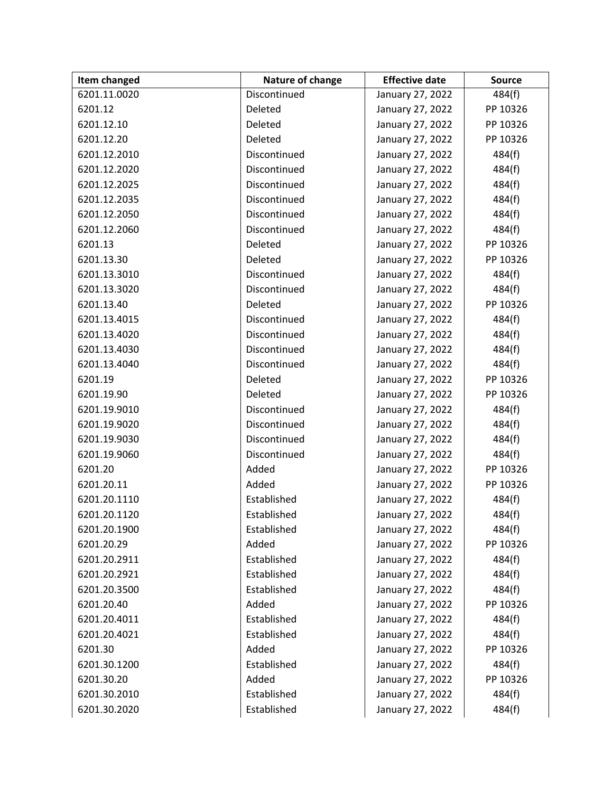| <b>Item changed</b> | Nature of change | <b>Effective date</b> | <b>Source</b> |
|---------------------|------------------|-----------------------|---------------|
| 6201.11.0020        | Discontinued     | January 27, 2022      | 484(f)        |
| 6201.12             | Deleted          | January 27, 2022      | PP 10326      |
| 6201.12.10          | Deleted          | January 27, 2022      | PP 10326      |
| 6201.12.20          | Deleted          | January 27, 2022      | PP 10326      |
| 6201.12.2010        | Discontinued     | January 27, 2022      | 484(f)        |
| 6201.12.2020        | Discontinued     | January 27, 2022      | 484(f)        |
| 6201.12.2025        | Discontinued     | January 27, 2022      | 484(f)        |
| 6201.12.2035        | Discontinued     | January 27, 2022      | 484(f)        |
| 6201.12.2050        | Discontinued     | January 27, 2022      | 484(f)        |
| 6201.12.2060        | Discontinued     | January 27, 2022      | 484(f)        |
| 6201.13             | Deleted          | January 27, 2022      | PP 10326      |
| 6201.13.30          | Deleted          | January 27, 2022      | PP 10326      |
| 6201.13.3010        | Discontinued     | January 27, 2022      | 484(f)        |
| 6201.13.3020        | Discontinued     | January 27, 2022      | 484(f)        |
| 6201.13.40          | Deleted          | January 27, 2022      | PP 10326      |
| 6201.13.4015        | Discontinued     | January 27, 2022      | 484(f)        |
| 6201.13.4020        | Discontinued     | January 27, 2022      | 484(f)        |
| 6201.13.4030        | Discontinued     | January 27, 2022      | 484(f)        |
| 6201.13.4040        | Discontinued     | January 27, 2022      | 484(f)        |
| 6201.19             | Deleted          | January 27, 2022      | PP 10326      |
| 6201.19.90          | Deleted          | January 27, 2022      | PP 10326      |
| 6201.19.9010        | Discontinued     | January 27, 2022      | 484(f)        |
| 6201.19.9020        | Discontinued     | January 27, 2022      | 484(f)        |
| 6201.19.9030        | Discontinued     | January 27, 2022      | 484(f)        |
| 6201.19.9060        | Discontinued     | January 27, 2022      | 484(f)        |
| 6201.20             | Added            | January 27, 2022      | PP 10326      |
| 6201.20.11          | Added            | January 27, 2022      | PP 10326      |
| 6201.20.1110        | Established      | January 27, 2022      | 484(f)        |
| 6201.20.1120        | Established      | January 27, 2022      | 484(f)        |
| 6201.20.1900        | Established      | January 27, 2022      | 484(f)        |
| 6201.20.29          | Added            | January 27, 2022      | PP 10326      |
| 6201.20.2911        | Established      | January 27, 2022      | 484(f)        |
| 6201.20.2921        | Established      | January 27, 2022      | 484(f)        |
| 6201.20.3500        | Established      | January 27, 2022      | 484(f)        |
| 6201.20.40          | Added            | January 27, 2022      | PP 10326      |
| 6201.20.4011        | Established      | January 27, 2022      | 484(f)        |
| 6201.20.4021        | Established      | January 27, 2022      | 484(f)        |
| 6201.30             | Added            | January 27, 2022      | PP 10326      |
| 6201.30.1200        | Established      | January 27, 2022      | 484(f)        |
| 6201.30.20          | Added            | January 27, 2022      | PP 10326      |
| 6201.30.2010        | Established      | January 27, 2022      | 484(f)        |
| 6201.30.2020        | Established      | January 27, 2022      | 484(f)        |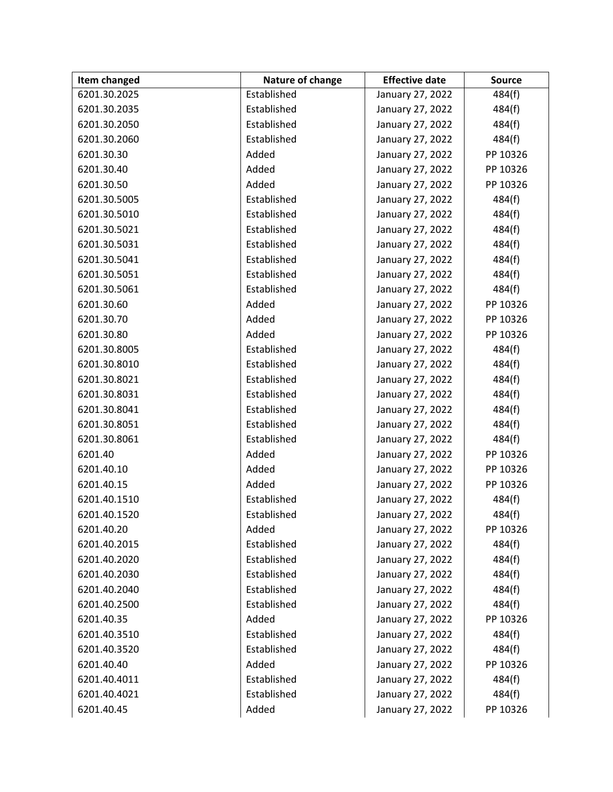| <b>Item changed</b> | Nature of change | <b>Effective date</b> | <b>Source</b> |
|---------------------|------------------|-----------------------|---------------|
| 6201.30.2025        | Established      | January 27, 2022      | 484(f)        |
| 6201.30.2035        | Established      | January 27, 2022      | 484(f)        |
| 6201.30.2050        | Established      | January 27, 2022      | 484(f)        |
| 6201.30.2060        | Established      | January 27, 2022      | 484(f)        |
| 6201.30.30          | Added            | January 27, 2022      | PP 10326      |
| 6201.30.40          | Added            | January 27, 2022      | PP 10326      |
| 6201.30.50          | Added            | January 27, 2022      | PP 10326      |
| 6201.30.5005        | Established      | January 27, 2022      | 484(f)        |
| 6201.30.5010        | Established      | January 27, 2022      | 484(f)        |
| 6201.30.5021        | Established      | January 27, 2022      | 484(f)        |
| 6201.30.5031        | Established      | January 27, 2022      | 484(f)        |
| 6201.30.5041        | Established      | January 27, 2022      | 484(f)        |
| 6201.30.5051        | Established      | January 27, 2022      | 484(f)        |
| 6201.30.5061        | Established      | January 27, 2022      | 484(f)        |
| 6201.30.60          | Added            | January 27, 2022      | PP 10326      |
| 6201.30.70          | Added            | January 27, 2022      | PP 10326      |
| 6201.30.80          | Added            | January 27, 2022      | PP 10326      |
| 6201.30.8005        | Established      | January 27, 2022      | 484(f)        |
| 6201.30.8010        | Established      | January 27, 2022      | 484(f)        |
| 6201.30.8021        | Established      | January 27, 2022      | 484(f)        |
| 6201.30.8031        | Established      | January 27, 2022      | 484(f)        |
| 6201.30.8041        | Established      | January 27, 2022      | 484(f)        |
| 6201.30.8051        | Established      | January 27, 2022      | 484(f)        |
| 6201.30.8061        | Established      | January 27, 2022      | 484(f)        |
| 6201.40             | Added            | January 27, 2022      | PP 10326      |
| 6201.40.10          | Added            | January 27, 2022      | PP 10326      |
| 6201.40.15          | Added            | January 27, 2022      | PP 10326      |
| 6201.40.1510        | Established      | January 27, 2022      | 484(f)        |
| 6201.40.1520        | Established      | January 27, 2022      | 484(f)        |
| 6201.40.20          | Added            | January 27, 2022      | PP 10326      |
| 6201.40.2015        | Established      | January 27, 2022      | 484(f)        |
| 6201.40.2020        | Established      | January 27, 2022      | 484(f)        |
| 6201.40.2030        | Established      | January 27, 2022      | 484(f)        |
| 6201.40.2040        | Established      | January 27, 2022      | 484(f)        |
| 6201.40.2500        | Established      | January 27, 2022      | 484(f)        |
| 6201.40.35          | Added            | January 27, 2022      | PP 10326      |
| 6201.40.3510        | Established      | January 27, 2022      | 484(f)        |
| 6201.40.3520        | Established      | January 27, 2022      | 484(f)        |
| 6201.40.40          | Added            | January 27, 2022      | PP 10326      |
| 6201.40.4011        | Established      | January 27, 2022      | 484(f)        |
| 6201.40.4021        | Established      | January 27, 2022      | 484(f)        |
| 6201.40.45          | Added            | January 27, 2022      | PP 10326      |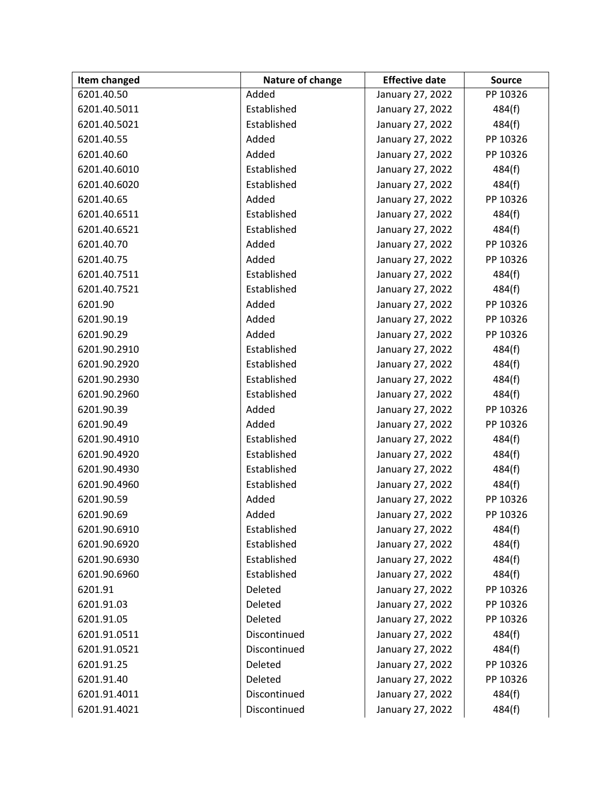| Item changed | Nature of change | <b>Effective date</b> | <b>Source</b> |
|--------------|------------------|-----------------------|---------------|
| 6201.40.50   | Added            | January 27, 2022      | PP 10326      |
| 6201.40.5011 | Established      | January 27, 2022      | 484(f)        |
| 6201.40.5021 | Established      | January 27, 2022      | 484(f)        |
| 6201.40.55   | Added            | January 27, 2022      | PP 10326      |
| 6201.40.60   | Added            | January 27, 2022      | PP 10326      |
| 6201.40.6010 | Established      | January 27, 2022      | 484(f)        |
| 6201.40.6020 | Established      | January 27, 2022      | 484(f)        |
| 6201.40.65   | Added            | January 27, 2022      | PP 10326      |
| 6201.40.6511 | Established      | January 27, 2022      | 484(f)        |
| 6201.40.6521 | Established      | January 27, 2022      | 484(f)        |
| 6201.40.70   | Added            | January 27, 2022      | PP 10326      |
| 6201.40.75   | Added            | January 27, 2022      | PP 10326      |
| 6201.40.7511 | Established      | January 27, 2022      | 484(f)        |
| 6201.40.7521 | Established      | January 27, 2022      | 484(f)        |
| 6201.90      | Added            | January 27, 2022      | PP 10326      |
| 6201.90.19   | Added            | January 27, 2022      | PP 10326      |
| 6201.90.29   | Added            | January 27, 2022      | PP 10326      |
| 6201.90.2910 | Established      | January 27, 2022      | 484(f)        |
| 6201.90.2920 | Established      | January 27, 2022      | 484(f)        |
| 6201.90.2930 | Established      | January 27, 2022      | 484(f)        |
| 6201.90.2960 | Established      | January 27, 2022      | 484(f)        |
| 6201.90.39   | Added            | January 27, 2022      | PP 10326      |
| 6201.90.49   | Added            | January 27, 2022      | PP 10326      |
| 6201.90.4910 | Established      | January 27, 2022      | 484(f)        |
| 6201.90.4920 | Established      | January 27, 2022      | 484(f)        |
| 6201.90.4930 | Established      | January 27, 2022      | 484(f)        |
| 6201.90.4960 | Established      | January 27, 2022      | 484(f)        |
| 6201.90.59   | Added            | January 27, 2022      | PP 10326      |
| 6201.90.69   | Added            | January 27, 2022      | PP 10326      |
| 6201.90.6910 | Established      | January 27, 2022      | 484(f)        |
| 6201.90.6920 | Established      | January 27, 2022      | 484(f)        |
| 6201.90.6930 | Established      | January 27, 2022      | 484(f)        |
| 6201.90.6960 | Established      | January 27, 2022      | 484(f)        |
| 6201.91      | Deleted          | January 27, 2022      | PP 10326      |
| 6201.91.03   | Deleted          | January 27, 2022      | PP 10326      |
| 6201.91.05   | Deleted          | January 27, 2022      | PP 10326      |
| 6201.91.0511 | Discontinued     | January 27, 2022      | 484(f)        |
| 6201.91.0521 | Discontinued     | January 27, 2022      | 484(f)        |
| 6201.91.25   | Deleted          | January 27, 2022      | PP 10326      |
| 6201.91.40   | Deleted          | January 27, 2022      | PP 10326      |
| 6201.91.4011 | Discontinued     | January 27, 2022      | 484(f)        |
| 6201.91.4021 | Discontinued     | January 27, 2022      | 484(f)        |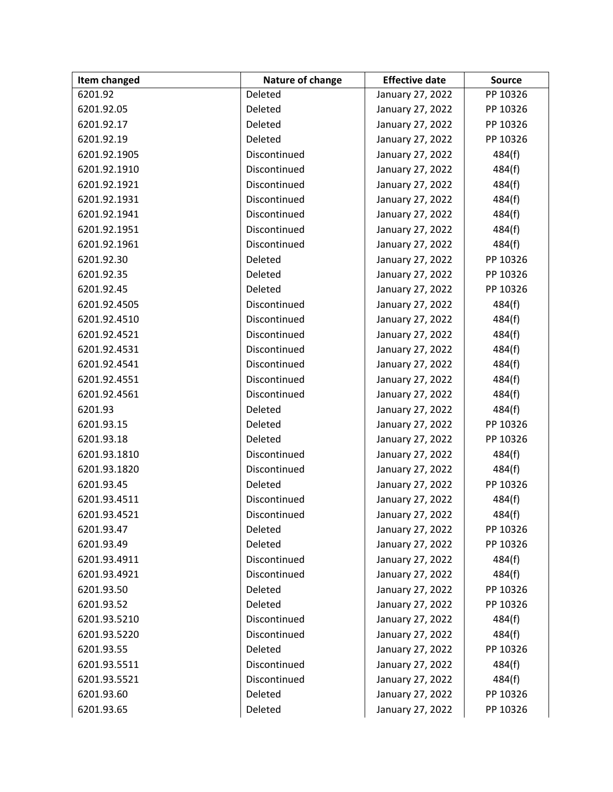| Item changed | Nature of change | <b>Effective date</b> | <b>Source</b> |
|--------------|------------------|-----------------------|---------------|
| 6201.92      | Deleted          | January 27, 2022      | PP 10326      |
| 6201.92.05   | Deleted          | January 27, 2022      | PP 10326      |
| 6201.92.17   | Deleted          | January 27, 2022      | PP 10326      |
| 6201.92.19   | Deleted          | January 27, 2022      | PP 10326      |
| 6201.92.1905 | Discontinued     | January 27, 2022      | 484(f)        |
| 6201.92.1910 | Discontinued     | January 27, 2022      | 484(f)        |
| 6201.92.1921 | Discontinued     | January 27, 2022      | 484(f)        |
| 6201.92.1931 | Discontinued     | January 27, 2022      | 484(f)        |
| 6201.92.1941 | Discontinued     | January 27, 2022      | 484(f)        |
| 6201.92.1951 | Discontinued     | January 27, 2022      | 484(f)        |
| 6201.92.1961 | Discontinued     | January 27, 2022      | 484(f)        |
| 6201.92.30   | Deleted          | January 27, 2022      | PP 10326      |
| 6201.92.35   | Deleted          | January 27, 2022      | PP 10326      |
| 6201.92.45   | Deleted          | January 27, 2022      | PP 10326      |
| 6201.92.4505 | Discontinued     | January 27, 2022      | 484(f)        |
| 6201.92.4510 | Discontinued     | January 27, 2022      | 484(f)        |
| 6201.92.4521 | Discontinued     | January 27, 2022      | 484(f)        |
| 6201.92.4531 | Discontinued     | January 27, 2022      | 484(f)        |
| 6201.92.4541 | Discontinued     | January 27, 2022      | 484(f)        |
| 6201.92.4551 | Discontinued     | January 27, 2022      | 484(f)        |
| 6201.92.4561 | Discontinued     | January 27, 2022      | 484(f)        |
| 6201.93      | Deleted          | January 27, 2022      | 484(f)        |
| 6201.93.15   | Deleted          | January 27, 2022      | PP 10326      |
| 6201.93.18   | Deleted          | January 27, 2022      | PP 10326      |
| 6201.93.1810 | Discontinued     | January 27, 2022      | 484(f)        |
| 6201.93.1820 | Discontinued     | January 27, 2022      | 484(f)        |
| 6201.93.45   | Deleted          | January 27, 2022      | PP 10326      |
| 6201.93.4511 | Discontinued     | January 27, 2022      | 484(f)        |
| 6201.93.4521 | Discontinued     | January 27, 2022      | 484(f)        |
| 6201.93.47   | Deleted          | January 27, 2022      | PP 10326      |
| 6201.93.49   | Deleted          | January 27, 2022      | PP 10326      |
| 6201.93.4911 | Discontinued     | January 27, 2022      | 484(f)        |
| 6201.93.4921 | Discontinued     | January 27, 2022      | 484(f)        |
| 6201.93.50   | Deleted          | January 27, 2022      | PP 10326      |
| 6201.93.52   | Deleted          | January 27, 2022      | PP 10326      |
| 6201.93.5210 | Discontinued     | January 27, 2022      | 484(f)        |
| 6201.93.5220 | Discontinued     | January 27, 2022      | 484(f)        |
| 6201.93.55   | Deleted          | January 27, 2022      | PP 10326      |
| 6201.93.5511 | Discontinued     | January 27, 2022      | 484(f)        |
| 6201.93.5521 | Discontinued     | January 27, 2022      | 484(f)        |
| 6201.93.60   | Deleted          | January 27, 2022      | PP 10326      |
| 6201.93.65   | Deleted          | January 27, 2022      | PP 10326      |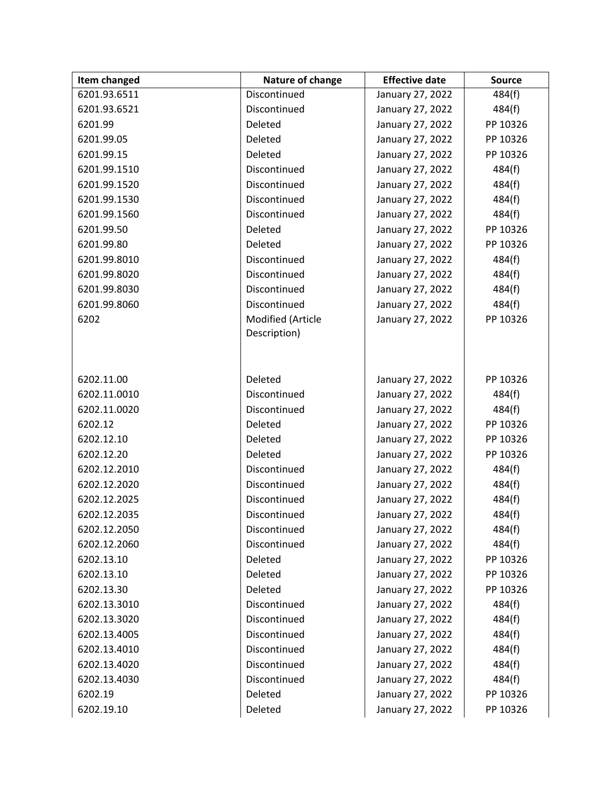| Item changed | Nature of change  | <b>Effective date</b> | <b>Source</b> |
|--------------|-------------------|-----------------------|---------------|
| 6201.93.6511 | Discontinued      | January 27, 2022      | 484(f)        |
| 6201.93.6521 | Discontinued      | January 27, 2022      | 484(f)        |
| 6201.99      | Deleted           | January 27, 2022      | PP 10326      |
| 6201.99.05   | Deleted           | January 27, 2022      | PP 10326      |
| 6201.99.15   | Deleted           | January 27, 2022      | PP 10326      |
| 6201.99.1510 | Discontinued      | January 27, 2022      | 484(f)        |
| 6201.99.1520 | Discontinued      | January 27, 2022      | 484(f)        |
| 6201.99.1530 | Discontinued      | January 27, 2022      | 484(f)        |
| 6201.99.1560 | Discontinued      | January 27, 2022      | 484(f)        |
| 6201.99.50   | Deleted           | January 27, 2022      | PP 10326      |
| 6201.99.80   | Deleted           | January 27, 2022      | PP 10326      |
| 6201.99.8010 | Discontinued      | January 27, 2022      | 484(f)        |
| 6201.99.8020 | Discontinued      | January 27, 2022      | 484(f)        |
| 6201.99.8030 | Discontinued      | January 27, 2022      | 484(f)        |
| 6201.99.8060 | Discontinued      | January 27, 2022      | 484(f)        |
| 6202         | Modified (Article | January 27, 2022      | PP 10326      |
|              | Description)      |                       |               |
|              |                   |                       |               |
|              |                   |                       |               |
| 6202.11.00   | Deleted           | January 27, 2022      | PP 10326      |
| 6202.11.0010 | Discontinued      | January 27, 2022      | 484(f)        |
| 6202.11.0020 | Discontinued      | January 27, 2022      | 484(f)        |
| 6202.12      | Deleted           | January 27, 2022      | PP 10326      |
| 6202.12.10   | Deleted           | January 27, 2022      | PP 10326      |
| 6202.12.20   | Deleted           | January 27, 2022      | PP 10326      |
| 6202.12.2010 | Discontinued      | January 27, 2022      | 484(f)        |
| 6202.12.2020 | Discontinued      | January 27, 2022      | 484(f)        |
| 6202.12.2025 | Discontinued      | January 27, 2022      | 484(f)        |
| 6202.12.2035 | Discontinued      | January 27, 2022      | 484(f)        |
| 6202.12.2050 | Discontinued      | January 27, 2022      | 484(f)        |
| 6202.12.2060 | Discontinued      | January 27, 2022      | 484(f)        |
| 6202.13.10   | Deleted           | January 27, 2022      | PP 10326      |
| 6202.13.10   | Deleted           | January 27, 2022      | PP 10326      |
| 6202.13.30   | Deleted           | January 27, 2022      | PP 10326      |
| 6202.13.3010 | Discontinued      | January 27, 2022      | 484(f)        |
| 6202.13.3020 | Discontinued      | January 27, 2022      | 484(f)        |
| 6202.13.4005 | Discontinued      | January 27, 2022      | 484(f)        |
| 6202.13.4010 | Discontinued      | January 27, 2022      | 484(f)        |
| 6202.13.4020 | Discontinued      | January 27, 2022      | 484(f)        |
| 6202.13.4030 | Discontinued      | January 27, 2022      | 484(f)        |
| 6202.19      | Deleted           | January 27, 2022      | PP 10326      |
| 6202.19.10   | Deleted           | January 27, 2022      | PP 10326      |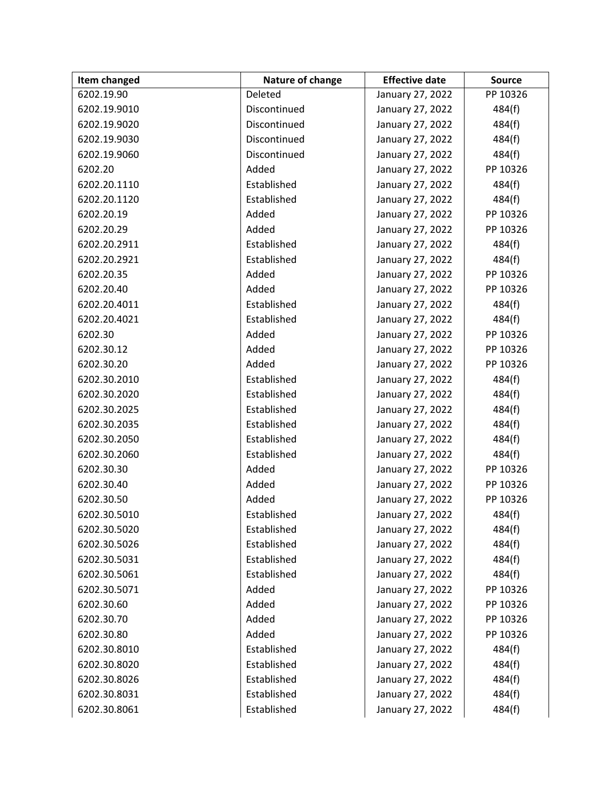| Item changed | Nature of change | <b>Effective date</b> | <b>Source</b> |
|--------------|------------------|-----------------------|---------------|
| 6202.19.90   | Deleted          | January 27, 2022      | PP 10326      |
| 6202.19.9010 | Discontinued     | January 27, 2022      | 484(f)        |
| 6202.19.9020 | Discontinued     | January 27, 2022      | 484(f)        |
| 6202.19.9030 | Discontinued     | January 27, 2022      | 484(f)        |
| 6202.19.9060 | Discontinued     | January 27, 2022      | 484(f)        |
| 6202.20      | Added            | January 27, 2022      | PP 10326      |
| 6202.20.1110 | Established      | January 27, 2022      | 484(f)        |
| 6202.20.1120 | Established      | January 27, 2022      | 484(f)        |
| 6202.20.19   | Added            | January 27, 2022      | PP 10326      |
| 6202.20.29   | Added            | January 27, 2022      | PP 10326      |
| 6202.20.2911 | Established      | January 27, 2022      | 484(f)        |
| 6202.20.2921 | Established      | January 27, 2022      | 484(f)        |
| 6202.20.35   | Added            | January 27, 2022      | PP 10326      |
| 6202.20.40   | Added            | January 27, 2022      | PP 10326      |
| 6202.20.4011 | Established      | January 27, 2022      | 484(f)        |
| 6202.20.4021 | Established      | January 27, 2022      | 484(f)        |
| 6202.30      | Added            | January 27, 2022      | PP 10326      |
| 6202.30.12   | Added            | January 27, 2022      | PP 10326      |
| 6202.30.20   | Added            | January 27, 2022      | PP 10326      |
| 6202.30.2010 | Established      | January 27, 2022      | 484(f)        |
| 6202.30.2020 | Established      | January 27, 2022      | 484(f)        |
| 6202.30.2025 | Established      | January 27, 2022      | 484(f)        |
| 6202.30.2035 | Established      | January 27, 2022      | 484(f)        |
| 6202.30.2050 | Established      | January 27, 2022      | 484(f)        |
| 6202.30.2060 | Established      | January 27, 2022      | 484(f)        |
| 6202.30.30   | Added            | January 27, 2022      | PP 10326      |
| 6202.30.40   | Added            | January 27, 2022      | PP 10326      |
| 6202.30.50   | Added            | January 27, 2022      | PP 10326      |
| 6202.30.5010 | Established      | January 27, 2022      | 484(f)        |
| 6202.30.5020 | Established      | January 27, 2022      | 484(f)        |
| 6202.30.5026 | Established      | January 27, 2022      | 484(f)        |
| 6202.30.5031 | Established      | January 27, 2022      | 484(f)        |
| 6202.30.5061 | Established      | January 27, 2022      | 484(f)        |
| 6202.30.5071 | Added            | January 27, 2022      | PP 10326      |
| 6202.30.60   | Added            | January 27, 2022      | PP 10326      |
| 6202.30.70   | Added            | January 27, 2022      | PP 10326      |
| 6202.30.80   | Added            | January 27, 2022      | PP 10326      |
| 6202.30.8010 | Established      | January 27, 2022      | 484(f)        |
| 6202.30.8020 | Established      | January 27, 2022      | 484(f)        |
| 6202.30.8026 | Established      | January 27, 2022      | 484(f)        |
| 6202.30.8031 | Established      | January 27, 2022      | 484(f)        |
| 6202.30.8061 | Established      | January 27, 2022      | 484(f)        |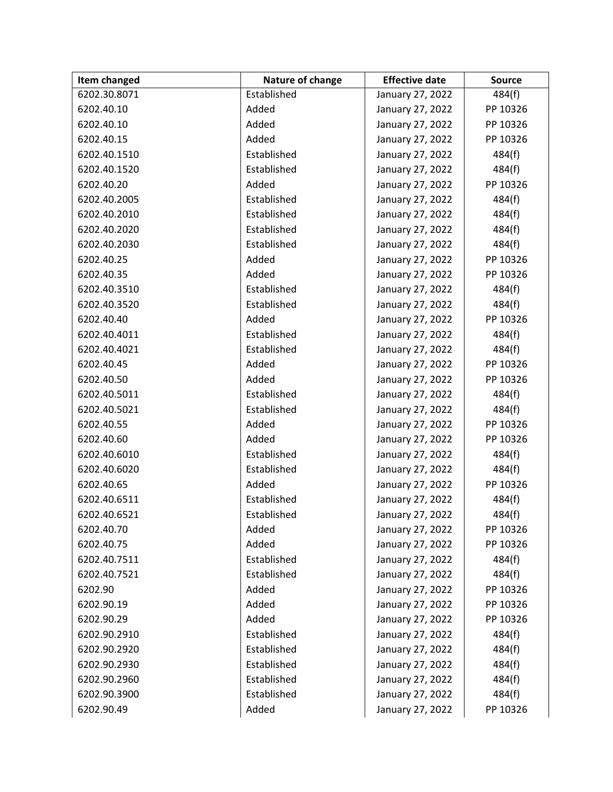| <b>Item changed</b> | Nature of change | <b>Effective date</b> | <b>Source</b> |
|---------------------|------------------|-----------------------|---------------|
| 6202.30.8071        | Established      | January 27, 2022      | 484(f)        |
| 6202.40.10          | Added            | January 27, 2022      | PP 10326      |
| 6202.40.10          | Added            | January 27, 2022      | PP 10326      |
| 6202.40.15          | Added            | January 27, 2022      | PP 10326      |
| 6202.40.1510        | Established      | January 27, 2022      | 484(f)        |
| 6202.40.1520        | Established      | January 27, 2022      | 484(f)        |
| 6202.40.20          | Added            | January 27, 2022      | PP 10326      |
| 6202.40.2005        | Established      | January 27, 2022      | 484(f)        |
| 6202.40.2010        | Established      | January 27, 2022      | 484(f)        |
| 6202.40.2020        | Established      | January 27, 2022      | 484(f)        |
| 6202.40.2030        | Established      | January 27, 2022      | 484(f)        |
| 6202.40.25          | Added            | January 27, 2022      | PP 10326      |
| 6202.40.35          | Added            | January 27, 2022      | PP 10326      |
| 6202.40.3510        | Established      | January 27, 2022      | 484(f)        |
| 6202.40.3520        | Established      | January 27, 2022      | 484(f)        |
| 6202.40.40          | Added            | January 27, 2022      | PP 10326      |
| 6202.40.4011        | Established      | January 27, 2022      | 484(f)        |
| 6202.40.4021        | Established      | January 27, 2022      | 484(f)        |
| 6202.40.45          | Added            | January 27, 2022      | PP 10326      |
| 6202.40.50          | Added            | January 27, 2022      | PP 10326      |
| 6202.40.5011        | Established      | January 27, 2022      | 484(f)        |
| 6202.40.5021        | Established      | January 27, 2022      | 484(f)        |
| 6202.40.55          | Added            | January 27, 2022      | PP 10326      |
| 6202.40.60          | Added            | January 27, 2022      | PP 10326      |
| 6202.40.6010        | Established      | January 27, 2022      | 484(f)        |
| 6202.40.6020        | Established      | January 27, 2022      | 484(f)        |
| 6202.40.65          | Added            | January 27, 2022      | PP 10326      |
| 6202.40.6511        | Established      | January 27, 2022      | 484(f)        |
| 6202.40.6521        | Established      | January 27, 2022      | 484(f)        |
| 6202.40.70          | Added            | January 27, 2022      | PP 10326      |
| 6202.40.75          | Added            | January 27, 2022      | PP 10326      |
| 6202.40.7511        | Established      | January 27, 2022      | 484(f)        |
| 6202.40.7521        | Established      | January 27, 2022      | 484(f)        |
| 6202.90             | Added            | January 27, 2022      | PP 10326      |
| 6202.90.19          | Added            | January 27, 2022      | PP 10326      |
| 6202.90.29          | Added            | January 27, 2022      | PP 10326      |
| 6202.90.2910        | Established      | January 27, 2022      | 484(f)        |
| 6202.90.2920        | Established      | January 27, 2022      | 484(f)        |
| 6202.90.2930        | Established      | January 27, 2022      | 484(f)        |
| 6202.90.2960        | Established      | January 27, 2022      | 484(f)        |
| 6202.90.3900        | Established      | January 27, 2022      | 484(f)        |
| 6202.90.49          | Added            | January 27, 2022      | PP 10326      |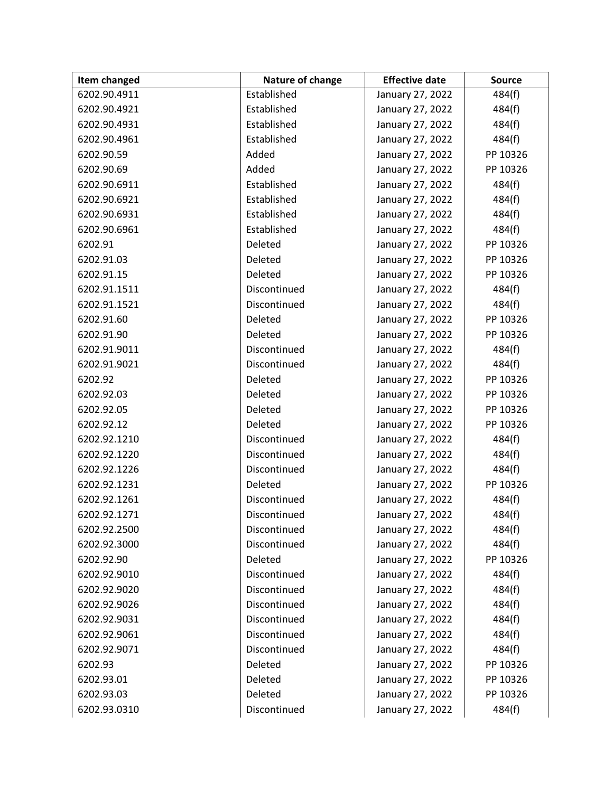| Item changed | Nature of change | <b>Effective date</b> | <b>Source</b> |
|--------------|------------------|-----------------------|---------------|
| 6202.90.4911 | Established      | January 27, 2022      | 484(f)        |
| 6202.90.4921 | Established      | January 27, 2022      | 484(f)        |
| 6202.90.4931 | Established      | January 27, 2022      | 484(f)        |
| 6202.90.4961 | Established      | January 27, 2022      | 484(f)        |
| 6202.90.59   | Added            | January 27, 2022      | PP 10326      |
| 6202.90.69   | Added            | January 27, 2022      | PP 10326      |
| 6202.90.6911 | Established      | January 27, 2022      | 484(f)        |
| 6202.90.6921 | Established      | January 27, 2022      | 484(f)        |
| 6202.90.6931 | Established      | January 27, 2022      | 484(f)        |
| 6202.90.6961 | Established      | January 27, 2022      | 484(f)        |
| 6202.91      | Deleted          | January 27, 2022      | PP 10326      |
| 6202.91.03   | Deleted          | January 27, 2022      | PP 10326      |
| 6202.91.15   | Deleted          | January 27, 2022      | PP 10326      |
| 6202.91.1511 | Discontinued     | January 27, 2022      | 484(f)        |
| 6202.91.1521 | Discontinued     | January 27, 2022      | 484(f)        |
| 6202.91.60   | Deleted          | January 27, 2022      | PP 10326      |
| 6202.91.90   | Deleted          | January 27, 2022      | PP 10326      |
| 6202.91.9011 | Discontinued     | January 27, 2022      | 484(f)        |
| 6202.91.9021 | Discontinued     | January 27, 2022      | 484(f)        |
| 6202.92      | Deleted          | January 27, 2022      | PP 10326      |
| 6202.92.03   | Deleted          | January 27, 2022      | PP 10326      |
| 6202.92.05   | Deleted          | January 27, 2022      | PP 10326      |
| 6202.92.12   | Deleted          | January 27, 2022      | PP 10326      |
| 6202.92.1210 | Discontinued     | January 27, 2022      | 484(f)        |
| 6202.92.1220 | Discontinued     | January 27, 2022      | 484(f)        |
| 6202.92.1226 | Discontinued     | January 27, 2022      | 484(f)        |
| 6202.92.1231 | Deleted          | January 27, 2022      | PP 10326      |
| 6202.92.1261 | Discontinued     | January 27, 2022      | 484(f)        |
| 6202.92.1271 | Discontinued     | January 27, 2022      | 484(f)        |
| 6202.92.2500 | Discontinued     | January 27, 2022      | 484(f)        |
| 6202.92.3000 | Discontinued     | January 27, 2022      | 484(f)        |
| 6202.92.90   | Deleted          | January 27, 2022      | PP 10326      |
| 6202.92.9010 | Discontinued     | January 27, 2022      | 484(f)        |
| 6202.92.9020 | Discontinued     | January 27, 2022      | 484(f)        |
| 6202.92.9026 | Discontinued     | January 27, 2022      | 484(f)        |
| 6202.92.9031 | Discontinued     | January 27, 2022      | 484(f)        |
| 6202.92.9061 | Discontinued     | January 27, 2022      | 484(f)        |
| 6202.92.9071 | Discontinued     | January 27, 2022      | 484(f)        |
| 6202.93      | Deleted          | January 27, 2022      | PP 10326      |
| 6202.93.01   | Deleted          | January 27, 2022      | PP 10326      |
| 6202.93.03   | Deleted          | January 27, 2022      | PP 10326      |
| 6202.93.0310 | Discontinued     | January 27, 2022      | 484(f)        |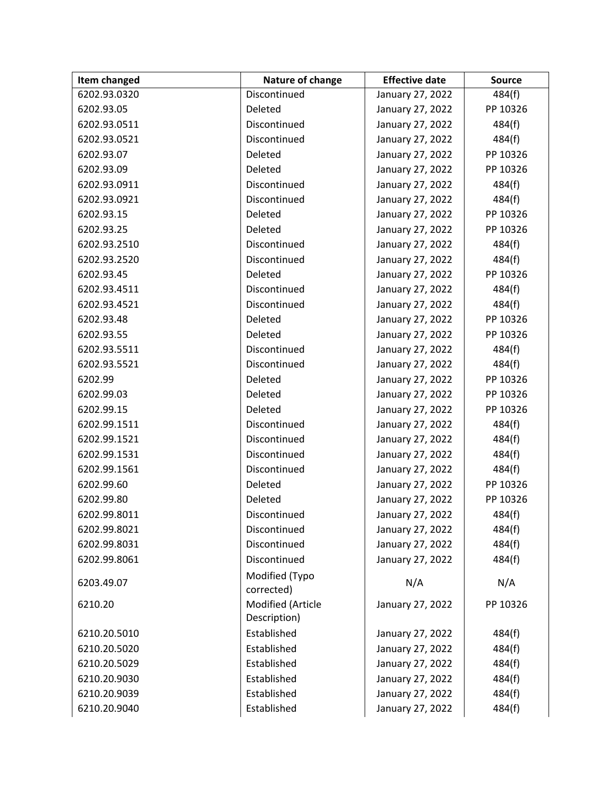| Item changed | Nature of change                  | <b>Effective date</b> | <b>Source</b> |
|--------------|-----------------------------------|-----------------------|---------------|
| 6202.93.0320 | Discontinued                      | January 27, 2022      | 484(f)        |
| 6202.93.05   | Deleted                           | January 27, 2022      | PP 10326      |
| 6202.93.0511 | Discontinued                      | January 27, 2022      | 484(f)        |
| 6202.93.0521 | Discontinued                      | January 27, 2022      | 484(f)        |
| 6202.93.07   | Deleted                           | January 27, 2022      | PP 10326      |
| 6202.93.09   | Deleted                           | January 27, 2022      | PP 10326      |
| 6202.93.0911 | Discontinued                      | January 27, 2022      | 484(f)        |
| 6202.93.0921 | Discontinued                      | January 27, 2022      | 484(f)        |
| 6202.93.15   | Deleted                           | January 27, 2022      | PP 10326      |
| 6202.93.25   | Deleted                           | January 27, 2022      | PP 10326      |
| 6202.93.2510 | Discontinued                      | January 27, 2022      | 484(f)        |
| 6202.93.2520 | Discontinued                      | January 27, 2022      | 484(f)        |
| 6202.93.45   | Deleted                           | January 27, 2022      | PP 10326      |
| 6202.93.4511 | Discontinued                      | January 27, 2022      | 484(f)        |
| 6202.93.4521 | Discontinued                      | January 27, 2022      | 484(f)        |
| 6202.93.48   | Deleted                           | January 27, 2022      | PP 10326      |
| 6202.93.55   | Deleted                           | January 27, 2022      | PP 10326      |
| 6202.93.5511 | Discontinued                      | January 27, 2022      | 484(f)        |
| 6202.93.5521 | Discontinued                      | January 27, 2022      | 484(f)        |
| 6202.99      | Deleted                           | January 27, 2022      | PP 10326      |
| 6202.99.03   | Deleted                           | January 27, 2022      | PP 10326      |
| 6202.99.15   | Deleted                           | January 27, 2022      | PP 10326      |
| 6202.99.1511 | Discontinued                      | January 27, 2022      | 484(f)        |
| 6202.99.1521 | Discontinued                      | January 27, 2022      | 484(f)        |
| 6202.99.1531 | Discontinued                      | January 27, 2022      | 484(f)        |
| 6202.99.1561 | Discontinued                      | January 27, 2022      | 484(f)        |
| 6202.99.60   | Deleted                           | January 27, 2022      | PP 10326      |
| 6202.99.80   | Deleted                           | January 27, 2022      | PP 10326      |
| 6202.99.8011 | Discontinued                      | January 27, 2022      | 484(f)        |
| 6202.99.8021 | Discontinued                      | January 27, 2022      | 484(f)        |
| 6202.99.8031 | Discontinued                      | January 27, 2022      | 484(f)        |
| 6202.99.8061 | Discontinued                      | January 27, 2022      | 484(f)        |
| 6203.49.07   | Modified (Typo<br>corrected)      | N/A                   | N/A           |
| 6210.20      | Modified (Article<br>Description) | January 27, 2022      | PP 10326      |
| 6210.20.5010 | Established                       | January 27, 2022      | 484(f)        |
| 6210.20.5020 | Established                       | January 27, 2022      | 484(f)        |
| 6210.20.5029 | Established                       | January 27, 2022      | 484(f)        |
| 6210.20.9030 | Established                       | January 27, 2022      | 484(f)        |
| 6210.20.9039 | Established                       | January 27, 2022      | 484(f)        |
| 6210.20.9040 | Established                       | January 27, 2022      | 484(f)        |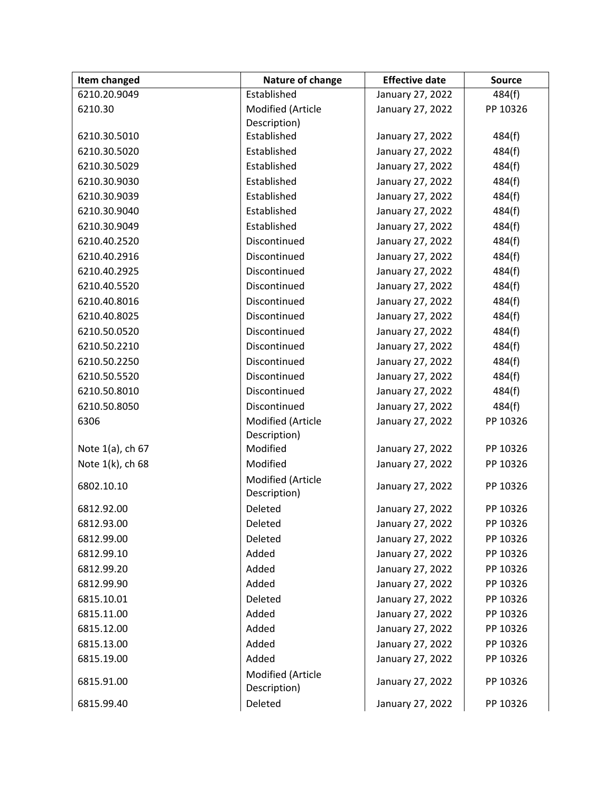| <b>Item changed</b> | Nature of change                  | <b>Effective date</b> | <b>Source</b> |
|---------------------|-----------------------------------|-----------------------|---------------|
| 6210.20.9049        | Established                       | January 27, 2022      | 484(f)        |
| 6210.30             | Modified (Article                 | January 27, 2022      | PP 10326      |
|                     | Description)                      |                       |               |
| 6210.30.5010        | Established                       | January 27, 2022      | 484(f)        |
| 6210.30.5020        | Established                       | January 27, 2022      | 484(f)        |
| 6210.30.5029        | Established                       | January 27, 2022      | 484(f)        |
| 6210.30.9030        | Established                       | January 27, 2022      | 484(f)        |
| 6210.30.9039        | Established                       | January 27, 2022      | 484(f)        |
| 6210.30.9040        | Established                       | January 27, 2022      | 484(f)        |
| 6210.30.9049        | Established                       | January 27, 2022      | 484(f)        |
| 6210.40.2520        | Discontinued                      | January 27, 2022      | 484(f)        |
| 6210.40.2916        | Discontinued                      | January 27, 2022      | 484(f)        |
| 6210.40.2925        | Discontinued                      | January 27, 2022      | 484(f)        |
| 6210.40.5520        | Discontinued                      | January 27, 2022      | 484(f)        |
| 6210.40.8016        | Discontinued                      | January 27, 2022      | 484(f)        |
| 6210.40.8025        | Discontinued                      | January 27, 2022      | 484(f)        |
| 6210.50.0520        | Discontinued                      | January 27, 2022      | 484(f)        |
| 6210.50.2210        | Discontinued                      | January 27, 2022      | 484(f)        |
| 6210.50.2250        | Discontinued                      | January 27, 2022      | 484(f)        |
| 6210.50.5520        | Discontinued                      | January 27, 2022      | 484(f)        |
| 6210.50.8010        | Discontinued                      | January 27, 2022      | 484(f)        |
| 6210.50.8050        | Discontinued                      | January 27, 2022      | 484(f)        |
| 6306                | Modified (Article                 | January 27, 2022      | PP 10326      |
|                     | Description)                      |                       |               |
| Note 1(a), ch 67    | Modified                          | January 27, 2022      | PP 10326      |
| Note 1(k), ch 68    | Modified                          | January 27, 2022      | PP 10326      |
| 6802.10.10          | Modified (Article<br>Description) | January 27, 2022      | PP 10326      |
| 6812.92.00          | Deleted                           | January 27, 2022      | PP 10326      |
| 6812.93.00          | Deleted                           | January 27, 2022      | PP 10326      |
| 6812.99.00          | Deleted                           | January 27, 2022      | PP 10326      |
| 6812.99.10          | Added                             | January 27, 2022      | PP 10326      |
| 6812.99.20          | Added                             | January 27, 2022      | PP 10326      |
| 6812.99.90          | Added                             | January 27, 2022      | PP 10326      |
| 6815.10.01          | Deleted                           | January 27, 2022      | PP 10326      |
| 6815.11.00          | Added                             | January 27, 2022      | PP 10326      |
| 6815.12.00          | Added                             | January 27, 2022      | PP 10326      |
| 6815.13.00          | Added                             | January 27, 2022      | PP 10326      |
| 6815.19.00          | Added                             | January 27, 2022      | PP 10326      |
| 6815.91.00          | Modified (Article<br>Description) | January 27, 2022      | PP 10326      |
| 6815.99.40          | Deleted                           | January 27, 2022      | PP 10326      |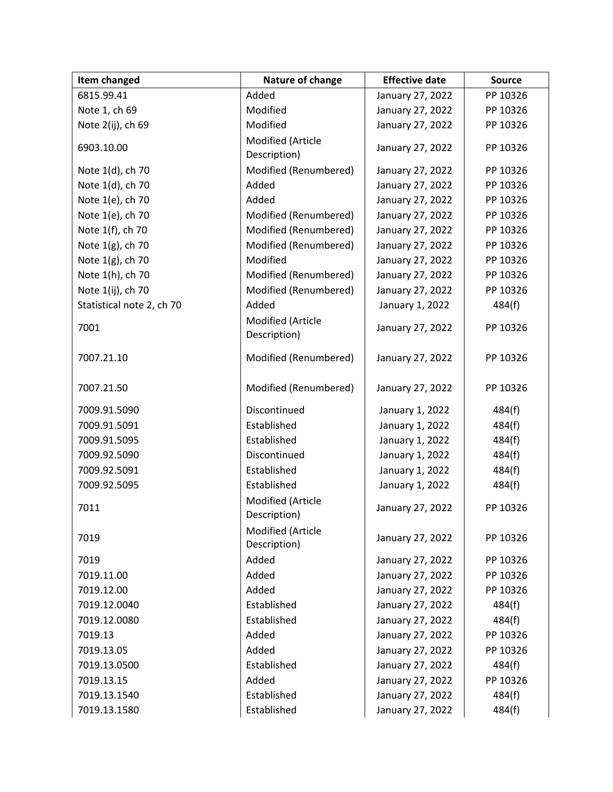| Item changed              | Nature of change                  | <b>Effective date</b> | <b>Source</b> |
|---------------------------|-----------------------------------|-----------------------|---------------|
| 6815.99.41                | Added                             | January 27, 2022      | PP 10326      |
| Note 1, ch 69             | Modified                          | January 27, 2022      | PP 10326      |
| Note 2(ij), ch 69         | Modified                          | January 27, 2022      | PP 10326      |
| 6903.10.00                | Modified (Article<br>Description) | January 27, 2022      | PP 10326      |
| Note 1(d), ch 70          | Modified (Renumbered)             | January 27, 2022      | PP 10326      |
| Note 1(d), ch 70          | Added                             | January 27, 2022      | PP 10326      |
| Note 1(e), ch 70          | Added                             | January 27, 2022      | PP 10326      |
| Note 1(e), ch 70          | Modified (Renumbered)             | January 27, 2022      | PP 10326      |
| Note 1(f), ch 70          | Modified (Renumbered)             | January 27, 2022      | PP 10326      |
| Note 1(g), ch 70          | Modified (Renumbered)             | January 27, 2022      | PP 10326      |
| Note 1(g), ch 70          | Modified                          | January 27, 2022      | PP 10326      |
| Note 1(h), ch 70          | Modified (Renumbered)             | January 27, 2022      | PP 10326      |
| Note 1(ij), ch 70         | Modified (Renumbered)             | January 27, 2022      | PP 10326      |
| Statistical note 2, ch 70 | Added                             | January 1, 2022       | 484(f)        |
| 7001                      | Modified (Article<br>Description) | January 27, 2022      | PP 10326      |
| 7007.21.10                | Modified (Renumbered)             | January 27, 2022      | PP 10326      |
| 7007.21.50                | Modified (Renumbered)             | January 27, 2022      | PP 10326      |
| 7009.91.5090              | Discontinued                      | January 1, 2022       | 484(f)        |
| 7009.91.5091              | Established                       | January 1, 2022       | 484(f)        |
| 7009.91.5095              | Established                       | January 1, 2022       | 484(f)        |
| 7009.92.5090              | Discontinued                      | January 1, 2022       | 484(f)        |
| 7009.92.5091              | Established                       | January 1, 2022       | 484(f)        |
| 7009.92.5095              | Established                       | January 1, 2022       | 484(f)        |
| 7011                      | Modified (Article<br>Description) | January 27, 2022      | PP 10326      |
| 7019                      | Modified (Article<br>Description) | January 27, 2022      | PP 10326      |
| 7019                      | Added                             | January 27, 2022      | PP 10326      |
| 7019.11.00                | Added                             | January 27, 2022      | PP 10326      |
| 7019.12.00                | Added                             | January 27, 2022      | PP 10326      |
| 7019.12.0040              | Established                       | January 27, 2022      | 484(f)        |
| 7019.12.0080              | Established                       | January 27, 2022      | 484(f)        |
| 7019.13                   | Added                             | January 27, 2022      | PP 10326      |
| 7019.13.05                | Added                             | January 27, 2022      | PP 10326      |
| 7019.13.0500              | Established                       | January 27, 2022      | 484(f)        |
| 7019.13.15                | Added                             | January 27, 2022      | PP 10326      |
| 7019.13.1540              | Established                       | January 27, 2022      | 484(f)        |
| 7019.13.1580              | Established                       | January 27, 2022      | 484(f)        |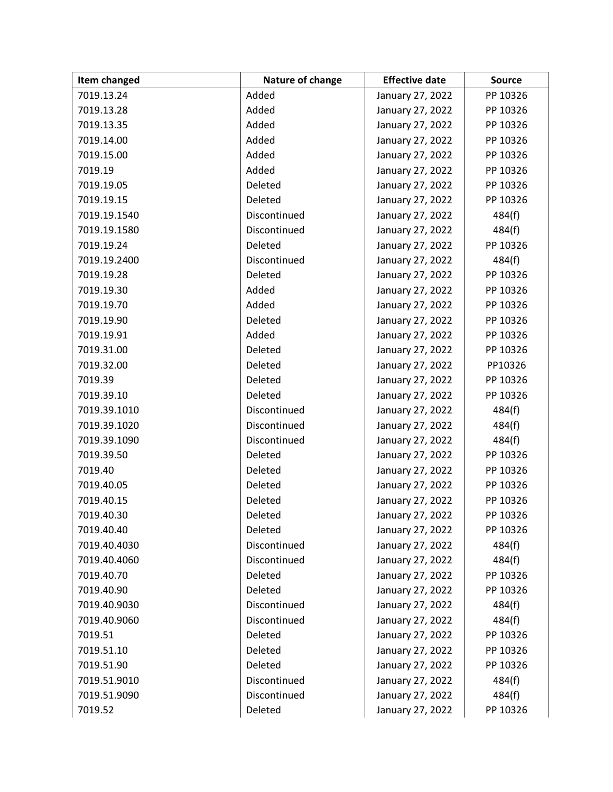| Item changed | Nature of change | <b>Effective date</b> | <b>Source</b> |
|--------------|------------------|-----------------------|---------------|
| 7019.13.24   | Added            | January 27, 2022      | PP 10326      |
| 7019.13.28   | Added            | January 27, 2022      | PP 10326      |
| 7019.13.35   | Added            | January 27, 2022      | PP 10326      |
| 7019.14.00   | Added            | January 27, 2022      | PP 10326      |
| 7019.15.00   | Added            | January 27, 2022      | PP 10326      |
| 7019.19      | Added            | January 27, 2022      | PP 10326      |
| 7019.19.05   | Deleted          | January 27, 2022      | PP 10326      |
| 7019.19.15   | Deleted          | January 27, 2022      | PP 10326      |
| 7019.19.1540 | Discontinued     | January 27, 2022      | 484(f)        |
| 7019.19.1580 | Discontinued     | January 27, 2022      | 484(f)        |
| 7019.19.24   | Deleted          | January 27, 2022      | PP 10326      |
| 7019.19.2400 | Discontinued     | January 27, 2022      | 484(f)        |
| 7019.19.28   | Deleted          | January 27, 2022      | PP 10326      |
| 7019.19.30   | Added            | January 27, 2022      | PP 10326      |
| 7019.19.70   | Added            | January 27, 2022      | PP 10326      |
| 7019.19.90   | Deleted          | January 27, 2022      | PP 10326      |
| 7019.19.91   | Added            | January 27, 2022      | PP 10326      |
| 7019.31.00   | Deleted          | January 27, 2022      | PP 10326      |
| 7019.32.00   | Deleted          | January 27, 2022      | PP10326       |
| 7019.39      | Deleted          | January 27, 2022      | PP 10326      |
| 7019.39.10   | Deleted          | January 27, 2022      | PP 10326      |
| 7019.39.1010 | Discontinued     | January 27, 2022      | 484(f)        |
| 7019.39.1020 | Discontinued     | January 27, 2022      | 484(f)        |
| 7019.39.1090 | Discontinued     | January 27, 2022      | 484(f)        |
| 7019.39.50   | Deleted          | January 27, 2022      | PP 10326      |
| 7019.40      | Deleted          | January 27, 2022      | PP 10326      |
| 7019.40.05   | Deleted          | January 27, 2022      | PP 10326      |
| 7019.40.15   | Deleted          | January 27, 2022      | PP 10326      |
| 7019.40.30   | Deleted          | January 27, 2022      | PP 10326      |
| 7019.40.40   | Deleted          | January 27, 2022      | PP 10326      |
| 7019.40.4030 | Discontinued     | January 27, 2022      | 484(f)        |
| 7019.40.4060 | Discontinued     | January 27, 2022      | 484(f)        |
| 7019.40.70   | Deleted          | January 27, 2022      | PP 10326      |
| 7019.40.90   | Deleted          | January 27, 2022      | PP 10326      |
| 7019.40.9030 | Discontinued     | January 27, 2022      | 484(f)        |
| 7019.40.9060 | Discontinued     | January 27, 2022      | 484(f)        |
| 7019.51      | Deleted          | January 27, 2022      | PP 10326      |
| 7019.51.10   | Deleted          | January 27, 2022      | PP 10326      |
| 7019.51.90   | Deleted          | January 27, 2022      | PP 10326      |
| 7019.51.9010 | Discontinued     | January 27, 2022      | 484(f)        |
| 7019.51.9090 | Discontinued     | January 27, 2022      | 484(f)        |
| 7019.52      | Deleted          | January 27, 2022      | PP 10326      |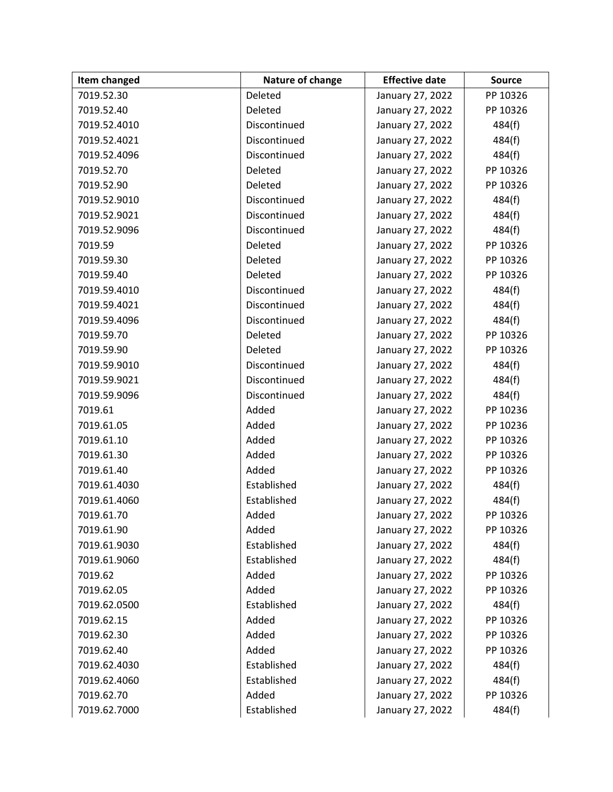| Item changed | Nature of change | <b>Effective date</b> | <b>Source</b> |
|--------------|------------------|-----------------------|---------------|
| 7019.52.30   | Deleted          | January 27, 2022      | PP 10326      |
| 7019.52.40   | Deleted          | January 27, 2022      | PP 10326      |
| 7019.52.4010 | Discontinued     | January 27, 2022      | 484(f)        |
| 7019.52.4021 | Discontinued     | January 27, 2022      | 484(f)        |
| 7019.52.4096 | Discontinued     | January 27, 2022      | 484(f)        |
| 7019.52.70   | Deleted          | January 27, 2022      | PP 10326      |
| 7019.52.90   | Deleted          | January 27, 2022      | PP 10326      |
| 7019.52.9010 | Discontinued     | January 27, 2022      | 484(f)        |
| 7019.52.9021 | Discontinued     | January 27, 2022      | 484(f)        |
| 7019.52.9096 | Discontinued     | January 27, 2022      | 484(f)        |
| 7019.59      | Deleted          | January 27, 2022      | PP 10326      |
| 7019.59.30   | Deleted          | January 27, 2022      | PP 10326      |
| 7019.59.40   | Deleted          | January 27, 2022      | PP 10326      |
| 7019.59.4010 | Discontinued     | January 27, 2022      | 484(f)        |
| 7019.59.4021 | Discontinued     | January 27, 2022      | 484(f)        |
| 7019.59.4096 | Discontinued     | January 27, 2022      | 484(f)        |
| 7019.59.70   | Deleted          | January 27, 2022      | PP 10326      |
| 7019.59.90   | Deleted          | January 27, 2022      | PP 10326      |
| 7019.59.9010 | Discontinued     | January 27, 2022      | 484(f)        |
| 7019.59.9021 | Discontinued     | January 27, 2022      | 484(f)        |
| 7019.59.9096 | Discontinued     | January 27, 2022      | 484(f)        |
| 7019.61      | Added            | January 27, 2022      | PP 10236      |
| 7019.61.05   | Added            | January 27, 2022      | PP 10236      |
| 7019.61.10   | Added            | January 27, 2022      | PP 10326      |
| 7019.61.30   | Added            | January 27, 2022      | PP 10326      |
| 7019.61.40   | Added            | January 27, 2022      | PP 10326      |
| 7019.61.4030 | Established      | January 27, 2022      | 484(f)        |
| 7019.61.4060 | Established      | January 27, 2022      | 484(f)        |
| 7019.61.70   | Added            | January 27, 2022      | PP 10326      |
| 7019.61.90   | Added            | January 27, 2022      | PP 10326      |
| 7019.61.9030 | Established      | January 27, 2022      | 484(f)        |
| 7019.61.9060 | Established      | January 27, 2022      | 484(f)        |
| 7019.62      | Added            | January 27, 2022      | PP 10326      |
| 7019.62.05   | Added            | January 27, 2022      | PP 10326      |
| 7019.62.0500 | Established      | January 27, 2022      | 484(f)        |
| 7019.62.15   | Added            | January 27, 2022      | PP 10326      |
| 7019.62.30   | Added            | January 27, 2022      | PP 10326      |
| 7019.62.40   | Added            | January 27, 2022      | PP 10326      |
| 7019.62.4030 | Established      | January 27, 2022      | 484(f)        |
| 7019.62.4060 | Established      | January 27, 2022      | 484(f)        |
| 7019.62.70   | Added            | January 27, 2022      | PP 10326      |
| 7019.62.7000 | Established      | January 27, 2022      | 484(f)        |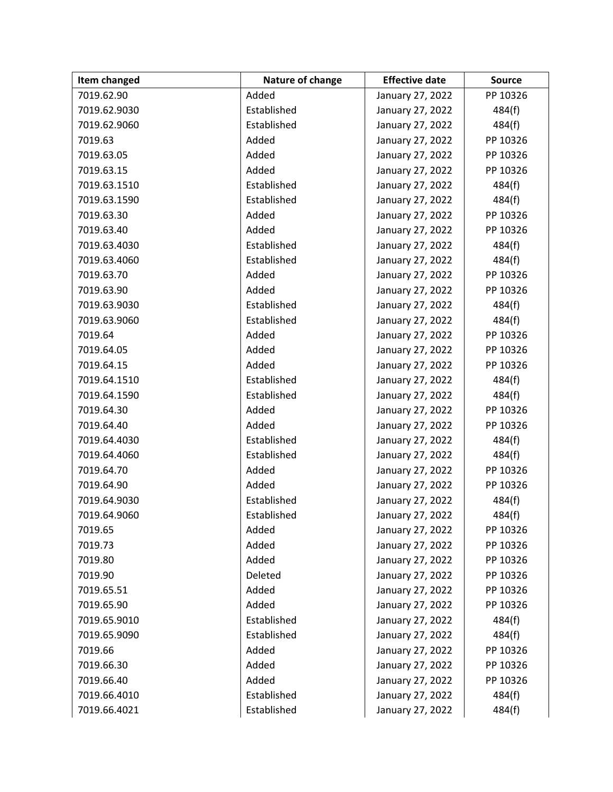| Item changed | Nature of change | <b>Effective date</b> | <b>Source</b> |
|--------------|------------------|-----------------------|---------------|
| 7019.62.90   | Added            | January 27, 2022      | PP 10326      |
| 7019.62.9030 | Established      | January 27, 2022      | 484(f)        |
| 7019.62.9060 | Established      | January 27, 2022      | 484(f)        |
| 7019.63      | Added            | January 27, 2022      | PP 10326      |
| 7019.63.05   | Added            | January 27, 2022      | PP 10326      |
| 7019.63.15   | Added            | January 27, 2022      | PP 10326      |
| 7019.63.1510 | Established      | January 27, 2022      | 484(f)        |
| 7019.63.1590 | Established      | January 27, 2022      | 484(f)        |
| 7019.63.30   | Added            | January 27, 2022      | PP 10326      |
| 7019.63.40   | Added            | January 27, 2022      | PP 10326      |
| 7019.63.4030 | Established      | January 27, 2022      | 484(f)        |
| 7019.63.4060 | Established      | January 27, 2022      | 484(f)        |
| 7019.63.70   | Added            | January 27, 2022      | PP 10326      |
| 7019.63.90   | Added            | January 27, 2022      | PP 10326      |
| 7019.63.9030 | Established      | January 27, 2022      | 484(f)        |
| 7019.63.9060 | Established      | January 27, 2022      | 484(f)        |
| 7019.64      | Added            | January 27, 2022      | PP 10326      |
| 7019.64.05   | Added            | January 27, 2022      | PP 10326      |
| 7019.64.15   | Added            | January 27, 2022      | PP 10326      |
| 7019.64.1510 | Established      | January 27, 2022      | 484(f)        |
| 7019.64.1590 | Established      | January 27, 2022      | 484(f)        |
| 7019.64.30   | Added            | January 27, 2022      | PP 10326      |
| 7019.64.40   | Added            | January 27, 2022      | PP 10326      |
| 7019.64.4030 | Established      | January 27, 2022      | 484(f)        |
| 7019.64.4060 | Established      | January 27, 2022      | 484(f)        |
| 7019.64.70   | Added            | January 27, 2022      | PP 10326      |
| 7019.64.90   | Added            | January 27, 2022      | PP 10326      |
| 7019.64.9030 | Established      | January 27, 2022      | 484(f)        |
| 7019.64.9060 | Established      | January 27, 2022      | 484(f)        |
| 7019.65      | Added            | January 27, 2022      | PP 10326      |
| 7019.73      | Added            | January 27, 2022      | PP 10326      |
| 7019.80      | Added            | January 27, 2022      | PP 10326      |
| 7019.90      | Deleted          | January 27, 2022      | PP 10326      |
| 7019.65.51   | Added            | January 27, 2022      | PP 10326      |
| 7019.65.90   | Added            | January 27, 2022      | PP 10326      |
| 7019.65.9010 | Established      | January 27, 2022      | 484(f)        |
| 7019.65.9090 | Established      | January 27, 2022      | 484(f)        |
| 7019.66      | Added            | January 27, 2022      | PP 10326      |
| 7019.66.30   | Added            | January 27, 2022      | PP 10326      |
| 7019.66.40   | Added            | January 27, 2022      | PP 10326      |
| 7019.66.4010 | Established      | January 27, 2022      | 484(f)        |
| 7019.66.4021 | Established      | January 27, 2022      | 484(f)        |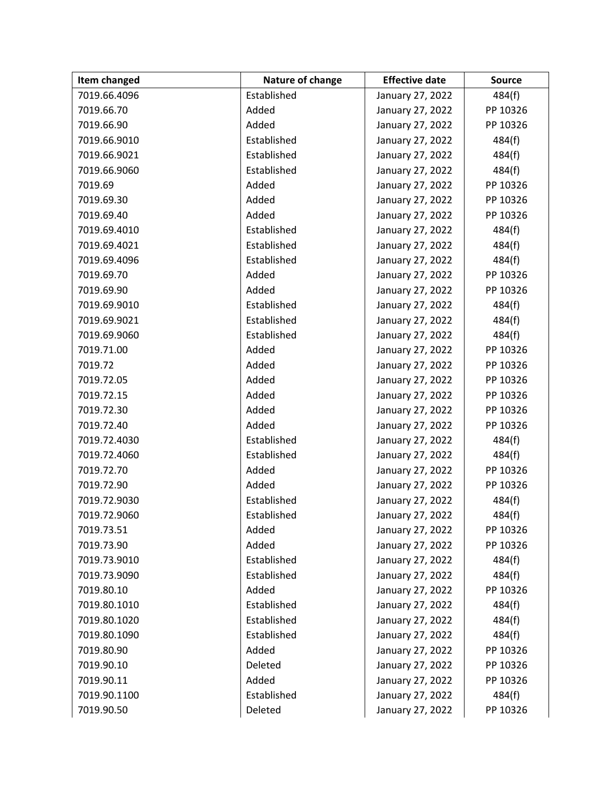| Item changed | Nature of change | <b>Effective date</b> | <b>Source</b> |
|--------------|------------------|-----------------------|---------------|
| 7019.66.4096 | Established      | January 27, 2022      | 484(f)        |
| 7019.66.70   | Added            | January 27, 2022      | PP 10326      |
| 7019.66.90   | Added            | January 27, 2022      | PP 10326      |
| 7019.66.9010 | Established      | January 27, 2022      | 484(f)        |
| 7019.66.9021 | Established      | January 27, 2022      | 484(f)        |
| 7019.66.9060 | Established      | January 27, 2022      | 484(f)        |
| 7019.69      | Added            | January 27, 2022      | PP 10326      |
| 7019.69.30   | Added            | January 27, 2022      | PP 10326      |
| 7019.69.40   | Added            | January 27, 2022      | PP 10326      |
| 7019.69.4010 | Established      | January 27, 2022      | 484(f)        |
| 7019.69.4021 | Established      | January 27, 2022      | 484(f)        |
| 7019.69.4096 | Established      | January 27, 2022      | 484(f)        |
| 7019.69.70   | Added            | January 27, 2022      | PP 10326      |
| 7019.69.90   | Added            | January 27, 2022      | PP 10326      |
| 7019.69.9010 | Established      | January 27, 2022      | 484(f)        |
| 7019.69.9021 | Established      | January 27, 2022      | 484(f)        |
| 7019.69.9060 | Established      | January 27, 2022      | 484(f)        |
| 7019.71.00   | Added            | January 27, 2022      | PP 10326      |
| 7019.72      | Added            | January 27, 2022      | PP 10326      |
| 7019.72.05   | Added            | January 27, 2022      | PP 10326      |
| 7019.72.15   | Added            | January 27, 2022      | PP 10326      |
| 7019.72.30   | Added            | January 27, 2022      | PP 10326      |
| 7019.72.40   | Added            | January 27, 2022      | PP 10326      |
| 7019.72.4030 | Established      | January 27, 2022      | 484(f)        |
| 7019.72.4060 | Established      | January 27, 2022      | 484(f)        |
| 7019.72.70   | Added            | January 27, 2022      | PP 10326      |
| 7019.72.90   | Added            | January 27, 2022      | PP 10326      |
| 7019.72.9030 | Established      | January 27, 2022      | 484(f)        |
| 7019.72.9060 | Established      | January 27, 2022      | 484(f)        |
| 7019.73.51   | Added            | January 27, 2022      | PP 10326      |
| 7019.73.90   | Added            | January 27, 2022      | PP 10326      |
| 7019.73.9010 | Established      | January 27, 2022      | 484(f)        |
| 7019.73.9090 | Established      | January 27, 2022      | 484(f)        |
| 7019.80.10   | Added            | January 27, 2022      | PP 10326      |
| 7019.80.1010 | Established      | January 27, 2022      | 484(f)        |
| 7019.80.1020 | Established      | January 27, 2022      | 484(f)        |
| 7019.80.1090 | Established      | January 27, 2022      | 484(f)        |
| 7019.80.90   | Added            | January 27, 2022      | PP 10326      |
| 7019.90.10   | Deleted          | January 27, 2022      | PP 10326      |
| 7019.90.11   | Added            | January 27, 2022      | PP 10326      |
| 7019.90.1100 | Established      | January 27, 2022      | 484(f)        |
| 7019.90.50   | Deleted          | January 27, 2022      | PP 10326      |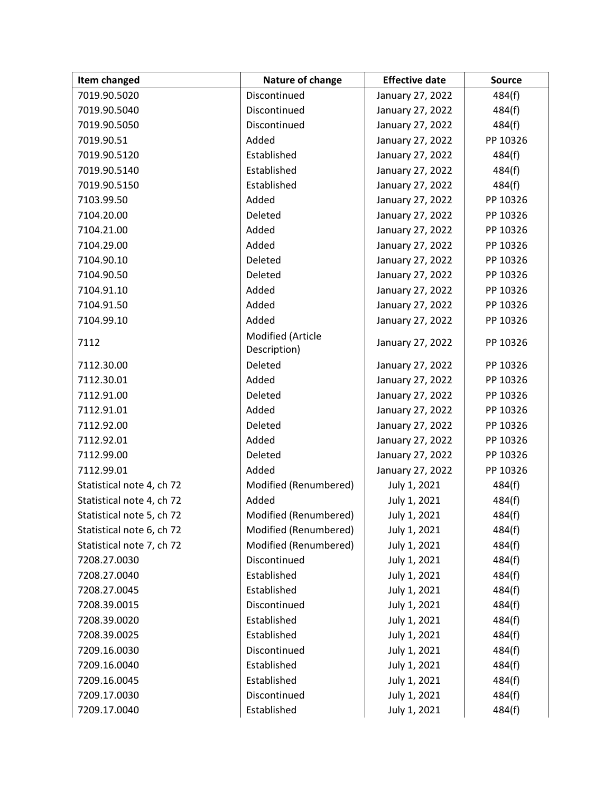| Item changed              | Nature of change      | <b>Effective date</b> | <b>Source</b> |
|---------------------------|-----------------------|-----------------------|---------------|
| 7019.90.5020              | Discontinued          | January 27, 2022      | 484(f)        |
| 7019.90.5040              | Discontinued          | January 27, 2022      | 484(f)        |
| 7019.90.5050              | Discontinued          | January 27, 2022      | 484(f)        |
| 7019.90.51                | Added                 | January 27, 2022      | PP 10326      |
| 7019.90.5120              | Established           | January 27, 2022      | 484(f)        |
| 7019.90.5140              | Established           | January 27, 2022      | 484(f)        |
| 7019.90.5150              | Established           | January 27, 2022      | 484(f)        |
| 7103.99.50                | Added                 | January 27, 2022      | PP 10326      |
| 7104.20.00                | Deleted               | January 27, 2022      | PP 10326      |
| 7104.21.00                | Added                 | January 27, 2022      | PP 10326      |
| 7104.29.00                | Added                 | January 27, 2022      | PP 10326      |
| 7104.90.10                | Deleted               | January 27, 2022      | PP 10326      |
| 7104.90.50                | Deleted               | January 27, 2022      | PP 10326      |
| 7104.91.10                | Added                 | January 27, 2022      | PP 10326      |
| 7104.91.50                | Added                 | January 27, 2022      | PP 10326      |
| 7104.99.10                | Added                 | January 27, 2022      | PP 10326      |
| 7112                      | Modified (Article     | January 27, 2022      | PP 10326      |
|                           | Description)          |                       |               |
| 7112.30.00                | Deleted               | January 27, 2022      | PP 10326      |
| 7112.30.01                | Added                 | January 27, 2022      | PP 10326      |
| 7112.91.00                | Deleted               | January 27, 2022      | PP 10326      |
| 7112.91.01                | Added                 | January 27, 2022      | PP 10326      |
| 7112.92.00                | Deleted               | January 27, 2022      | PP 10326      |
| 7112.92.01                | Added                 | January 27, 2022      | PP 10326      |
| 7112.99.00                | Deleted               | January 27, 2022      | PP 10326      |
| 7112.99.01                | Added                 | January 27, 2022      | PP 10326      |
| Statistical note 4, ch 72 | Modified (Renumbered) | July 1, 2021          | 484(f)        |
| Statistical note 4, ch 72 | Added                 | July 1, 2021          | 484(f)        |
| Statistical note 5, ch 72 | Modified (Renumbered) | July 1, 2021          | 484(f)        |
| Statistical note 6, ch 72 | Modified (Renumbered) | July 1, 2021          | 484(f)        |
| Statistical note 7, ch 72 | Modified (Renumbered) | July 1, 2021          | 484(f)        |
| 7208.27.0030              | Discontinued          | July 1, 2021          | 484(f)        |
| 7208.27.0040              | Established           | July 1, 2021          | 484(f)        |
| 7208.27.0045              | Established           | July 1, 2021          | 484(f)        |
| 7208.39.0015              | Discontinued          | July 1, 2021          | 484(f)        |
| 7208.39.0020              | Established           | July 1, 2021          | 484(f)        |
| 7208.39.0025              | Established           | July 1, 2021          | 484(f)        |
| 7209.16.0030              | Discontinued          | July 1, 2021          | 484(f)        |
| 7209.16.0040              | Established           | July 1, 2021          | 484(f)        |
| 7209.16.0045              | Established           | July 1, 2021          | 484(f)        |
| 7209.17.0030              | Discontinued          | July 1, 2021          | 484(f)        |
| 7209.17.0040              | Established           | July 1, 2021          | 484(f)        |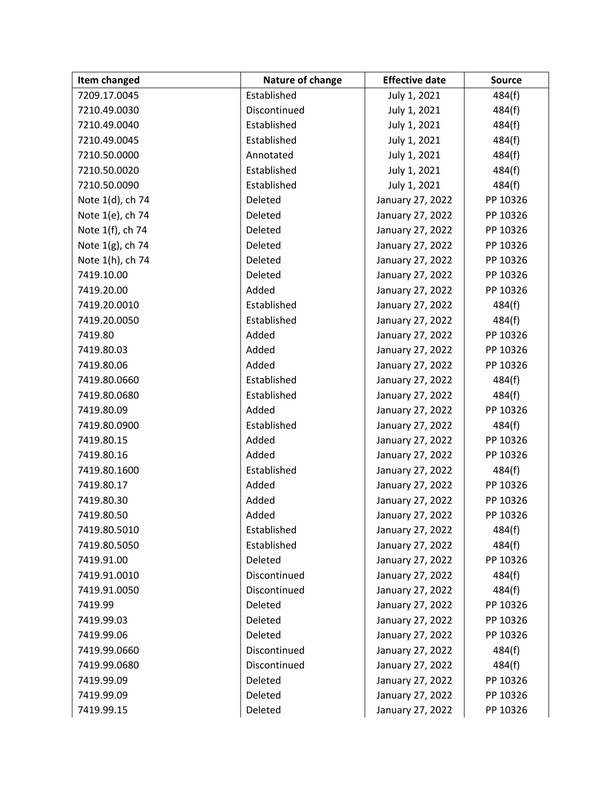| Item changed     | Nature of change | <b>Effective date</b> | <b>Source</b> |
|------------------|------------------|-----------------------|---------------|
| 7209.17.0045     | Established      | July 1, 2021          | 484(f)        |
| 7210.49.0030     | Discontinued     | July 1, 2021          | 484(f)        |
| 7210.49.0040     | Established      | July 1, 2021          | 484(f)        |
| 7210.49.0045     | Established      | July 1, 2021          | 484(f)        |
| 7210.50.0000     | Annotated        | July 1, 2021          | 484(f)        |
| 7210.50.0020     | Established      | July 1, 2021          | 484(f)        |
| 7210.50.0090     | Established      | July 1, 2021          | 484(f)        |
| Note 1(d), ch 74 | Deleted          | January 27, 2022      | PP 10326      |
| Note 1(e), ch 74 | Deleted          | January 27, 2022      | PP 10326      |
| Note 1(f), ch 74 | Deleted          | January 27, 2022      | PP 10326      |
| Note 1(g), ch 74 | Deleted          | January 27, 2022      | PP 10326      |
| Note 1(h), ch 74 | Deleted          | January 27, 2022      | PP 10326      |
| 7419.10.00       | Deleted          | January 27, 2022      | PP 10326      |
| 7419.20.00       | Added            | January 27, 2022      | PP 10326      |
| 7419.20.0010     | Established      | January 27, 2022      | 484(f)        |
| 7419.20.0050     | Established      | January 27, 2022      | 484(f)        |
| 7419.80          | Added            | January 27, 2022      | PP 10326      |
| 7419.80.03       | Added            | January 27, 2022      | PP 10326      |
| 7419.80.06       | Added            | January 27, 2022      | PP 10326      |
| 7419.80.0660     | Established      | January 27, 2022      | 484(f)        |
| 7419.80.0680     | Established      | January 27, 2022      | 484(f)        |
| 7419.80.09       | Added            | January 27, 2022      | PP 10326      |
| 7419.80.0900     | Established      | January 27, 2022      | 484(f)        |
| 7419.80.15       | Added            | January 27, 2022      | PP 10326      |
| 7419.80.16       | Added            | January 27, 2022      | PP 10326      |
| 7419.80.1600     | Established      | January 27, 2022      | 484(f)        |
| 7419.80.17       | Added            | January 27, 2022      | PP 10326      |
| 7419.80.30       | Added            | January 27, 2022      | PP 10326      |
| 7419.80.50       | Added            | January 27, 2022      | PP 10326      |
| 7419.80.5010     | Established      | January 27, 2022      | 484(f)        |
| 7419.80.5050     | Established      | January 27, 2022      | 484(f)        |
| 7419.91.00       | Deleted          | January 27, 2022      | PP 10326      |
| 7419.91.0010     | Discontinued     | January 27, 2022      | 484(f)        |
| 7419.91.0050     | Discontinued     | January 27, 2022      | 484(f)        |
| 7419.99          | Deleted          | January 27, 2022      | PP 10326      |
| 7419.99.03       | Deleted          | January 27, 2022      | PP 10326      |
| 7419.99.06       | Deleted          | January 27, 2022      | PP 10326      |
| 7419.99.0660     | Discontinued     | January 27, 2022      | 484(f)        |
| 7419.99.0680     | Discontinued     | January 27, 2022      | 484(f)        |
| 7419.99.09       | Deleted          | January 27, 2022      | PP 10326      |
| 7419.99.09       | Deleted          | January 27, 2022      | PP 10326      |
| 7419.99.15       | Deleted          | January 27, 2022      | PP 10326      |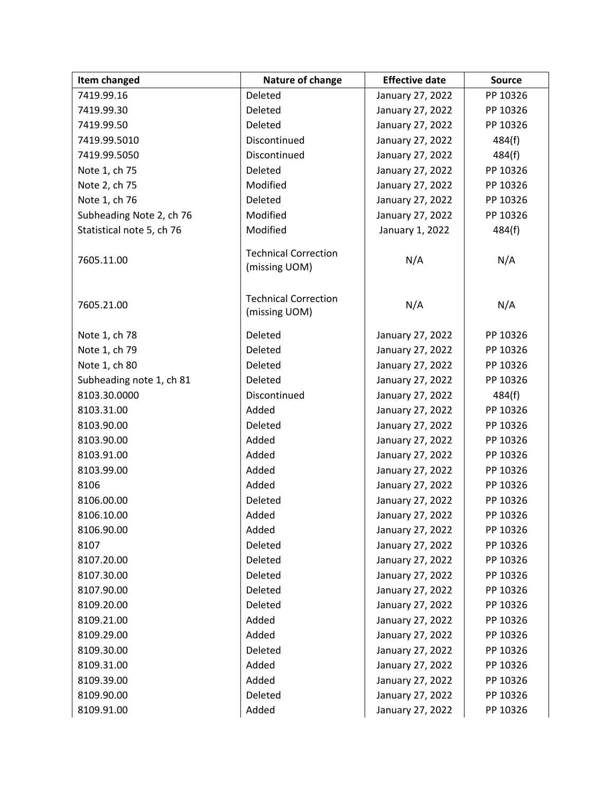| Item changed              | Nature of change                             | <b>Effective date</b> | <b>Source</b> |
|---------------------------|----------------------------------------------|-----------------------|---------------|
| 7419.99.16                | Deleted                                      | January 27, 2022      | PP 10326      |
| 7419.99.30                | Deleted                                      | January 27, 2022      | PP 10326      |
| 7419.99.50                | Deleted                                      | January 27, 2022      | PP 10326      |
| 7419.99.5010              | Discontinued                                 | January 27, 2022      | 484(f)        |
| 7419.99.5050              | Discontinued                                 | January 27, 2022      | 484(f)        |
| Note 1, ch 75             | Deleted                                      | January 27, 2022      | PP 10326      |
| Note 2, ch 75             | Modified                                     | January 27, 2022      | PP 10326      |
| Note 1, ch 76             | Deleted                                      | January 27, 2022      | PP 10326      |
| Subheading Note 2, ch 76  | Modified                                     | January 27, 2022      | PP 10326      |
| Statistical note 5, ch 76 | Modified                                     | January 1, 2022       | 484(f)        |
| 7605.11.00                | <b>Technical Correction</b><br>(missing UOM) | N/A                   | N/A           |
| 7605.21.00                | <b>Technical Correction</b><br>(missing UOM) | N/A                   | N/A           |
| Note 1, ch 78             | Deleted                                      | January 27, 2022      | PP 10326      |
| Note 1, ch 79             | Deleted                                      | January 27, 2022      | PP 10326      |
| Note 1, ch 80             | Deleted                                      | January 27, 2022      | PP 10326      |
| Subheading note 1, ch 81  | Deleted                                      | January 27, 2022      | PP 10326      |
| 8103.30.0000              | Discontinued                                 | January 27, 2022      | 484(f)        |
| 8103.31.00                | Added                                        | January 27, 2022      | PP 10326      |
| 8103.90.00                | Deleted                                      | January 27, 2022      | PP 10326      |
| 8103.90.00                | Added                                        | January 27, 2022      | PP 10326      |
| 8103.91.00                | Added                                        | January 27, 2022      | PP 10326      |
| 8103.99.00                | Added                                        | January 27, 2022      | PP 10326      |
| 8106                      | Added                                        | January 27, 2022      | PP 10326      |
| 8106.00.00                | Deleted                                      | January 27, 2022      | PP 10326      |
| 8106.10.00                | Added                                        | January 27, 2022      | PP 10326      |
| 8106.90.00                | Added                                        | January 27, 2022      | PP 10326      |
| 8107                      | Deleted                                      | January 27, 2022      | PP 10326      |
| 8107.20.00                | Deleted                                      | January 27, 2022      | PP 10326      |
| 8107.30.00                | Deleted                                      | January 27, 2022      | PP 10326      |
| 8107.90.00                | Deleted                                      | January 27, 2022      | PP 10326      |
| 8109.20.00                | Deleted                                      | January 27, 2022      | PP 10326      |
| 8109.21.00                | Added                                        | January 27, 2022      | PP 10326      |
| 8109.29.00                | Added                                        | January 27, 2022      | PP 10326      |
| 8109.30.00                | Deleted                                      | January 27, 2022      | PP 10326      |
| 8109.31.00                | Added                                        | January 27, 2022      | PP 10326      |
| 8109.39.00                | Added                                        | January 27, 2022      | PP 10326      |
| 8109.90.00                | Deleted                                      | January 27, 2022      | PP 10326      |
| 8109.91.00                | Added                                        | January 27, 2022      | PP 10326      |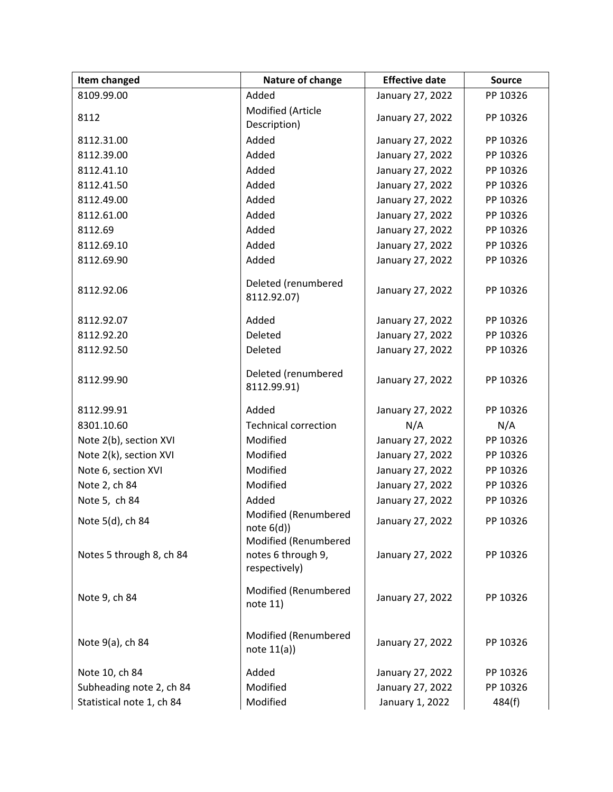| <b>Item changed</b>       | Nature of change                                            | <b>Effective date</b> | <b>Source</b> |
|---------------------------|-------------------------------------------------------------|-----------------------|---------------|
| 8109.99.00                | Added                                                       | January 27, 2022      | PP 10326      |
| 8112                      | Modified (Article<br>Description)                           | January 27, 2022      | PP 10326      |
| 8112.31.00                | Added                                                       | January 27, 2022      | PP 10326      |
| 8112.39.00                | Added                                                       | January 27, 2022      | PP 10326      |
| 8112.41.10                | Added                                                       | January 27, 2022      | PP 10326      |
| 8112.41.50                | Added                                                       | January 27, 2022      | PP 10326      |
| 8112.49.00                | Added                                                       | January 27, 2022      | PP 10326      |
| 8112.61.00                | Added                                                       | January 27, 2022      | PP 10326      |
| 8112.69                   | Added                                                       | January 27, 2022      | PP 10326      |
| 8112.69.10                | Added                                                       | January 27, 2022      | PP 10326      |
| 8112.69.90                | Added                                                       | January 27, 2022      | PP 10326      |
| 8112.92.06                | Deleted (renumbered<br>8112.92.07)                          | January 27, 2022      | PP 10326      |
| 8112.92.07                | Added                                                       | January 27, 2022      | PP 10326      |
| 8112.92.20                | Deleted                                                     | January 27, 2022      | PP 10326      |
| 8112.92.50                | Deleted                                                     | January 27, 2022      | PP 10326      |
| 8112.99.90                | Deleted (renumbered<br>8112.99.91)                          | January 27, 2022      | PP 10326      |
| 8112.99.91                | Added                                                       | January 27, 2022      | PP 10326      |
| 8301.10.60                | <b>Technical correction</b>                                 | N/A                   | N/A           |
| Note 2(b), section XVI    | Modified                                                    | January 27, 2022      | PP 10326      |
| Note 2(k), section XVI    | Modified                                                    | January 27, 2022      | PP 10326      |
| Note 6, section XVI       | Modified                                                    | January 27, 2022      | PP 10326      |
| Note 2, ch 84             | Modified                                                    | January 27, 2022      | PP 10326      |
| Note 5, ch 84             | Added                                                       | January 27, 2022      | PP 10326      |
| Note 5(d), ch 84          | Modified (Renumbered<br>note $6(d)$ )                       | January 27, 2022      | PP 10326      |
| Notes 5 through 8, ch 84  | Modified (Renumbered<br>notes 6 through 9,<br>respectively) | January 27, 2022      | PP 10326      |
| Note 9, ch 84             | Modified (Renumbered<br>note 11)                            | January 27, 2022      | PP 10326      |
| Note 9(a), ch 84          | Modified (Renumbered<br>note $11(a)$                        | January 27, 2022      | PP 10326      |
| Note 10, ch 84            | Added                                                       | January 27, 2022      | PP 10326      |
| Subheading note 2, ch 84  | Modified                                                    | January 27, 2022      | PP 10326      |
| Statistical note 1, ch 84 | Modified                                                    | January 1, 2022       | 484(f)        |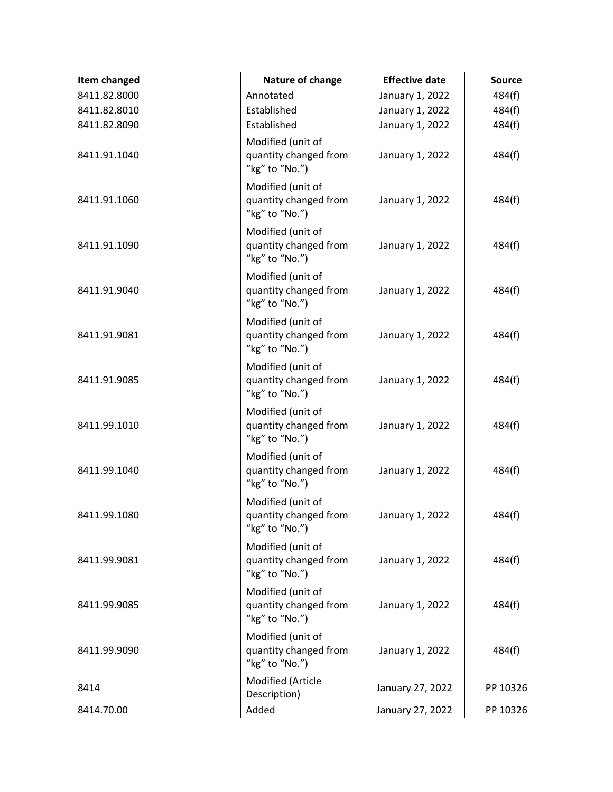| Item changed | Nature of change                                             | <b>Effective date</b> | <b>Source</b> |
|--------------|--------------------------------------------------------------|-----------------------|---------------|
| 8411.82.8000 | Annotated                                                    | January 1, 2022       | 484(f)        |
| 8411.82.8010 | Established                                                  | January 1, 2022       | 484(f)        |
| 8411.82.8090 | Established                                                  | January 1, 2022       | 484(f)        |
| 8411.91.1040 | Modified (unit of<br>quantity changed from<br>"kg" to "No.") | January 1, 2022       | 484(f)        |
| 8411.91.1060 | Modified (unit of<br>quantity changed from<br>"kg" to "No.") | January 1, 2022       | 484(f)        |
| 8411.91.1090 | Modified (unit of<br>quantity changed from<br>"kg" to "No.") | January 1, 2022       | 484(f)        |
| 8411.91.9040 | Modified (unit of<br>quantity changed from<br>"kg" to "No.") | January 1, 2022       | 484(f)        |
| 8411.91.9081 | Modified (unit of<br>quantity changed from<br>"kg" to "No.") | January 1, 2022       | 484(f)        |
| 8411.91.9085 | Modified (unit of<br>quantity changed from<br>"kg" to "No.") | January 1, 2022       | 484(f)        |
| 8411.99.1010 | Modified (unit of<br>quantity changed from<br>"kg" to "No.") | January 1, 2022       | 484(f)        |
| 8411.99.1040 | Modified (unit of<br>quantity changed from<br>"kg" to "No.") | January 1, 2022       | 484(f)        |
| 8411.99.1080 | Modified (unit of<br>quantity changed from<br>"kg" to "No.") | January 1, 2022       | 484(f)        |
| 8411.99.9081 | Modified (unit of<br>quantity changed from<br>"kg" to "No.") | January 1, 2022       | 484(f)        |
| 8411.99.9085 | Modified (unit of<br>quantity changed from<br>"kg" to "No.") | January 1, 2022       | 484(f)        |
| 8411.99.9090 | Modified (unit of<br>quantity changed from<br>"kg" to "No.") | January 1, 2022       | 484(f)        |
| 8414         | Modified (Article<br>Description)                            | January 27, 2022      | PP 10326      |
| 8414.70.00   | Added                                                        | January 27, 2022      | PP 10326      |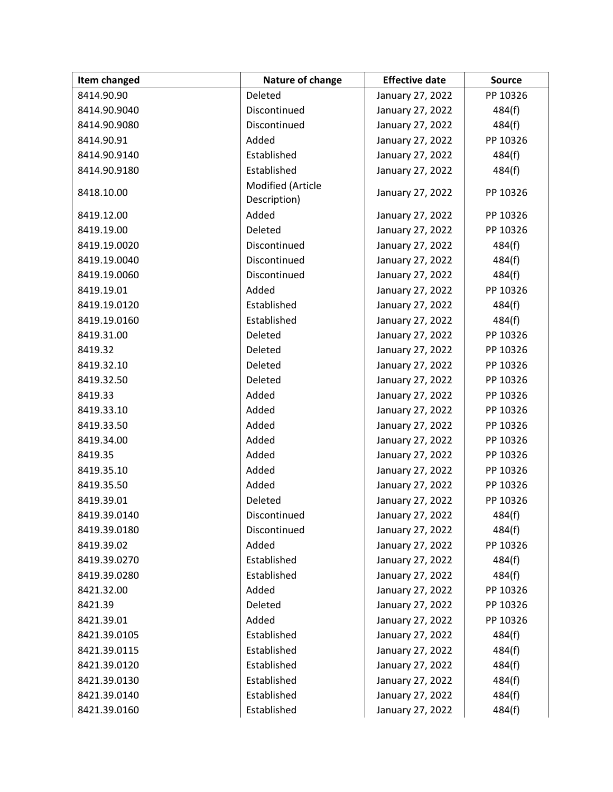| Item changed | Nature of change                  | <b>Effective date</b> | <b>Source</b> |
|--------------|-----------------------------------|-----------------------|---------------|
| 8414.90.90   | Deleted                           | January 27, 2022      | PP 10326      |
| 8414.90.9040 | Discontinued                      | January 27, 2022      | 484(f)        |
| 8414.90.9080 | Discontinued                      | January 27, 2022      | 484(f)        |
| 8414.90.91   | Added                             | January 27, 2022      | PP 10326      |
| 8414.90.9140 | Established                       | January 27, 2022      | 484(f)        |
| 8414.90.9180 | Established                       | January 27, 2022      | 484(f)        |
| 8418.10.00   | Modified (Article<br>Description) | January 27, 2022      | PP 10326      |
| 8419.12.00   | Added                             | January 27, 2022      | PP 10326      |
| 8419.19.00   | Deleted                           | January 27, 2022      | PP 10326      |
| 8419.19.0020 | Discontinued                      | January 27, 2022      | 484(f)        |
| 8419.19.0040 | Discontinued                      | January 27, 2022      | 484(f)        |
| 8419.19.0060 | Discontinued                      | January 27, 2022      | 484(f)        |
| 8419.19.01   | Added                             | January 27, 2022      | PP 10326      |
| 8419.19.0120 | Established                       | January 27, 2022      | 484(f)        |
| 8419.19.0160 | Established                       | January 27, 2022      | 484(f)        |
| 8419.31.00   | Deleted                           | January 27, 2022      | PP 10326      |
| 8419.32      | Deleted                           | January 27, 2022      | PP 10326      |
| 8419.32.10   | Deleted                           | January 27, 2022      | PP 10326      |
| 8419.32.50   | Deleted                           | January 27, 2022      | PP 10326      |
| 8419.33      | Added                             | January 27, 2022      | PP 10326      |
| 8419.33.10   | Added                             | January 27, 2022      | PP 10326      |
| 8419.33.50   | Added                             | January 27, 2022      | PP 10326      |
| 8419.34.00   | Added                             | January 27, 2022      | PP 10326      |
| 8419.35      | Added                             | January 27, 2022      | PP 10326      |
| 8419.35.10   | Added                             | January 27, 2022      | PP 10326      |
| 8419.35.50   | Added                             | January 27, 2022      | PP 10326      |
| 8419.39.01   | Deleted                           | January 27, 2022      | PP 10326      |
| 8419.39.0140 | Discontinued                      | January 27, 2022      | 484(f)        |
| 8419.39.0180 | Discontinued                      | January 27, 2022      | 484(f)        |
| 8419.39.02   | Added                             | January 27, 2022      | PP 10326      |
| 8419.39.0270 | Established                       | January 27, 2022      | 484(f)        |
| 8419.39.0280 | Established                       | January 27, 2022      | 484(f)        |
| 8421.32.00   | Added                             | January 27, 2022      | PP 10326      |
| 8421.39      | Deleted                           | January 27, 2022      | PP 10326      |
| 8421.39.01   | Added                             | January 27, 2022      | PP 10326      |
| 8421.39.0105 | Established                       | January 27, 2022      | 484(f)        |
| 8421.39.0115 | Established                       | January 27, 2022      | 484(f)        |
| 8421.39.0120 | Established                       | January 27, 2022      | 484(f)        |
| 8421.39.0130 | Established                       | January 27, 2022      | 484(f)        |
| 8421.39.0140 | Established                       | January 27, 2022      | 484(f)        |
| 8421.39.0160 | Established                       | January 27, 2022      | 484(f)        |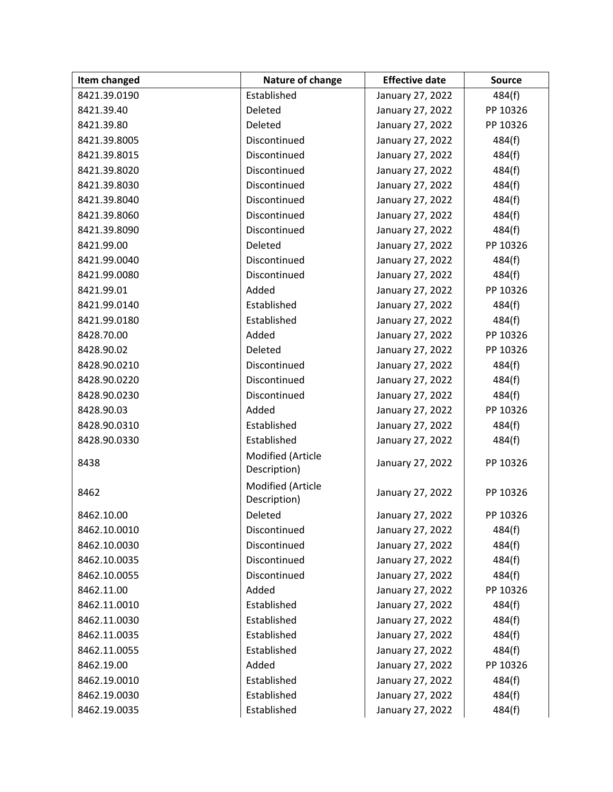| Item changed | Nature of change                  | <b>Effective date</b> | <b>Source</b> |
|--------------|-----------------------------------|-----------------------|---------------|
| 8421.39.0190 | Established                       | January 27, 2022      | 484(f)        |
| 8421.39.40   | Deleted                           | January 27, 2022      | PP 10326      |
| 8421.39.80   | Deleted                           | January 27, 2022      | PP 10326      |
| 8421.39.8005 | Discontinued                      | January 27, 2022      | 484(f)        |
| 8421.39.8015 | Discontinued                      | January 27, 2022      | 484(f)        |
| 8421.39.8020 | Discontinued                      | January 27, 2022      | 484(f)        |
| 8421.39.8030 | Discontinued                      | January 27, 2022      | 484(f)        |
| 8421.39.8040 | Discontinued                      | January 27, 2022      | 484(f)        |
| 8421.39.8060 | Discontinued                      | January 27, 2022      | 484(f)        |
| 8421.39.8090 | Discontinued                      | January 27, 2022      | 484(f)        |
| 8421.99.00   | Deleted                           | January 27, 2022      | PP 10326      |
| 8421.99.0040 | Discontinued                      | January 27, 2022      | 484(f)        |
| 8421.99.0080 | Discontinued                      | January 27, 2022      | 484(f)        |
| 8421.99.01   | Added                             | January 27, 2022      | PP 10326      |
| 8421.99.0140 | Established                       | January 27, 2022      | 484(f)        |
| 8421.99.0180 | Established                       | January 27, 2022      | 484(f)        |
| 8428.70.00   | Added                             | January 27, 2022      | PP 10326      |
| 8428.90.02   | Deleted                           | January 27, 2022      | PP 10326      |
| 8428.90.0210 | Discontinued                      | January 27, 2022      | 484(f)        |
| 8428.90.0220 | Discontinued                      | January 27, 2022      | 484(f)        |
| 8428.90.0230 | Discontinued                      | January 27, 2022      | 484(f)        |
| 8428.90.03   | Added                             | January 27, 2022      | PP 10326      |
| 8428.90.0310 | Established                       | January 27, 2022      | 484(f)        |
| 8428.90.0330 | Established                       | January 27, 2022      | 484(f)        |
| 8438         | Modified (Article<br>Description) | January 27, 2022      | PP 10326      |
| 8462         | Modified (Article<br>Description) | January 27, 2022      | PP 10326      |
| 8462.10.00   | Deleted                           | January 27, 2022      | PP 10326      |
| 8462.10.0010 | Discontinued                      | January 27, 2022      | 484(f)        |
| 8462.10.0030 | Discontinued                      | January 27, 2022      | 484(f)        |
| 8462.10.0035 | Discontinued                      | January 27, 2022      | 484(f)        |
| 8462.10.0055 | Discontinued                      | January 27, 2022      | 484(f)        |
| 8462.11.00   | Added                             | January 27, 2022      | PP 10326      |
| 8462.11.0010 | Established                       | January 27, 2022      | 484(f)        |
| 8462.11.0030 | Established                       | January 27, 2022      | 484(f)        |
| 8462.11.0035 | Established                       | January 27, 2022      | 484(f)        |
| 8462.11.0055 | Established                       | January 27, 2022      | 484(f)        |
| 8462.19.00   | Added                             | January 27, 2022      | PP 10326      |
| 8462.19.0010 | Established                       | January 27, 2022      | 484(f)        |
| 8462.19.0030 | Established                       | January 27, 2022      | 484(f)        |
| 8462.19.0035 | Established                       | January 27, 2022      | 484(f)        |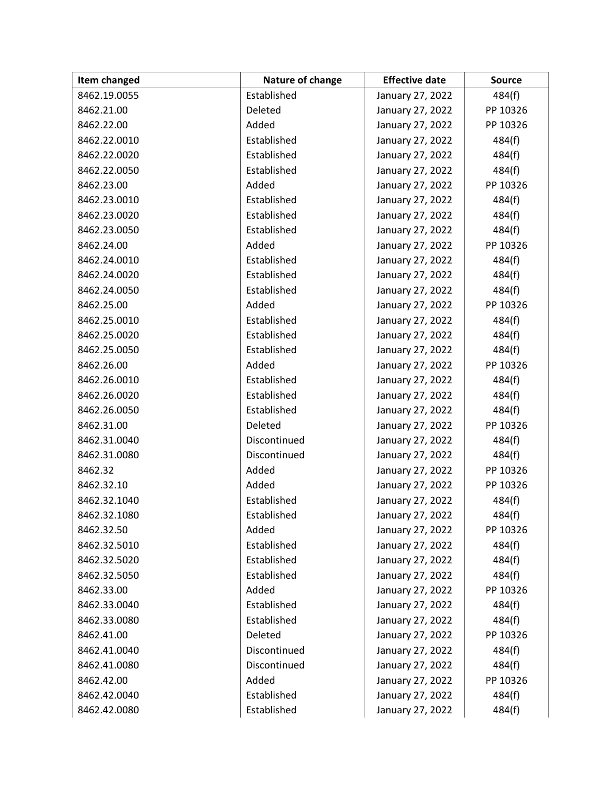| Item changed | Nature of change | <b>Effective date</b> | <b>Source</b> |
|--------------|------------------|-----------------------|---------------|
| 8462.19.0055 | Established      | January 27, 2022      | 484(f)        |
| 8462.21.00   | Deleted          | January 27, 2022      | PP 10326      |
| 8462.22.00   | Added            | January 27, 2022      | PP 10326      |
| 8462.22.0010 | Established      | January 27, 2022      | 484(f)        |
| 8462.22.0020 | Established      | January 27, 2022      | 484(f)        |
| 8462.22.0050 | Established      | January 27, 2022      | 484(f)        |
| 8462.23.00   | Added            | January 27, 2022      | PP 10326      |
| 8462.23.0010 | Established      | January 27, 2022      | 484(f)        |
| 8462.23.0020 | Established      | January 27, 2022      | 484(f)        |
| 8462.23.0050 | Established      | January 27, 2022      | 484(f)        |
| 8462.24.00   | Added            | January 27, 2022      | PP 10326      |
| 8462.24.0010 | Established      | January 27, 2022      | 484(f)        |
| 8462.24.0020 | Established      | January 27, 2022      | 484(f)        |
| 8462.24.0050 | Established      | January 27, 2022      | 484(f)        |
| 8462.25.00   | Added            | January 27, 2022      | PP 10326      |
| 8462.25.0010 | Established      | January 27, 2022      | 484(f)        |
| 8462.25.0020 | Established      | January 27, 2022      | 484(f)        |
| 8462.25.0050 | Established      | January 27, 2022      | 484(f)        |
| 8462.26.00   | Added            | January 27, 2022      | PP 10326      |
| 8462.26.0010 | Established      | January 27, 2022      | 484(f)        |
| 8462.26.0020 | Established      | January 27, 2022      | 484(f)        |
| 8462.26.0050 | Established      | January 27, 2022      | 484(f)        |
| 8462.31.00   | Deleted          | January 27, 2022      | PP 10326      |
| 8462.31.0040 | Discontinued     | January 27, 2022      | 484(f)        |
| 8462.31.0080 | Discontinued     | January 27, 2022      | 484(f)        |
| 8462.32      | Added            | January 27, 2022      | PP 10326      |
| 8462.32.10   | Added            | January 27, 2022      | PP 10326      |
| 8462.32.1040 | Established      | January 27, 2022      | 484(f)        |
| 8462.32.1080 | Established      | January 27, 2022      | 484(f)        |
| 8462.32.50   | Added            | January 27, 2022      | PP 10326      |
| 8462.32.5010 | Established      | January 27, 2022      | 484(f)        |
| 8462.32.5020 | Established      | January 27, 2022      | 484(f)        |
| 8462.32.5050 | Established      | January 27, 2022      | 484(f)        |
| 8462.33.00   | Added            | January 27, 2022      | PP 10326      |
| 8462.33.0040 | Established      | January 27, 2022      | 484(f)        |
| 8462.33.0080 | Established      | January 27, 2022      | 484(f)        |
| 8462.41.00   | Deleted          | January 27, 2022      | PP 10326      |
| 8462.41.0040 | Discontinued     | January 27, 2022      | 484(f)        |
| 8462.41.0080 | Discontinued     | January 27, 2022      | 484(f)        |
| 8462.42.00   | Added            | January 27, 2022      | PP 10326      |
| 8462.42.0040 | Established      | January 27, 2022      | 484(f)        |
| 8462.42.0080 | Established      | January 27, 2022      | 484(f)        |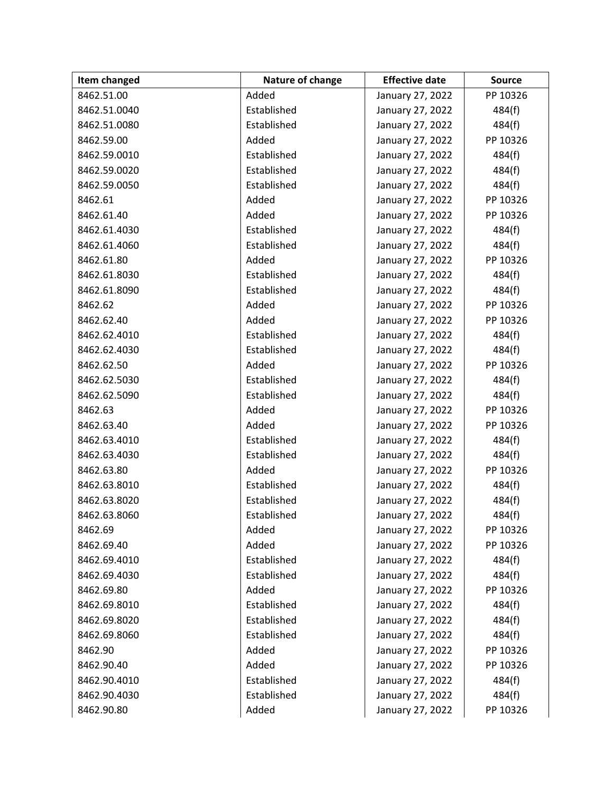| Item changed | Nature of change | <b>Effective date</b> | <b>Source</b> |
|--------------|------------------|-----------------------|---------------|
| 8462.51.00   | Added            | January 27, 2022      | PP 10326      |
| 8462.51.0040 | Established      | January 27, 2022      | 484(f)        |
| 8462.51.0080 | Established      | January 27, 2022      | 484(f)        |
| 8462.59.00   | Added            | January 27, 2022      | PP 10326      |
| 8462.59.0010 | Established      | January 27, 2022      | 484(f)        |
| 8462.59.0020 | Established      | January 27, 2022      | 484(f)        |
| 8462.59.0050 | Established      | January 27, 2022      | 484(f)        |
| 8462.61      | Added            | January 27, 2022      | PP 10326      |
| 8462.61.40   | Added            | January 27, 2022      | PP 10326      |
| 8462.61.4030 | Established      | January 27, 2022      | 484(f)        |
| 8462.61.4060 | Established      | January 27, 2022      | 484(f)        |
| 8462.61.80   | Added            | January 27, 2022      | PP 10326      |
| 8462.61.8030 | Established      | January 27, 2022      | 484(f)        |
| 8462.61.8090 | Established      | January 27, 2022      | 484(f)        |
| 8462.62      | Added            | January 27, 2022      | PP 10326      |
| 8462.62.40   | Added            | January 27, 2022      | PP 10326      |
| 8462.62.4010 | Established      | January 27, 2022      | 484(f)        |
| 8462.62.4030 | Established      | January 27, 2022      | 484(f)        |
| 8462.62.50   | Added            | January 27, 2022      | PP 10326      |
| 8462.62.5030 | Established      | January 27, 2022      | 484(f)        |
| 8462.62.5090 | Established      | January 27, 2022      | 484(f)        |
| 8462.63      | Added            | January 27, 2022      | PP 10326      |
| 8462.63.40   | Added            | January 27, 2022      | PP 10326      |
| 8462.63.4010 | Established      | January 27, 2022      | 484(f)        |
| 8462.63.4030 | Established      | January 27, 2022      | 484(f)        |
| 8462.63.80   | Added            | January 27, 2022      | PP 10326      |
| 8462.63.8010 | Established      | January 27, 2022      | 484(f)        |
| 8462.63.8020 | Established      | January 27, 2022      | 484(f)        |
| 8462.63.8060 | Established      | January 27, 2022      | 484(f)        |
| 8462.69      | Added            | January 27, 2022      | PP 10326      |
| 8462.69.40   | Added            | January 27, 2022      | PP 10326      |
| 8462.69.4010 | Established      | January 27, 2022      | 484(f)        |
| 8462.69.4030 | Established      | January 27, 2022      | 484(f)        |
| 8462.69.80   | Added            | January 27, 2022      | PP 10326      |
| 8462.69.8010 | Established      | January 27, 2022      | 484(f)        |
| 8462.69.8020 | Established      | January 27, 2022      | 484(f)        |
| 8462.69.8060 | Established      | January 27, 2022      | 484(f)        |
| 8462.90      | Added            | January 27, 2022      | PP 10326      |
| 8462.90.40   | Added            | January 27, 2022      | PP 10326      |
| 8462.90.4010 | Established      | January 27, 2022      | 484(f)        |
| 8462.90.4030 | Established      | January 27, 2022      | 484(f)        |
| 8462.90.80   | Added            | January 27, 2022      | PP 10326      |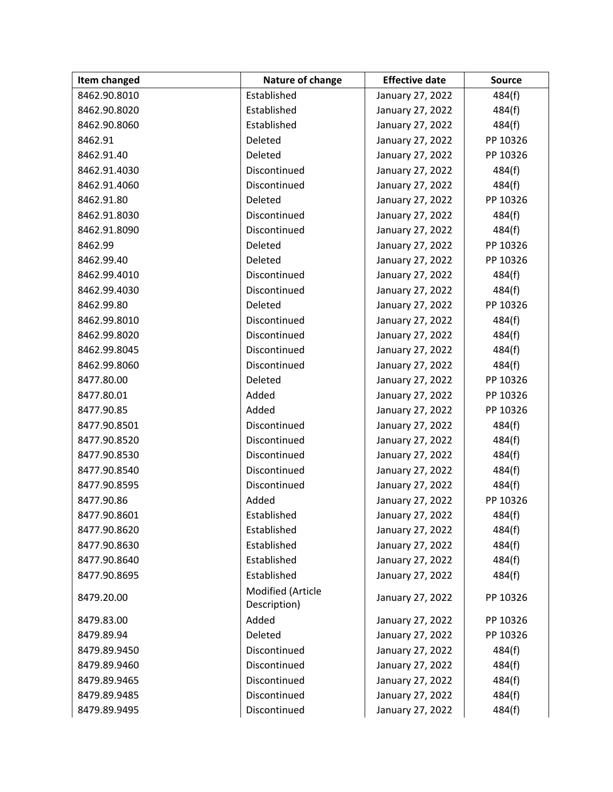| Item changed | Nature of change                  | <b>Effective date</b> | <b>Source</b> |
|--------------|-----------------------------------|-----------------------|---------------|
| 8462.90.8010 | Established                       | January 27, 2022      | 484(f)        |
| 8462.90.8020 | Established                       | January 27, 2022      | 484(f)        |
| 8462.90.8060 | Established                       | January 27, 2022      | 484(f)        |
| 8462.91      | Deleted                           | January 27, 2022      | PP 10326      |
| 8462.91.40   | Deleted                           | January 27, 2022      | PP 10326      |
| 8462.91.4030 | Discontinued                      | January 27, 2022      | 484(f)        |
| 8462.91.4060 | Discontinued                      | January 27, 2022      | 484(f)        |
| 8462.91.80   | Deleted                           | January 27, 2022      | PP 10326      |
| 8462.91.8030 | Discontinued                      | January 27, 2022      | 484(f)        |
| 8462.91.8090 | Discontinued                      | January 27, 2022      | 484(f)        |
| 8462.99      | Deleted                           | January 27, 2022      | PP 10326      |
| 8462.99.40   | Deleted                           | January 27, 2022      | PP 10326      |
| 8462.99.4010 | Discontinued                      | January 27, 2022      | 484(f)        |
| 8462.99.4030 | Discontinued                      | January 27, 2022      | 484(f)        |
| 8462.99.80   | Deleted                           | January 27, 2022      | PP 10326      |
| 8462.99.8010 | Discontinued                      | January 27, 2022      | 484(f)        |
| 8462.99.8020 | Discontinued                      | January 27, 2022      | 484(f)        |
| 8462.99.8045 | Discontinued                      | January 27, 2022      | 484(f)        |
| 8462.99.8060 | Discontinued                      | January 27, 2022      | 484(f)        |
| 8477.80.00   | Deleted                           | January 27, 2022      | PP 10326      |
| 8477.80.01   | Added                             | January 27, 2022      | PP 10326      |
| 8477.90.85   | Added                             | January 27, 2022      | PP 10326      |
| 8477.90.8501 | Discontinued                      | January 27, 2022      | 484(f)        |
| 8477.90.8520 | Discontinued                      | January 27, 2022      | 484(f)        |
| 8477.90.8530 | Discontinued                      | January 27, 2022      | 484(f)        |
| 8477.90.8540 | Discontinued                      | January 27, 2022      | 484(f)        |
| 8477.90.8595 | Discontinued                      | January 27, 2022      | 484(f)        |
| 8477.90.86   | Added                             | January 27, 2022      | PP 10326      |
| 8477.90.8601 | Established                       | January 27, 2022      | 484(f)        |
| 8477.90.8620 | Established                       | January 27, 2022      | 484(f)        |
| 8477.90.8630 | Established                       | January 27, 2022      | 484(f)        |
| 8477.90.8640 | Established                       | January 27, 2022      | 484(f)        |
| 8477.90.8695 | Established                       | January 27, 2022      | 484(f)        |
| 8479.20.00   | Modified (Article<br>Description) | January 27, 2022      | PP 10326      |
| 8479.83.00   | Added                             | January 27, 2022      | PP 10326      |
| 8479.89.94   | Deleted                           | January 27, 2022      | PP 10326      |
| 8479.89.9450 | Discontinued                      | January 27, 2022      | 484(f)        |
| 8479.89.9460 | Discontinued                      | January 27, 2022      | 484(f)        |
| 8479.89.9465 | Discontinued                      | January 27, 2022      | 484(f)        |
| 8479.89.9485 | Discontinued                      | January 27, 2022      | 484(f)        |
| 8479.89.9495 | Discontinued                      | January 27, 2022      | 484(f)        |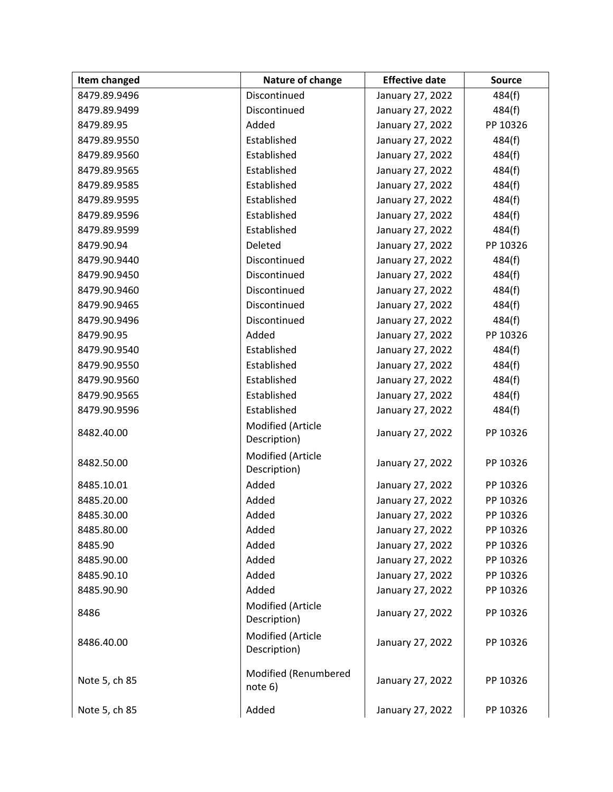| Item changed  | Nature of change                  | <b>Effective date</b> | <b>Source</b> |
|---------------|-----------------------------------|-----------------------|---------------|
| 8479.89.9496  | Discontinued                      | January 27, 2022      | 484(f)        |
| 8479.89.9499  | Discontinued                      | January 27, 2022      | 484(f)        |
| 8479.89.95    | Added                             | January 27, 2022      | PP 10326      |
| 8479.89.9550  | Established                       | January 27, 2022      | 484(f)        |
| 8479.89.9560  | Established                       | January 27, 2022      | 484(f)        |
| 8479.89.9565  | Established                       | January 27, 2022      | 484(f)        |
| 8479.89.9585  | Established                       | January 27, 2022      | 484(f)        |
| 8479.89.9595  | Established                       | January 27, 2022      | 484(f)        |
| 8479.89.9596  | Established                       | January 27, 2022      | 484(f)        |
| 8479.89.9599  | Established                       | January 27, 2022      | 484(f)        |
| 8479.90.94    | Deleted                           | January 27, 2022      | PP 10326      |
| 8479.90.9440  | Discontinued                      | January 27, 2022      | 484(f)        |
| 8479.90.9450  | Discontinued                      | January 27, 2022      | 484(f)        |
| 8479.90.9460  | Discontinued                      | January 27, 2022      | 484(f)        |
| 8479.90.9465  | Discontinued                      | January 27, 2022      | 484(f)        |
| 8479.90.9496  | Discontinued                      | January 27, 2022      | 484(f)        |
| 8479.90.95    | Added                             | January 27, 2022      | PP 10326      |
| 8479.90.9540  | Established                       | January 27, 2022      | 484(f)        |
| 8479.90.9550  | Established                       | January 27, 2022      | 484(f)        |
| 8479.90.9560  | Established                       | January 27, 2022      | 484(f)        |
| 8479.90.9565  | Established                       | January 27, 2022      | 484(f)        |
| 8479.90.9596  | Established                       | January 27, 2022      | 484(f)        |
| 8482.40.00    | Modified (Article<br>Description) | January 27, 2022      | PP 10326      |
| 8482.50.00    | Modified (Article<br>Description) | January 27, 2022      | PP 10326      |
| 8485.10.01    | Added                             | January 27, 2022      | PP 10326      |
| 8485.20.00    | Added                             | January 27, 2022      | PP 10326      |
| 8485.30.00    | Added                             | January 27, 2022      | PP 10326      |
| 8485.80.00    | Added                             | January 27, 2022      | PP 10326      |
| 8485.90       | Added                             | January 27, 2022      | PP 10326      |
| 8485.90.00    | Added                             | January 27, 2022      | PP 10326      |
| 8485.90.10    | Added                             | January 27, 2022      | PP 10326      |
| 8485.90.90    | Added                             | January 27, 2022      | PP 10326      |
| 8486          | Modified (Article<br>Description) | January 27, 2022      | PP 10326      |
| 8486.40.00    | Modified (Article<br>Description) | January 27, 2022      | PP 10326      |
| Note 5, ch 85 | Modified (Renumbered<br>note 6)   | January 27, 2022      | PP 10326      |
| Note 5, ch 85 | Added                             | January 27, 2022      | PP 10326      |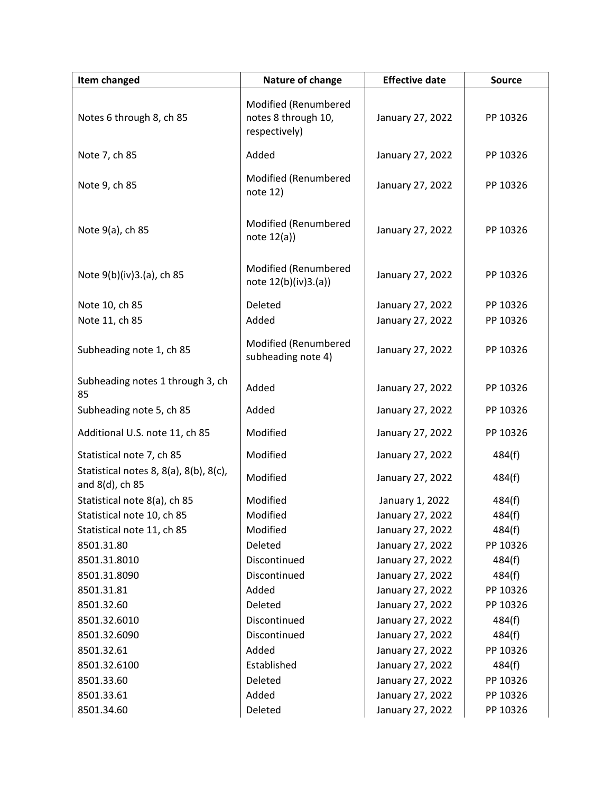| Item changed                                              | Nature of change                                             | <b>Effective date</b> | <b>Source</b> |
|-----------------------------------------------------------|--------------------------------------------------------------|-----------------------|---------------|
| Notes 6 through 8, ch 85                                  | Modified (Renumbered<br>notes 8 through 10,<br>respectively) | January 27, 2022      | PP 10326      |
| Note 7, ch 85                                             | Added                                                        | January 27, 2022      | PP 10326      |
| Note 9, ch 85                                             | Modified (Renumbered<br>note 12)                             | January 27, 2022      | PP 10326      |
| Note 9(a), ch 85                                          | Modified (Renumbered<br>note $12(a)$                         | January 27, 2022      | PP 10326      |
| Note 9(b)(iv)3.(a), ch 85                                 | Modified (Renumbered<br>note 12(b)(iv)3.(a))                 | January 27, 2022      | PP 10326      |
| Note 10, ch 85                                            | Deleted                                                      | January 27, 2022      | PP 10326      |
| Note 11, ch 85                                            | Added                                                        | January 27, 2022      | PP 10326      |
| Subheading note 1, ch 85                                  | Modified (Renumbered<br>subheading note 4)                   | January 27, 2022      | PP 10326      |
| Subheading notes 1 through 3, ch<br>85                    | Added                                                        | January 27, 2022      | PP 10326      |
| Subheading note 5, ch 85                                  | Added                                                        | January 27, 2022      | PP 10326      |
| Additional U.S. note 11, ch 85                            | Modified                                                     | January 27, 2022      | PP 10326      |
| Statistical note 7, ch 85                                 | Modified                                                     | January 27, 2022      | 484(f)        |
| Statistical notes 8, 8(a), 8(b), 8(c),<br>and 8(d), ch 85 | Modified                                                     | January 27, 2022      | 484(f)        |
| Statistical note 8(a), ch 85                              | Modified                                                     | January 1, 2022       | 484(f)        |
| Statistical note 10, ch 85                                | Modified                                                     | January 27, 2022      | 484(f)        |
| Statistical note 11, ch 85                                | Modified                                                     | January 27, 2022      | 484(f)        |
| 8501.31.80                                                | Deleted                                                      | January 27, 2022      | PP 10326      |
| 8501.31.8010                                              | Discontinued                                                 | January 27, 2022      | 484(f)        |
| 8501.31.8090                                              | Discontinued                                                 | January 27, 2022      | 484(f)        |
| 8501.31.81                                                | Added                                                        | January 27, 2022      | PP 10326      |
| 8501.32.60                                                | Deleted                                                      | January 27, 2022      | PP 10326      |
| 8501.32.6010                                              | Discontinued                                                 | January 27, 2022      | 484(f)        |
| 8501.32.6090                                              | Discontinued                                                 | January 27, 2022      | 484(f)        |
| 8501.32.61                                                | Added                                                        | January 27, 2022      | PP 10326      |
| 8501.32.6100                                              | Established                                                  | January 27, 2022      | 484(f)        |
| 8501.33.60                                                | Deleted                                                      | January 27, 2022      | PP 10326      |
| 8501.33.61                                                | Added                                                        | January 27, 2022      | PP 10326      |
| 8501.34.60                                                | Deleted                                                      | January 27, 2022      | PP 10326      |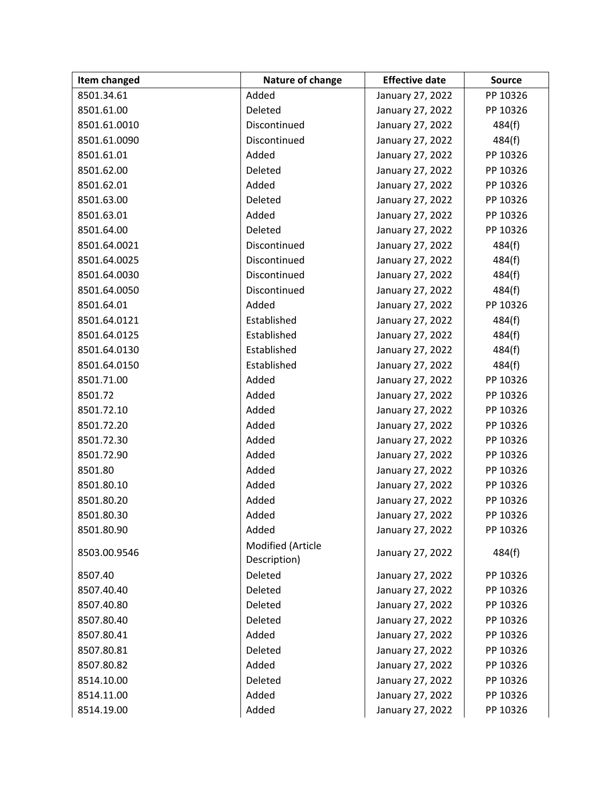| Item changed | Nature of change                  | <b>Effective date</b> | <b>Source</b> |
|--------------|-----------------------------------|-----------------------|---------------|
| 8501.34.61   | Added                             | January 27, 2022      | PP 10326      |
| 8501.61.00   | Deleted                           | January 27, 2022      | PP 10326      |
| 8501.61.0010 | Discontinued                      | January 27, 2022      | 484(f)        |
| 8501.61.0090 | Discontinued                      | January 27, 2022      | 484(f)        |
| 8501.61.01   | Added                             | January 27, 2022      | PP 10326      |
| 8501.62.00   | Deleted                           | January 27, 2022      | PP 10326      |
| 8501.62.01   | Added                             | January 27, 2022      | PP 10326      |
| 8501.63.00   | Deleted                           | January 27, 2022      | PP 10326      |
| 8501.63.01   | Added                             | January 27, 2022      | PP 10326      |
| 8501.64.00   | Deleted                           | January 27, 2022      | PP 10326      |
| 8501.64.0021 | Discontinued                      | January 27, 2022      | 484(f)        |
| 8501.64.0025 | Discontinued                      | January 27, 2022      | 484(f)        |
| 8501.64.0030 | Discontinued                      | January 27, 2022      | 484(f)        |
| 8501.64.0050 | Discontinued                      | January 27, 2022      | 484(f)        |
| 8501.64.01   | Added                             | January 27, 2022      | PP 10326      |
| 8501.64.0121 | Established                       | January 27, 2022      | 484(f)        |
| 8501.64.0125 | Established                       | January 27, 2022      | 484(f)        |
| 8501.64.0130 | Established                       | January 27, 2022      | 484(f)        |
| 8501.64.0150 | Established                       | January 27, 2022      | 484(f)        |
| 8501.71.00   | Added                             | January 27, 2022      | PP 10326      |
| 8501.72      | Added                             | January 27, 2022      | PP 10326      |
| 8501.72.10   | Added                             | January 27, 2022      | PP 10326      |
| 8501.72.20   | Added                             | January 27, 2022      | PP 10326      |
| 8501.72.30   | Added                             | January 27, 2022      | PP 10326      |
| 8501.72.90   | Added                             | January 27, 2022      | PP 10326      |
| 8501.80      | Added                             | January 27, 2022      | PP 10326      |
| 8501.80.10   | Added                             | January 27, 2022      | PP 10326      |
| 8501.80.20   | Added                             | January 27, 2022      | PP 10326      |
| 8501.80.30   | Added                             | January 27, 2022      | PP 10326      |
| 8501.80.90   | Added                             | January 27, 2022      | PP 10326      |
| 8503.00.9546 | Modified (Article<br>Description) | January 27, 2022      | 484(f)        |
| 8507.40      | Deleted                           | January 27, 2022      | PP 10326      |
| 8507.40.40   | Deleted                           | January 27, 2022      | PP 10326      |
| 8507.40.80   | Deleted                           | January 27, 2022      | PP 10326      |
| 8507.80.40   | Deleted                           | January 27, 2022      | PP 10326      |
| 8507.80.41   | Added                             | January 27, 2022      | PP 10326      |
| 8507.80.81   | Deleted                           | January 27, 2022      | PP 10326      |
| 8507.80.82   | Added                             | January 27, 2022      | PP 10326      |
| 8514.10.00   | Deleted                           | January 27, 2022      | PP 10326      |
| 8514.11.00   | Added                             | January 27, 2022      | PP 10326      |
| 8514.19.00   | Added                             | January 27, 2022      | PP 10326      |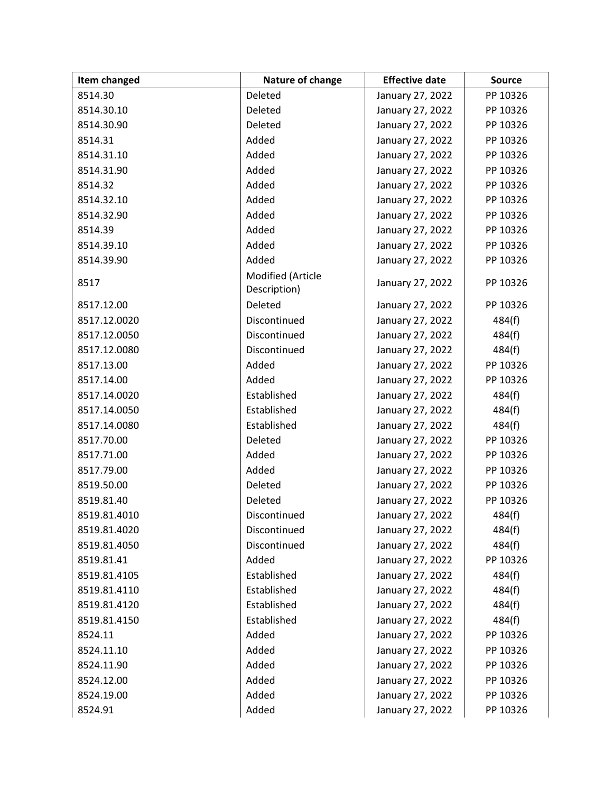| Item changed | Nature of change                  | <b>Effective date</b> | <b>Source</b> |
|--------------|-----------------------------------|-----------------------|---------------|
| 8514.30      | Deleted                           | January 27, 2022      | PP 10326      |
| 8514.30.10   | Deleted                           | January 27, 2022      | PP 10326      |
| 8514.30.90   | Deleted                           | January 27, 2022      | PP 10326      |
| 8514.31      | Added                             | January 27, 2022      | PP 10326      |
| 8514.31.10   | Added                             | January 27, 2022      | PP 10326      |
| 8514.31.90   | Added                             | January 27, 2022      | PP 10326      |
| 8514.32      | Added                             | January 27, 2022      | PP 10326      |
| 8514.32.10   | Added                             | January 27, 2022      | PP 10326      |
| 8514.32.90   | Added                             | January 27, 2022      | PP 10326      |
| 8514.39      | Added                             | January 27, 2022      | PP 10326      |
| 8514.39.10   | Added                             | January 27, 2022      | PP 10326      |
| 8514.39.90   | Added                             | January 27, 2022      | PP 10326      |
| 8517         | Modified (Article<br>Description) | January 27, 2022      | PP 10326      |
| 8517.12.00   | Deleted                           | January 27, 2022      | PP 10326      |
| 8517.12.0020 | Discontinued                      | January 27, 2022      | 484(f)        |
| 8517.12.0050 | Discontinued                      | January 27, 2022      | 484(f)        |
| 8517.12.0080 | Discontinued                      | January 27, 2022      | 484(f)        |
| 8517.13.00   | Added                             | January 27, 2022      | PP 10326      |
| 8517.14.00   | Added                             | January 27, 2022      | PP 10326      |
| 8517.14.0020 | Established                       | January 27, 2022      | 484(f)        |
| 8517.14.0050 | Established                       | January 27, 2022      | 484(f)        |
| 8517.14.0080 | Established                       | January 27, 2022      | 484(f)        |
| 8517.70.00   | Deleted                           | January 27, 2022      | PP 10326      |
| 8517.71.00   | Added                             | January 27, 2022      | PP 10326      |
| 8517.79.00   | Added                             | January 27, 2022      | PP 10326      |
| 8519.50.00   | Deleted                           | January 27, 2022      | PP 10326      |
| 8519.81.40   | Deleted                           | January 27, 2022      | PP 10326      |
| 8519.81.4010 | Discontinued                      | January 27, 2022      | 484(f)        |
| 8519.81.4020 | Discontinued                      | January 27, 2022      | 484(f)        |
| 8519.81.4050 | Discontinued                      | January 27, 2022      | 484(f)        |
| 8519.81.41   | Added                             | January 27, 2022      | PP 10326      |
| 8519.81.4105 | Established                       | January 27, 2022      | 484(f)        |
| 8519.81.4110 | Established                       | January 27, 2022      | 484(f)        |
| 8519.81.4120 | Established                       | January 27, 2022      | 484(f)        |
| 8519.81.4150 | Established                       | January 27, 2022      | 484(f)        |
| 8524.11      | Added                             | January 27, 2022      | PP 10326      |
| 8524.11.10   | Added                             | January 27, 2022      | PP 10326      |
| 8524.11.90   | Added                             | January 27, 2022      | PP 10326      |
| 8524.12.00   | Added                             | January 27, 2022      | PP 10326      |
| 8524.19.00   | Added                             | January 27, 2022      | PP 10326      |
| 8524.91      | Added                             | January 27, 2022      | PP 10326      |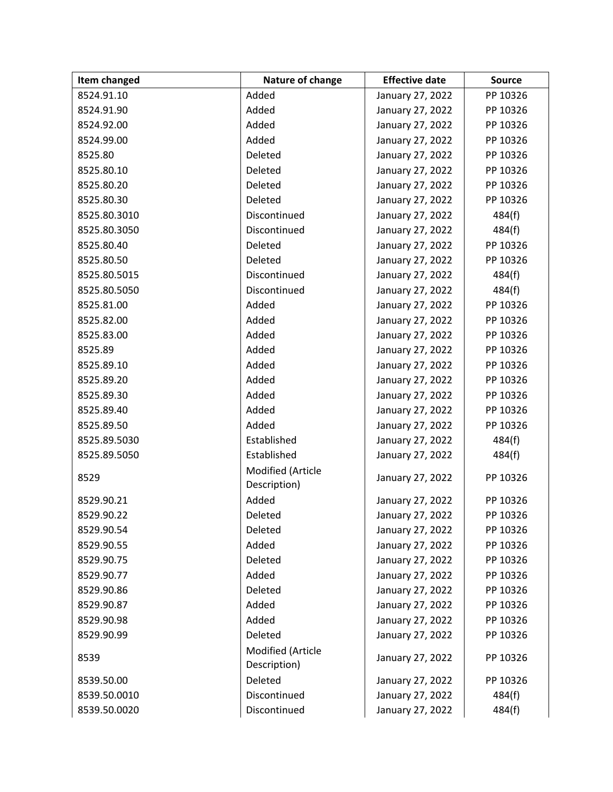| Item changed | Nature of change                  | <b>Effective date</b> | <b>Source</b> |
|--------------|-----------------------------------|-----------------------|---------------|
| 8524.91.10   | Added                             | January 27, 2022      | PP 10326      |
| 8524.91.90   | Added                             | January 27, 2022      | PP 10326      |
| 8524.92.00   | Added                             | January 27, 2022      | PP 10326      |
| 8524.99.00   | Added                             | January 27, 2022      | PP 10326      |
| 8525.80      | Deleted                           | January 27, 2022      | PP 10326      |
| 8525.80.10   | Deleted                           | January 27, 2022      | PP 10326      |
| 8525.80.20   | Deleted                           | January 27, 2022      | PP 10326      |
| 8525.80.30   | Deleted                           | January 27, 2022      | PP 10326      |
| 8525.80.3010 | Discontinued                      | January 27, 2022      | 484(f)        |
| 8525.80.3050 | Discontinued                      | January 27, 2022      | 484(f)        |
| 8525.80.40   | Deleted                           | January 27, 2022      | PP 10326      |
| 8525.80.50   | Deleted                           | January 27, 2022      | PP 10326      |
| 8525.80.5015 | Discontinued                      | January 27, 2022      | 484(f)        |
| 8525.80.5050 | Discontinued                      | January 27, 2022      | 484(f)        |
| 8525.81.00   | Added                             | January 27, 2022      | PP 10326      |
| 8525.82.00   | Added                             | January 27, 2022      | PP 10326      |
| 8525.83.00   | Added                             | January 27, 2022      | PP 10326      |
| 8525.89      | Added                             | January 27, 2022      | PP 10326      |
| 8525.89.10   | Added                             | January 27, 2022      | PP 10326      |
| 8525.89.20   | Added                             | January 27, 2022      | PP 10326      |
| 8525.89.30   | Added                             | January 27, 2022      | PP 10326      |
| 8525.89.40   | Added                             | January 27, 2022      | PP 10326      |
| 8525.89.50   | Added                             | January 27, 2022      | PP 10326      |
| 8525.89.5030 | Established                       | January 27, 2022      | 484(f)        |
| 8525.89.5050 | Established                       | January 27, 2022      | 484(f)        |
| 8529         | Modified (Article<br>Description) | January 27, 2022      | PP 10326      |
| 8529.90.21   | Added                             | January 27, 2022      | PP 10326      |
| 8529.90.22   | Deleted                           | January 27, 2022      | PP 10326      |
| 8529.90.54   | Deleted                           | January 27, 2022      | PP 10326      |
| 8529.90.55   | Added                             | January 27, 2022      | PP 10326      |
| 8529.90.75   | Deleted                           | January 27, 2022      | PP 10326      |
| 8529.90.77   | Added                             | January 27, 2022      | PP 10326      |
| 8529.90.86   | Deleted                           | January 27, 2022      | PP 10326      |
| 8529.90.87   | Added                             | January 27, 2022      | PP 10326      |
| 8529.90.98   | Added                             | January 27, 2022      | PP 10326      |
| 8529.90.99   | Deleted                           | January 27, 2022      | PP 10326      |
| 8539         | Modified (Article<br>Description) | January 27, 2022      | PP 10326      |
| 8539.50.00   | Deleted                           | January 27, 2022      | PP 10326      |
| 8539.50.0010 | Discontinued                      | January 27, 2022      | 484(f)        |
| 8539.50.0020 | Discontinued                      | January 27, 2022      | 484(f)        |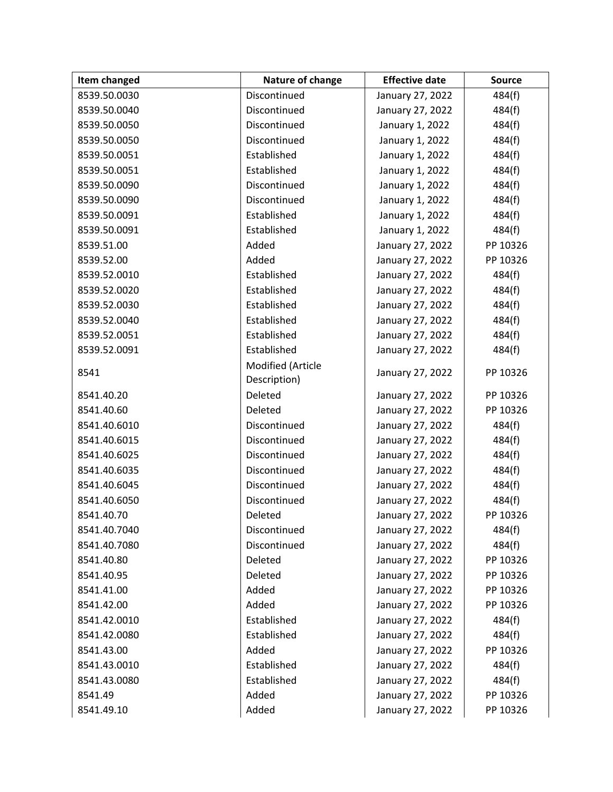| Item changed | Nature of change  | <b>Effective date</b> | <b>Source</b> |
|--------------|-------------------|-----------------------|---------------|
| 8539.50.0030 | Discontinued      | January 27, 2022      | 484(f)        |
| 8539.50.0040 | Discontinued      | January 27, 2022      | 484(f)        |
| 8539.50.0050 | Discontinued      | January 1, 2022       | 484(f)        |
| 8539.50.0050 | Discontinued      | January 1, 2022       | 484(f)        |
| 8539.50.0051 | Established       | January 1, 2022       | 484(f)        |
| 8539.50.0051 | Established       | January 1, 2022       | 484(f)        |
| 8539.50.0090 | Discontinued      | January 1, 2022       | 484(f)        |
| 8539.50.0090 | Discontinued      | January 1, 2022       | 484(f)        |
| 8539.50.0091 | Established       | January 1, 2022       | 484(f)        |
| 8539.50.0091 | Established       | January 1, 2022       | 484(f)        |
| 8539.51.00   | Added             | January 27, 2022      | PP 10326      |
| 8539.52.00   | Added             | January 27, 2022      | PP 10326      |
| 8539.52.0010 | Established       | January 27, 2022      | 484(f)        |
| 8539.52.0020 | Established       | January 27, 2022      | 484(f)        |
| 8539.52.0030 | Established       | January 27, 2022      | 484(f)        |
| 8539.52.0040 | Established       | January 27, 2022      | 484(f)        |
| 8539.52.0051 | Established       | January 27, 2022      | 484(f)        |
| 8539.52.0091 | Established       | January 27, 2022      | 484(f)        |
| 8541         | Modified (Article | January 27, 2022      | PP 10326      |
|              | Description)      |                       |               |
| 8541.40.20   | Deleted           | January 27, 2022      | PP 10326      |
| 8541.40.60   | Deleted           | January 27, 2022      | PP 10326      |
| 8541.40.6010 | Discontinued      | January 27, 2022      | 484(f)        |
| 8541.40.6015 | Discontinued      | January 27, 2022      | 484(f)        |
| 8541.40.6025 | Discontinued      | January 27, 2022      | 484(f)        |
| 8541.40.6035 | Discontinued      | January 27, 2022      | 484(f)        |
| 8541.40.6045 | Discontinued      | January 27, 2022      | 484(f)        |
| 8541.40.6050 | Discontinued      | January 27, 2022      | 484(f)        |
| 8541.40.70   | Deleted           | January 27, 2022      | PP 10326      |
| 8541.40.7040 | Discontinued      | January 27, 2022      | 484(f)        |
| 8541.40.7080 | Discontinued      | January 27, 2022      | 484(f)        |
| 8541.40.80   | Deleted           | January 27, 2022      | PP 10326      |
| 8541.40.95   | Deleted           | January 27, 2022      | PP 10326      |
| 8541.41.00   | Added             | January 27, 2022      | PP 10326      |
| 8541.42.00   | Added             | January 27, 2022      | PP 10326      |
| 8541.42.0010 | Established       | January 27, 2022      | 484(f)        |
| 8541.42.0080 | Established       | January 27, 2022      | 484(f)        |
| 8541.43.00   | Added             | January 27, 2022      | PP 10326      |
| 8541.43.0010 | Established       | January 27, 2022      | 484(f)        |
| 8541.43.0080 | Established       | January 27, 2022      | 484(f)        |
| 8541.49      | Added             | January 27, 2022      | PP 10326      |
| 8541.49.10   | Added             | January 27, 2022      | PP 10326      |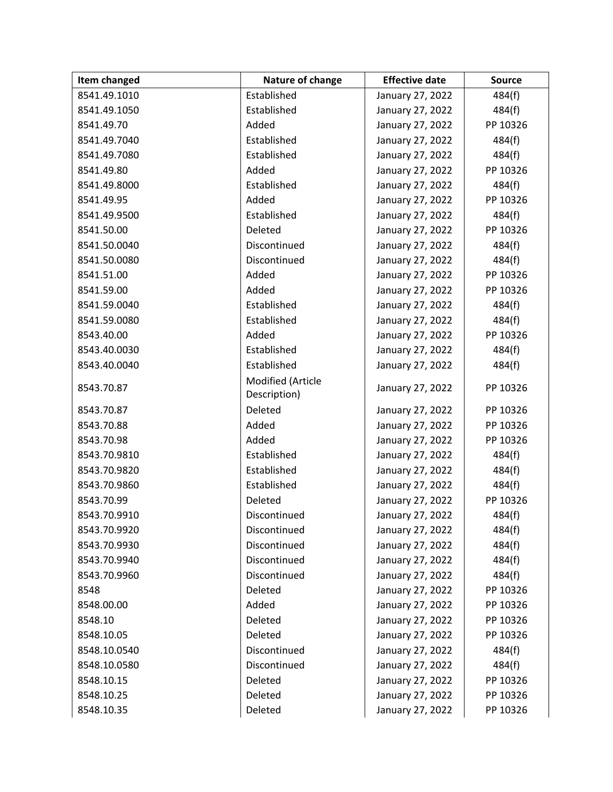| Item changed | Nature of change                  | <b>Effective date</b> | <b>Source</b> |
|--------------|-----------------------------------|-----------------------|---------------|
| 8541.49.1010 | Established                       | January 27, 2022      | 484(f)        |
| 8541.49.1050 | Established                       | January 27, 2022      | 484(f)        |
| 8541.49.70   | Added                             | January 27, 2022      | PP 10326      |
| 8541.49.7040 | Established                       | January 27, 2022      | 484(f)        |
| 8541.49.7080 | Established                       | January 27, 2022      | 484(f)        |
| 8541.49.80   | Added                             | January 27, 2022      | PP 10326      |
| 8541.49.8000 | Established                       | January 27, 2022      | 484(f)        |
| 8541.49.95   | Added                             | January 27, 2022      | PP 10326      |
| 8541.49.9500 | Established                       | January 27, 2022      | 484(f)        |
| 8541.50.00   | Deleted                           | January 27, 2022      | PP 10326      |
| 8541.50.0040 | Discontinued                      | January 27, 2022      | 484(f)        |
| 8541.50.0080 | Discontinued                      | January 27, 2022      | 484(f)        |
| 8541.51.00   | Added                             | January 27, 2022      | PP 10326      |
| 8541.59.00   | Added                             | January 27, 2022      | PP 10326      |
| 8541.59.0040 | Established                       | January 27, 2022      | 484(f)        |
| 8541.59.0080 | Established                       | January 27, 2022      | 484(f)        |
| 8543.40.00   | Added                             | January 27, 2022      | PP 10326      |
| 8543.40.0030 | Established                       | January 27, 2022      | 484(f)        |
| 8543.40.0040 | Established                       | January 27, 2022      | 484(f)        |
| 8543.70.87   | Modified (Article<br>Description) | January 27, 2022      | PP 10326      |
| 8543.70.87   | Deleted                           | January 27, 2022      | PP 10326      |
| 8543.70.88   | Added                             | January 27, 2022      | PP 10326      |
| 8543.70.98   | Added                             | January 27, 2022      | PP 10326      |
| 8543.70.9810 | Established                       | January 27, 2022      | 484(f)        |
| 8543.70.9820 | Established                       | January 27, 2022      | 484(f)        |
| 8543.70.9860 | Established                       | January 27, 2022      | 484(f)        |
| 8543.70.99   | Deleted                           | January 27, 2022      | PP 10326      |
| 8543.70.9910 | Discontinued                      | January 27, 2022      | 484(f)        |
| 8543.70.9920 | Discontinued                      | January 27, 2022      | 484(f)        |
| 8543.70.9930 | Discontinued                      | January 27, 2022      | 484(f)        |
| 8543.70.9940 | Discontinued                      | January 27, 2022      | 484(f)        |
| 8543.70.9960 | Discontinued                      | January 27, 2022      | 484(f)        |
| 8548         | Deleted                           | January 27, 2022      | PP 10326      |
| 8548.00.00   | Added                             | January 27, 2022      | PP 10326      |
| 8548.10      | Deleted                           | January 27, 2022      | PP 10326      |
| 8548.10.05   | Deleted                           | January 27, 2022      | PP 10326      |
| 8548.10.0540 | Discontinued                      | January 27, 2022      | 484(f)        |
| 8548.10.0580 | Discontinued                      | January 27, 2022      | 484(f)        |
| 8548.10.15   | Deleted                           | January 27, 2022      | PP 10326      |
| 8548.10.25   | Deleted                           | January 27, 2022      | PP 10326      |
| 8548.10.35   | Deleted                           | January 27, 2022      | PP 10326      |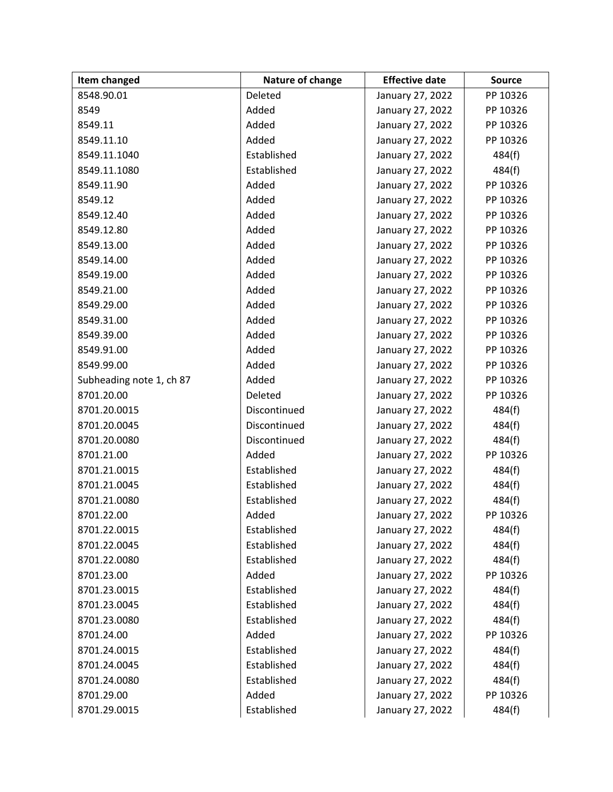| Item changed             | Nature of change | <b>Effective date</b> | <b>Source</b> |
|--------------------------|------------------|-----------------------|---------------|
| 8548.90.01               | Deleted          | January 27, 2022      | PP 10326      |
| 8549                     | Added            | January 27, 2022      | PP 10326      |
| 8549.11                  | Added            | January 27, 2022      | PP 10326      |
| 8549.11.10               | Added            | January 27, 2022      | PP 10326      |
| 8549.11.1040             | Established      | January 27, 2022      | 484(f)        |
| 8549.11.1080             | Established      | January 27, 2022      | 484(f)        |
| 8549.11.90               | Added            | January 27, 2022      | PP 10326      |
| 8549.12                  | Added            | January 27, 2022      | PP 10326      |
| 8549.12.40               | Added            | January 27, 2022      | PP 10326      |
| 8549.12.80               | Added            | January 27, 2022      | PP 10326      |
| 8549.13.00               | Added            | January 27, 2022      | PP 10326      |
| 8549.14.00               | Added            | January 27, 2022      | PP 10326      |
| 8549.19.00               | Added            | January 27, 2022      | PP 10326      |
| 8549.21.00               | Added            | January 27, 2022      | PP 10326      |
| 8549.29.00               | Added            | January 27, 2022      | PP 10326      |
| 8549.31.00               | Added            | January 27, 2022      | PP 10326      |
| 8549.39.00               | Added            | January 27, 2022      | PP 10326      |
| 8549.91.00               | Added            | January 27, 2022      | PP 10326      |
| 8549.99.00               | Added            | January 27, 2022      | PP 10326      |
| Subheading note 1, ch 87 | Added            | January 27, 2022      | PP 10326      |
| 8701.20.00               | Deleted          | January 27, 2022      | PP 10326      |
| 8701.20.0015             | Discontinued     | January 27, 2022      | 484(f)        |
| 8701.20.0045             | Discontinued     | January 27, 2022      | 484(f)        |
| 8701.20.0080             | Discontinued     | January 27, 2022      | 484(f)        |
| 8701.21.00               | Added            | January 27, 2022      | PP 10326      |
| 8701.21.0015             | Established      | January 27, 2022      | 484(f)        |
| 8701.21.0045             | Established      | January 27, 2022      | 484(f)        |
| 8701.21.0080             | Established      | January 27, 2022      | 484(f)        |
| 8701.22.00               | Added            | January 27, 2022      | PP 10326      |
| 8701.22.0015             | Established      | January 27, 2022      | 484(f)        |
| 8701.22.0045             | Established      | January 27, 2022      | 484(f)        |
| 8701.22.0080             | Established      | January 27, 2022      | 484(f)        |
| 8701.23.00               | Added            | January 27, 2022      | PP 10326      |
| 8701.23.0015             | Established      | January 27, 2022      | 484(f)        |
| 8701.23.0045             | Established      | January 27, 2022      | 484(f)        |
| 8701.23.0080             | Established      | January 27, 2022      | 484(f)        |
| 8701.24.00               | Added            | January 27, 2022      | PP 10326      |
| 8701.24.0015             | Established      | January 27, 2022      | 484(f)        |
| 8701.24.0045             | Established      | January 27, 2022      | 484(f)        |
| 8701.24.0080             | Established      | January 27, 2022      | 484(f)        |
| 8701.29.00               | Added            | January 27, 2022      | PP 10326      |
| 8701.29.0015             | Established      | January 27, 2022      | 484(f)        |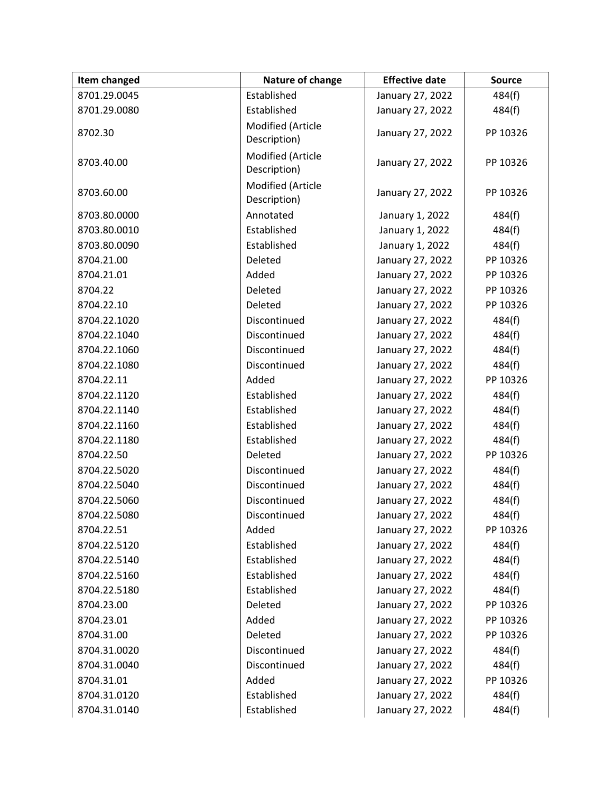| Item changed | Nature of change                  | <b>Effective date</b> | <b>Source</b> |
|--------------|-----------------------------------|-----------------------|---------------|
| 8701.29.0045 | Established                       | January 27, 2022      | 484(f)        |
| 8701.29.0080 | Established                       | January 27, 2022      | 484(f)        |
| 8702.30      | Modified (Article<br>Description) | January 27, 2022      | PP 10326      |
| 8703.40.00   | Modified (Article<br>Description) | January 27, 2022      | PP 10326      |
| 8703.60.00   | Modified (Article<br>Description) | January 27, 2022      | PP 10326      |
| 8703.80.0000 | Annotated                         | January 1, 2022       | 484(f)        |
| 8703.80.0010 | Established                       | January 1, 2022       | 484(f)        |
| 8703.80.0090 | Established                       | January 1, 2022       | 484(f)        |
| 8704.21.00   | Deleted                           | January 27, 2022      | PP 10326      |
| 8704.21.01   | Added                             | January 27, 2022      | PP 10326      |
| 8704.22      | Deleted                           | January 27, 2022      | PP 10326      |
| 8704.22.10   | Deleted                           | January 27, 2022      | PP 10326      |
| 8704.22.1020 | Discontinued                      | January 27, 2022      | 484(f)        |
| 8704.22.1040 | Discontinued                      | January 27, 2022      | 484(f)        |
| 8704.22.1060 | Discontinued                      | January 27, 2022      | 484(f)        |
| 8704.22.1080 | Discontinued                      | January 27, 2022      | 484(f)        |
| 8704.22.11   | Added                             | January 27, 2022      | PP 10326      |
| 8704.22.1120 | Established                       | January 27, 2022      | 484(f)        |
| 8704.22.1140 | Established                       | January 27, 2022      | 484(f)        |
| 8704.22.1160 | Established                       | January 27, 2022      | 484(f)        |
| 8704.22.1180 | Established                       | January 27, 2022      | 484(f)        |
| 8704.22.50   | Deleted                           | January 27, 2022      | PP 10326      |
| 8704.22.5020 | Discontinued                      | January 27, 2022      | 484(f)        |
| 8704.22.5040 | Discontinued                      | January 27, 2022      | 484(f)        |
| 8704.22.5060 | Discontinued                      | January 27, 2022      | 484(f)        |
| 8704.22.5080 | Discontinued                      | January 27, 2022      | 484(f)        |
| 8704.22.51   | Added                             | January 27, 2022      | PP 10326      |
| 8704.22.5120 | Established                       | January 27, 2022      | 484(f)        |
| 8704.22.5140 | Established                       | January 27, 2022      | 484(f)        |
| 8704.22.5160 | Established                       | January 27, 2022      | 484(f)        |
| 8704.22.5180 | Established                       | January 27, 2022      | 484(f)        |
| 8704.23.00   | Deleted                           | January 27, 2022      | PP 10326      |
| 8704.23.01   | Added                             | January 27, 2022      | PP 10326      |
| 8704.31.00   | Deleted                           | January 27, 2022      | PP 10326      |
| 8704.31.0020 | Discontinued                      | January 27, 2022      | 484(f)        |
| 8704.31.0040 | Discontinued                      | January 27, 2022      | 484(f)        |
| 8704.31.01   | Added                             | January 27, 2022      | PP 10326      |
| 8704.31.0120 | Established                       | January 27, 2022      | 484(f)        |
| 8704.31.0140 | Established                       | January 27, 2022      | 484(f)        |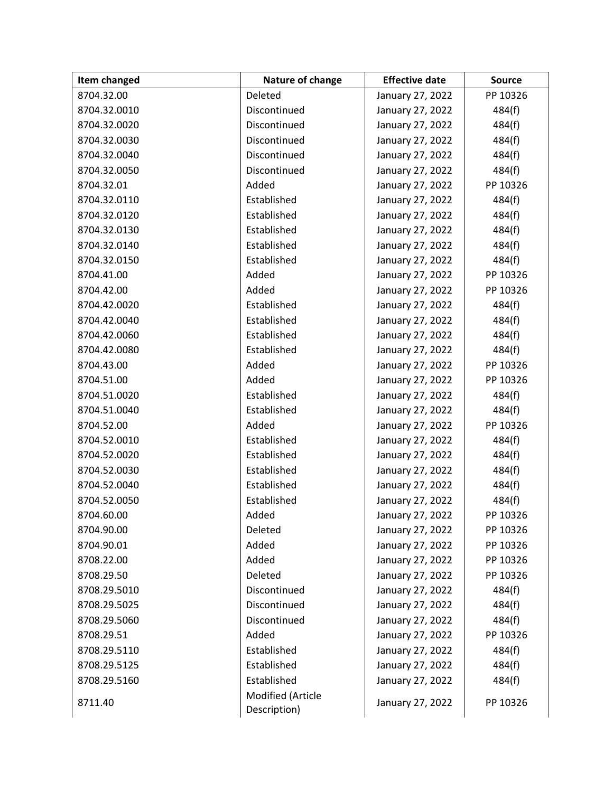| Item changed | Nature of change                  | <b>Effective date</b> | <b>Source</b> |
|--------------|-----------------------------------|-----------------------|---------------|
| 8704.32.00   | Deleted                           | January 27, 2022      | PP 10326      |
| 8704.32.0010 | Discontinued                      | January 27, 2022      | 484(f)        |
| 8704.32.0020 | Discontinued                      | January 27, 2022      | 484(f)        |
| 8704.32.0030 | Discontinued                      | January 27, 2022      | 484(f)        |
| 8704.32.0040 | Discontinued                      | January 27, 2022      | 484(f)        |
| 8704.32.0050 | Discontinued                      | January 27, 2022      | 484(f)        |
| 8704.32.01   | Added                             | January 27, 2022      | PP 10326      |
| 8704.32.0110 | Established                       | January 27, 2022      | 484(f)        |
| 8704.32.0120 | Established                       | January 27, 2022      | 484(f)        |
| 8704.32.0130 | Established                       | January 27, 2022      | 484(f)        |
| 8704.32.0140 | Established                       | January 27, 2022      | 484(f)        |
| 8704.32.0150 | Established                       | January 27, 2022      | 484(f)        |
| 8704.41.00   | Added                             | January 27, 2022      | PP 10326      |
| 8704.42.00   | Added                             | January 27, 2022      | PP 10326      |
| 8704.42.0020 | Established                       | January 27, 2022      | 484(f)        |
| 8704.42.0040 | Established                       | January 27, 2022      | 484(f)        |
| 8704.42.0060 | Established                       | January 27, 2022      | 484(f)        |
| 8704.42.0080 | Established                       | January 27, 2022      | 484(f)        |
| 8704.43.00   | Added                             | January 27, 2022      | PP 10326      |
| 8704.51.00   | Added                             | January 27, 2022      | PP 10326      |
| 8704.51.0020 | Established                       | January 27, 2022      | 484(f)        |
| 8704.51.0040 | Established                       | January 27, 2022      | 484(f)        |
| 8704.52.00   | Added                             | January 27, 2022      | PP 10326      |
| 8704.52.0010 | Established                       | January 27, 2022      | 484(f)        |
| 8704.52.0020 | Established                       | January 27, 2022      | 484(f)        |
| 8704.52.0030 | Established                       | January 27, 2022      | 484(f)        |
| 8704.52.0040 | Established                       | January 27, 2022      | 484(f)        |
| 8704.52.0050 | Established                       | January 27, 2022      | 484(f)        |
| 8704.60.00   | Added                             | January 27, 2022      | PP 10326      |
| 8704.90.00   | Deleted                           | January 27, 2022      | PP 10326      |
| 8704.90.01   | Added                             | January 27, 2022      | PP 10326      |
| 8708.22.00   | Added                             | January 27, 2022      | PP 10326      |
| 8708.29.50   | Deleted                           | January 27, 2022      | PP 10326      |
| 8708.29.5010 | Discontinued                      | January 27, 2022      | 484(f)        |
| 8708.29.5025 | Discontinued                      | January 27, 2022      | 484(f)        |
| 8708.29.5060 | Discontinued                      | January 27, 2022      | 484(f)        |
| 8708.29.51   | Added                             | January 27, 2022      | PP 10326      |
| 8708.29.5110 | Established                       | January 27, 2022      | 484(f)        |
| 8708.29.5125 | Established                       | January 27, 2022      | 484(f)        |
| 8708.29.5160 | Established                       | January 27, 2022      | 484(f)        |
| 8711.40      | Modified (Article<br>Description) | January 27, 2022      | PP 10326      |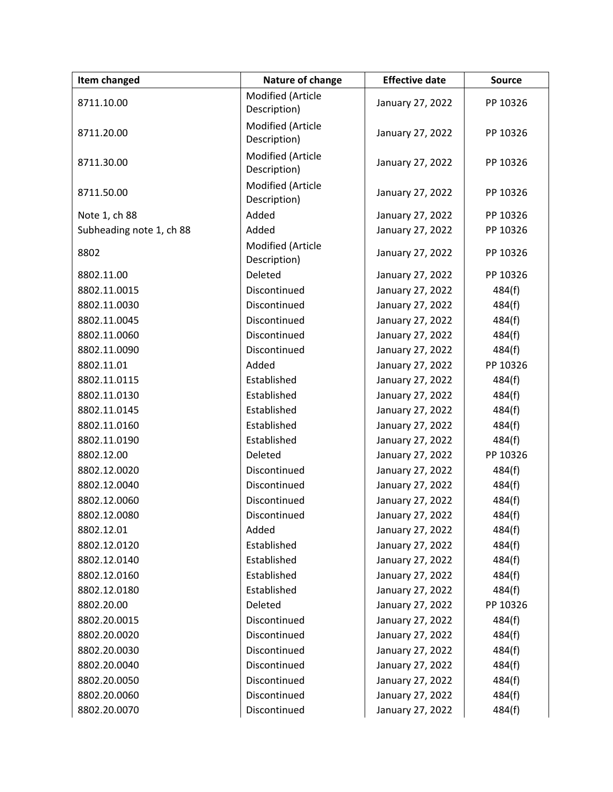| Item changed             | Nature of change                  | <b>Effective date</b> | <b>Source</b> |
|--------------------------|-----------------------------------|-----------------------|---------------|
| 8711.10.00               | Modified (Article<br>Description) | January 27, 2022      | PP 10326      |
| 8711.20.00               | Modified (Article<br>Description) | January 27, 2022      | PP 10326      |
| 8711.30.00               | Modified (Article<br>Description) | January 27, 2022      | PP 10326      |
| 8711.50.00               | Modified (Article<br>Description) | January 27, 2022      | PP 10326      |
| Note 1, ch 88            | Added                             | January 27, 2022      | PP 10326      |
| Subheading note 1, ch 88 | Added                             | January 27, 2022      | PP 10326      |
| 8802                     | Modified (Article<br>Description) | January 27, 2022      | PP 10326      |
| 8802.11.00               | Deleted                           | January 27, 2022      | PP 10326      |
| 8802.11.0015             | Discontinued                      | January 27, 2022      | 484(f)        |
| 8802.11.0030             | Discontinued                      | January 27, 2022      | 484(f)        |
| 8802.11.0045             | Discontinued                      | January 27, 2022      | 484(f)        |
| 8802.11.0060             | Discontinued                      | January 27, 2022      | 484(f)        |
| 8802.11.0090             | Discontinued                      | January 27, 2022      | 484(f)        |
| 8802.11.01               | Added                             | January 27, 2022      | PP 10326      |
| 8802.11.0115             | Established                       | January 27, 2022      | 484(f)        |
| 8802.11.0130             | Established                       | January 27, 2022      | 484(f)        |
| 8802.11.0145             | Established                       | January 27, 2022      | 484(f)        |
| 8802.11.0160             | Established                       | January 27, 2022      | 484(f)        |
| 8802.11.0190             | Established                       | January 27, 2022      | 484(f)        |
| 8802.12.00               | Deleted                           | January 27, 2022      | PP 10326      |
| 8802.12.0020             | Discontinued                      | January 27, 2022      | 484(f)        |
| 8802.12.0040             | Discontinued                      | January 27, 2022      | 484(f)        |
| 8802.12.0060             | Discontinued                      | January 27, 2022      | 484(f)        |
| 8802.12.0080             | Discontinued                      | January 27, 2022      | 484(f)        |
| 8802.12.01               | Added                             | January 27, 2022      | 484(f)        |
| 8802.12.0120             | Established                       | January 27, 2022      | 484(f)        |
| 8802.12.0140             | Established                       | January 27, 2022      | 484(f)        |
| 8802.12.0160             | Established                       | January 27, 2022      | 484(f)        |
| 8802.12.0180             | Established                       | January 27, 2022      | 484(f)        |
| 8802.20.00               | Deleted                           | January 27, 2022      | PP 10326      |
| 8802.20.0015             | Discontinued                      | January 27, 2022      | 484(f)        |
| 8802.20.0020             | Discontinued                      | January 27, 2022      | 484(f)        |
| 8802.20.0030             | Discontinued                      | January 27, 2022      | 484(f)        |
| 8802.20.0040             | Discontinued                      | January 27, 2022      | 484(f)        |
| 8802.20.0050             | Discontinued                      | January 27, 2022      | 484(f)        |
| 8802.20.0060             | Discontinued                      | January 27, 2022      | 484(f)        |
| 8802.20.0070             | Discontinued                      | January 27, 2022      | 484(f)        |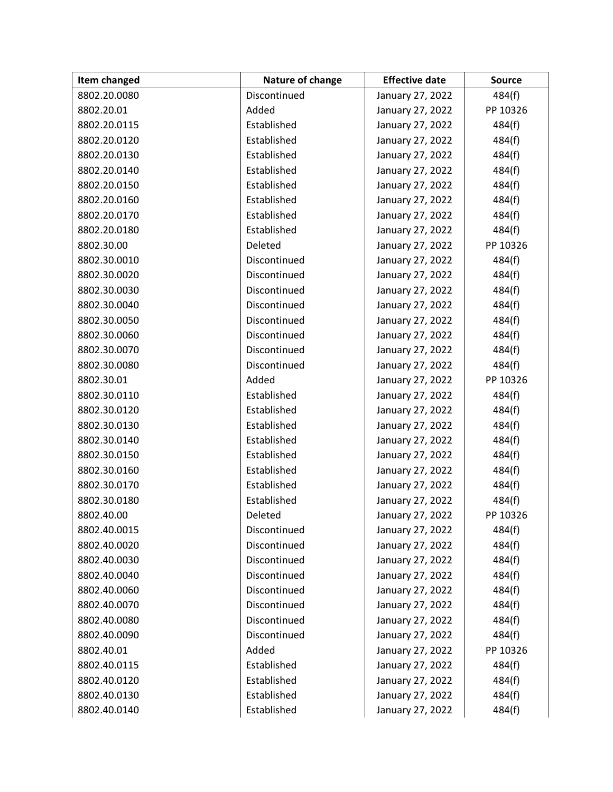| Item changed | Nature of change | <b>Effective date</b> | <b>Source</b> |
|--------------|------------------|-----------------------|---------------|
| 8802.20.0080 | Discontinued     | January 27, 2022      | 484(f)        |
| 8802.20.01   | Added            | January 27, 2022      | PP 10326      |
| 8802.20.0115 | Established      | January 27, 2022      | 484(f)        |
| 8802.20.0120 | Established      | January 27, 2022      | 484(f)        |
| 8802.20.0130 | Established      | January 27, 2022      | 484(f)        |
| 8802.20.0140 | Established      | January 27, 2022      | 484(f)        |
| 8802.20.0150 | Established      | January 27, 2022      | 484(f)        |
| 8802.20.0160 | Established      | January 27, 2022      | 484(f)        |
| 8802.20.0170 | Established      | January 27, 2022      | 484(f)        |
| 8802.20.0180 | Established      | January 27, 2022      | 484(f)        |
| 8802.30.00   | Deleted          | January 27, 2022      | PP 10326      |
| 8802.30.0010 | Discontinued     | January 27, 2022      | 484(f)        |
| 8802.30.0020 | Discontinued     | January 27, 2022      | 484(f)        |
| 8802.30.0030 | Discontinued     | January 27, 2022      | 484(f)        |
| 8802.30.0040 | Discontinued     | January 27, 2022      | 484(f)        |
| 8802.30.0050 | Discontinued     | January 27, 2022      | 484(f)        |
| 8802.30.0060 | Discontinued     | January 27, 2022      | 484(f)        |
| 8802.30.0070 | Discontinued     | January 27, 2022      | 484(f)        |
| 8802.30.0080 | Discontinued     | January 27, 2022      | 484(f)        |
| 8802.30.01   | Added            | January 27, 2022      | PP 10326      |
| 8802.30.0110 | Established      | January 27, 2022      | 484(f)        |
| 8802.30.0120 | Established      | January 27, 2022      | 484(f)        |
| 8802.30.0130 | Established      | January 27, 2022      | 484(f)        |
| 8802.30.0140 | Established      | January 27, 2022      | 484(f)        |
| 8802.30.0150 | Established      | January 27, 2022      | 484(f)        |
| 8802.30.0160 | Established      | January 27, 2022      | 484(f)        |
| 8802.30.0170 | Established      | January 27, 2022      | 484(f)        |
| 8802.30.0180 | Established      | January 27, 2022      | 484(f)        |
| 8802.40.00   | Deleted          | January 27, 2022      | PP 10326      |
| 8802.40.0015 | Discontinued     | January 27, 2022      | 484(f)        |
| 8802.40.0020 | Discontinued     | January 27, 2022      | 484(f)        |
| 8802.40.0030 | Discontinued     | January 27, 2022      | 484(f)        |
| 8802.40.0040 | Discontinued     | January 27, 2022      | 484(f)        |
| 8802.40.0060 | Discontinued     | January 27, 2022      | 484(f)        |
| 8802.40.0070 | Discontinued     | January 27, 2022      | 484(f)        |
| 8802.40.0080 | Discontinued     | January 27, 2022      | 484(f)        |
| 8802.40.0090 | Discontinued     | January 27, 2022      | 484(f)        |
| 8802.40.01   | Added            | January 27, 2022      | PP 10326      |
| 8802.40.0115 | Established      | January 27, 2022      | 484(f)        |
| 8802.40.0120 | Established      | January 27, 2022      | 484(f)        |
| 8802.40.0130 | Established      | January 27, 2022      | 484(f)        |
| 8802.40.0140 | Established      | January 27, 2022      | 484(f)        |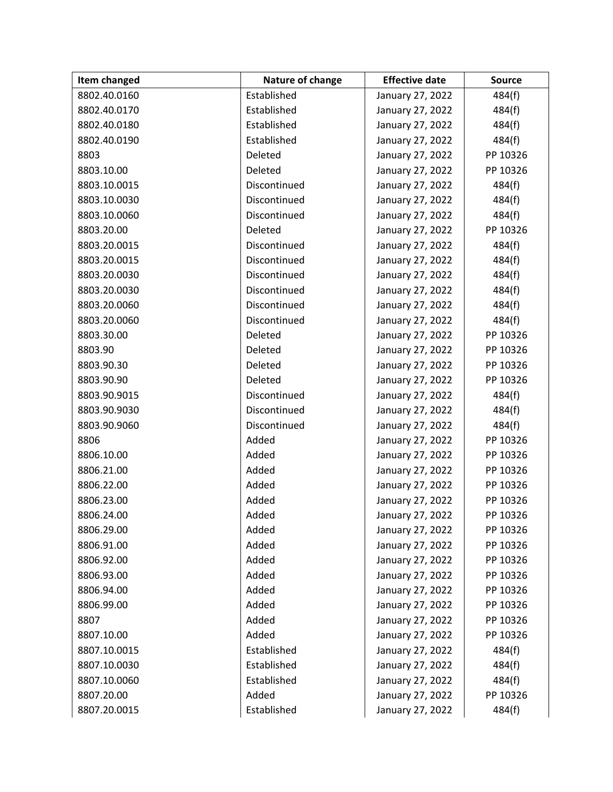| Item changed | Nature of change | <b>Effective date</b> | <b>Source</b> |
|--------------|------------------|-----------------------|---------------|
| 8802.40.0160 | Established      | January 27, 2022      | 484(f)        |
| 8802.40.0170 | Established      | January 27, 2022      | 484(f)        |
| 8802.40.0180 | Established      | January 27, 2022      | 484(f)        |
| 8802.40.0190 | Established      | January 27, 2022      | 484(f)        |
| 8803         | Deleted          | January 27, 2022      | PP 10326      |
| 8803.10.00   | Deleted          | January 27, 2022      | PP 10326      |
| 8803.10.0015 | Discontinued     | January 27, 2022      | 484(f)        |
| 8803.10.0030 | Discontinued     | January 27, 2022      | 484(f)        |
| 8803.10.0060 | Discontinued     | January 27, 2022      | 484(f)        |
| 8803.20.00   | Deleted          | January 27, 2022      | PP 10326      |
| 8803.20.0015 | Discontinued     | January 27, 2022      | 484(f)        |
| 8803.20.0015 | Discontinued     | January 27, 2022      | 484(f)        |
| 8803.20.0030 | Discontinued     | January 27, 2022      | 484(f)        |
| 8803.20.0030 | Discontinued     | January 27, 2022      | 484(f)        |
| 8803.20.0060 | Discontinued     | January 27, 2022      | 484(f)        |
| 8803.20.0060 | Discontinued     | January 27, 2022      | 484(f)        |
| 8803.30.00   | Deleted          | January 27, 2022      | PP 10326      |
| 8803.90      | Deleted          | January 27, 2022      | PP 10326      |
| 8803.90.30   | Deleted          | January 27, 2022      | PP 10326      |
| 8803.90.90   | Deleted          | January 27, 2022      | PP 10326      |
| 8803.90.9015 | Discontinued     | January 27, 2022      | 484(f)        |
| 8803.90.9030 | Discontinued     | January 27, 2022      | 484(f)        |
| 8803.90.9060 | Discontinued     | January 27, 2022      | 484(f)        |
| 8806         | Added            | January 27, 2022      | PP 10326      |
| 8806.10.00   | Added            | January 27, 2022      | PP 10326      |
| 8806.21.00   | Added            | January 27, 2022      | PP 10326      |
| 8806.22.00   | Added            | January 27, 2022      | PP 10326      |
| 8806.23.00   | Added            | January 27, 2022      | PP 10326      |
| 8806.24.00   | Added            | January 27, 2022      | PP 10326      |
| 8806.29.00   | Added            | January 27, 2022      | PP 10326      |
| 8806.91.00   | Added            | January 27, 2022      | PP 10326      |
| 8806.92.00   | Added            | January 27, 2022      | PP 10326      |
| 8806.93.00   | Added            | January 27, 2022      | PP 10326      |
| 8806.94.00   | Added            | January 27, 2022      | PP 10326      |
| 8806.99.00   | Added            | January 27, 2022      | PP 10326      |
| 8807         | Added            | January 27, 2022      | PP 10326      |
| 8807.10.00   | Added            | January 27, 2022      | PP 10326      |
| 8807.10.0015 | Established      | January 27, 2022      | 484(f)        |
| 8807.10.0030 | Established      | January 27, 2022      | 484(f)        |
| 8807.10.0060 | Established      | January 27, 2022      | 484(f)        |
| 8807.20.00   | Added            | January 27, 2022      | PP 10326      |
| 8807.20.0015 | Established      | January 27, 2022      | 484(f)        |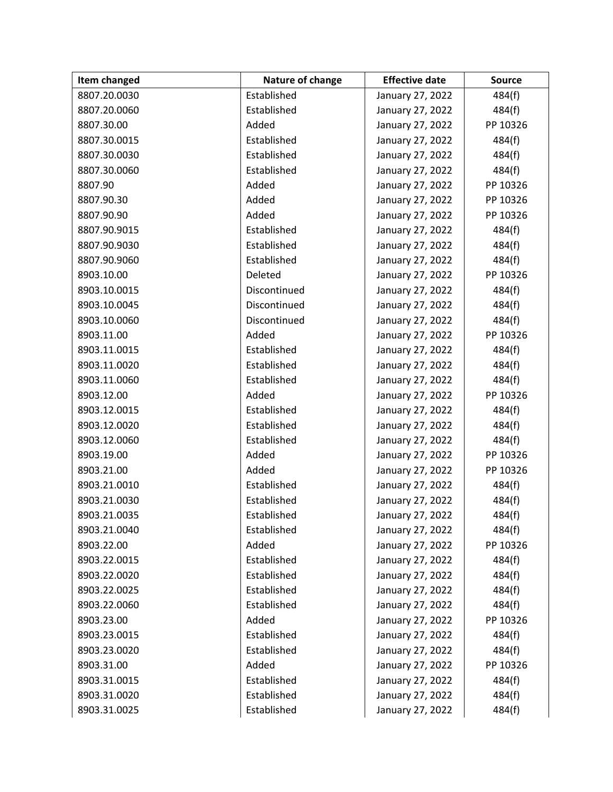| Item changed | Nature of change | <b>Effective date</b> | <b>Source</b> |
|--------------|------------------|-----------------------|---------------|
| 8807.20.0030 | Established      | January 27, 2022      | 484(f)        |
| 8807.20.0060 | Established      | January 27, 2022      | 484(f)        |
| 8807.30.00   | Added            | January 27, 2022      | PP 10326      |
| 8807.30.0015 | Established      | January 27, 2022      | 484(f)        |
| 8807.30.0030 | Established      | January 27, 2022      | 484(f)        |
| 8807.30.0060 | Established      | January 27, 2022      | 484(f)        |
| 8807.90      | Added            | January 27, 2022      | PP 10326      |
| 8807.90.30   | Added            | January 27, 2022      | PP 10326      |
| 8807.90.90   | Added            | January 27, 2022      | PP 10326      |
| 8807.90.9015 | Established      | January 27, 2022      | 484(f)        |
| 8807.90.9030 | Established      | January 27, 2022      | 484(f)        |
| 8807.90.9060 | Established      | January 27, 2022      | 484(f)        |
| 8903.10.00   | Deleted          | January 27, 2022      | PP 10326      |
| 8903.10.0015 | Discontinued     | January 27, 2022      | 484(f)        |
| 8903.10.0045 | Discontinued     | January 27, 2022      | 484(f)        |
| 8903.10.0060 | Discontinued     | January 27, 2022      | 484(f)        |
| 8903.11.00   | Added            | January 27, 2022      | PP 10326      |
| 8903.11.0015 | Established      | January 27, 2022      | 484(f)        |
| 8903.11.0020 | Established      | January 27, 2022      | 484(f)        |
| 8903.11.0060 | Established      | January 27, 2022      | 484(f)        |
| 8903.12.00   | Added            | January 27, 2022      | PP 10326      |
| 8903.12.0015 | Established      | January 27, 2022      | 484(f)        |
| 8903.12.0020 | Established      | January 27, 2022      | 484(f)        |
| 8903.12.0060 | Established      | January 27, 2022      | 484(f)        |
| 8903.19.00   | Added            | January 27, 2022      | PP 10326      |
| 8903.21.00   | Added            | January 27, 2022      | PP 10326      |
| 8903.21.0010 | Established      | January 27, 2022      | 484(f)        |
| 8903.21.0030 | Established      | January 27, 2022      | 484(f)        |
| 8903.21.0035 | Established      | January 27, 2022      | 484(f)        |
| 8903.21.0040 | Established      | January 27, 2022      | 484(f)        |
| 8903.22.00   | Added            | January 27, 2022      | PP 10326      |
| 8903.22.0015 | Established      | January 27, 2022      | 484(f)        |
| 8903.22.0020 | Established      | January 27, 2022      | 484(f)        |
| 8903.22.0025 | Established      | January 27, 2022      | 484(f)        |
| 8903.22.0060 | Established      | January 27, 2022      | 484(f)        |
| 8903.23.00   | Added            | January 27, 2022      | PP 10326      |
| 8903.23.0015 | Established      | January 27, 2022      | 484(f)        |
| 8903.23.0020 | Established      | January 27, 2022      | 484(f)        |
| 8903.31.00   | Added            | January 27, 2022      | PP 10326      |
| 8903.31.0015 | Established      | January 27, 2022      | 484(f)        |
| 8903.31.0020 | Established      | January 27, 2022      | 484(f)        |
| 8903.31.0025 | Established      | January 27, 2022      | 484(f)        |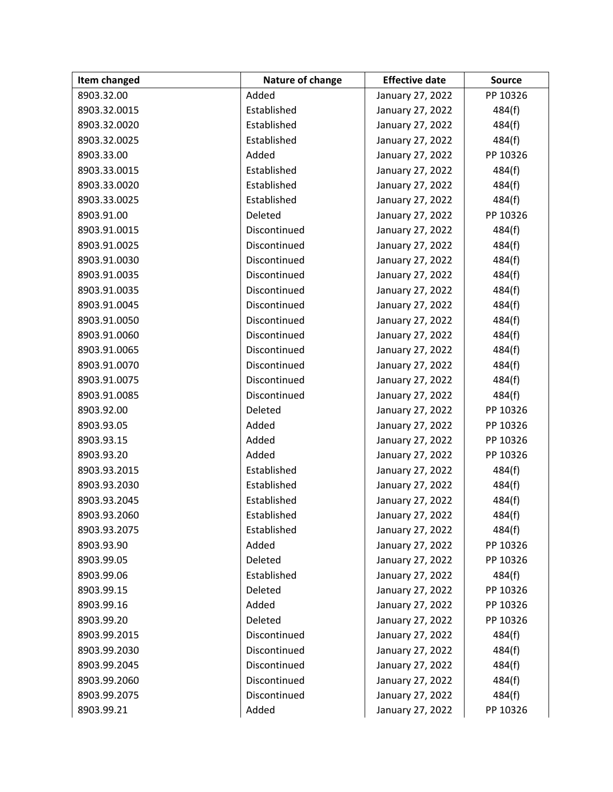| Item changed | Nature of change | <b>Effective date</b> | <b>Source</b> |
|--------------|------------------|-----------------------|---------------|
| 8903.32.00   | Added            | January 27, 2022      | PP 10326      |
| 8903.32.0015 | Established      | January 27, 2022      | 484(f)        |
| 8903.32.0020 | Established      | January 27, 2022      | 484(f)        |
| 8903.32.0025 | Established      | January 27, 2022      | 484(f)        |
| 8903.33.00   | Added            | January 27, 2022      | PP 10326      |
| 8903.33.0015 | Established      | January 27, 2022      | 484(f)        |
| 8903.33.0020 | Established      | January 27, 2022      | 484(f)        |
| 8903.33.0025 | Established      | January 27, 2022      | 484(f)        |
| 8903.91.00   | Deleted          | January 27, 2022      | PP 10326      |
| 8903.91.0015 | Discontinued     | January 27, 2022      | 484(f)        |
| 8903.91.0025 | Discontinued     | January 27, 2022      | 484(f)        |
| 8903.91.0030 | Discontinued     | January 27, 2022      | 484(f)        |
| 8903.91.0035 | Discontinued     | January 27, 2022      | 484(f)        |
| 8903.91.0035 | Discontinued     | January 27, 2022      | 484(f)        |
| 8903.91.0045 | Discontinued     | January 27, 2022      | 484(f)        |
| 8903.91.0050 | Discontinued     | January 27, 2022      | 484(f)        |
| 8903.91.0060 | Discontinued     | January 27, 2022      | 484(f)        |
| 8903.91.0065 | Discontinued     | January 27, 2022      | 484(f)        |
| 8903.91.0070 | Discontinued     | January 27, 2022      | 484(f)        |
| 8903.91.0075 | Discontinued     | January 27, 2022      | 484(f)        |
| 8903.91.0085 | Discontinued     | January 27, 2022      | 484(f)        |
| 8903.92.00   | Deleted          | January 27, 2022      | PP 10326      |
| 8903.93.05   | Added            | January 27, 2022      | PP 10326      |
| 8903.93.15   | Added            | January 27, 2022      | PP 10326      |
| 8903.93.20   | Added            | January 27, 2022      | PP 10326      |
| 8903.93.2015 | Established      | January 27, 2022      | 484(f)        |
| 8903.93.2030 | Established      | January 27, 2022      | 484(f)        |
| 8903.93.2045 | Established      | January 27, 2022      | 484(f)        |
| 8903.93.2060 | Established      | January 27, 2022      | 484(f)        |
| 8903.93.2075 | Established      | January 27, 2022      | 484(f)        |
| 8903.93.90   | Added            | January 27, 2022      | PP 10326      |
| 8903.99.05   | Deleted          | January 27, 2022      | PP 10326      |
| 8903.99.06   | Established      | January 27, 2022      | 484(f)        |
| 8903.99.15   | Deleted          | January 27, 2022      | PP 10326      |
| 8903.99.16   | Added            | January 27, 2022      | PP 10326      |
| 8903.99.20   | Deleted          | January 27, 2022      | PP 10326      |
| 8903.99.2015 | Discontinued     | January 27, 2022      | 484(f)        |
| 8903.99.2030 | Discontinued     | January 27, 2022      | 484(f)        |
| 8903.99.2045 | Discontinued     | January 27, 2022      | 484(f)        |
| 8903.99.2060 | Discontinued     | January 27, 2022      | 484(f)        |
| 8903.99.2075 | Discontinued     | January 27, 2022      | 484(f)        |
| 8903.99.21   | Added            | January 27, 2022      | PP 10326      |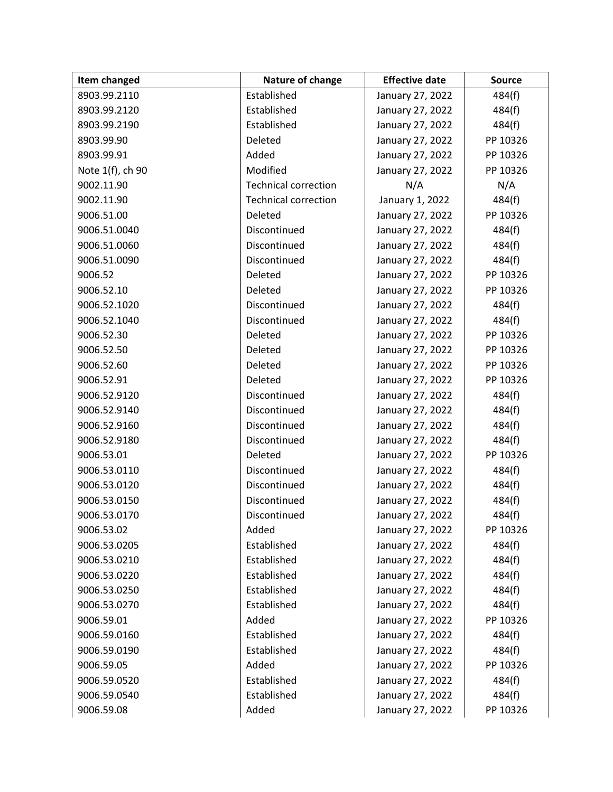| Item changed     | Nature of change            | <b>Effective date</b> | <b>Source</b> |
|------------------|-----------------------------|-----------------------|---------------|
| 8903.99.2110     | Established                 | January 27, 2022      | 484(f)        |
| 8903.99.2120     | Established                 | January 27, 2022      | 484(f)        |
| 8903.99.2190     | Established                 | January 27, 2022      | 484(f)        |
| 8903.99.90       | Deleted                     | January 27, 2022      | PP 10326      |
| 8903.99.91       | Added                       | January 27, 2022      | PP 10326      |
| Note 1(f), ch 90 | Modified                    | January 27, 2022      | PP 10326      |
| 9002.11.90       | <b>Technical correction</b> | N/A                   | N/A           |
| 9002.11.90       | <b>Technical correction</b> | January 1, 2022       | 484(f)        |
| 9006.51.00       | Deleted                     | January 27, 2022      | PP 10326      |
| 9006.51.0040     | Discontinued                | January 27, 2022      | 484(f)        |
| 9006.51.0060     | Discontinued                | January 27, 2022      | 484(f)        |
| 9006.51.0090     | Discontinued                | January 27, 2022      | 484(f)        |
| 9006.52          | Deleted                     | January 27, 2022      | PP 10326      |
| 9006.52.10       | Deleted                     | January 27, 2022      | PP 10326      |
| 9006.52.1020     | Discontinued                | January 27, 2022      | 484(f)        |
| 9006.52.1040     | Discontinued                | January 27, 2022      | 484(f)        |
| 9006.52.30       | Deleted                     | January 27, 2022      | PP 10326      |
| 9006.52.50       | Deleted                     | January 27, 2022      | PP 10326      |
| 9006.52.60       | Deleted                     | January 27, 2022      | PP 10326      |
| 9006.52.91       | Deleted                     | January 27, 2022      | PP 10326      |
| 9006.52.9120     | Discontinued                | January 27, 2022      | 484(f)        |
| 9006.52.9140     | Discontinued                | January 27, 2022      | 484(f)        |
| 9006.52.9160     | Discontinued                | January 27, 2022      | 484(f)        |
| 9006.52.9180     | Discontinued                | January 27, 2022      | 484(f)        |
| 9006.53.01       | Deleted                     | January 27, 2022      | PP 10326      |
| 9006.53.0110     | Discontinued                | January 27, 2022      | 484(f)        |
| 9006.53.0120     | Discontinued                | January 27, 2022      | 484(f)        |
| 9006.53.0150     | Discontinued                | January 27, 2022      | 484(f)        |
| 9006.53.0170     | Discontinued                | January 27, 2022      | 484(f)        |
| 9006.53.02       | Added                       | January 27, 2022      | PP 10326      |
| 9006.53.0205     | Established                 | January 27, 2022      | 484(f)        |
| 9006.53.0210     | Established                 | January 27, 2022      | 484(f)        |
| 9006.53.0220     | Established                 | January 27, 2022      | 484(f)        |
| 9006.53.0250     | Established                 | January 27, 2022      | 484(f)        |
| 9006.53.0270     | Established                 | January 27, 2022      | 484(f)        |
| 9006.59.01       | Added                       | January 27, 2022      | PP 10326      |
| 9006.59.0160     | Established                 | January 27, 2022      | 484(f)        |
| 9006.59.0190     | Established                 | January 27, 2022      | 484(f)        |
| 9006.59.05       | Added                       | January 27, 2022      | PP 10326      |
| 9006.59.0520     | Established                 | January 27, 2022      | 484(f)        |
| 9006.59.0540     | Established                 | January 27, 2022      | 484(f)        |
| 9006.59.08       | Added                       | January 27, 2022      | PP 10326      |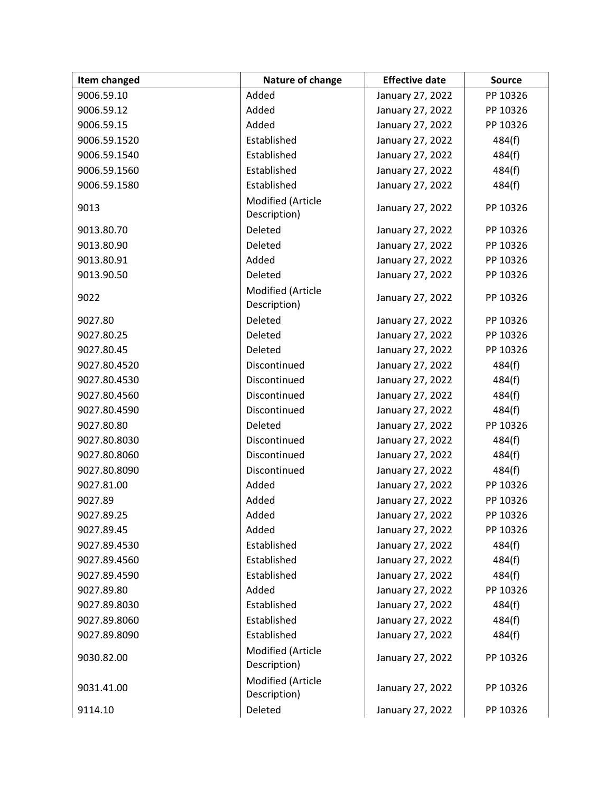| Item changed | Nature of change                  | <b>Effective date</b> | <b>Source</b> |
|--------------|-----------------------------------|-----------------------|---------------|
| 9006.59.10   | Added                             | January 27, 2022      | PP 10326      |
| 9006.59.12   | Added                             | January 27, 2022      | PP 10326      |
| 9006.59.15   | Added                             | January 27, 2022      | PP 10326      |
| 9006.59.1520 | Established                       | January 27, 2022      | 484(f)        |
| 9006.59.1540 | Established                       | January 27, 2022      | 484(f)        |
| 9006.59.1560 | Established                       | January 27, 2022      | 484(f)        |
| 9006.59.1580 | Established                       | January 27, 2022      | 484(f)        |
| 9013         | Modified (Article<br>Description) | January 27, 2022      | PP 10326      |
| 9013.80.70   | Deleted                           | January 27, 2022      | PP 10326      |
| 9013.80.90   | Deleted                           | January 27, 2022      | PP 10326      |
| 9013.80.91   | Added                             | January 27, 2022      | PP 10326      |
| 9013.90.50   | Deleted                           | January 27, 2022      | PP 10326      |
| 9022         | Modified (Article<br>Description) | January 27, 2022      | PP 10326      |
| 9027.80      | Deleted                           | January 27, 2022      | PP 10326      |
| 9027.80.25   | Deleted                           | January 27, 2022      | PP 10326      |
| 9027.80.45   | Deleted                           | January 27, 2022      | PP 10326      |
| 9027.80.4520 | Discontinued                      | January 27, 2022      | 484(f)        |
| 9027.80.4530 | Discontinued                      | January 27, 2022      | 484(f)        |
| 9027.80.4560 | Discontinued                      | January 27, 2022      | 484(f)        |
| 9027.80.4590 | Discontinued                      | January 27, 2022      | 484(f)        |
| 9027.80.80   | Deleted                           | January 27, 2022      | PP 10326      |
| 9027.80.8030 | Discontinued                      | January 27, 2022      | 484(f)        |
| 9027.80.8060 | Discontinued                      | January 27, 2022      | 484(f)        |
| 9027.80.8090 | Discontinued                      | January 27, 2022      | 484(f)        |
| 9027.81.00   | Added                             | January 27, 2022      | PP 10326      |
| 9027.89      | Added                             | January 27, 2022      | PP 10326      |
| 9027.89.25   | Added                             | January 27, 2022      | PP 10326      |
| 9027.89.45   | Added                             | January 27, 2022      | PP 10326      |
| 9027.89.4530 | Established                       | January 27, 2022      | 484(f)        |
| 9027.89.4560 | Established                       | January 27, 2022      | 484(f)        |
| 9027.89.4590 | Established                       | January 27, 2022      | 484(f)        |
| 9027.89.80   | Added                             | January 27, 2022      | PP 10326      |
| 9027.89.8030 | Established                       | January 27, 2022      | 484(f)        |
| 9027.89.8060 | Established                       | January 27, 2022      | 484(f)        |
| 9027.89.8090 | Established                       | January 27, 2022      | 484(f)        |
| 9030.82.00   | Modified (Article<br>Description) | January 27, 2022      | PP 10326      |
| 9031.41.00   | Modified (Article<br>Description) | January 27, 2022      | PP 10326      |
| 9114.10      | Deleted                           | January 27, 2022      | PP 10326      |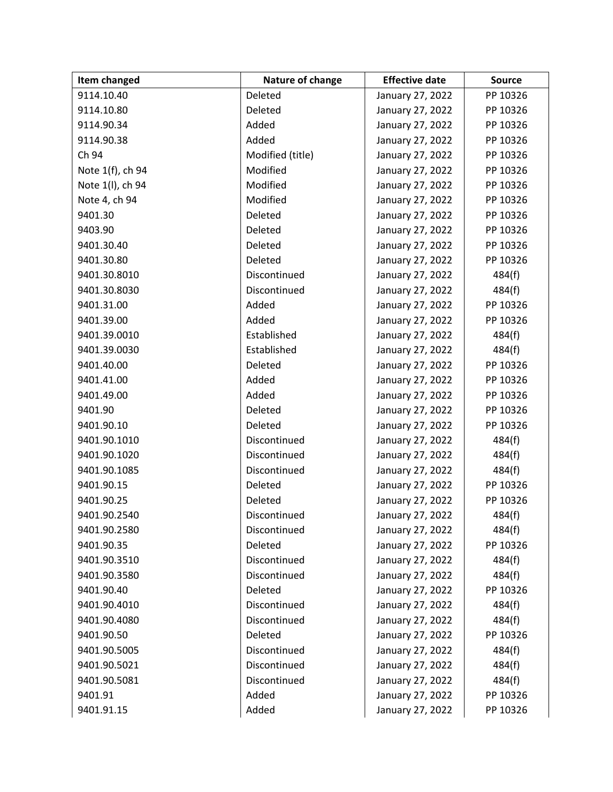| Item changed     | Nature of change | <b>Effective date</b> | <b>Source</b> |
|------------------|------------------|-----------------------|---------------|
| 9114.10.40       | Deleted          | January 27, 2022      | PP 10326      |
| 9114.10.80       | Deleted          | January 27, 2022      | PP 10326      |
| 9114.90.34       | Added            | January 27, 2022      | PP 10326      |
| 9114.90.38       | Added            | January 27, 2022      | PP 10326      |
| Ch 94            | Modified (title) | January 27, 2022      | PP 10326      |
| Note 1(f), ch 94 | Modified         | January 27, 2022      | PP 10326      |
| Note 1(I), ch 94 | Modified         | January 27, 2022      | PP 10326      |
| Note 4, ch 94    | Modified         | January 27, 2022      | PP 10326      |
| 9401.30          | Deleted          | January 27, 2022      | PP 10326      |
| 9403.90          | Deleted          | January 27, 2022      | PP 10326      |
| 9401.30.40       | Deleted          | January 27, 2022      | PP 10326      |
| 9401.30.80       | Deleted          | January 27, 2022      | PP 10326      |
| 9401.30.8010     | Discontinued     | January 27, 2022      | 484(f)        |
| 9401.30.8030     | Discontinued     | January 27, 2022      | 484(f)        |
| 9401.31.00       | Added            | January 27, 2022      | PP 10326      |
| 9401.39.00       | Added            | January 27, 2022      | PP 10326      |
| 9401.39.0010     | Established      | January 27, 2022      | 484(f)        |
| 9401.39.0030     | Established      | January 27, 2022      | 484(f)        |
| 9401.40.00       | Deleted          | January 27, 2022      | PP 10326      |
| 9401.41.00       | Added            | January 27, 2022      | PP 10326      |
| 9401.49.00       | Added            | January 27, 2022      | PP 10326      |
| 9401.90          | Deleted          | January 27, 2022      | PP 10326      |
| 9401.90.10       | Deleted          | January 27, 2022      | PP 10326      |
| 9401.90.1010     | Discontinued     | January 27, 2022      | 484(f)        |
| 9401.90.1020     | Discontinued     | January 27, 2022      | 484(f)        |
| 9401.90.1085     | Discontinued     | January 27, 2022      | 484(f)        |
| 9401.90.15       | Deleted          | January 27, 2022      | PP 10326      |
| 9401.90.25       | Deleted          | January 27, 2022      | PP 10326      |
| 9401.90.2540     | Discontinued     | January 27, 2022      | 484(f)        |
| 9401.90.2580     | Discontinued     | January 27, 2022      | 484(f)        |
| 9401.90.35       | Deleted          | January 27, 2022      | PP 10326      |
| 9401.90.3510     | Discontinued     | January 27, 2022      | 484(f)        |
| 9401.90.3580     | Discontinued     | January 27, 2022      | 484(f)        |
| 9401.90.40       | Deleted          | January 27, 2022      | PP 10326      |
| 9401.90.4010     | Discontinued     | January 27, 2022      | 484(f)        |
| 9401.90.4080     | Discontinued     | January 27, 2022      | 484(f)        |
| 9401.90.50       | Deleted          | January 27, 2022      | PP 10326      |
| 9401.90.5005     | Discontinued     | January 27, 2022      | 484(f)        |
| 9401.90.5021     | Discontinued     | January 27, 2022      | 484(f)        |
| 9401.90.5081     | Discontinued     | January 27, 2022      | 484(f)        |
| 9401.91          | Added            | January 27, 2022      | PP 10326      |
| 9401.91.15       | Added            | January 27, 2022      | PP 10326      |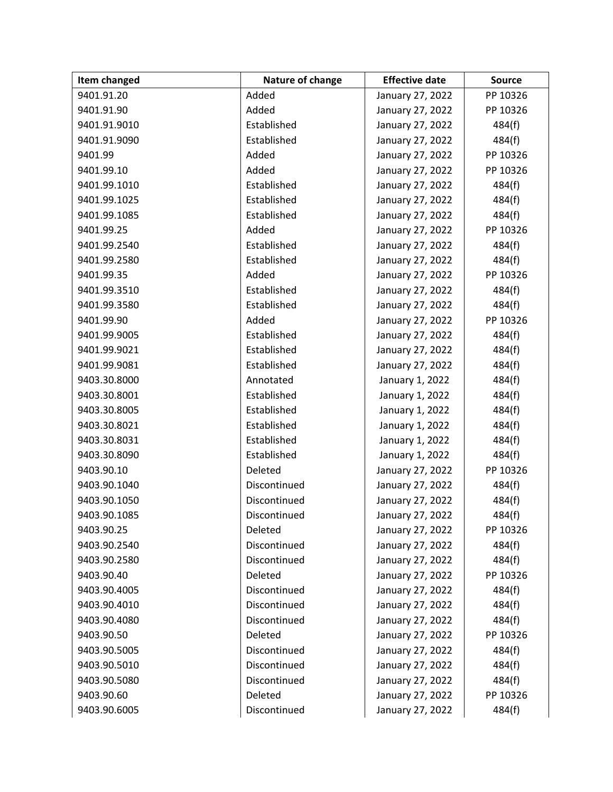| Item changed | Nature of change | <b>Effective date</b> | <b>Source</b> |
|--------------|------------------|-----------------------|---------------|
| 9401.91.20   | Added            | January 27, 2022      | PP 10326      |
| 9401.91.90   | Added            | January 27, 2022      | PP 10326      |
| 9401.91.9010 | Established      | January 27, 2022      | 484(f)        |
| 9401.91.9090 | Established      | January 27, 2022      | 484(f)        |
| 9401.99      | Added            | January 27, 2022      | PP 10326      |
| 9401.99.10   | Added            | January 27, 2022      | PP 10326      |
| 9401.99.1010 | Established      | January 27, 2022      | 484(f)        |
| 9401.99.1025 | Established      | January 27, 2022      | 484(f)        |
| 9401.99.1085 | Established      | January 27, 2022      | 484(f)        |
| 9401.99.25   | Added            | January 27, 2022      | PP 10326      |
| 9401.99.2540 | Established      | January 27, 2022      | 484(f)        |
| 9401.99.2580 | Established      | January 27, 2022      | 484(f)        |
| 9401.99.35   | Added            | January 27, 2022      | PP 10326      |
| 9401.99.3510 | Established      | January 27, 2022      | 484(f)        |
| 9401.99.3580 | Established      | January 27, 2022      | 484(f)        |
| 9401.99.90   | Added            | January 27, 2022      | PP 10326      |
| 9401.99.9005 | Established      | January 27, 2022      | 484(f)        |
| 9401.99.9021 | Established      | January 27, 2022      | 484(f)        |
| 9401.99.9081 | Established      | January 27, 2022      | 484(f)        |
| 9403.30.8000 | Annotated        | January 1, 2022       | 484(f)        |
| 9403.30.8001 | Established      | January 1, 2022       | 484(f)        |
| 9403.30.8005 | Established      | January 1, 2022       | 484(f)        |
| 9403.30.8021 | Established      | January 1, 2022       | 484(f)        |
| 9403.30.8031 | Established      | January 1, 2022       | 484(f)        |
| 9403.30.8090 | Established      | January 1, 2022       | 484(f)        |
| 9403.90.10   | Deleted          | January 27, 2022      | PP 10326      |
| 9403.90.1040 | Discontinued     | January 27, 2022      | 484(f)        |
| 9403.90.1050 | Discontinued     | January 27, 2022      | 484(f)        |
| 9403.90.1085 | Discontinued     | January 27, 2022      | 484(f)        |
| 9403.90.25   | Deleted          | January 27, 2022      | PP 10326      |
| 9403.90.2540 | Discontinued     | January 27, 2022      | 484(f)        |
| 9403.90.2580 | Discontinued     | January 27, 2022      | 484(f)        |
| 9403.90.40   | Deleted          | January 27, 2022      | PP 10326      |
| 9403.90.4005 | Discontinued     | January 27, 2022      | 484(f)        |
| 9403.90.4010 | Discontinued     | January 27, 2022      | 484(f)        |
| 9403.90.4080 | Discontinued     | January 27, 2022      | 484(f)        |
| 9403.90.50   | Deleted          | January 27, 2022      | PP 10326      |
| 9403.90.5005 | Discontinued     | January 27, 2022      | 484(f)        |
| 9403.90.5010 | Discontinued     | January 27, 2022      | 484(f)        |
| 9403.90.5080 | Discontinued     | January 27, 2022      | 484(f)        |
| 9403.90.60   | Deleted          | January 27, 2022      | PP 10326      |
| 9403.90.6005 | Discontinued     | January 27, 2022      | 484(f)        |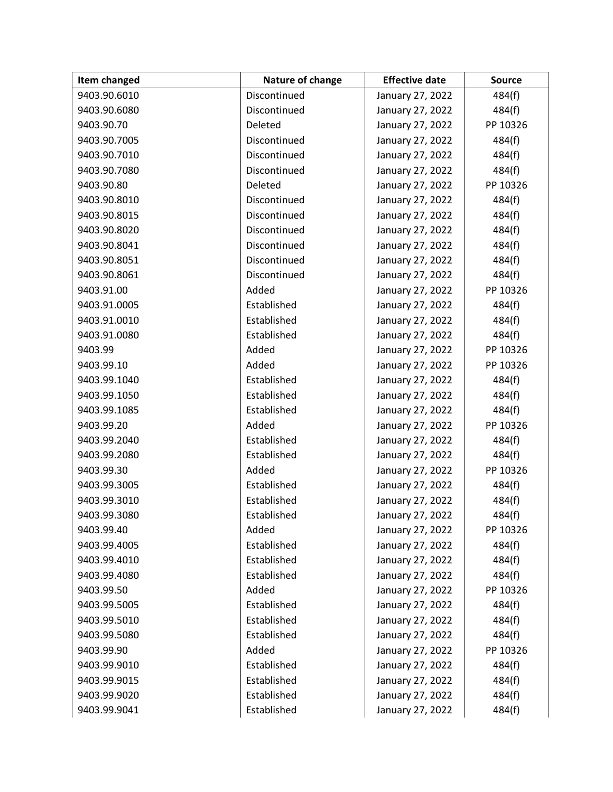| Item changed | Nature of change | <b>Effective date</b> | <b>Source</b> |
|--------------|------------------|-----------------------|---------------|
| 9403.90.6010 | Discontinued     | January 27, 2022      | 484(f)        |
| 9403.90.6080 | Discontinued     | January 27, 2022      | 484(f)        |
| 9403.90.70   | Deleted          | January 27, 2022      | PP 10326      |
| 9403.90.7005 | Discontinued     | January 27, 2022      | 484(f)        |
| 9403.90.7010 | Discontinued     | January 27, 2022      | 484(f)        |
| 9403.90.7080 | Discontinued     | January 27, 2022      | 484(f)        |
| 9403.90.80   | Deleted          | January 27, 2022      | PP 10326      |
| 9403.90.8010 | Discontinued     | January 27, 2022      | 484(f)        |
| 9403.90.8015 | Discontinued     | January 27, 2022      | 484(f)        |
| 9403.90.8020 | Discontinued     | January 27, 2022      | 484(f)        |
| 9403.90.8041 | Discontinued     | January 27, 2022      | 484(f)        |
| 9403.90.8051 | Discontinued     | January 27, 2022      | 484(f)        |
| 9403.90.8061 | Discontinued     | January 27, 2022      | 484(f)        |
| 9403.91.00   | Added            | January 27, 2022      | PP 10326      |
| 9403.91.0005 | Established      | January 27, 2022      | 484(f)        |
| 9403.91.0010 | Established      | January 27, 2022      | 484(f)        |
| 9403.91.0080 | Established      | January 27, 2022      | 484(f)        |
| 9403.99      | Added            | January 27, 2022      | PP 10326      |
| 9403.99.10   | Added            | January 27, 2022      | PP 10326      |
| 9403.99.1040 | Established      | January 27, 2022      | 484(f)        |
| 9403.99.1050 | Established      | January 27, 2022      | 484(f)        |
| 9403.99.1085 | Established      | January 27, 2022      | 484(f)        |
| 9403.99.20   | Added            | January 27, 2022      | PP 10326      |
| 9403.99.2040 | Established      | January 27, 2022      | 484(f)        |
| 9403.99.2080 | Established      | January 27, 2022      | 484(f)        |
| 9403.99.30   | Added            | January 27, 2022      | PP 10326      |
| 9403.99.3005 | Established      | January 27, 2022      | 484(f)        |
| 9403.99.3010 | Established      | January 27, 2022      | 484(f)        |
| 9403.99.3080 | Established      | January 27, 2022      | 484(f)        |
| 9403.99.40   | Added            | January 27, 2022      | PP 10326      |
| 9403.99.4005 | Established      | January 27, 2022      | 484(f)        |
| 9403.99.4010 | Established      | January 27, 2022      | 484(f)        |
| 9403.99.4080 | Established      | January 27, 2022      | 484(f)        |
| 9403.99.50   | Added            | January 27, 2022      | PP 10326      |
| 9403.99.5005 | Established      | January 27, 2022      | 484(f)        |
| 9403.99.5010 | Established      | January 27, 2022      | 484(f)        |
| 9403.99.5080 | Established      | January 27, 2022      | 484(f)        |
| 9403.99.90   | Added            | January 27, 2022      | PP 10326      |
| 9403.99.9010 | Established      | January 27, 2022      | 484(f)        |
| 9403.99.9015 | Established      | January 27, 2022      | 484(f)        |
| 9403.99.9020 | Established      | January 27, 2022      | 484(f)        |
| 9403.99.9041 | Established      | January 27, 2022      | 484(f)        |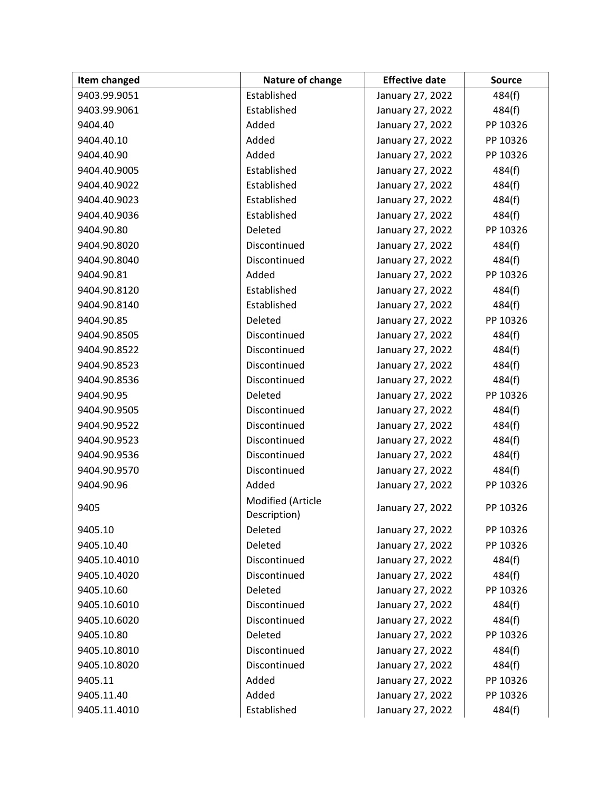| Item changed | Nature of change                  | <b>Effective date</b> | <b>Source</b> |
|--------------|-----------------------------------|-----------------------|---------------|
| 9403.99.9051 | Established                       | January 27, 2022      | 484(f)        |
| 9403.99.9061 | Established                       | January 27, 2022      | 484(f)        |
| 9404.40      | Added                             | January 27, 2022      | PP 10326      |
| 9404.40.10   | Added                             | January 27, 2022      | PP 10326      |
| 9404.40.90   | Added                             | January 27, 2022      | PP 10326      |
| 9404.40.9005 | Established                       | January 27, 2022      | 484(f)        |
| 9404.40.9022 | Established                       | January 27, 2022      | 484(f)        |
| 9404.40.9023 | Established                       | January 27, 2022      | 484(f)        |
| 9404.40.9036 | Established                       | January 27, 2022      | 484(f)        |
| 9404.90.80   | Deleted                           | January 27, 2022      | PP 10326      |
| 9404.90.8020 | Discontinued                      | January 27, 2022      | 484(f)        |
| 9404.90.8040 | Discontinued                      | January 27, 2022      | 484(f)        |
| 9404.90.81   | Added                             | January 27, 2022      | PP 10326      |
| 9404.90.8120 | Established                       | January 27, 2022      | 484(f)        |
| 9404.90.8140 | Established                       | January 27, 2022      | 484(f)        |
| 9404.90.85   | Deleted                           | January 27, 2022      | PP 10326      |
| 9404.90.8505 | Discontinued                      | January 27, 2022      | 484(f)        |
| 9404.90.8522 | Discontinued                      | January 27, 2022      | 484(f)        |
| 9404.90.8523 | Discontinued                      | January 27, 2022      | 484(f)        |
| 9404.90.8536 | Discontinued                      | January 27, 2022      | 484(f)        |
| 9404.90.95   | Deleted                           | January 27, 2022      | PP 10326      |
| 9404.90.9505 | Discontinued                      | January 27, 2022      | 484(f)        |
| 9404.90.9522 | Discontinued                      | January 27, 2022      | 484(f)        |
| 9404.90.9523 | Discontinued                      | January 27, 2022      | 484(f)        |
| 9404.90.9536 | Discontinued                      | January 27, 2022      | 484(f)        |
| 9404.90.9570 | Discontinued                      | January 27, 2022      | 484(f)        |
| 9404.90.96   | Added                             | January 27, 2022      | PP 10326      |
| 9405         | Modified (Article<br>Description) | January 27, 2022      | PP 10326      |
| 9405.10      | Deleted                           | January 27, 2022      | PP 10326      |
| 9405.10.40   | Deleted                           | January 27, 2022      | PP 10326      |
| 9405.10.4010 | Discontinued                      | January 27, 2022      | 484(f)        |
| 9405.10.4020 | Discontinued                      | January 27, 2022      | 484(f)        |
| 9405.10.60   | Deleted                           | January 27, 2022      | PP 10326      |
| 9405.10.6010 | Discontinued                      | January 27, 2022      | 484(f)        |
| 9405.10.6020 | Discontinued                      | January 27, 2022      | 484(f)        |
| 9405.10.80   | Deleted                           | January 27, 2022      | PP 10326      |
| 9405.10.8010 | Discontinued                      | January 27, 2022      | 484(f)        |
| 9405.10.8020 | Discontinued                      | January 27, 2022      | 484(f)        |
| 9405.11      | Added                             | January 27, 2022      | PP 10326      |
| 9405.11.40   | Added                             | January 27, 2022      | PP 10326      |
| 9405.11.4010 | Established                       | January 27, 2022      | 484(f)        |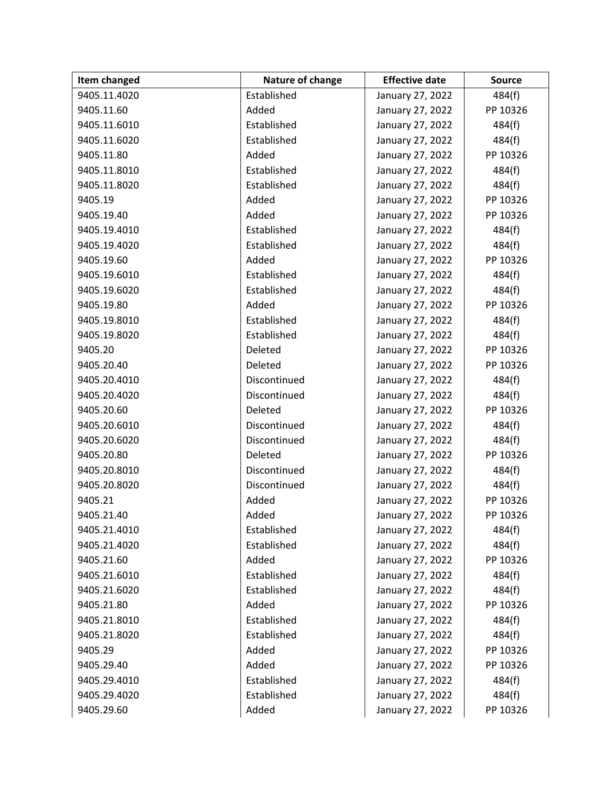| Item changed | Nature of change | <b>Effective date</b> | <b>Source</b> |
|--------------|------------------|-----------------------|---------------|
| 9405.11.4020 | Established      | January 27, 2022      | 484(f)        |
| 9405.11.60   | Added            | January 27, 2022      | PP 10326      |
| 9405.11.6010 | Established      | January 27, 2022      | 484(f)        |
| 9405.11.6020 | Established      | January 27, 2022      | 484(f)        |
| 9405.11.80   | Added            | January 27, 2022      | PP 10326      |
| 9405.11.8010 | Established      | January 27, 2022      | 484(f)        |
| 9405.11.8020 | Established      | January 27, 2022      | 484(f)        |
| 9405.19      | Added            | January 27, 2022      | PP 10326      |
| 9405.19.40   | Added            | January 27, 2022      | PP 10326      |
| 9405.19.4010 | Established      | January 27, 2022      | 484(f)        |
| 9405.19.4020 | Established      | January 27, 2022      | 484(f)        |
| 9405.19.60   | Added            | January 27, 2022      | PP 10326      |
| 9405.19.6010 | Established      | January 27, 2022      | 484(f)        |
| 9405.19.6020 | Established      | January 27, 2022      | 484(f)        |
| 9405.19.80   | Added            | January 27, 2022      | PP 10326      |
| 9405.19.8010 | Established      | January 27, 2022      | 484(f)        |
| 9405.19.8020 | Established      | January 27, 2022      | 484(f)        |
| 9405.20      | Deleted          | January 27, 2022      | PP 10326      |
| 9405.20.40   | Deleted          | January 27, 2022      | PP 10326      |
| 9405.20.4010 | Discontinued     | January 27, 2022      | 484(f)        |
| 9405.20.4020 | Discontinued     | January 27, 2022      | 484(f)        |
| 9405.20.60   | Deleted          | January 27, 2022      | PP 10326      |
| 9405.20.6010 | Discontinued     | January 27, 2022      | 484(f)        |
| 9405.20.6020 | Discontinued     | January 27, 2022      | 484(f)        |
| 9405.20.80   | Deleted          | January 27, 2022      | PP 10326      |
| 9405.20.8010 | Discontinued     | January 27, 2022      | 484(f)        |
| 9405.20.8020 | Discontinued     | January 27, 2022      | 484(f)        |
| 9405.21      | Added            | January 27, 2022      | PP 10326      |
| 9405.21.40   | Added            | January 27, 2022      | PP 10326      |
| 9405.21.4010 | Established      | January 27, 2022      | 484(f)        |
| 9405.21.4020 | Established      | January 27, 2022      | 484(f)        |
| 9405.21.60   | Added            | January 27, 2022      | PP 10326      |
| 9405.21.6010 | Established      | January 27, 2022      | 484(f)        |
| 9405.21.6020 | Established      | January 27, 2022      | 484(f)        |
| 9405.21.80   | Added            | January 27, 2022      | PP 10326      |
| 9405.21.8010 | Established      | January 27, 2022      | 484(f)        |
| 9405.21.8020 | Established      | January 27, 2022      | 484(f)        |
| 9405.29      | Added            | January 27, 2022      | PP 10326      |
| 9405.29.40   | Added            | January 27, 2022      | PP 10326      |
| 9405.29.4010 | Established      | January 27, 2022      | 484(f)        |
| 9405.29.4020 | Established      | January 27, 2022      | 484(f)        |
| 9405.29.60   | Added            | January 27, 2022      | PP 10326      |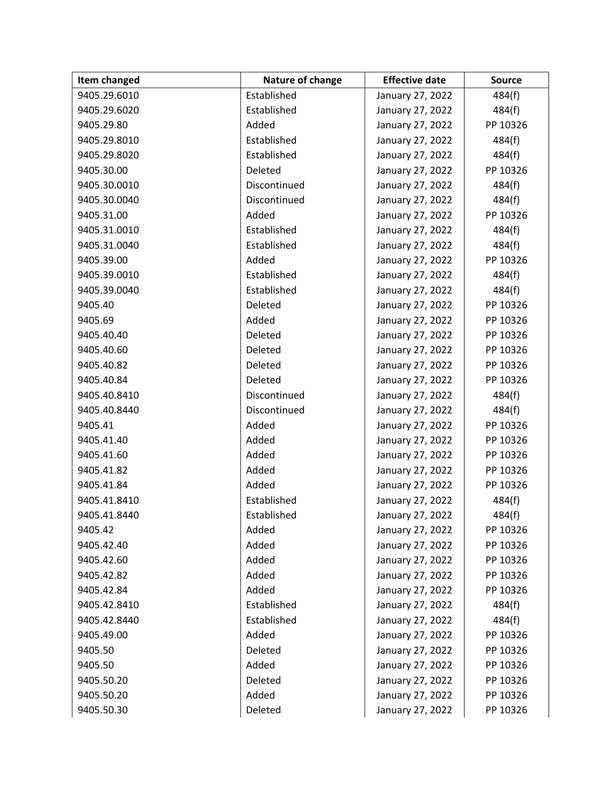| Item changed | Nature of change | <b>Effective date</b> | <b>Source</b> |
|--------------|------------------|-----------------------|---------------|
| 9405.29.6010 | Established      | January 27, 2022      | 484(f)        |
| 9405.29.6020 | Established      | January 27, 2022      | 484(f)        |
| 9405.29.80   | Added            | January 27, 2022      | PP 10326      |
| 9405.29.8010 | Established      | January 27, 2022      | 484(f)        |
| 9405.29.8020 | Established      | January 27, 2022      | 484(f)        |
| 9405.30.00   | Deleted          | January 27, 2022      | PP 10326      |
| 9405.30.0010 | Discontinued     | January 27, 2022      | 484(f)        |
| 9405.30.0040 | Discontinued     | January 27, 2022      | 484(f)        |
| 9405.31.00   | Added            | January 27, 2022      | PP 10326      |
| 9405.31.0010 | Established      | January 27, 2022      | 484(f)        |
| 9405.31.0040 | Established      | January 27, 2022      | 484(f)        |
| 9405.39.00   | Added            | January 27, 2022      | PP 10326      |
| 9405.39.0010 | Established      | January 27, 2022      | 484(f)        |
| 9405.39.0040 | Established      | January 27, 2022      | 484(f)        |
| 9405.40      | Deleted          | January 27, 2022      | PP 10326      |
| 9405.69      | Added            | January 27, 2022      | PP 10326      |
| 9405.40.40   | Deleted          | January 27, 2022      | PP 10326      |
| 9405.40.60   | Deleted          | January 27, 2022      | PP 10326      |
| 9405.40.82   | Deleted          | January 27, 2022      | PP 10326      |
| 9405.40.84   | Deleted          | January 27, 2022      | PP 10326      |
| 9405.40.8410 | Discontinued     | January 27, 2022      | 484(f)        |
| 9405.40.8440 | Discontinued     | January 27, 2022      | 484(f)        |
| 9405.41      | Added            | January 27, 2022      | PP 10326      |
| 9405.41.40   | Added            | January 27, 2022      | PP 10326      |
| 9405.41.60   | Added            | January 27, 2022      | PP 10326      |
| 9405.41.82   | Added            | January 27, 2022      | PP 10326      |
| 9405.41.84   | Added            | January 27, 2022      | PP 10326      |
| 9405.41.8410 | Established      | January 27, 2022      | 484(f)        |
| 9405.41.8440 | Established      | January 27, 2022      | 484(f)        |
| 9405.42      | Added            | January 27, 2022      | PP 10326      |
| 9405.42.40   | Added            | January 27, 2022      | PP 10326      |
| 9405.42.60   | Added            | January 27, 2022      | PP 10326      |
| 9405.42.82   | Added            | January 27, 2022      | PP 10326      |
| 9405.42.84   | Added            | January 27, 2022      | PP 10326      |
| 9405.42.8410 | Established      | January 27, 2022      | 484(f)        |
| 9405.42.8440 | Established      | January 27, 2022      | 484(f)        |
| 9405.49.00   | Added            | January 27, 2022      | PP 10326      |
| 9405.50      | Deleted          | January 27, 2022      | PP 10326      |
| 9405.50      | Added            | January 27, 2022      | PP 10326      |
| 9405.50.20   | Deleted          | January 27, 2022      | PP 10326      |
| 9405.50.20   | Added            | January 27, 2022      | PP 10326      |
| 9405.50.30   | Deleted          | January 27, 2022      | PP 10326      |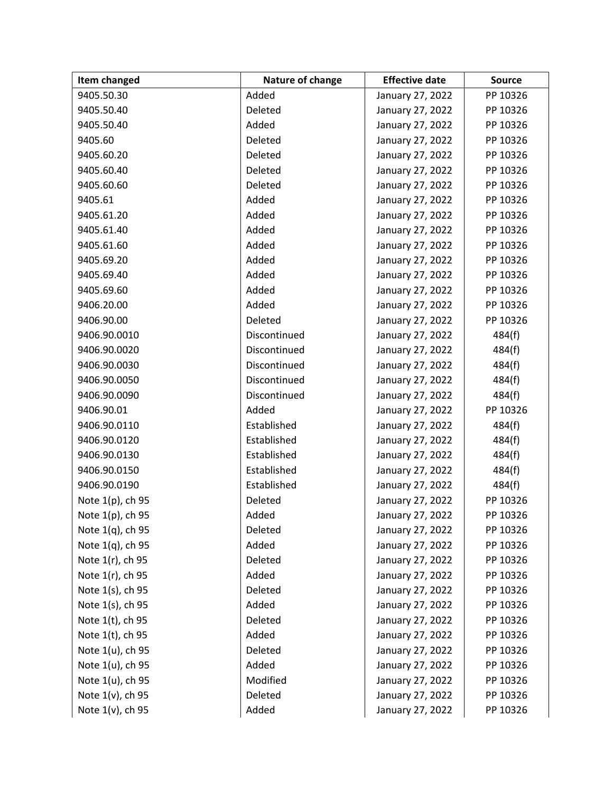| Item changed     | Nature of change | <b>Effective date</b> | <b>Source</b> |
|------------------|------------------|-----------------------|---------------|
| 9405.50.30       | Added            | January 27, 2022      | PP 10326      |
| 9405.50.40       | Deleted          | January 27, 2022      | PP 10326      |
| 9405.50.40       | Added            | January 27, 2022      | PP 10326      |
| 9405.60          | Deleted          | January 27, 2022      | PP 10326      |
| 9405.60.20       | Deleted          | January 27, 2022      | PP 10326      |
| 9405.60.40       | Deleted          | January 27, 2022      | PP 10326      |
| 9405.60.60       | Deleted          | January 27, 2022      | PP 10326      |
| 9405.61          | Added            | January 27, 2022      | PP 10326      |
| 9405.61.20       | Added            | January 27, 2022      | PP 10326      |
| 9405.61.40       | Added            | January 27, 2022      | PP 10326      |
| 9405.61.60       | Added            | January 27, 2022      | PP 10326      |
| 9405.69.20       | Added            | January 27, 2022      | PP 10326      |
| 9405.69.40       | Added            | January 27, 2022      | PP 10326      |
| 9405.69.60       | Added            | January 27, 2022      | PP 10326      |
| 9406.20.00       | Added            | January 27, 2022      | PP 10326      |
| 9406.90.00       | Deleted          | January 27, 2022      | PP 10326      |
| 9406.90.0010     | Discontinued     | January 27, 2022      | 484(f)        |
| 9406.90.0020     | Discontinued     | January 27, 2022      | 484(f)        |
| 9406.90.0030     | Discontinued     | January 27, 2022      | 484(f)        |
| 9406.90.0050     | Discontinued     | January 27, 2022      | 484(f)        |
| 9406.90.0090     | Discontinued     | January 27, 2022      | 484(f)        |
| 9406.90.01       | Added            | January 27, 2022      | PP 10326      |
| 9406.90.0110     | Established      | January 27, 2022      | 484(f)        |
| 9406.90.0120     | Established      | January 27, 2022      | 484(f)        |
| 9406.90.0130     | Established      | January 27, 2022      | 484(f)        |
| 9406.90.0150     | Established      | January 27, 2022      | 484(f)        |
| 9406.90.0190     | Established      | January 27, 2022      | 484(f)        |
| Note 1(p), ch 95 | Deleted          | January 27, 2022      | PP 10326      |
| Note 1(p), ch 95 | Added            | January 27, 2022      | PP 10326      |
| Note 1(q), ch 95 | Deleted          | January 27, 2022      | PP 10326      |
| Note 1(q), ch 95 | Added            | January 27, 2022      | PP 10326      |
| Note 1(r), ch 95 | Deleted          | January 27, 2022      | PP 10326      |
| Note 1(r), ch 95 | Added            | January 27, 2022      | PP 10326      |
| Note 1(s), ch 95 | Deleted          | January 27, 2022      | PP 10326      |
| Note 1(s), ch 95 | Added            | January 27, 2022      | PP 10326      |
| Note 1(t), ch 95 | Deleted          | January 27, 2022      | PP 10326      |
| Note 1(t), ch 95 | Added            | January 27, 2022      | PP 10326      |
| Note 1(u), ch 95 | Deleted          | January 27, 2022      | PP 10326      |
| Note 1(u), ch 95 | Added            | January 27, 2022      | PP 10326      |
| Note 1(u), ch 95 | Modified         | January 27, 2022      | PP 10326      |
| Note 1(v), ch 95 | Deleted          | January 27, 2022      | PP 10326      |
| Note 1(v), ch 95 | Added            | January 27, 2022      | PP 10326      |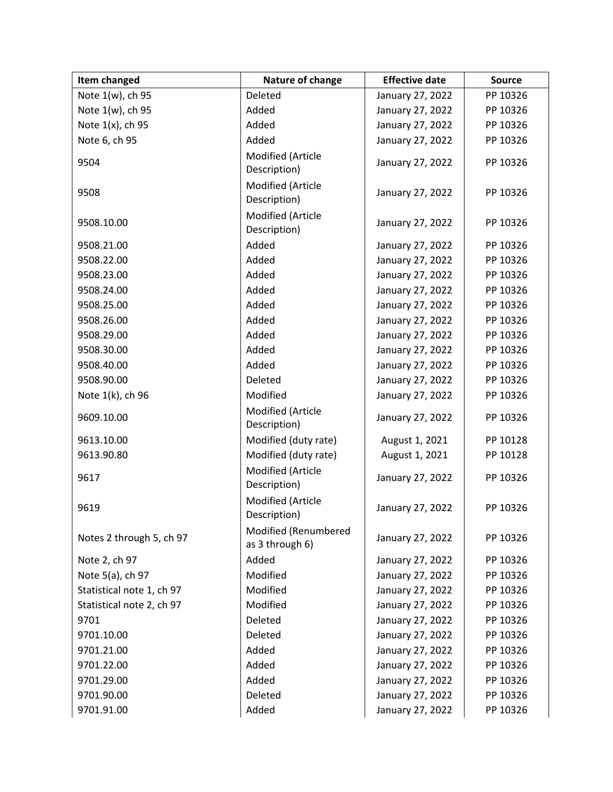| Item changed              | Nature of change                        | <b>Effective date</b> | <b>Source</b> |
|---------------------------|-----------------------------------------|-----------------------|---------------|
| Note 1(w), ch 95          | Deleted                                 | January 27, 2022      | PP 10326      |
| Note 1(w), ch 95          | Added                                   | January 27, 2022      | PP 10326      |
| Note 1(x), ch 95          | Added                                   | January 27, 2022      | PP 10326      |
| Note 6, ch 95             | Added                                   | January 27, 2022      | PP 10326      |
| 9504                      | Modified (Article<br>Description)       | January 27, 2022      | PP 10326      |
| 9508                      | Modified (Article<br>Description)       | January 27, 2022      | PP 10326      |
| 9508.10.00                | Modified (Article<br>Description)       | January 27, 2022      | PP 10326      |
| 9508.21.00                | Added                                   | January 27, 2022      | PP 10326      |
| 9508.22.00                | Added                                   | January 27, 2022      | PP 10326      |
| 9508.23.00                | Added                                   | January 27, 2022      | PP 10326      |
| 9508.24.00                | Added                                   | January 27, 2022      | PP 10326      |
| 9508.25.00                | Added                                   | January 27, 2022      | PP 10326      |
| 9508.26.00                | Added                                   | January 27, 2022      | PP 10326      |
| 9508.29.00                | Added                                   | January 27, 2022      | PP 10326      |
| 9508.30.00                | Added                                   | January 27, 2022      | PP 10326      |
| 9508.40.00                | Added                                   | January 27, 2022      | PP 10326      |
| 9508.90.00                | Deleted                                 | January 27, 2022      | PP 10326      |
| Note 1(k), ch 96          | Modified                                | January 27, 2022      | PP 10326      |
| 9609.10.00                | Modified (Article<br>Description)       | January 27, 2022      | PP 10326      |
| 9613.10.00                | Modified (duty rate)                    | August 1, 2021        | PP 10128      |
| 9613.90.80                | Modified (duty rate)                    | August 1, 2021        | PP 10128      |
| 9617                      | Modified (Article<br>Description)       | January 27, 2022      | PP 10326      |
| 9619                      | Modified (Article<br>Description)       | January 27, 2022      | PP 10326      |
| Notes 2 through 5, ch 97  | Modified (Renumbered<br>as 3 through 6) | January 27, 2022      | PP 10326      |
| Note 2, ch 97             | Added                                   | January 27, 2022      | PP 10326      |
| Note 5(a), ch 97          | Modified                                | January 27, 2022      | PP 10326      |
| Statistical note 1, ch 97 | Modified                                | January 27, 2022      | PP 10326      |
| Statistical note 2, ch 97 | Modified                                | January 27, 2022      | PP 10326      |
| 9701                      | Deleted                                 | January 27, 2022      | PP 10326      |
| 9701.10.00                | Deleted                                 | January 27, 2022      | PP 10326      |
| 9701.21.00                | Added                                   | January 27, 2022      | PP 10326      |
| 9701.22.00                | Added                                   | January 27, 2022      | PP 10326      |
| 9701.29.00                | Added                                   | January 27, 2022      | PP 10326      |
| 9701.90.00                | Deleted                                 | January 27, 2022      | PP 10326      |
| 9701.91.00                | Added                                   | January 27, 2022      | PP 10326      |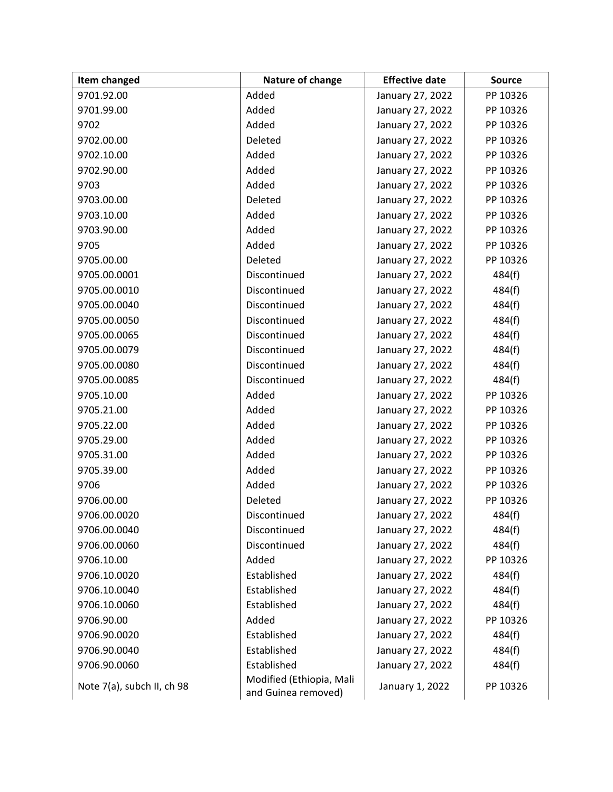| Item changed               | Nature of change                                | <b>Effective date</b> | <b>Source</b> |
|----------------------------|-------------------------------------------------|-----------------------|---------------|
| 9701.92.00                 | Added                                           | January 27, 2022      | PP 10326      |
| 9701.99.00                 | Added                                           | January 27, 2022      | PP 10326      |
| 9702                       | Added                                           | January 27, 2022      | PP 10326      |
| 9702.00.00                 | Deleted                                         | January 27, 2022      | PP 10326      |
| 9702.10.00                 | Added                                           | January 27, 2022      | PP 10326      |
| 9702.90.00                 | Added                                           | January 27, 2022      | PP 10326      |
| 9703                       | Added                                           | January 27, 2022      | PP 10326      |
| 9703.00.00                 | Deleted                                         | January 27, 2022      | PP 10326      |
| 9703.10.00                 | Added                                           | January 27, 2022      | PP 10326      |
| 9703.90.00                 | Added                                           | January 27, 2022      | PP 10326      |
| 9705                       | Added                                           | January 27, 2022      | PP 10326      |
| 9705.00.00                 | Deleted                                         | January 27, 2022      | PP 10326      |
| 9705.00.0001               | Discontinued                                    | January 27, 2022      | 484(f)        |
| 9705.00.0010               | Discontinued                                    | January 27, 2022      | 484(f)        |
| 9705.00.0040               | Discontinued                                    | January 27, 2022      | 484(f)        |
| 9705.00.0050               | Discontinued                                    | January 27, 2022      | 484(f)        |
| 9705.00.0065               | Discontinued                                    | January 27, 2022      | 484(f)        |
| 9705.00.0079               | Discontinued                                    | January 27, 2022      | 484(f)        |
| 9705.00.0080               | Discontinued                                    | January 27, 2022      | 484(f)        |
| 9705.00.0085               | Discontinued                                    | January 27, 2022      | 484(f)        |
| 9705.10.00                 | Added                                           | January 27, 2022      | PP 10326      |
| 9705.21.00                 | Added                                           | January 27, 2022      | PP 10326      |
| 9705.22.00                 | Added                                           | January 27, 2022      | PP 10326      |
| 9705.29.00                 | Added                                           | January 27, 2022      | PP 10326      |
| 9705.31.00                 | Added                                           | January 27, 2022      | PP 10326      |
| 9705.39.00                 | Added                                           | January 27, 2022      | PP 10326      |
| 9706                       | Added                                           | January 27, 2022      | PP 10326      |
| 9706.00.00                 | Deleted                                         | January 27, 2022      | PP 10326      |
| 9706.00.0020               | Discontinued                                    | January 27, 2022      | 484(f)        |
| 9706.00.0040               | Discontinued                                    | January 27, 2022      | 484(f)        |
| 9706.00.0060               | Discontinued                                    | January 27, 2022      | 484(f)        |
| 9706.10.00                 | Added                                           | January 27, 2022      | PP 10326      |
| 9706.10.0020               | Established                                     | January 27, 2022      | 484(f)        |
| 9706.10.0040               | Established                                     | January 27, 2022      | 484(f)        |
| 9706.10.0060               | Established                                     | January 27, 2022      | 484(f)        |
| 9706.90.00                 | Added                                           | January 27, 2022      | PP 10326      |
| 9706.90.0020               | Established                                     | January 27, 2022      | 484(f)        |
| 9706.90.0040               | Established                                     | January 27, 2022      | 484(f)        |
| 9706.90.0060               | Established                                     | January 27, 2022      | 484(f)        |
| Note 7(a), subch II, ch 98 | Modified (Ethiopia, Mali<br>and Guinea removed) | January 1, 2022       | PP 10326      |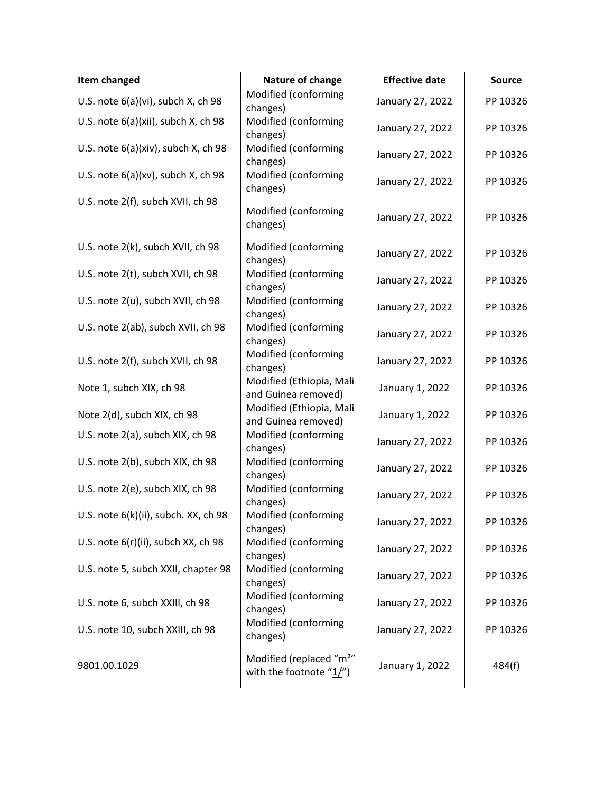| Item changed                         | Nature of change                                                   | <b>Effective date</b> | <b>Source</b> |
|--------------------------------------|--------------------------------------------------------------------|-----------------------|---------------|
| U.S. note 6(a)(vi), subch X, ch 98   | Modified (conforming<br>changes)                                   | January 27, 2022      | PP 10326      |
| U.S. note 6(a)(xii), subch X, ch 98  | Modified (conforming<br>changes)                                   | January 27, 2022      | PP 10326      |
| U.S. note 6(a)(xiv), subch X, ch 98  | Modified (conforming<br>changes)                                   | January 27, 2022      | PP 10326      |
| U.S. note 6(a)(xv), subch X, ch 98   | Modified (conforming<br>changes)                                   | January 27, 2022      | PP 10326      |
| U.S. note 2(f), subch XVII, ch 98    | Modified (conforming<br>changes)                                   | January 27, 2022      | PP 10326      |
| U.S. note 2(k), subch XVII, ch 98    | Modified (conforming<br>changes)                                   | January 27, 2022      | PP 10326      |
| U.S. note 2(t), subch XVII, ch 98    | Modified (conforming<br>changes)                                   | January 27, 2022      | PP 10326      |
| U.S. note 2(u), subch XVII, ch 98    | Modified (conforming<br>changes)                                   | January 27, 2022      | PP 10326      |
| U.S. note 2(ab), subch XVII, ch 98   | Modified (conforming<br>changes)                                   | January 27, 2022      | PP 10326      |
| U.S. note 2(f), subch XVII, ch 98    | Modified (conforming<br>changes)                                   | January 27, 2022      | PP 10326      |
| Note 1, subch XIX, ch 98             | Modified (Ethiopia, Mali<br>and Guinea removed)                    | January 1, 2022       | PP 10326      |
| Note 2(d), subch XIX, ch 98          | Modified (Ethiopia, Mali<br>and Guinea removed)                    | January 1, 2022       | PP 10326      |
| U.S. note 2(a), subch XIX, ch 98     | Modified (conforming<br>changes)                                   | January 27, 2022      | PP 10326      |
| U.S. note 2(b), subch XIX, ch 98     | Modified (conforming<br>changes)                                   | January 27, 2022      | PP 10326      |
| U.S. note 2(e), subch XIX, ch 98     | Modified (conforming<br>changes)                                   | January 27, 2022      | PP 10326      |
| U.S. note 6(k)(ii), subch. XX, ch 98 | Modified (conforming<br>changes)                                   | January 27, 2022      | PP 10326      |
| U.S. note 6(r)(ii), subch XX, ch 98  | Modified (conforming<br>changes)                                   | January 27, 2022      | PP 10326      |
| U.S. note 5, subch XXII, chapter 98  | Modified (conforming<br>changes)                                   | January 27, 2022      | PP 10326      |
| U.S. note 6, subch XXIII, ch 98      | Modified (conforming<br>changes)                                   | January 27, 2022      | PP 10326      |
| U.S. note 10, subch XXIII, ch 98     | Modified (conforming<br>changes)                                   | January 27, 2022      | PP 10326      |
| 9801.00.1029                         | Modified (replaced "m <sup>2"</sup><br>with the footnote " $1/$ ") | January 1, 2022       | 484(f)        |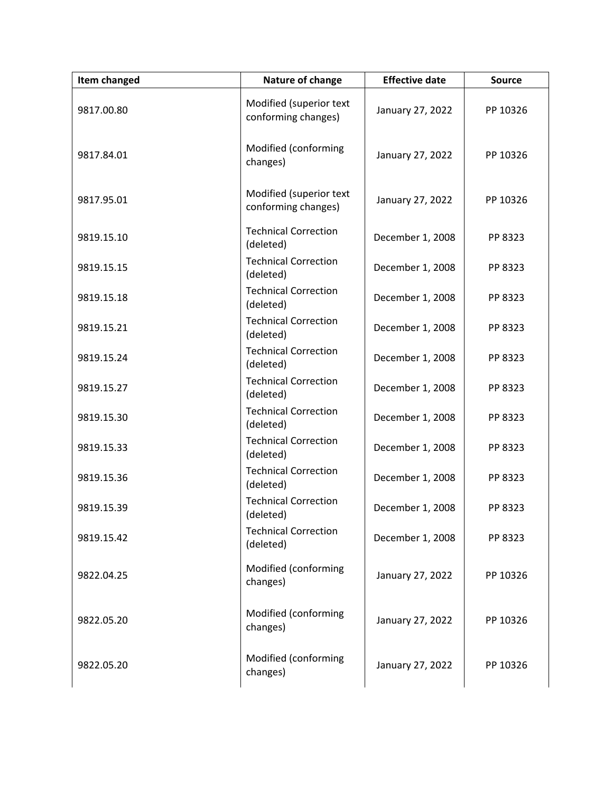| <b>Item changed</b> | Nature of change                               | <b>Effective date</b> | <b>Source</b> |
|---------------------|------------------------------------------------|-----------------------|---------------|
| 9817.00.80          | Modified (superior text<br>conforming changes) | January 27, 2022      | PP 10326      |
| 9817.84.01          | Modified (conforming<br>changes)               | January 27, 2022      | PP 10326      |
| 9817.95.01          | Modified (superior text<br>conforming changes) | January 27, 2022      | PP 10326      |
| 9819.15.10          | <b>Technical Correction</b><br>(deleted)       | December 1, 2008      | PP 8323       |
| 9819.15.15          | <b>Technical Correction</b><br>(deleted)       | December 1, 2008      | PP 8323       |
| 9819.15.18          | <b>Technical Correction</b><br>(deleted)       | December 1, 2008      | PP 8323       |
| 9819.15.21          | <b>Technical Correction</b><br>(deleted)       | December 1, 2008      | PP 8323       |
| 9819.15.24          | <b>Technical Correction</b><br>(deleted)       | December 1, 2008      | PP 8323       |
| 9819.15.27          | <b>Technical Correction</b><br>(deleted)       | December 1, 2008      | PP 8323       |
| 9819.15.30          | <b>Technical Correction</b><br>(deleted)       | December 1, 2008      | PP 8323       |
| 9819.15.33          | <b>Technical Correction</b><br>(deleted)       | December 1, 2008      | PP 8323       |
| 9819.15.36          | <b>Technical Correction</b><br>(deleted)       | December 1, 2008      | PP 8323       |
| 9819.15.39          | <b>Technical Correction</b><br>(deleted)       | December 1, 2008      | PP 8323       |
| 9819.15.42          | <b>Technical Correction</b><br>(deleted)       | December 1, 2008      | PP 8323       |
| 9822.04.25          | Modified (conforming<br>changes)               | January 27, 2022      | PP 10326      |
| 9822.05.20          | Modified (conforming<br>changes)               | January 27, 2022      | PP 10326      |
| 9822.05.20          | Modified (conforming<br>changes)               | January 27, 2022      | PP 10326      |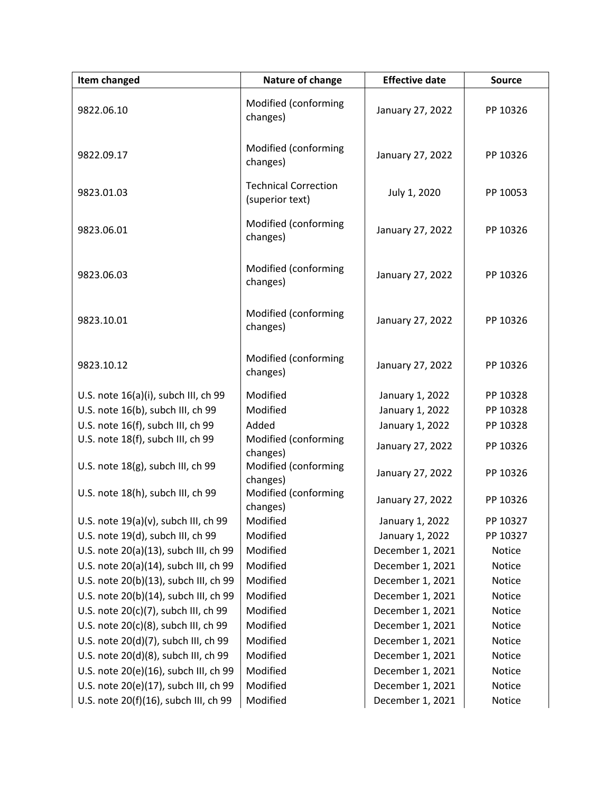| Item changed                          | Nature of change                               | <b>Effective date</b> | <b>Source</b> |
|---------------------------------------|------------------------------------------------|-----------------------|---------------|
| 9822.06.10                            | Modified (conforming<br>changes)               | January 27, 2022      | PP 10326      |
| 9822.09.17                            | Modified (conforming<br>changes)               | January 27, 2022      | PP 10326      |
| 9823.01.03                            | <b>Technical Correction</b><br>(superior text) | July 1, 2020          | PP 10053      |
| 9823.06.01                            | Modified (conforming<br>changes)               | January 27, 2022      | PP 10326      |
| 9823.06.03                            | Modified (conforming<br>changes)               | January 27, 2022      | PP 10326      |
| 9823.10.01                            | Modified (conforming<br>changes)               | January 27, 2022      | PP 10326      |
| 9823.10.12                            | Modified (conforming<br>changes)               | January 27, 2022      | PP 10326      |
| U.S. note 16(a)(i), subch III, ch 99  | Modified                                       | January 1, 2022       | PP 10328      |
| U.S. note 16(b), subch III, ch 99     | Modified                                       | January 1, 2022       | PP 10328      |
| U.S. note 16(f), subch III, ch 99     | Added                                          | January 1, 2022       | PP 10328      |
| U.S. note 18(f), subch III, ch 99     | Modified (conforming<br>changes)               | January 27, 2022      | PP 10326      |
| U.S. note 18(g), subch III, ch 99     | Modified (conforming<br>changes)               | January 27, 2022      | PP 10326      |
| U.S. note 18(h), subch III, ch 99     | Modified (conforming<br>changes)               | January 27, 2022      | PP 10326      |
| U.S. note 19(a)(v), subch III, ch 99  | Modified                                       | January 1, 2022       | PP 10327      |
| U.S. note 19(d), subch III, ch 99     | Modified                                       | January 1, 2022       | PP 10327      |
| U.S. note 20(a)(13), subch III, ch 99 | Modified                                       | December 1, 2021      | Notice        |
| U.S. note 20(a)(14), subch III, ch 99 | Modified                                       | December 1, 2021      | Notice        |
| U.S. note 20(b)(13), subch III, ch 99 | Modified                                       | December 1, 2021      | Notice        |
| U.S. note 20(b)(14), subch III, ch 99 | Modified                                       | December 1, 2021      | Notice        |
| U.S. note 20(c)(7), subch III, ch 99  | Modified                                       | December 1, 2021      | Notice        |
| U.S. note 20(c)(8), subch III, ch 99  | Modified                                       | December 1, 2021      | Notice        |
| U.S. note 20(d)(7), subch III, ch 99  | Modified                                       | December 1, 2021      | Notice        |
| U.S. note 20(d)(8), subch III, ch 99  | Modified                                       | December 1, 2021      | Notice        |
| U.S. note 20(e)(16), subch III, ch 99 | Modified                                       | December 1, 2021      | Notice        |
| U.S. note 20(e)(17), subch III, ch 99 | Modified                                       | December 1, 2021      | Notice        |
| U.S. note 20(f)(16), subch III, ch 99 | Modified                                       | December 1, 2021      | Notice        |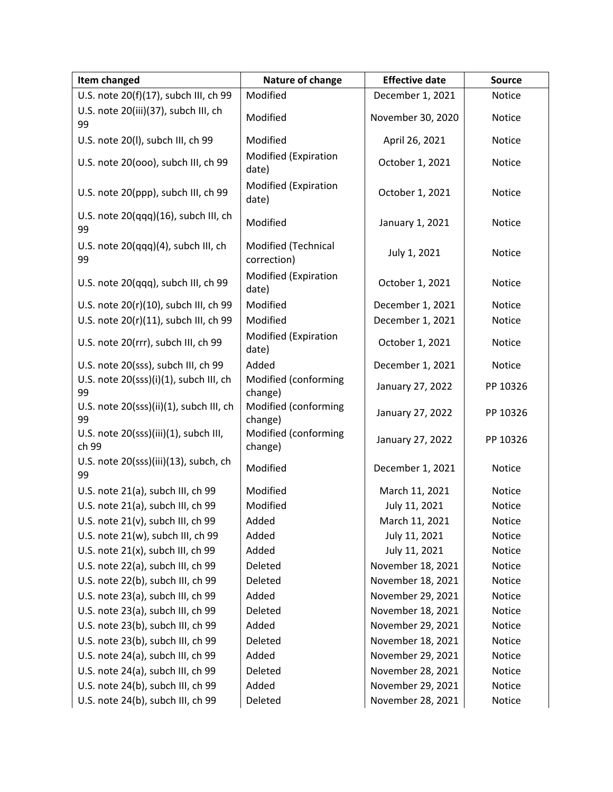| Item changed                                   | Nature of change                   | <b>Effective date</b> | <b>Source</b> |
|------------------------------------------------|------------------------------------|-----------------------|---------------|
| U.S. note 20(f)(17), subch III, ch 99          | Modified                           | December 1, 2021      | Notice        |
| U.S. note 20(iii)(37), subch III, ch<br>99     | Modified                           | November 30, 2020     | Notice        |
| U.S. note 20(I), subch III, ch 99              | Modified                           | April 26, 2021        | Notice        |
| U.S. note 20(000), subch III, ch 99            | Modified (Expiration<br>date)      | October 1, 2021       | Notice        |
| U.S. note 20(ppp), subch III, ch 99            | Modified (Expiration<br>date)      | October 1, 2021       | Notice        |
| U.S. note 20(qqq)(16), subch III, ch<br>99     | Modified                           | January 1, 2021       | Notice        |
| U.S. note 20(qqq)(4), subch III, ch<br>99      | Modified (Technical<br>correction) | July 1, 2021          | Notice        |
| U.S. note 20(qqq), subch III, ch 99            | Modified (Expiration<br>date)      | October 1, 2021       | Notice        |
| U.S. note 20(r)(10), subch III, ch 99          | Modified                           | December 1, 2021      | Notice        |
| U.S. note 20(r)(11), subch III, ch 99          | Modified                           | December 1, 2021      | Notice        |
| U.S. note 20(rrr), subch III, ch 99            | Modified (Expiration<br>date)      | October 1, 2021       | Notice        |
| U.S. note 20(sss), subch III, ch 99            | Added                              | December 1, 2021      | Notice        |
| U.S. note 20(sss)(i)(1), subch III, ch<br>99   | Modified (conforming<br>change)    | January 27, 2022      | PP 10326      |
| U.S. note 20(sss)(ii)(1), subch III, ch<br>99  | Modified (conforming<br>change)    | January 27, 2022      | PP 10326      |
| U.S. note 20(sss)(iii)(1), subch III,<br>ch 99 | Modified (conforming<br>change)    | January 27, 2022      | PP 10326      |
| U.S. note 20(sss)(iii)(13), subch, ch<br>99    | Modified                           | December 1, 2021      | Notice        |
| U.S. note 21(a), subch III, ch 99              | Modified                           | March 11, 2021        | Notice        |
| U.S. note 21(a), subch III, ch 99              | Modified                           | July 11, 2021         | Notice        |
| U.S. note 21(v), subch III, ch 99              | Added                              | March 11, 2021        | Notice        |
| U.S. note 21(w), subch III, ch 99              | Added                              | July 11, 2021         | Notice        |
| U.S. note 21(x), subch III, ch 99              | Added                              | July 11, 2021         | Notice        |
| U.S. note 22(a), subch III, ch 99              | Deleted                            | November 18, 2021     | Notice        |
| U.S. note 22(b), subch III, ch 99              | Deleted                            | November 18, 2021     | Notice        |
| U.S. note 23(a), subch III, ch 99              | Added                              | November 29, 2021     | Notice        |
| U.S. note 23(a), subch III, ch 99              | Deleted                            | November 18, 2021     | Notice        |
| U.S. note 23(b), subch III, ch 99              | Added                              | November 29, 2021     | Notice        |
| U.S. note 23(b), subch III, ch 99              | Deleted                            | November 18, 2021     | Notice        |
| U.S. note 24(a), subch III, ch 99              | Added                              | November 29, 2021     | Notice        |
| U.S. note 24(a), subch III, ch 99              | Deleted                            | November 28, 2021     | Notice        |
| U.S. note 24(b), subch III, ch 99              | Added                              | November 29, 2021     | Notice        |
| U.S. note 24(b), subch III, ch 99              | Deleted                            | November 28, 2021     | Notice        |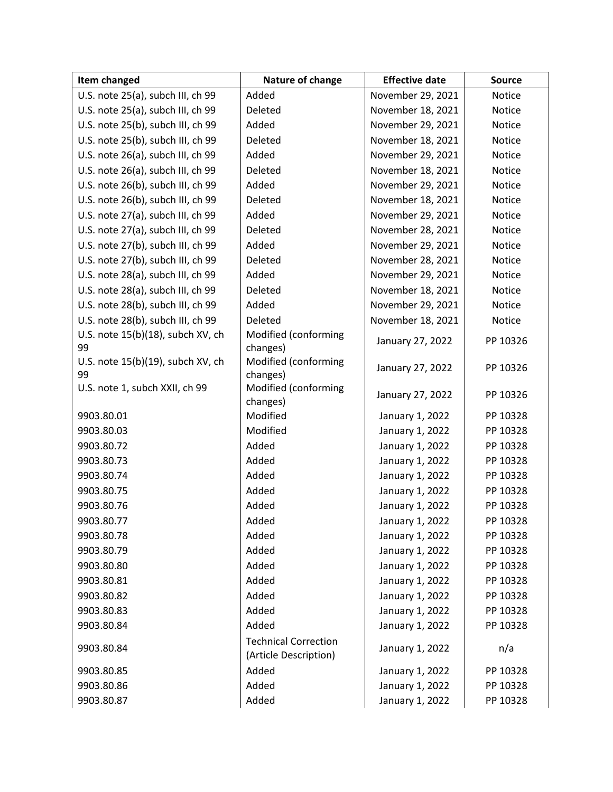| Item changed                      | Nature of change                                     | <b>Effective date</b> | <b>Source</b> |
|-----------------------------------|------------------------------------------------------|-----------------------|---------------|
| U.S. note 25(a), subch III, ch 99 | Added                                                | November 29, 2021     | Notice        |
| U.S. note 25(a), subch III, ch 99 | Deleted                                              | November 18, 2021     | Notice        |
| U.S. note 25(b), subch III, ch 99 | Added                                                | November 29, 2021     | Notice        |
| U.S. note 25(b), subch III, ch 99 | Deleted                                              | November 18, 2021     | Notice        |
| U.S. note 26(a), subch III, ch 99 | Added                                                | November 29, 2021     | Notice        |
| U.S. note 26(a), subch III, ch 99 | Deleted                                              | November 18, 2021     | Notice        |
| U.S. note 26(b), subch III, ch 99 | Added                                                | November 29, 2021     | Notice        |
| U.S. note 26(b), subch III, ch 99 | Deleted                                              | November 18, 2021     | Notice        |
| U.S. note 27(a), subch III, ch 99 | Added                                                | November 29, 2021     | Notice        |
| U.S. note 27(a), subch III, ch 99 | Deleted                                              | November 28, 2021     | Notice        |
| U.S. note 27(b), subch III, ch 99 | Added                                                | November 29, 2021     | Notice        |
| U.S. note 27(b), subch III, ch 99 | Deleted                                              | November 28, 2021     | Notice        |
| U.S. note 28(a), subch III, ch 99 | Added                                                | November 29, 2021     | Notice        |
| U.S. note 28(a), subch III, ch 99 | Deleted                                              | November 18, 2021     | Notice        |
| U.S. note 28(b), subch III, ch 99 | Added                                                | November 29, 2021     | Notice        |
| U.S. note 28(b), subch III, ch 99 | Deleted                                              | November 18, 2021     | Notice        |
| U.S. note 15(b)(18), subch XV, ch | Modified (conforming                                 | January 27, 2022      | PP 10326      |
| 99                                | changes)                                             |                       |               |
| U.S. note 15(b)(19), subch XV, ch | Modified (conforming                                 | January 27, 2022      | PP 10326      |
| 99                                | changes)                                             |                       |               |
| U.S. note 1, subch XXII, ch 99    | Modified (conforming                                 | January 27, 2022      | PP 10326      |
| 9903.80.01                        | changes)<br>Modified                                 | January 1, 2022       | PP 10328      |
| 9903.80.03                        | Modified                                             | January 1, 2022       | PP 10328      |
| 9903.80.72                        | Added                                                | January 1, 2022       | PP 10328      |
| 9903.80.73                        | Added                                                | January 1, 2022       | PP 10328      |
| 9903.80.74                        | Added                                                | January 1, 2022       | PP 10328      |
| 9903.80.75                        | Added                                                | January 1, 2022       | PP 10328      |
| 9903.80.76                        | Added                                                | January 1, 2022       | PP 10328      |
| 9903.80.77                        | Added                                                | January 1, 2022       | PP 10328      |
| 9903.80.78                        | Added                                                | January 1, 2022       | PP 10328      |
| 9903.80.79                        | Added                                                | January 1, 2022       | PP 10328      |
| 9903.80.80                        | Added                                                | January 1, 2022       | PP 10328      |
| 9903.80.81                        | Added                                                | January 1, 2022       | PP 10328      |
| 9903.80.82                        | Added                                                |                       |               |
|                                   |                                                      | January 1, 2022       | PP 10328      |
| 9903.80.83                        | Added<br>Added                                       | January 1, 2022       | PP 10328      |
| 9903.80.84                        |                                                      | January 1, 2022       | PP 10328      |
| 9903.80.84                        | <b>Technical Correction</b><br>(Article Description) | January 1, 2022       | n/a           |
| 9903.80.85                        | Added                                                | January 1, 2022       | PP 10328      |
| 9903.80.86                        | Added                                                | January 1, 2022       | PP 10328      |
| 9903.80.87                        | Added                                                | January 1, 2022       | PP 10328      |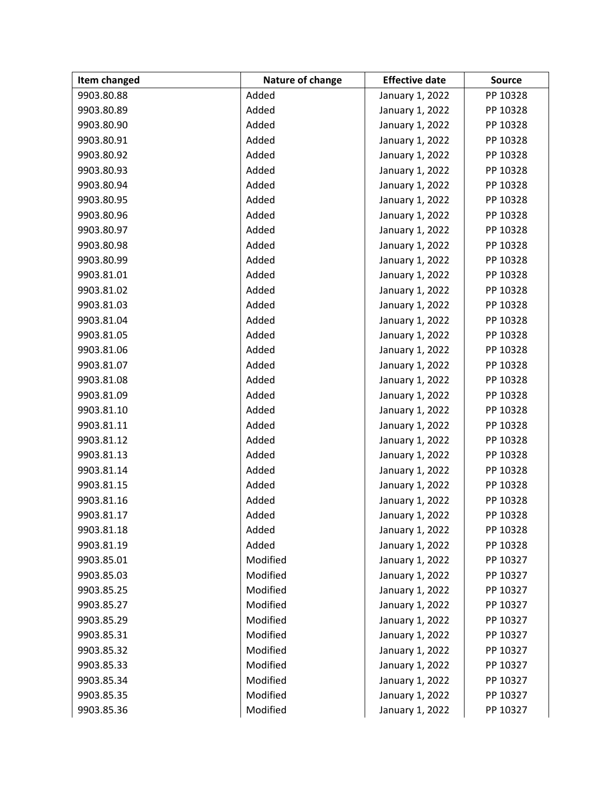| Item changed | Nature of change | <b>Effective date</b> | <b>Source</b> |
|--------------|------------------|-----------------------|---------------|
| 9903.80.88   | Added            | January 1, 2022       | PP 10328      |
| 9903.80.89   | Added            | January 1, 2022       | PP 10328      |
| 9903.80.90   | Added            | January 1, 2022       | PP 10328      |
| 9903.80.91   | Added            | January 1, 2022       | PP 10328      |
| 9903.80.92   | Added            | January 1, 2022       | PP 10328      |
| 9903.80.93   | Added            | January 1, 2022       | PP 10328      |
| 9903.80.94   | Added            | January 1, 2022       | PP 10328      |
| 9903.80.95   | Added            | January 1, 2022       | PP 10328      |
| 9903.80.96   | Added            | January 1, 2022       | PP 10328      |
| 9903.80.97   | Added            | January 1, 2022       | PP 10328      |
| 9903.80.98   | Added            | January 1, 2022       | PP 10328      |
| 9903.80.99   | Added            | January 1, 2022       | PP 10328      |
| 9903.81.01   | Added            | January 1, 2022       | PP 10328      |
| 9903.81.02   | Added            | January 1, 2022       | PP 10328      |
| 9903.81.03   | Added            | January 1, 2022       | PP 10328      |
| 9903.81.04   | Added            | January 1, 2022       | PP 10328      |
| 9903.81.05   | Added            | January 1, 2022       | PP 10328      |
| 9903.81.06   | Added            | January 1, 2022       | PP 10328      |
| 9903.81.07   | Added            | January 1, 2022       | PP 10328      |
| 9903.81.08   | Added            | January 1, 2022       | PP 10328      |
| 9903.81.09   | Added            | January 1, 2022       | PP 10328      |
| 9903.81.10   | Added            | January 1, 2022       | PP 10328      |
| 9903.81.11   | Added            | January 1, 2022       | PP 10328      |
| 9903.81.12   | Added            | January 1, 2022       | PP 10328      |
| 9903.81.13   | Added            | January 1, 2022       | PP 10328      |
| 9903.81.14   | Added            | January 1, 2022       | PP 10328      |
| 9903.81.15   | Added            | January 1, 2022       | PP 10328      |
| 9903.81.16   | Added            | January 1, 2022       | PP 10328      |
| 9903.81.17   | Added            | January 1, 2022       | PP 10328      |
| 9903.81.18   | Added            | January 1, 2022       | PP 10328      |
| 9903.81.19   | Added            | January 1, 2022       | PP 10328      |
| 9903.85.01   | Modified         | January 1, 2022       | PP 10327      |
| 9903.85.03   | Modified         | January 1, 2022       | PP 10327      |
| 9903.85.25   | Modified         | January 1, 2022       | PP 10327      |
| 9903.85.27   | Modified         | January 1, 2022       | PP 10327      |
| 9903.85.29   | Modified         | January 1, 2022       | PP 10327      |
| 9903.85.31   | Modified         | January 1, 2022       | PP 10327      |
| 9903.85.32   | Modified         | January 1, 2022       | PP 10327      |
| 9903.85.33   | Modified         | January 1, 2022       | PP 10327      |
| 9903.85.34   | Modified         | January 1, 2022       | PP 10327      |
| 9903.85.35   | Modified         | January 1, 2022       | PP 10327      |
| 9903.85.36   | Modified         | January 1, 2022       | PP 10327      |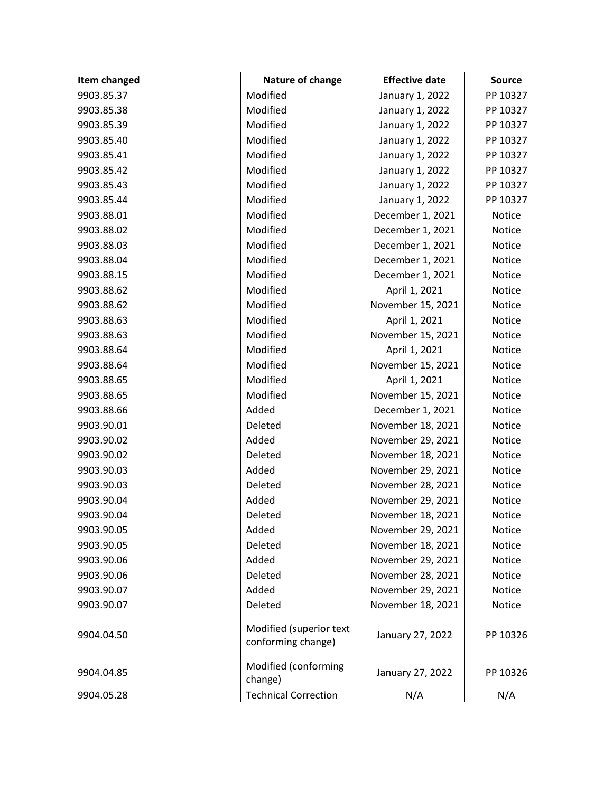| Item changed | Nature of change                              | <b>Effective date</b> | <b>Source</b> |
|--------------|-----------------------------------------------|-----------------------|---------------|
| 9903.85.37   | Modified                                      | January 1, 2022       | PP 10327      |
| 9903.85.38   | Modified                                      | January 1, 2022       | PP 10327      |
| 9903.85.39   | Modified                                      | January 1, 2022       | PP 10327      |
| 9903.85.40   | Modified                                      | January 1, 2022       | PP 10327      |
| 9903.85.41   | Modified                                      | January 1, 2022       | PP 10327      |
| 9903.85.42   | Modified                                      | January 1, 2022       | PP 10327      |
| 9903.85.43   | Modified                                      | January 1, 2022       | PP 10327      |
| 9903.85.44   | Modified                                      | January 1, 2022       | PP 10327      |
| 9903.88.01   | Modified                                      | December 1, 2021      | Notice        |
| 9903.88.02   | Modified                                      | December 1, 2021      | Notice        |
| 9903.88.03   | Modified                                      | December 1, 2021      | Notice        |
| 9903.88.04   | Modified                                      | December 1, 2021      | Notice        |
| 9903.88.15   | Modified                                      | December 1, 2021      | Notice        |
| 9903.88.62   | Modified                                      | April 1, 2021         | <b>Notice</b> |
| 9903.88.62   | Modified                                      | November 15, 2021     | Notice        |
| 9903.88.63   | Modified                                      | April 1, 2021         | Notice        |
| 9903.88.63   | Modified                                      | November 15, 2021     | Notice        |
| 9903.88.64   | Modified                                      | April 1, 2021         | <b>Notice</b> |
| 9903.88.64   | Modified                                      | November 15, 2021     | Notice        |
| 9903.88.65   | Modified                                      | April 1, 2021         | Notice        |
| 9903.88.65   | Modified                                      | November 15, 2021     | Notice        |
| 9903.88.66   | Added                                         | December 1, 2021      | Notice        |
| 9903.90.01   | Deleted                                       | November 18, 2021     | Notice        |
| 9903.90.02   | Added                                         | November 29, 2021     | Notice        |
| 9903.90.02   | Deleted                                       | November 18, 2021     | Notice        |
| 9903.90.03   | Added                                         | November 29, 2021     | <b>Notice</b> |
| 9903.90.03   | Deleted                                       | November 28, 2021     | Notice        |
| 9903.90.04   | Added                                         | November 29, 2021     | Notice        |
| 9903.90.04   | Deleted                                       | November 18, 2021     | Notice        |
| 9903.90.05   | Added                                         | November 29, 2021     | Notice        |
| 9903.90.05   | Deleted                                       | November 18, 2021     | Notice        |
| 9903.90.06   | Added                                         | November 29, 2021     | <b>Notice</b> |
| 9903.90.06   | Deleted                                       | November 28, 2021     | Notice        |
| 9903.90.07   | Added                                         | November 29, 2021     | Notice        |
| 9903.90.07   | Deleted                                       | November 18, 2021     | <b>Notice</b> |
| 9904.04.50   | Modified (superior text<br>conforming change) | January 27, 2022      | PP 10326      |
| 9904.04.85   | Modified (conforming<br>change)               | January 27, 2022      | PP 10326      |
| 9904.05.28   | <b>Technical Correction</b>                   | N/A                   | N/A           |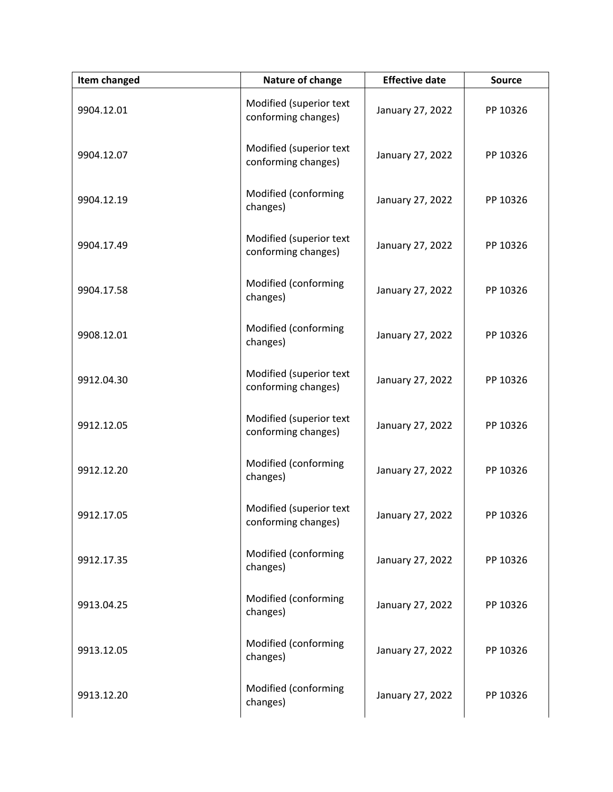| Item changed | Nature of change                               | <b>Effective date</b> | <b>Source</b> |
|--------------|------------------------------------------------|-----------------------|---------------|
| 9904.12.01   | Modified (superior text<br>conforming changes) | January 27, 2022      | PP 10326      |
| 9904.12.07   | Modified (superior text<br>conforming changes) | January 27, 2022      | PP 10326      |
| 9904.12.19   | Modified (conforming<br>changes)               | January 27, 2022      | PP 10326      |
| 9904.17.49   | Modified (superior text<br>conforming changes) | January 27, 2022      | PP 10326      |
| 9904.17.58   | Modified (conforming<br>changes)               | January 27, 2022      | PP 10326      |
| 9908.12.01   | Modified (conforming<br>changes)               | January 27, 2022      | PP 10326      |
| 9912.04.30   | Modified (superior text<br>conforming changes) | January 27, 2022      | PP 10326      |
| 9912.12.05   | Modified (superior text<br>conforming changes) | January 27, 2022      | PP 10326      |
| 9912.12.20   | Modified (conforming<br>changes)               | January 27, 2022      | PP 10326      |
| 9912.17.05   | Modified (superior text<br>conforming changes) | January 27, 2022      | PP 10326      |
| 9912.17.35   | Modified (conforming<br>changes)               | January 27, 2022      | PP 10326      |
| 9913.04.25   | Modified (conforming<br>changes)               | January 27, 2022      | PP 10326      |
| 9913.12.05   | Modified (conforming<br>changes)               | January 27, 2022      | PP 10326      |
| 9913.12.20   | Modified (conforming<br>changes)               | January 27, 2022      | PP 10326      |